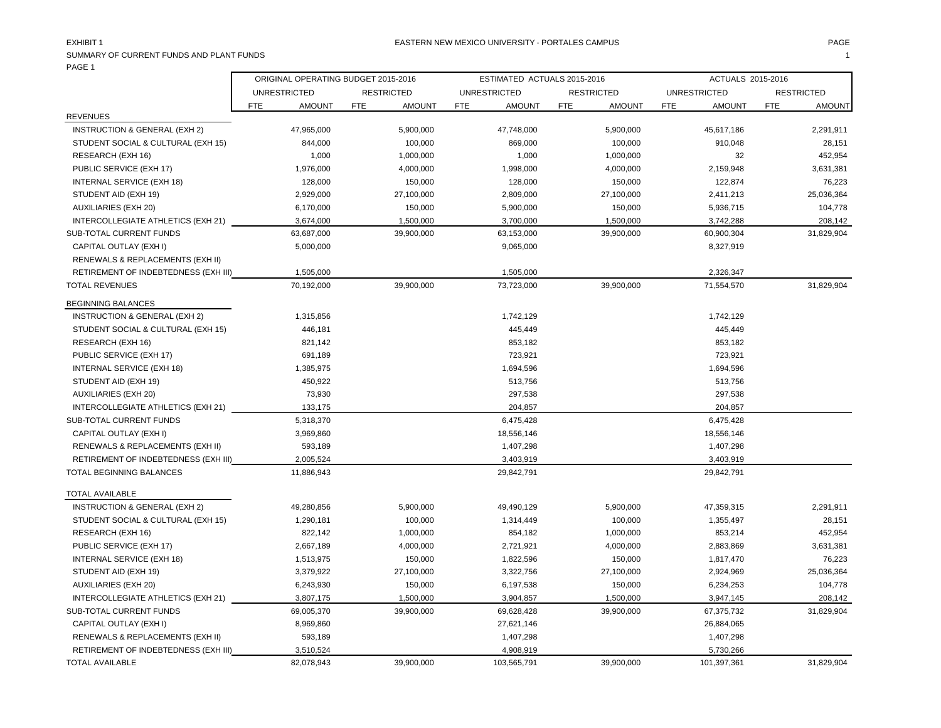| SUMMARY OF CURRENT FUNDS AND PLANT FUNDS<br>PAGE 1 |            |                                     |                   |               |            |                             |            |                   |      |                     |            | $\overline{\mathbf{1}}$ |
|----------------------------------------------------|------------|-------------------------------------|-------------------|---------------|------------|-----------------------------|------------|-------------------|------|---------------------|------------|-------------------------|
|                                                    |            | ORIGINAL OPERATING BUDGET 2015-2016 |                   |               |            | ESTIMATED ACTUALS 2015-2016 |            |                   |      | ACTUALS 2015-2016   |            |                         |
|                                                    |            | <b>UNRESTRICTED</b>                 | <b>RESTRICTED</b> |               |            | <b>UNRESTRICTED</b>         |            | <b>RESTRICTED</b> |      | <b>UNRESTRICTED</b> |            | <b>RESTRICTED</b>       |
|                                                    | <b>FTE</b> | <b>AMOUNT</b>                       | FTE               | <b>AMOUNT</b> | <b>FTE</b> | <b>AMOUNT</b>               | <b>FTE</b> | <b>AMOUNT</b>     | FTE. | <b>AMOUNT</b>       | <b>FTE</b> | <b>AMOUNT</b>           |
| <b>REVENUES</b>                                    |            |                                     |                   |               |            |                             |            |                   |      |                     |            |                         |
| <b>INSTRUCTION &amp; GENERAL (EXH 2)</b>           |            | 47,965,000                          |                   | 5,900,000     |            | 47,748,000                  |            | 5,900,000         |      | 45,617,186          |            | 2,291,911               |
| STUDENT SOCIAL & CULTURAL (EXH 15)                 |            | 844,000                             |                   | 100,000       |            | 869,000                     |            | 100,000           |      | 910,048             |            | 28,151                  |
| RESEARCH (EXH 16)                                  |            | 1,000                               |                   | 1,000,000     |            | 1,000                       |            | 1,000,000         |      | 32                  |            | 452,954                 |
| PUBLIC SERVICE (EXH 17)                            |            | 1,976,000                           |                   | 4,000,000     |            | 1,998,000                   |            | 4,000,000         |      | 2,159,948           |            | 3,631,381               |
| INTERNAL SERVICE (EXH 18)                          |            | 128,000                             |                   | 150,000       |            | 128,000                     |            | 150,000           |      | 122,874             |            | 76,223                  |
| STUDENT AID (EXH 19)                               |            | 2,929,000                           |                   | 27,100,000    |            | 2,809,000                   |            | 27,100,000        |      | 2,411,213           |            | 25,036,364              |
| <b>AUXILIARIES (EXH 20)</b>                        |            | 6,170,000                           |                   | 150,000       |            | 5,900,000                   |            | 150,000           |      | 5,936,715           |            | 104,778                 |
| INTERCOLLEGIATE ATHLETICS (EXH 21)                 |            | 3,674,000                           |                   | 1,500,000     |            | 3,700,000                   |            | 1,500,000         |      | 3,742,288           |            | 208,142                 |
| SUB-TOTAL CURRENT FUNDS                            |            | 63,687,000                          |                   | 39,900,000    |            | 63,153,000                  |            | 39,900,000        |      | 60,900,304          |            | 31,829,904              |
| CAPITAL OUTLAY (EXH I)                             |            | 5,000,000                           |                   |               |            | 9,065,000                   |            |                   |      | 8,327,919           |            |                         |
| RENEWALS & REPLACEMENTS (EXH II)                   |            |                                     |                   |               |            |                             |            |                   |      |                     |            |                         |
| RETIREMENT OF INDEBTEDNESS (EXH III)               |            | 1,505,000                           |                   |               |            | 1,505,000                   |            |                   |      | 2,326,347           |            |                         |
| <b>TOTAL REVENUES</b>                              |            | 70,192,000                          |                   | 39,900,000    |            | 73,723,000                  |            | 39,900,000        |      | 71,554,570          |            | 31,829,904              |
| <b>BEGINNING BALANCES</b>                          |            |                                     |                   |               |            |                             |            |                   |      |                     |            |                         |
| INSTRUCTION & GENERAL (EXH 2)                      |            | 1,315,856                           |                   |               |            | 1,742,129                   |            |                   |      | 1,742,129           |            |                         |
| STUDENT SOCIAL & CULTURAL (EXH 15)                 |            | 446,181                             |                   |               |            | 445,449                     |            |                   |      | 445,449             |            |                         |
| RESEARCH (EXH 16)                                  |            | 821,142                             |                   |               |            | 853,182                     |            |                   |      | 853,182             |            |                         |
| PUBLIC SERVICE (EXH 17)                            |            | 691,189                             |                   |               |            | 723,921                     |            |                   |      | 723,921             |            |                         |
| INTERNAL SERVICE (EXH 18)                          |            | 1,385,975                           |                   |               |            | 1,694,596                   |            |                   |      | 1,694,596           |            |                         |
| STUDENT AID (EXH 19)                               |            | 450,922                             |                   |               |            | 513,756                     |            |                   |      | 513,756             |            |                         |
| <b>AUXILIARIES (EXH 20)</b>                        |            | 73,930                              |                   |               |            | 297,538                     |            |                   |      | 297,538             |            |                         |
| INTERCOLLEGIATE ATHLETICS (EXH 21)                 |            | 133,175                             |                   |               |            | 204,857                     |            |                   |      | 204,857             |            |                         |
| <b>SUB-TOTAL CURRENT FUNDS</b>                     |            | 5,318,370                           |                   |               |            | 6,475,428                   |            |                   |      | 6,475,428           |            |                         |
| CAPITAL OUTLAY (EXH I)                             |            | 3,969,860                           |                   |               |            | 18,556,146                  |            |                   |      | 18,556,146          |            |                         |
| RENEWALS & REPLACEMENTS (EXH II)                   |            | 593,189                             |                   |               |            | 1,407,298                   |            |                   |      | 1,407,298           |            |                         |
| RETIREMENT OF INDEBTEDNESS (EXH III)               |            | 2,005,524                           |                   |               |            | 3,403,919                   |            |                   |      | 3,403,919           |            |                         |
| <b>TOTAL BEGINNING BALANCES</b>                    |            | 11,886,943                          |                   |               |            | 29,842,791                  |            |                   |      | 29,842,791          |            |                         |
| <b>TOTAL AVAILABLE</b>                             |            |                                     |                   |               |            |                             |            |                   |      |                     |            |                         |
| INSTRUCTION & GENERAL (EXH 2)                      |            | 49,280,856                          |                   | 5,900,000     |            | 49,490,129                  |            | 5,900,000         |      | 47,359,315          |            | 2,291,911               |
| STUDENT SOCIAL & CULTURAL (EXH 15)                 |            | 1,290,181                           |                   | 100,000       |            | 1,314,449                   |            | 100,000           |      | 1,355,497           |            | 28,151                  |
| RESEARCH (EXH 16)                                  |            | 822,142                             |                   | 1,000,000     |            | 854,182                     |            | 1,000,000         |      | 853,214             |            | 452,954                 |
| PUBLIC SERVICE (EXH 17)                            |            | 2,667,189                           |                   | 4,000,000     |            | 2,721,921                   |            | 4,000,000         |      | 2,883,869           |            | 3,631,381               |
| INTERNAL SERVICE (EXH 18)                          |            | 1,513,975                           |                   | 150,000       |            | 1,822,596                   |            | 150,000           |      | 1,817,470           |            | 76,223                  |
| STUDENT AID (EXH 19)                               |            | 3,379,922                           |                   | 27,100,000    |            | 3,322,756                   |            | 27,100,000        |      | 2,924,969           |            | 25,036,364              |
| <b>AUXILIARIES (EXH 20)</b>                        |            | 6,243,930                           |                   | 150,000       |            | 6,197,538                   |            | 150,000           |      | 6,234,253           |            | 104,778                 |
| INTERCOLLEGIATE ATHLETICS (EXH 21)                 |            | 3.807.175                           |                   | 1.500.000     |            | 3.904.857                   |            | 1.500.000         |      | 3.947.145           |            | 208.142                 |

SUB-TOTAL CURRENT FUNDS 69,005,370 39,900,000 69,628,428 39,900,000 67,375,732 31,829,904

TOTAL AVAILABLE 82,078,943 39,900,000 103,565,791 39,900,000 101,397,361 31,829,904

 CAPITAL OUTLAY (EXH I) 8,969,860 27,621,146 26,884,065 RENEWALS & REPLACEMENTS (EXH II) 593,189 593,189 1,407,298 1,407,298 1,407,298 1,407,298 1,407,298 1,407,298 1,407,298 1,407,298 1,407,298 1,407,298 1,407,298 1,407,298 1,407,298 1,407,298 1,407,298 1,407,298 1,407,298 1,4 RETIREMENT OF INDEBTEDNESS (EXH III) 3,510,524 5,730,266 5,730,266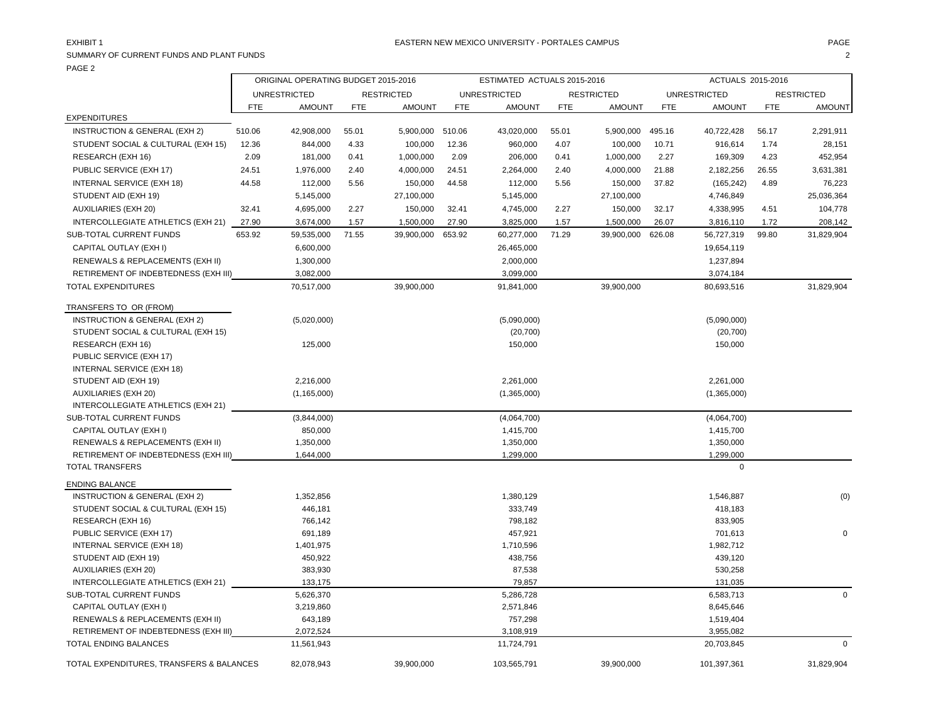## SUMMARY OF CURRENT FUNDS AND PLANT FUNDS 2 PAGE 2

|                                          |        | ORIGINAL OPERATING BUDGET 2015-2016 |            |                   |            | ESTIMATED ACTUALS 2015-2016 |            |                   |            | ACTUALS 2015-2016   |            |                   |
|------------------------------------------|--------|-------------------------------------|------------|-------------------|------------|-----------------------------|------------|-------------------|------------|---------------------|------------|-------------------|
|                                          |        | <b>UNRESTRICTED</b>                 |            | <b>RESTRICTED</b> |            | <b>UNRESTRICTED</b>         |            | <b>RESTRICTED</b> |            | <b>UNRESTRICTED</b> |            | <b>RESTRICTED</b> |
|                                          | FTE.   | <b>AMOUNT</b>                       | <b>FTE</b> | <b>AMOUNT</b>     | <b>FTE</b> | <b>AMOUNT</b>               | <b>FTE</b> | <b>AMOUNT</b>     | <b>FTE</b> | <b>AMOUNT</b>       | <b>FTE</b> | <b>AMOUNT</b>     |
| <b>EXPENDITURES</b>                      |        |                                     |            |                   |            |                             |            |                   |            |                     |            |                   |
| INSTRUCTION & GENERAL (EXH 2)            | 510.06 | 42,908,000                          | 55.01      | 5,900,000         | 510.06     | 43,020,000                  | 55.01      | 5,900,000         | 495.16     | 40,722,428          | 56.17      | 2,291,911         |
| STUDENT SOCIAL & CULTURAL (EXH 15)       | 12.36  | 844,000                             | 4.33       | 100,000           | 12.36      | 960,000                     | 4.07       | 100,000           | 10.71      | 916,614             | 1.74       | 28,151            |
| RESEARCH (EXH 16)                        | 2.09   | 181,000                             | 0.41       | 1,000,000         | 2.09       | 206,000                     | 0.41       | 1,000,000         | 2.27       | 169,309             | 4.23       | 452,954           |
| PUBLIC SERVICE (EXH 17)                  | 24.51  | 1,976,000                           | 2.40       | 4,000,000         | 24.51      | 2,264,000                   | 2.40       | 4,000,000         | 21.88      | 2,182,256           | 26.55      | 3,631,381         |
| INTERNAL SERVICE (EXH 18)                | 44.58  | 112,000                             | 5.56       | 150,000           | 44.58      | 112,000                     | 5.56       | 150,000           | 37.82      | (165, 242)          | 4.89       | 76,223            |
| STUDENT AID (EXH 19)                     |        | 5,145,000                           |            | 27,100,000        |            | 5,145,000                   |            | 27,100,000        |            | 4,746,849           |            | 25,036,364        |
| <b>AUXILIARIES (EXH 20)</b>              | 32.41  | 4,695,000                           | 2.27       | 150,000           | 32.41      | 4,745,000                   | 2.27       | 150,000           | 32.17      | 4,338,995           | 4.51       | 104,778           |
| INTERCOLLEGIATE ATHLETICS (EXH 21)       | 27.90  | 3,674,000                           | 1.57       | 1,500,000         | 27.90      | 3,825,000                   | 1.57       | 1,500,000         | 26.07      | 3,816,110           | 1.72       | 208,142           |
| <b>SUB-TOTAL CURRENT FUNDS</b>           | 653.92 | 59,535,000                          | 71.55      | 39,900,000        | 653.92     | 60,277,000                  | 71.29      | 39,900,000        | 626.08     | 56,727,319          | 99.80      | 31,829,904        |
| CAPITAL OUTLAY (EXH I)                   |        | 6,600,000                           |            |                   |            | 26,465,000                  |            |                   |            | 19,654,119          |            |                   |
| RENEWALS & REPLACEMENTS (EXH II)         |        | 1,300,000                           |            |                   |            | 2,000,000                   |            |                   |            | 1,237,894           |            |                   |
| RETIREMENT OF INDEBTEDNESS (EXH III)     |        | 3,082,000                           |            |                   |            | 3,099,000                   |            |                   |            | 3,074,184           |            |                   |
| <b>TOTAL EXPENDITURES</b>                |        | 70,517,000                          |            | 39,900,000        |            | 91,841,000                  |            | 39,900,000        |            | 80,693,516          |            | 31,829,904        |
|                                          |        |                                     |            |                   |            |                             |            |                   |            |                     |            |                   |
| TRANSFERS TO OR (FROM)                   |        |                                     |            |                   |            |                             |            |                   |            |                     |            |                   |
| INSTRUCTION & GENERAL (EXH 2)            |        | (5,020,000)                         |            |                   |            | (5,090,000)                 |            |                   |            | (5,090,000)         |            |                   |
| STUDENT SOCIAL & CULTURAL (EXH 15)       |        |                                     |            |                   |            | (20, 700)                   |            |                   |            | (20, 700)           |            |                   |
| RESEARCH (EXH 16)                        |        | 125,000                             |            |                   |            | 150,000                     |            |                   |            | 150,000             |            |                   |
| PUBLIC SERVICE (EXH 17)                  |        |                                     |            |                   |            |                             |            |                   |            |                     |            |                   |
| <b>INTERNAL SERVICE (EXH 18)</b>         |        |                                     |            |                   |            |                             |            |                   |            |                     |            |                   |
| STUDENT AID (EXH 19)                     |        | 2,216,000                           |            |                   |            | 2,261,000                   |            |                   |            | 2,261,000           |            |                   |
| <b>AUXILIARIES (EXH 20)</b>              |        | (1, 165, 000)                       |            |                   |            | (1,365,000)                 |            |                   |            | (1,365,000)         |            |                   |
| INTERCOLLEGIATE ATHLETICS (EXH 21)       |        |                                     |            |                   |            |                             |            |                   |            |                     |            |                   |
| SUB-TOTAL CURRENT FUNDS                  |        | (3,844,000)                         |            |                   |            | (4,064,700)                 |            |                   |            | (4,064,700)         |            |                   |
| CAPITAL OUTLAY (EXH I)                   |        | 850,000                             |            |                   |            | 1,415,700                   |            |                   |            | 1,415,700           |            |                   |
| RENEWALS & REPLACEMENTS (EXH II)         |        | 1,350,000                           |            |                   |            | 1,350,000                   |            |                   |            | 1,350,000           |            |                   |
| RETIREMENT OF INDEBTEDNESS (EXH III)     |        | 1,644,000                           |            |                   |            | 1,299,000                   |            |                   |            | 1,299,000           |            |                   |
| <b>TOTAL TRANSFERS</b>                   |        |                                     |            |                   |            |                             |            |                   |            | $\mathbf 0$         |            |                   |
| <b>ENDING BALANCE</b>                    |        |                                     |            |                   |            |                             |            |                   |            |                     |            |                   |
| INSTRUCTION & GENERAL (EXH 2)            |        | 1,352,856                           |            |                   |            | 1,380,129                   |            |                   |            | 1,546,887           |            | (0)               |
| STUDENT SOCIAL & CULTURAL (EXH 15)       |        | 446,181                             |            |                   |            | 333,749                     |            |                   |            | 418,183             |            |                   |
| RESEARCH (EXH 16)                        |        | 766,142                             |            |                   |            | 798,182                     |            |                   |            | 833,905             |            |                   |
| PUBLIC SERVICE (EXH 17)                  |        | 691,189                             |            |                   |            | 457,921                     |            |                   |            | 701,613             |            | $\Omega$          |
| INTERNAL SERVICE (EXH 18)                |        | 1,401,975                           |            |                   |            | 1,710,596                   |            |                   |            | 1,982,712           |            |                   |
| STUDENT AID (EXH 19)                     |        | 450,922                             |            |                   |            | 438,756                     |            |                   |            | 439,120             |            |                   |
| <b>AUXILIARIES (EXH 20)</b>              |        | 383,930                             |            |                   |            | 87,538                      |            |                   |            | 530,258             |            |                   |
| INTERCOLLEGIATE ATHLETICS (EXH 21)       |        | 133,175                             |            |                   |            | 79,857                      |            |                   |            | 131,035             |            |                   |
| SUB-TOTAL CURRENT FUNDS                  |        | 5,626,370                           |            |                   |            | 5,286,728                   |            |                   |            | 6,583,713           |            | $\mathbf 0$       |
| CAPITAL OUTLAY (EXH I)                   |        | 3,219,860                           |            |                   |            | 2,571,846                   |            |                   |            | 8,645,646           |            |                   |
| RENEWALS & REPLACEMENTS (EXH II)         |        | 643,189                             |            |                   |            | 757,298                     |            |                   |            | 1,519,404           |            |                   |
| RETIREMENT OF INDEBTEDNESS (EXH III)     |        | 2,072,524                           |            |                   |            | 3,108,919                   |            |                   |            | 3,955,082           |            |                   |
| TOTAL ENDING BALANCES                    |        | 11,561,943                          |            |                   |            | 11,724,791                  |            |                   |            | 20,703,845          |            | $\mathsf 0$       |
| TOTAL EXPENDITURES, TRANSFERS & BALANCES |        | 82,078,943                          |            | 39,900,000        |            | 103,565,791                 |            | 39,900,000        |            | 101,397,361         |            | 31,829,904        |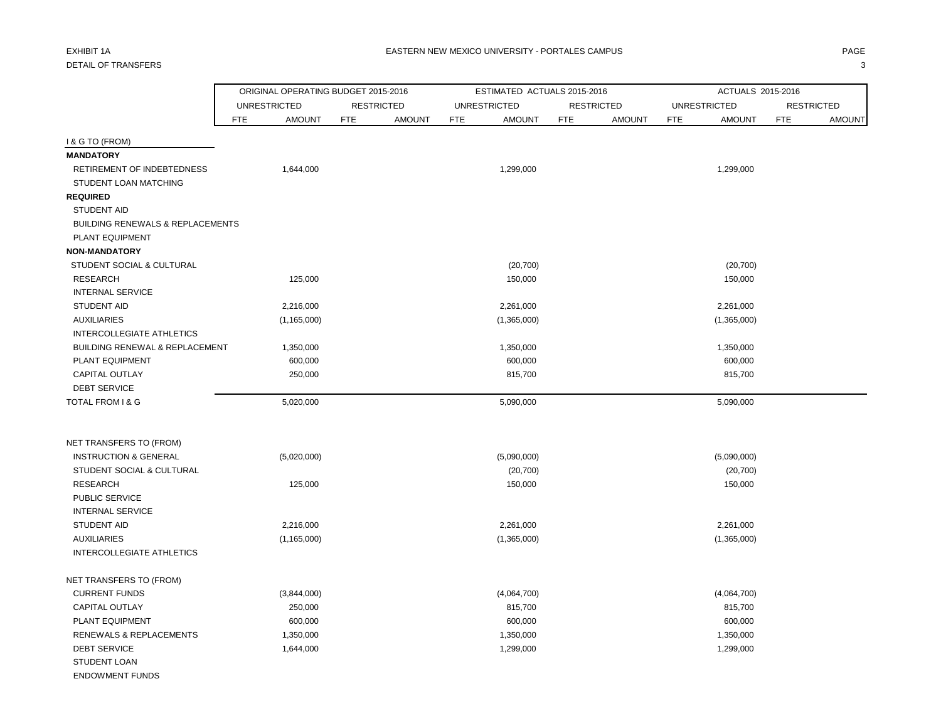# DETAIL OF TRANSFERS 3

|                                                               | ORIGINAL OPERATING BUDGET 2015-2016 |                             |            | ESTIMATED ACTUALS 2015-2016 |                   |               |                     | ACTUALS 2015-2016        |                   |               |
|---------------------------------------------------------------|-------------------------------------|-----------------------------|------------|-----------------------------|-------------------|---------------|---------------------|--------------------------|-------------------|---------------|
|                                                               | <b>UNRESTRICTED</b>                 | <b>RESTRICTED</b>           |            | <b>UNRESTRICTED</b>         | <b>RESTRICTED</b> |               | <b>UNRESTRICTED</b> |                          | <b>RESTRICTED</b> |               |
|                                                               | <b>AMOUNT</b><br>FTE                | <b>AMOUNT</b><br><b>FTE</b> | <b>FTE</b> | <b>AMOUNT</b>               | <b>FTE</b>        | <b>AMOUNT</b> | <b>FTE</b>          | <b>AMOUNT</b>            | <b>FTE</b>        | <b>AMOUNT</b> |
| <b>I&amp; G TO (FROM)</b>                                     |                                     |                             |            |                             |                   |               |                     |                          |                   |               |
| <b>MANDATORY</b>                                              |                                     |                             |            |                             |                   |               |                     |                          |                   |               |
| RETIREMENT OF INDEBTEDNESS                                    | 1,644,000                           |                             |            | 1,299,000                   |                   |               |                     | 1,299,000                |                   |               |
| STUDENT LOAN MATCHING                                         |                                     |                             |            |                             |                   |               |                     |                          |                   |               |
| <b>REQUIRED</b>                                               |                                     |                             |            |                             |                   |               |                     |                          |                   |               |
| <b>STUDENT AID</b>                                            |                                     |                             |            |                             |                   |               |                     |                          |                   |               |
| <b>BUILDING RENEWALS &amp; REPLACEMENTS</b>                   |                                     |                             |            |                             |                   |               |                     |                          |                   |               |
| PLANT EQUIPMENT                                               |                                     |                             |            |                             |                   |               |                     |                          |                   |               |
| <b>NON-MANDATORY</b>                                          |                                     |                             |            |                             |                   |               |                     |                          |                   |               |
| STUDENT SOCIAL & CULTURAL                                     |                                     |                             |            | (20, 700)                   |                   |               |                     | (20, 700)                |                   |               |
| <b>RESEARCH</b>                                               | 125,000                             |                             |            | 150,000                     |                   |               |                     | 150,000                  |                   |               |
| <b>INTERNAL SERVICE</b>                                       |                                     |                             |            |                             |                   |               |                     |                          |                   |               |
| STUDENT AID                                                   | 2,216,000                           |                             |            | 2,261,000                   |                   |               |                     | 2,261,000                |                   |               |
| <b>AUXILIARIES</b>                                            | (1, 165, 000)                       |                             |            | (1,365,000)                 |                   |               |                     | (1,365,000)              |                   |               |
| INTERCOLLEGIATE ATHLETICS                                     |                                     |                             |            |                             |                   |               |                     |                          |                   |               |
| <b>BUILDING RENEWAL &amp; REPLACEMENT</b>                     | 1,350,000                           |                             |            | 1,350,000                   |                   |               |                     | 1,350,000                |                   |               |
| <b>PLANT EQUIPMENT</b>                                        | 600,000                             |                             |            | 600,000                     |                   |               |                     | 600,000                  |                   |               |
| <b>CAPITAL OUTLAY</b>                                         | 250,000                             |                             |            | 815,700                     |                   |               |                     | 815,700                  |                   |               |
| <b>DEBT SERVICE</b>                                           |                                     |                             |            |                             |                   |               |                     |                          |                   |               |
| TOTAL FROM I & G                                              | 5,020,000                           |                             |            | 5,090,000                   |                   |               |                     | 5,090,000                |                   |               |
|                                                               |                                     |                             |            |                             |                   |               |                     |                          |                   |               |
| NET TRANSFERS TO (FROM)                                       |                                     |                             |            |                             |                   |               |                     |                          |                   |               |
| <b>INSTRUCTION &amp; GENERAL</b><br>STUDENT SOCIAL & CULTURAL | (5,020,000)                         |                             |            | (5,090,000)<br>(20, 700)    |                   |               |                     | (5,090,000)<br>(20, 700) |                   |               |
| <b>RESEARCH</b>                                               | 125,000                             |                             |            | 150,000                     |                   |               |                     | 150,000                  |                   |               |
| PUBLIC SERVICE                                                |                                     |                             |            |                             |                   |               |                     |                          |                   |               |
| <b>INTERNAL SERVICE</b>                                       |                                     |                             |            |                             |                   |               |                     |                          |                   |               |
| <b>STUDENT AID</b>                                            | 2,216,000                           |                             |            | 2,261,000                   |                   |               |                     | 2,261,000                |                   |               |
| <b>AUXILIARIES</b>                                            | (1, 165, 000)                       |                             |            | (1,365,000)                 |                   |               |                     | (1,365,000)              |                   |               |
| INTERCOLLEGIATE ATHLETICS                                     |                                     |                             |            |                             |                   |               |                     |                          |                   |               |
| NET TRANSFERS TO (FROM)                                       |                                     |                             |            |                             |                   |               |                     |                          |                   |               |
| <b>CURRENT FUNDS</b>                                          | (3,844,000)                         |                             |            | (4,064,700)                 |                   |               |                     | (4,064,700)              |                   |               |
| <b>CAPITAL OUTLAY</b>                                         | 250,000                             |                             |            | 815,700                     |                   |               |                     | 815,700                  |                   |               |
| PLANT EQUIPMENT                                               | 600,000                             |                             |            | 600,000                     |                   |               |                     | 600,000                  |                   |               |
| RENEWALS & REPLACEMENTS                                       | 1,350,000                           |                             |            | 1,350,000                   |                   |               |                     | 1,350,000                |                   |               |
| <b>DEBT SERVICE</b>                                           | 1,644,000                           |                             |            | 1,299,000                   |                   |               |                     | 1,299,000                |                   |               |
| STUDENT LOAN                                                  |                                     |                             |            |                             |                   |               |                     |                          |                   |               |
| <b>ENDOWMENT FUNDS</b>                                        |                                     |                             |            |                             |                   |               |                     |                          |                   |               |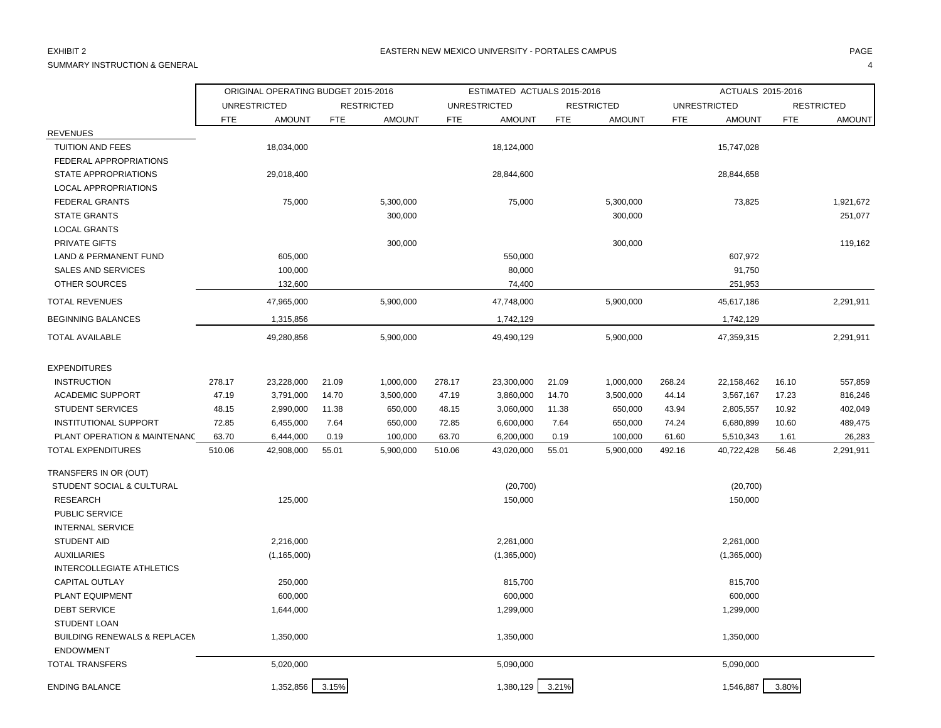# SUMMARY INSTRUCTION & GENERAL 4

|                                         |            | ORIGINAL OPERATING BUDGET 2015-2016 |            |                   |            | ESTIMATED ACTUALS 2015-2016 |            |                   |            | ACTUALS 2015-2016   |            |                   |
|-----------------------------------------|------------|-------------------------------------|------------|-------------------|------------|-----------------------------|------------|-------------------|------------|---------------------|------------|-------------------|
|                                         |            | <b>UNRESTRICTED</b>                 |            | <b>RESTRICTED</b> |            | <b>UNRESTRICTED</b>         |            | <b>RESTRICTED</b> |            | <b>UNRESTRICTED</b> |            | <b>RESTRICTED</b> |
|                                         | <b>FTE</b> | <b>AMOUNT</b>                       | <b>FTE</b> | <b>AMOUNT</b>     | <b>FTE</b> | <b>AMOUNT</b>               | <b>FTE</b> | <b>AMOUNT</b>     | <b>FTE</b> | <b>AMOUNT</b>       | <b>FTE</b> | <b>AMOUNT</b>     |
| <b>REVENUES</b>                         |            |                                     |            |                   |            |                             |            |                   |            |                     |            |                   |
| <b>TUITION AND FEES</b>                 |            | 18,034,000                          |            |                   |            | 18,124,000                  |            |                   |            | 15,747,028          |            |                   |
| FEDERAL APPROPRIATIONS                  |            |                                     |            |                   |            |                             |            |                   |            |                     |            |                   |
| <b>STATE APPROPRIATIONS</b>             |            | 29,018,400                          |            |                   |            | 28,844,600                  |            |                   |            | 28,844,658          |            |                   |
| <b>LOCAL APPROPRIATIONS</b>             |            |                                     |            |                   |            |                             |            |                   |            |                     |            |                   |
| <b>FEDERAL GRANTS</b>                   |            | 75,000                              |            | 5,300,000         |            | 75,000                      |            | 5,300,000         |            | 73,825              |            | 1,921,672         |
| <b>STATE GRANTS</b>                     |            |                                     |            | 300,000           |            |                             |            | 300,000           |            |                     |            | 251,077           |
| <b>LOCAL GRANTS</b>                     |            |                                     |            |                   |            |                             |            |                   |            |                     |            |                   |
| PRIVATE GIFTS                           |            |                                     |            | 300,000           |            |                             |            | 300,000           |            |                     |            | 119,162           |
| <b>LAND &amp; PERMANENT FUND</b>        |            | 605,000                             |            |                   |            | 550,000                     |            |                   |            | 607,972             |            |                   |
| <b>SALES AND SERVICES</b>               |            | 100,000                             |            |                   |            | 80,000                      |            |                   |            | 91,750              |            |                   |
| <b>OTHER SOURCES</b>                    |            | 132,600                             |            |                   |            | 74,400                      |            |                   |            | 251,953             |            |                   |
| <b>TOTAL REVENUES</b>                   |            | 47,965,000                          |            | 5,900,000         |            | 47,748,000                  |            | 5,900,000         |            | 45,617,186          |            | 2,291,911         |
| <b>BEGINNING BALANCES</b>               |            | 1,315,856                           |            |                   |            | 1,742,129                   |            |                   |            | 1,742,129           |            |                   |
| <b>TOTAL AVAILABLE</b>                  |            | 49,280,856                          |            | 5,900,000         |            | 49,490,129                  |            | 5,900,000         |            | 47,359,315          |            | 2,291,911         |
| <b>EXPENDITURES</b>                     |            |                                     |            |                   |            |                             |            |                   |            |                     |            |                   |
| <b>INSTRUCTION</b>                      | 278.17     | 23,228,000                          | 21.09      | 1,000,000         | 278.17     | 23,300,000                  | 21.09      | 1,000,000         | 268.24     | 22,158,462          | 16.10      | 557,859           |
| <b>ACADEMIC SUPPORT</b>                 | 47.19      | 3,791,000                           | 14.70      | 3,500,000         | 47.19      | 3,860,000                   | 14.70      | 3,500,000         | 44.14      | 3,567,167           | 17.23      | 816,246           |
| <b>STUDENT SERVICES</b>                 | 48.15      | 2,990,000                           | 11.38      | 650,000           | 48.15      | 3,060,000                   | 11.38      | 650,000           | 43.94      | 2,805,557           | 10.92      | 402,049           |
| <b>INSTITUTIONAL SUPPORT</b>            | 72.85      | 6,455,000                           | 7.64       | 650,000           | 72.85      | 6,600,000                   | 7.64       | 650,000           | 74.24      | 6,680,899           | 10.60      | 489,475           |
| PLANT OPERATION & MAINTENANC            | 63.70      | 6,444,000                           | 0.19       | 100,000           | 63.70      | 6,200,000                   | 0.19       | 100,000           | 61.60      | 5,510,343           | 1.61       | 26,283            |
| <b>TOTAL EXPENDITURES</b>               | 510.06     | 42,908,000                          | 55.01      | 5,900,000         | 510.06     | 43,020,000                  | 55.01      | 5,900,000         | 492.16     | 40,722,428          | 56.46      | 2,291,911         |
| TRANSFERS IN OR (OUT)                   |            |                                     |            |                   |            |                             |            |                   |            |                     |            |                   |
| STUDENT SOCIAL & CULTURAL               |            |                                     |            |                   |            | (20, 700)                   |            |                   |            | (20, 700)           |            |                   |
| <b>RESEARCH</b>                         |            | 125,000                             |            |                   |            | 150,000                     |            |                   |            | 150,000             |            |                   |
| PUBLIC SERVICE                          |            |                                     |            |                   |            |                             |            |                   |            |                     |            |                   |
| <b>INTERNAL SERVICE</b>                 |            |                                     |            |                   |            |                             |            |                   |            |                     |            |                   |
| <b>STUDENT AID</b>                      |            | 2,216,000                           |            |                   |            | 2,261,000                   |            |                   |            | 2,261,000           |            |                   |
| <b>AUXILIARIES</b>                      |            | (1, 165, 000)                       |            |                   |            | (1,365,000)                 |            |                   |            | (1,365,000)         |            |                   |
| INTERCOLLEGIATE ATHLETICS               |            |                                     |            |                   |            |                             |            |                   |            |                     |            |                   |
| <b>CAPITAL OUTLAY</b>                   |            | 250,000                             |            |                   |            | 815,700                     |            |                   |            | 815,700             |            |                   |
| PLANT EQUIPMENT                         |            | 600,000                             |            |                   |            | 600,000                     |            |                   |            | 600,000             |            |                   |
| <b>DEBT SERVICE</b>                     |            | 1,644,000                           |            |                   |            | 1,299,000                   |            |                   |            | 1,299,000           |            |                   |
| <b>STUDENT LOAN</b>                     |            |                                     |            |                   |            |                             |            |                   |            |                     |            |                   |
| <b>BUILDING RENEWALS &amp; REPLACEM</b> |            | 1,350,000                           |            |                   |            | 1,350,000                   |            |                   |            | 1,350,000           |            |                   |
| <b>ENDOWMENT</b>                        |            |                                     |            |                   |            |                             |            |                   |            |                     |            |                   |
| <b>TOTAL TRANSFERS</b>                  |            | 5,020,000                           |            |                   |            | 5,090,000                   |            |                   |            | 5,090,000           |            |                   |
| <b>ENDING BALANCE</b>                   |            | 1,352,856                           | 3.15%      |                   |            | 1,380,129                   | 3.21%      |                   |            | 1,546,887           | 3.80%      |                   |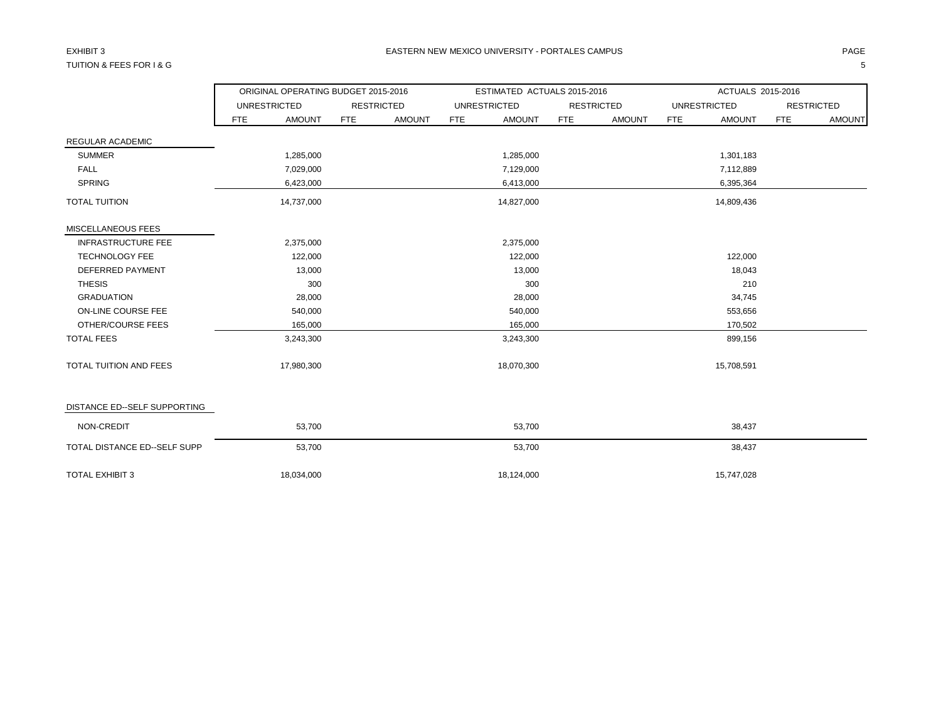## TUITION & FEES FOR I & G 5

|                               |            | ORIGINAL OPERATING BUDGET 2015-2016 |            |                   |            | ESTIMATED ACTUALS 2015-2016 |            |                   |     | ACTUALS 2015-2016   |            |                   |
|-------------------------------|------------|-------------------------------------|------------|-------------------|------------|-----------------------------|------------|-------------------|-----|---------------------|------------|-------------------|
|                               |            | <b>UNRESTRICTED</b>                 |            | <b>RESTRICTED</b> |            | <b>UNRESTRICTED</b>         |            | <b>RESTRICTED</b> |     | <b>UNRESTRICTED</b> |            | <b>RESTRICTED</b> |
|                               | <b>FTE</b> | <b>AMOUNT</b>                       | <b>FTE</b> | <b>AMOUNT</b>     | <b>FTE</b> | <b>AMOUNT</b>               | <b>FTE</b> | <b>AMOUNT</b>     | FTE | <b>AMOUNT</b>       | <b>FTE</b> | <b>AMOUNT</b>     |
| <b>REGULAR ACADEMIC</b>       |            |                                     |            |                   |            |                             |            |                   |     |                     |            |                   |
| <b>SUMMER</b>                 |            | 1,285,000                           |            |                   |            | 1,285,000                   |            |                   |     | 1,301,183           |            |                   |
| <b>FALL</b>                   |            | 7,029,000                           |            |                   |            | 7,129,000                   |            |                   |     | 7,112,889           |            |                   |
| <b>SPRING</b>                 |            | 6,423,000                           |            |                   |            | 6,413,000                   |            |                   |     | 6,395,364           |            |                   |
| <b>TOTAL TUITION</b>          |            | 14,737,000                          |            |                   |            | 14,827,000                  |            |                   |     | 14,809,436          |            |                   |
| MISCELLANEOUS FEES            |            |                                     |            |                   |            |                             |            |                   |     |                     |            |                   |
| <b>INFRASTRUCTURE FEE</b>     |            | 2,375,000                           |            |                   |            | 2,375,000                   |            |                   |     |                     |            |                   |
| <b>TECHNOLOGY FEE</b>         |            | 122,000                             |            |                   |            | 122,000                     |            |                   |     | 122,000             |            |                   |
| DEFERRED PAYMENT              |            | 13,000                              |            |                   |            | 13,000                      |            |                   |     | 18,043              |            |                   |
| <b>THESIS</b>                 |            | 300                                 |            |                   |            | 300                         |            |                   |     | 210                 |            |                   |
| <b>GRADUATION</b>             |            | 28,000                              |            |                   |            | 28,000                      |            |                   |     | 34,745              |            |                   |
| ON-LINE COURSE FEE            |            | 540,000                             |            |                   |            | 540,000                     |            |                   |     | 553,656             |            |                   |
| OTHER/COURSE FEES             |            | 165,000                             |            |                   |            | 165,000                     |            |                   |     | 170,502             |            |                   |
| <b>TOTAL FEES</b>             |            | 3,243,300                           |            |                   |            | 3,243,300                   |            |                   |     | 899,156             |            |                   |
| <b>TOTAL TUITION AND FEES</b> |            | 17,980,300                          |            |                   |            | 18,070,300                  |            |                   |     | 15,708,591          |            |                   |
| DISTANCE ED--SELF SUPPORTING  |            |                                     |            |                   |            |                             |            |                   |     |                     |            |                   |
| NON-CREDIT                    |            | 53,700                              |            |                   |            | 53,700                      |            |                   |     | 38,437              |            |                   |
| TOTAL DISTANCE ED--SELF SUPP  |            | 53,700                              |            |                   |            | 53,700                      |            |                   |     | 38,437              |            |                   |
| <b>TOTAL EXHIBIT 3</b>        |            | 18,034,000                          |            |                   |            | 18,124,000                  |            |                   |     | 15,747,028          |            |                   |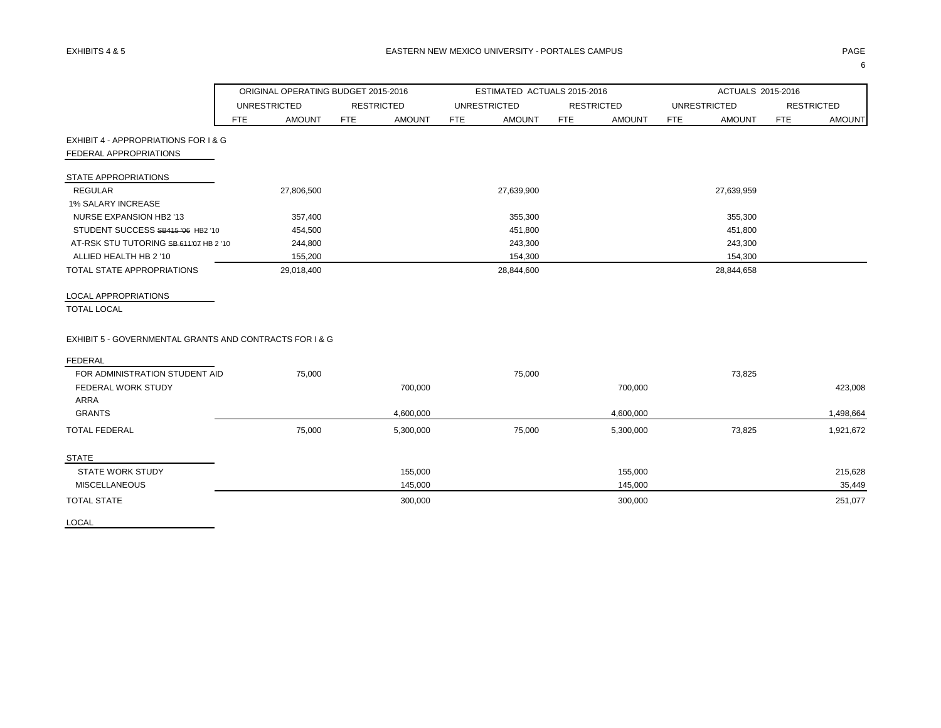| <b>UNRESTRICTED</b><br><b>RESTRICTED</b><br><b>UNRESTRICTED</b><br><b>RESTRICTED</b><br><b>UNRESTRICTED</b><br><b>AMOUNT</b><br><b>AMOUNT</b><br><b>FTE</b><br><b>AMOUNT</b><br><b>AMOUNT</b><br><b>AMOUNT</b><br>FTE<br>FTE<br>FTE<br>FTE<br><b>FTE</b><br>EXHIBIT 4 - APPROPRIATIONS FOR I & G<br>FEDERAL APPROPRIATIONS<br><b>STATE APPROPRIATIONS</b><br><b>REGULAR</b><br>27,639,900<br>27,806,500<br>27,639,959<br><b>1% SALARY INCREASE</b><br>NURSE EXPANSION HB2 '13<br>357,400<br>355,300<br>355,300<br>STUDENT SUCCESS SB415 '06 HB2 '10<br>454,500<br>451,800<br>451,800<br>AT-RSK STU TUTORING SB 611'07 HB 2 '10<br>243,300<br>244,800<br>243,300<br>ALLIED HEALTH HB 2 '10<br>155,200<br>154,300<br>154,300<br>TOTAL STATE APPROPRIATIONS<br>28,844,600<br>28,844,658<br>29,018,400<br>LOCAL APPROPRIATIONS<br><b>TOTAL LOCAL</b><br>EXHIBIT 5 - GOVERNMENTAL GRANTS AND CONTRACTS FOR I & G<br><b>FEDERAL</b><br>FOR ADMINISTRATION STUDENT AID<br>75,000<br>75,000<br>73,825<br>FEDERAL WORK STUDY<br>700,000<br>700,000<br>ARRA<br><b>GRANTS</b><br>4,600,000<br>4,600,000<br>75,000<br>75,000<br>73,825<br><b>TOTAL FEDERAL</b><br>5,300,000<br>5,300,000<br><b>STATE</b><br><b>STATE WORK STUDY</b><br>155,000<br>155,000 |                   |
|-----------------------------------------------------------------------------------------------------------------------------------------------------------------------------------------------------------------------------------------------------------------------------------------------------------------------------------------------------------------------------------------------------------------------------------------------------------------------------------------------------------------------------------------------------------------------------------------------------------------------------------------------------------------------------------------------------------------------------------------------------------------------------------------------------------------------------------------------------------------------------------------------------------------------------------------------------------------------------------------------------------------------------------------------------------------------------------------------------------------------------------------------------------------------------------------------------------------------------------------------|-------------------|
|                                                                                                                                                                                                                                                                                                                                                                                                                                                                                                                                                                                                                                                                                                                                                                                                                                                                                                                                                                                                                                                                                                                                                                                                                                               | <b>RESTRICTED</b> |
|                                                                                                                                                                                                                                                                                                                                                                                                                                                                                                                                                                                                                                                                                                                                                                                                                                                                                                                                                                                                                                                                                                                                                                                                                                               | <b>AMOUNT</b>     |
|                                                                                                                                                                                                                                                                                                                                                                                                                                                                                                                                                                                                                                                                                                                                                                                                                                                                                                                                                                                                                                                                                                                                                                                                                                               |                   |
|                                                                                                                                                                                                                                                                                                                                                                                                                                                                                                                                                                                                                                                                                                                                                                                                                                                                                                                                                                                                                                                                                                                                                                                                                                               |                   |
|                                                                                                                                                                                                                                                                                                                                                                                                                                                                                                                                                                                                                                                                                                                                                                                                                                                                                                                                                                                                                                                                                                                                                                                                                                               |                   |
|                                                                                                                                                                                                                                                                                                                                                                                                                                                                                                                                                                                                                                                                                                                                                                                                                                                                                                                                                                                                                                                                                                                                                                                                                                               |                   |
|                                                                                                                                                                                                                                                                                                                                                                                                                                                                                                                                                                                                                                                                                                                                                                                                                                                                                                                                                                                                                                                                                                                                                                                                                                               |                   |
|                                                                                                                                                                                                                                                                                                                                                                                                                                                                                                                                                                                                                                                                                                                                                                                                                                                                                                                                                                                                                                                                                                                                                                                                                                               |                   |
|                                                                                                                                                                                                                                                                                                                                                                                                                                                                                                                                                                                                                                                                                                                                                                                                                                                                                                                                                                                                                                                                                                                                                                                                                                               |                   |
|                                                                                                                                                                                                                                                                                                                                                                                                                                                                                                                                                                                                                                                                                                                                                                                                                                                                                                                                                                                                                                                                                                                                                                                                                                               |                   |
|                                                                                                                                                                                                                                                                                                                                                                                                                                                                                                                                                                                                                                                                                                                                                                                                                                                                                                                                                                                                                                                                                                                                                                                                                                               |                   |
|                                                                                                                                                                                                                                                                                                                                                                                                                                                                                                                                                                                                                                                                                                                                                                                                                                                                                                                                                                                                                                                                                                                                                                                                                                               |                   |
|                                                                                                                                                                                                                                                                                                                                                                                                                                                                                                                                                                                                                                                                                                                                                                                                                                                                                                                                                                                                                                                                                                                                                                                                                                               |                   |
|                                                                                                                                                                                                                                                                                                                                                                                                                                                                                                                                                                                                                                                                                                                                                                                                                                                                                                                                                                                                                                                                                                                                                                                                                                               |                   |
|                                                                                                                                                                                                                                                                                                                                                                                                                                                                                                                                                                                                                                                                                                                                                                                                                                                                                                                                                                                                                                                                                                                                                                                                                                               |                   |
|                                                                                                                                                                                                                                                                                                                                                                                                                                                                                                                                                                                                                                                                                                                                                                                                                                                                                                                                                                                                                                                                                                                                                                                                                                               |                   |
|                                                                                                                                                                                                                                                                                                                                                                                                                                                                                                                                                                                                                                                                                                                                                                                                                                                                                                                                                                                                                                                                                                                                                                                                                                               |                   |
|                                                                                                                                                                                                                                                                                                                                                                                                                                                                                                                                                                                                                                                                                                                                                                                                                                                                                                                                                                                                                                                                                                                                                                                                                                               | 423,008           |
|                                                                                                                                                                                                                                                                                                                                                                                                                                                                                                                                                                                                                                                                                                                                                                                                                                                                                                                                                                                                                                                                                                                                                                                                                                               | 1,498,664         |
|                                                                                                                                                                                                                                                                                                                                                                                                                                                                                                                                                                                                                                                                                                                                                                                                                                                                                                                                                                                                                                                                                                                                                                                                                                               |                   |
|                                                                                                                                                                                                                                                                                                                                                                                                                                                                                                                                                                                                                                                                                                                                                                                                                                                                                                                                                                                                                                                                                                                                                                                                                                               | 1,921,672         |
|                                                                                                                                                                                                                                                                                                                                                                                                                                                                                                                                                                                                                                                                                                                                                                                                                                                                                                                                                                                                                                                                                                                                                                                                                                               |                   |
|                                                                                                                                                                                                                                                                                                                                                                                                                                                                                                                                                                                                                                                                                                                                                                                                                                                                                                                                                                                                                                                                                                                                                                                                                                               | 215,628           |
| <b>MISCELLANEOUS</b><br>145,000<br>145,000                                                                                                                                                                                                                                                                                                                                                                                                                                                                                                                                                                                                                                                                                                                                                                                                                                                                                                                                                                                                                                                                                                                                                                                                    | 35,449            |
| <b>TOTAL STATE</b><br>300,000<br>300,000                                                                                                                                                                                                                                                                                                                                                                                                                                                                                                                                                                                                                                                                                                                                                                                                                                                                                                                                                                                                                                                                                                                                                                                                      | 251,077           |

LOCAL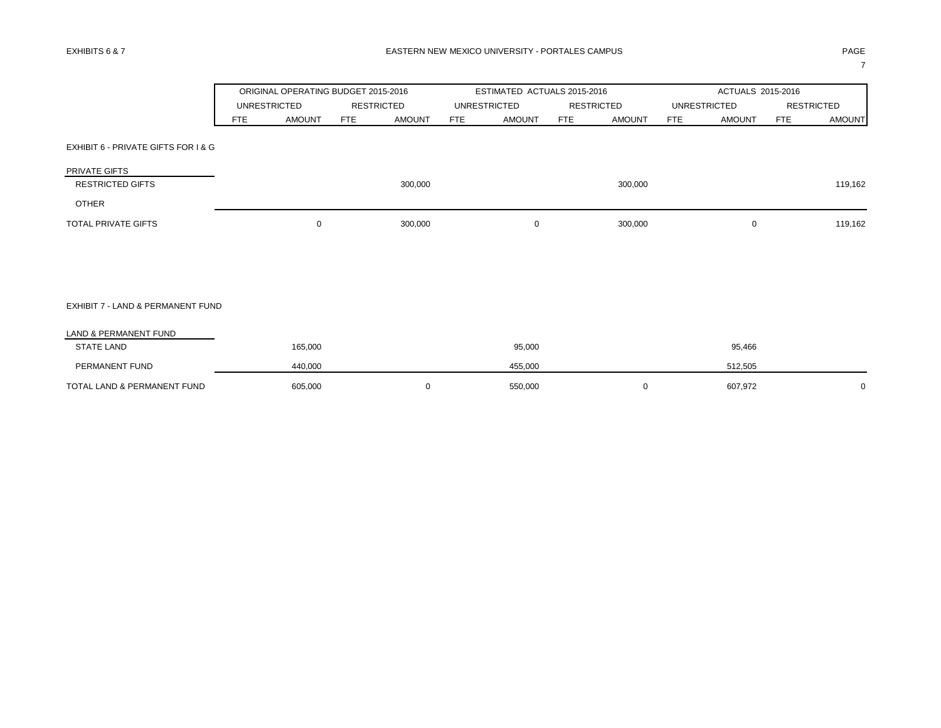|                                          |            | ORIGINAL OPERATING BUDGET 2015-2016 |            |                   |     | ESTIMATED ACTUALS 2015-2016 |            |                   |                     | ACTUALS 2015-2016 |            |                   |
|------------------------------------------|------------|-------------------------------------|------------|-------------------|-----|-----------------------------|------------|-------------------|---------------------|-------------------|------------|-------------------|
|                                          |            | <b>UNRESTRICTED</b>                 |            | <b>RESTRICTED</b> |     | <b>UNRESTRICTED</b>         |            | <b>RESTRICTED</b> | <b>UNRESTRICTED</b> |                   |            | <b>RESTRICTED</b> |
|                                          | <b>FTE</b> | <b>AMOUNT</b>                       | <b>FTE</b> | <b>AMOUNT</b>     | FTE | <b>AMOUNT</b>               | <b>FTE</b> | <b>AMOUNT</b>     | <b>FTE</b>          | <b>AMOUNT</b>     | <b>FTE</b> | <b>AMOUNT</b>     |
| EXHIBIT 6 - PRIVATE GIFTS FOR I & G      |            |                                     |            |                   |     |                             |            |                   |                     |                   |            |                   |
| PRIVATE GIFTS<br><b>RESTRICTED GIFTS</b> |            |                                     |            | 300,000           |     |                             |            | 300,000           |                     |                   |            | 119,162           |
| <b>OTHER</b>                             |            |                                     |            |                   |     |                             |            |                   |                     |                   |            |                   |
| TOTAL PRIVATE GIFTS                      |            | $\mathbf 0$                         |            | 300,000           |     | 0                           |            | 300,000           |                     | $\mathbf 0$       |            | 119,162           |
|                                          |            |                                     |            |                   |     |                             |            |                   |                     |                   |            |                   |
|                                          |            |                                     |            |                   |     |                             |            |                   |                     |                   |            |                   |
| EXHIBIT 7 - LAND & PERMANENT FUND        |            |                                     |            |                   |     |                             |            |                   |                     |                   |            |                   |
| LAND & PERMANENT FUND                    |            |                                     |            |                   |     |                             |            |                   |                     |                   |            |                   |
| <b>STATE LAND</b>                        |            | 165,000                             |            |                   |     | 95,000                      |            |                   |                     | 95,466            |            |                   |
| PERMANENT FUND                           |            | 440,000                             |            |                   |     | 455,000                     |            |                   |                     | 512,505           |            |                   |
| TOTAL LAND & PERMANENT FUND              |            | 605,000                             |            | 0                 |     | 550,000                     |            | 0                 |                     | 607,972           |            | 0                 |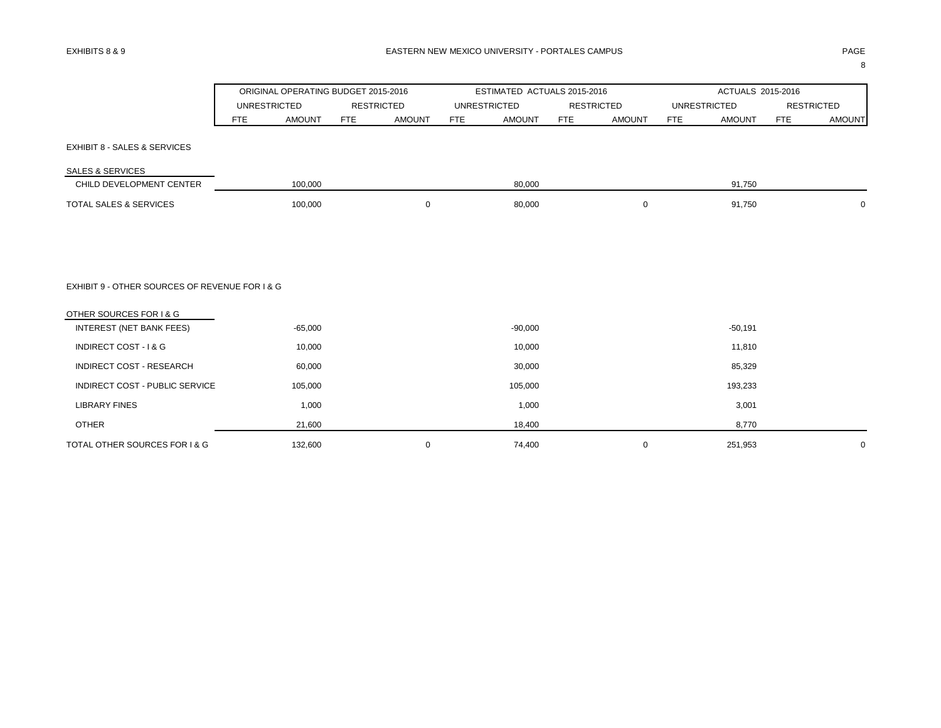|                                                | ORIGINAL OPERATING BUDGET 2015-2016 |                             | ESTIMATED ACTUALS 2015-2016 |                             | ACTUALS 2015-2016           |                             |
|------------------------------------------------|-------------------------------------|-----------------------------|-----------------------------|-----------------------------|-----------------------------|-----------------------------|
|                                                | <b>UNRESTRICTED</b>                 | <b>RESTRICTED</b>           | <b>UNRESTRICTED</b>         | <b>RESTRICTED</b>           | <b>UNRESTRICTED</b>         | <b>RESTRICTED</b>           |
|                                                | <b>AMOUNT</b><br><b>FTE</b>         | <b>AMOUNT</b><br><b>FTE</b> | FTE<br><b>AMOUNT</b>        | <b>FTE</b><br><b>AMOUNT</b> | <b>FTE</b><br><b>AMOUNT</b> | <b>FTE</b><br><b>AMOUNT</b> |
| <b>EXHIBIT 8 - SALES &amp; SERVICES</b>        |                                     |                             |                             |                             |                             |                             |
| <b>SALES &amp; SERVICES</b>                    |                                     |                             |                             |                             |                             |                             |
| CHILD DEVELOPMENT CENTER                       | 100,000                             |                             | 80,000                      |                             | 91,750                      |                             |
| TOTAL SALES & SERVICES                         | 100,000                             | 0                           | 80,000                      | 0                           | 91,750                      | $\mathbf 0$                 |
|                                                |                                     |                             |                             |                             |                             |                             |
| EXHIBIT 9 - OTHER SOURCES OF REVENUE FOR I & G |                                     |                             |                             |                             |                             |                             |
| OTHER SOURCES FOR I & G                        |                                     |                             |                             |                             |                             |                             |
| INTEREST (NET BANK FEES)                       | $-65,000$                           |                             | $-90,000$                   |                             | $-50,191$                   |                             |
| INDIRECT COST - I & G                          | 10,000                              |                             | 10,000                      |                             | 11,810                      |                             |
| INDIRECT COST - RESEARCH                       | 60,000                              |                             | 30,000                      |                             | 85,329                      |                             |
| INDIRECT COST - PUBLIC SERVICE                 | 105,000                             |                             | 105,000                     |                             | 193,233                     |                             |
| <b>LIBRARY FINES</b>                           | 1,000                               |                             | 1,000                       |                             | 3,001                       |                             |
| <b>OTHER</b>                                   | 21,600                              |                             | 18,400                      |                             | 8,770                       |                             |
| TOTAL OTHER SOURCES FOR I & G                  | 132,600                             | 0                           | 74,400                      | 0                           | 251,953                     | 0                           |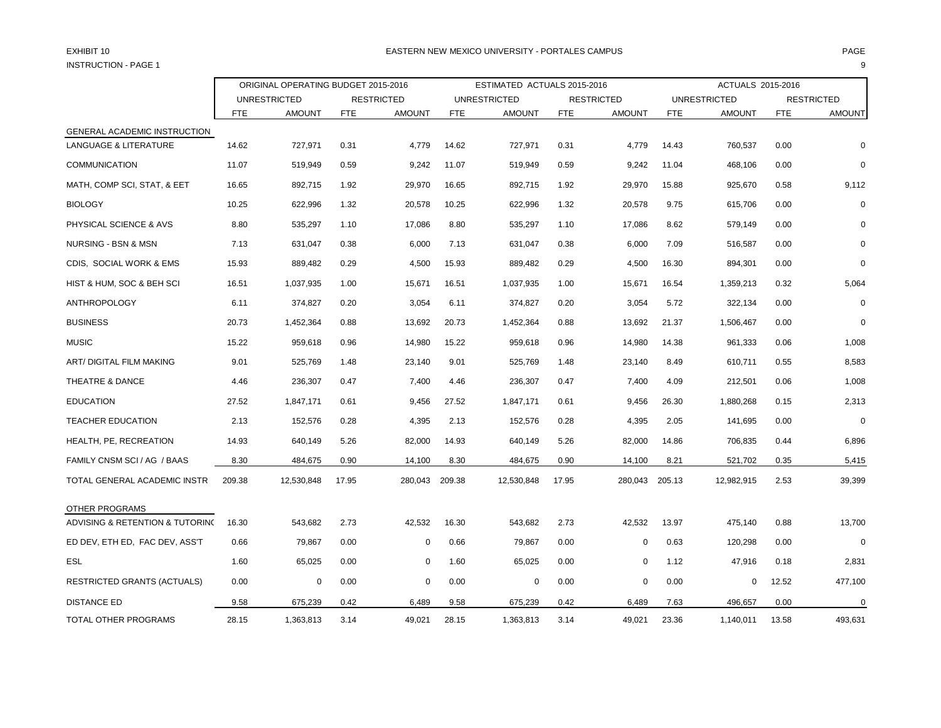# INSTRUCTION - PAGE 1 9

### EXHIBIT 10 PAGE PAGE IN THE RESTRIAL MEXICO UNIVERSITY - PORTALES CAMPUS PAGE IN THE RESTRIAL OF PAGE IN THE RESTRIAL OF PAGE IN THE RESTRIAL OF PAGE IN THE RESTRIAL OF A SERVICE OF A SERVICE OF A SERVICE OF A SERVICE OF A

|                                    |            | ORIGINAL OPERATING BUDGET 2015-2016 |            |                   |            | ESTIMATED ACTUALS 2015-2016 |            |                   |            | ACTUALS 2015-2016   |            |                   |
|------------------------------------|------------|-------------------------------------|------------|-------------------|------------|-----------------------------|------------|-------------------|------------|---------------------|------------|-------------------|
|                                    |            | <b>UNRESTRICTED</b>                 |            | <b>RESTRICTED</b> |            | <b>UNRESTRICTED</b>         |            | <b>RESTRICTED</b> |            | <b>UNRESTRICTED</b> |            | <b>RESTRICTED</b> |
|                                    | <b>FTE</b> | <b>AMOUNT</b>                       | <b>FTE</b> | <b>AMOUNT</b>     | <b>FTE</b> | <b>AMOUNT</b>               | <b>FTE</b> | <b>AMOUNT</b>     | <b>FTE</b> | <b>AMOUNT</b>       | <b>FTE</b> | <b>AMOUNT</b>     |
| GENERAL ACADEMIC INSTRUCTION       |            |                                     |            |                   |            |                             |            |                   |            |                     |            |                   |
| <b>LANGUAGE &amp; LITERATURE</b>   | 14.62      | 727,971                             | 0.31       | 4,779             | 14.62      | 727,971                     | 0.31       | 4,779             | 14.43      | 760,537             | 0.00       | 0                 |
| <b>COMMUNICATION</b>               | 11.07      | 519,949                             | 0.59       | 9,242             | 11.07      | 519,949                     | 0.59       | 9,242             | 11.04      | 468,106             | 0.00       | 0                 |
| MATH, COMP SCI, STAT, & EET        | 16.65      | 892,715                             | 1.92       | 29,970            | 16.65      | 892,715                     | 1.92       | 29,970            | 15.88      | 925,670             | 0.58       | 9,112             |
| <b>BIOLOGY</b>                     | 10.25      | 622,996                             | 1.32       | 20,578            | 10.25      | 622,996                     | 1.32       | 20,578            | 9.75       | 615,706             | 0.00       | $\mathbf 0$       |
| PHYSICAL SCIENCE & AVS             | 8.80       | 535,297                             | 1.10       | 17,086            | 8.80       | 535,297                     | 1.10       | 17,086            | 8.62       | 579,149             | 0.00       | 0                 |
| NURSING - BSN & MSN                | 7.13       | 631,047                             | 0.38       | 6,000             | 7.13       | 631,047                     | 0.38       | 6,000             | 7.09       | 516,587             | 0.00       | $\Omega$          |
| CDIS, SOCIAL WORK & EMS            | 15.93      | 889,482                             | 0.29       | 4,500             | 15.93      | 889,482                     | 0.29       | 4,500             | 16.30      | 894,301             | 0.00       | $\mathbf 0$       |
| HIST & HUM, SOC & BEH SCI          | 16.51      | 1,037,935                           | 1.00       | 15,671            | 16.51      | 1,037,935                   | 1.00       | 15,671            | 16.54      | 1,359,213           | 0.32       | 5,064             |
| <b>ANTHROPOLOGY</b>                | 6.11       | 374,827                             | 0.20       | 3,054             | 6.11       | 374,827                     | 0.20       | 3,054             | 5.72       | 322,134             | 0.00       | $\Omega$          |
| <b>BUSINESS</b>                    | 20.73      | 1.452.364                           | 0.88       | 13,692            | 20.73      | 1,452,364                   | 0.88       | 13,692            | 21.37      | 1,506,467           | 0.00       | $\mathbf 0$       |
| <b>MUSIC</b>                       | 15.22      | 959,618                             | 0.96       | 14,980            | 15.22      | 959,618                     | 0.96       | 14,980            | 14.38      | 961,333             | 0.06       | 1,008             |
| ART/ DIGITAL FILM MAKING           | 9.01       | 525,769                             | 1.48       | 23,140            | 9.01       | 525,769                     | 1.48       | 23,140            | 8.49       | 610,711             | 0.55       | 8,583             |
| THEATRE & DANCE                    | 4.46       | 236.307                             | 0.47       | 7,400             | 4.46       | 236,307                     | 0.47       | 7,400             | 4.09       | 212,501             | 0.06       | 1,008             |
| <b>EDUCATION</b>                   | 27.52      | 1,847,171                           | 0.61       | 9,456             | 27.52      | 1,847,171                   | 0.61       | 9,456             | 26.30      | 1,880,268           | 0.15       | 2,313             |
| <b>TEACHER EDUCATION</b>           | 2.13       | 152,576                             | 0.28       | 4,395             | 2.13       | 152,576                     | 0.28       | 4,395             | 2.05       | 141,695             | 0.00       | $\Omega$          |
| HEALTH, PE, RECREATION             | 14.93      | 640,149                             | 5.26       | 82,000            | 14.93      | 640,149                     | 5.26       | 82,000            | 14.86      | 706,835             | 0.44       | 6,896             |
| FAMILY CNSM SCI / AG / BAAS        | 8.30       | 484,675                             | 0.90       | 14,100            | 8.30       | 484,675                     | 0.90       | 14,100            | 8.21       | 521,702             | 0.35       | 5,415             |
| TOTAL GENERAL ACADEMIC INSTR       | 209.38     | 12,530,848                          | 17.95      | 280,043           | 209.38     | 12,530,848                  | 17.95      | 280,043 205.13    |            | 12,982,915          | 2.53       | 39,399            |
| OTHER PROGRAMS                     |            |                                     |            |                   |            |                             |            |                   |            |                     |            |                   |
| ADVISING & RETENTION & TUTORING    | 16.30      | 543,682                             | 2.73       | 42,532            | 16.30      | 543,682                     | 2.73       | 42,532            | 13.97      | 475,140             | 0.88       | 13,700            |
| ED DEV, ETH ED, FAC DEV, ASS'T     | 0.66       | 79,867                              | 0.00       | 0                 | 0.66       | 79,867                      | 0.00       | 0                 | 0.63       | 120,298             | 0.00       | $\mathbf 0$       |
| <b>ESL</b>                         | 1.60       | 65,025                              | 0.00       | 0                 | 1.60       | 65,025                      | 0.00       | 0                 | 1.12       | 47,916              | 0.18       | 2,831             |
| <b>RESTRICTED GRANTS (ACTUALS)</b> | 0.00       | $\mathbf 0$                         | 0.00       | $\mathbf 0$       | 0.00       | 0                           | 0.00       | 0                 | 0.00       | 0                   | 12.52      | 477,100           |
| <b>DISTANCE ED</b>                 | 9.58       | 675,239                             | 0.42       | 6,489             | 9.58       | 675,239                     | 0.42       | 6,489             | 7.63       | 496,657             | 0.00       | $\mathbf 0$       |
| TOTAL OTHER PROGRAMS               | 28.15      | 1,363,813                           | 3.14       | 49,021            | 28.15      | 1,363,813                   | 3.14       | 49,021            | 23.36      | 1,140,011           | 13.58      | 493,631           |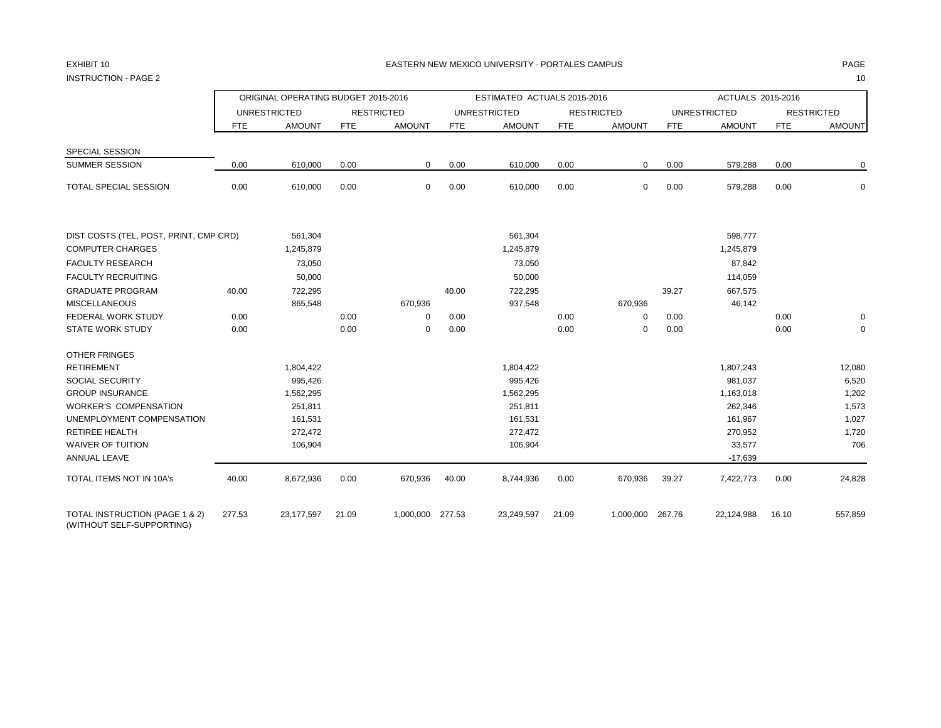INSTRUCTION - PAGE 2 10

ORIGINAL OPERATING BUDGET 2015-2016 **ESTIMATED ACTUALS 2015-2016** ACTUALS 2015-2016 UNRESTRICTED RESTRICTED UNRESTRICTED RESTRICTED UNRESTRICTED RESTRICTED FTE AMOUNT FTE AMOUNT FTE AMOUNT FTE AMOUNT FTE AMOUNT FTE AMOUNT SPECIAL SESSION SUMMER SESSION 0.00 610,000 0.00 0 0.00 610,000 0.00 0 TOTAL SPECIAL SESSION 0.00 610,000 0.00 0 0.00 610,000 0.00 0 0.00 579,288 0.00 0 DIST COSTS (TEL, POST, PRINT, CMP CRD) 561,304 561,304 598,777 COMPUTER CHARGES 1,245,879 1,245,879 1,245,879 FACULTY RESEARCH 73,050 73,050 87,842 FACULTY RECRUITING 50,000 50,000 114,059 GRADUATE PROGRAM 40.00 722,295 40.00 722,295 39.27 667,575 MISCELLANEOUS 865,548 670,936 937,548 670,936 46,142 FEDERAL WORK STUDY 0.00 0.00 0 0.00 0.00 0 0.00 0.00 0 STATE WORK STUDY 0.00 0.00 0 0.00 0.00 0 0.00 0.00 0 OTHER FRINGES RETIREMENT 1,804,422 1,804,422 1,807,243 12,080 SOCIAL SECURITY 995,426 995,426 981,037 6,520 1,163,018 1,163,018 1,202 1,562,295 1,562,295 1,562,295 1,562,295 1,163,018 1,163,018 1,163,018 1,202 WORKER'S COMPENSATION 251,811 251,811 262,346 1,573 UNEMPLOYMENT COMPENSATION 161,531 161,531 161,531 161,531 161,967 1,027 1,027 RETIREE HEALTH 272,472 272,472 270,952 1,720 WAIVER OF TUITION 106,904 106,904 33,577 706 ANNUAL LEAVE -17,639 TOTAL ITEMS NOT IN 10A's 40.00 8,672,936 0.00 670,936 40.00 8,744,936 0.00 670,936 39.27 7,422,773 0.00 24,828 TOTAL INSTRUCTION (PAGE 1 & 2) 277.53 23,177,597 21.09 1,000,000 277.53 23,249,597 21.09 1,000,000 267.76 22,124,988 16.10 557,859 (WITHOUT SELF-SUPPORTING)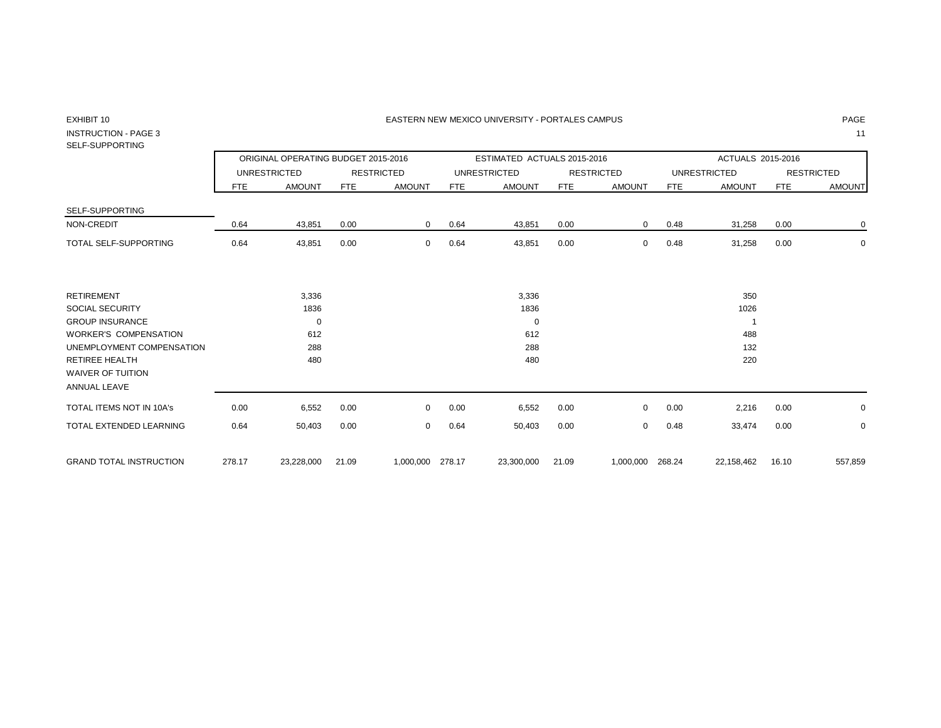#### EXHIBIT 10 PAGE PAGE IN THE RESTRIAL MEXICO UNIVERSITY - PORTALES CAMPUS PAGE IN THE RESTRIAL OF PAGE IN THE RESTRIAL OF PAGE IN THE RESTRIAL OF PAGE IN THE RESTRIAL OF PAGE IN THE RESTRIAL OF PAGE IN THE RESTRIAL OF PAGE

## INSTRUCTION - PAGE 3 11

## SELF-SUPPORTING

|                                                 |            | ORIGINAL OPERATING BUDGET 2015-2016 |            |                   |        | ESTIMATED ACTUALS 2015-2016 |            |                   |            | ACTUALS 2015-2016   |            |                   |
|-------------------------------------------------|------------|-------------------------------------|------------|-------------------|--------|-----------------------------|------------|-------------------|------------|---------------------|------------|-------------------|
|                                                 |            | <b>UNRESTRICTED</b>                 |            | <b>RESTRICTED</b> |        | <b>UNRESTRICTED</b>         |            | <b>RESTRICTED</b> |            | <b>UNRESTRICTED</b> |            | <b>RESTRICTED</b> |
|                                                 | <b>FTE</b> | <b>AMOUNT</b>                       | <b>FTE</b> | <b>AMOUNT</b>     | FTE    | <b>AMOUNT</b>               | <b>FTE</b> | <b>AMOUNT</b>     | <b>FTE</b> | <b>AMOUNT</b>       | <b>FTE</b> | <b>AMOUNT</b>     |
| SELF-SUPPORTING                                 |            |                                     |            |                   |        |                             |            |                   |            |                     |            |                   |
| NON-CREDIT                                      | 0.64       | 43,851                              | 0.00       | $\mathbf{0}$      | 0.64   | 43,851                      | 0.00       | $\mathbf{0}$      | 0.48       | 31,258              | 0.00       | 0                 |
| <b>TOTAL SELF-SUPPORTING</b>                    | 0.64       | 43,851                              | 0.00       | 0                 | 0.64   | 43,851                      | 0.00       | 0                 | 0.48       | 31,258              | 0.00       | 0                 |
| <b>RETIREMENT</b>                               |            | 3,336                               |            |                   |        | 3,336                       |            |                   |            | 350                 |            |                   |
| SOCIAL SECURITY                                 |            | 1836                                |            |                   |        | 1836                        |            |                   |            | 1026                |            |                   |
| <b>GROUP INSURANCE</b>                          |            | 0                                   |            |                   |        | $\mathbf 0$                 |            |                   |            | $\overline{ }$      |            |                   |
| <b>WORKER'S COMPENSATION</b>                    |            | 612                                 |            |                   |        | 612                         |            |                   |            | 488                 |            |                   |
| UNEMPLOYMENT COMPENSATION                       |            | 288                                 |            |                   |        | 288                         |            |                   |            | 132                 |            |                   |
| <b>RETIREE HEALTH</b>                           |            | 480                                 |            |                   |        | 480                         |            |                   |            | 220                 |            |                   |
| <b>WAIVER OF TUITION</b><br><b>ANNUAL LEAVE</b> |            |                                     |            |                   |        |                             |            |                   |            |                     |            |                   |
| <b>TOTAL ITEMS NOT IN 10A's</b>                 | 0.00       | 6,552                               | 0.00       | $\Omega$          | 0.00   | 6,552                       | 0.00       | $\mathbf 0$       | 0.00       | 2,216               | 0.00       | 0                 |
| TOTAL EXTENDED LEARNING                         | 0.64       | 50,403                              | 0.00       | 0                 | 0.64   | 50,403                      | 0.00       | $\mathbf 0$       | 0.48       | 33,474              | 0.00       | 0                 |
| <b>GRAND TOTAL INSTRUCTION</b>                  | 278.17     | 23,228,000                          | 21.09      | 1,000,000         | 278.17 | 23,300,000                  | 21.09      | 1,000,000 268.24  |            | 22,158,462          | 16.10      | 557,859           |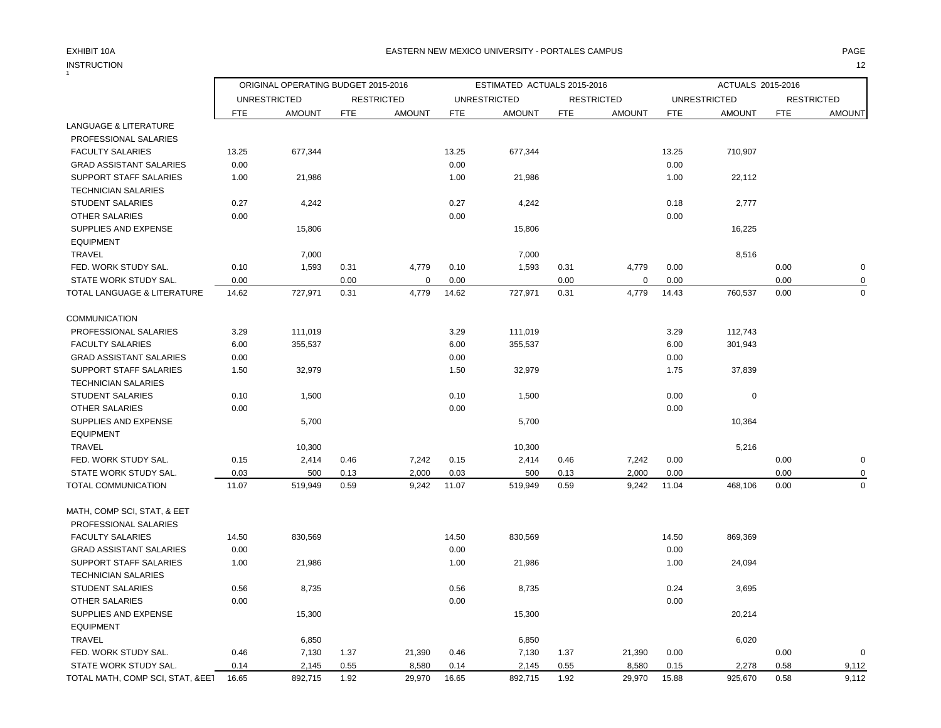## INSTRUCTION 12 INSTRUCTION

### EXHIBIT 10A PAGE EASTERN NEW MEXICO UNIVERSITY - PORTALES CAMPUS

|                                  |               | ORIGINAL OPERATING BUDGET 2015-2016 |              |                   |               | ESTIMATED ACTUALS 2015-2016 |              |                   |            | ACTUALS 2015-2016   |            |                   |
|----------------------------------|---------------|-------------------------------------|--------------|-------------------|---------------|-----------------------------|--------------|-------------------|------------|---------------------|------------|-------------------|
|                                  |               | <b>UNRESTRICTED</b>                 |              | <b>RESTRICTED</b> |               | <b>UNRESTRICTED</b>         |              | <b>RESTRICTED</b> |            | <b>UNRESTRICTED</b> |            | <b>RESTRICTED</b> |
|                                  | <b>FTE</b>    | <b>AMOUNT</b>                       | <b>FTE</b>   | <b>AMOUNT</b>     | <b>FTE</b>    | <b>AMOUNT</b>               | <b>FTE</b>   | <b>AMOUNT</b>     | <b>FTE</b> | <b>AMOUNT</b>       | <b>FTE</b> | <b>AMOUNT</b>     |
| LANGUAGE & LITERATURE            |               |                                     |              |                   |               |                             |              |                   |            |                     |            |                   |
| PROFESSIONAL SALARIES            |               |                                     |              |                   |               |                             |              |                   |            |                     |            |                   |
| <b>FACULTY SALARIES</b>          | 13.25         | 677,344                             |              |                   | 13.25         | 677,344                     |              |                   | 13.25      | 710,907             |            |                   |
| <b>GRAD ASSISTANT SALARIES</b>   | 0.00          |                                     |              |                   | 0.00          |                             |              |                   | 0.00       |                     |            |                   |
| SUPPORT STAFF SALARIES           | 1.00          | 21,986                              |              |                   | 1.00          | 21,986                      |              |                   | 1.00       | 22,112              |            |                   |
| <b>TECHNICIAN SALARIES</b>       |               |                                     |              |                   |               |                             |              |                   |            |                     |            |                   |
| <b>STUDENT SALARIES</b>          | 0.27          | 4,242                               |              |                   | 0.27          | 4,242                       |              |                   | 0.18       | 2,777               |            |                   |
| <b>OTHER SALARIES</b>            | 0.00          |                                     |              |                   | 0.00          |                             |              |                   | 0.00       |                     |            |                   |
| SUPPLIES AND EXPENSE             |               | 15,806                              |              |                   |               | 15,806                      |              |                   |            | 16,225              |            |                   |
| <b>EQUIPMENT</b>                 |               |                                     |              |                   |               |                             |              |                   |            |                     |            |                   |
| TRAVEL                           |               | 7,000                               |              |                   |               | 7,000                       |              |                   |            | 8,516               |            |                   |
| FED. WORK STUDY SAL.             | 0.10          | 1,593                               | 0.31         | 4,779             | 0.10          | 1,593                       | 0.31         | 4,779             | 0.00       |                     | 0.00       | $\pmb{0}$         |
| STATE WORK STUDY SAL.            | 0.00          |                                     | 0.00         | $\mathbf 0$       | 0.00          |                             | 0.00         | $\mathbf 0$       | 0.00       |                     | 0.00       | 0                 |
| TOTAL LANGUAGE & LITERATURE      | 14.62         | 727,971                             | 0.31         | 4,779             | 14.62         | 727,971                     | 0.31         | 4,779             | 14.43      | 760,537             | 0.00       | $\mathbf 0$       |
| <b>COMMUNICATION</b>             |               |                                     |              |                   |               |                             |              |                   |            |                     |            |                   |
| PROFESSIONAL SALARIES            | 3.29          | 111,019                             |              |                   | 3.29          | 111,019                     |              |                   | 3.29       | 112,743             |            |                   |
| <b>FACULTY SALARIES</b>          | 6.00          | 355,537                             |              |                   | 6.00          | 355,537                     |              |                   | 6.00       | 301,943             |            |                   |
| <b>GRAD ASSISTANT SALARIES</b>   | 0.00          |                                     |              |                   | 0.00          |                             |              |                   | 0.00       |                     |            |                   |
| SUPPORT STAFF SALARIES           | 1.50          | 32,979                              |              |                   | 1.50          | 32,979                      |              |                   | 1.75       | 37,839              |            |                   |
| <b>TECHNICIAN SALARIES</b>       |               |                                     |              |                   |               |                             |              |                   |            |                     |            |                   |
| <b>STUDENT SALARIES</b>          | 0.10          | 1,500                               |              |                   | 0.10          | 1,500                       |              |                   | 0.00       | $\pmb{0}$           |            |                   |
| <b>OTHER SALARIES</b>            | 0.00          |                                     |              |                   | 0.00          |                             |              |                   | 0.00       |                     |            |                   |
| SUPPLIES AND EXPENSE             |               | 5,700                               |              |                   |               | 5,700                       |              |                   |            | 10,364              |            |                   |
| <b>EQUIPMENT</b>                 |               |                                     |              |                   |               |                             |              |                   |            |                     |            |                   |
| TRAVEL                           |               | 10,300                              |              |                   |               | 10,300                      |              |                   |            | 5,216               |            |                   |
| FED. WORK STUDY SAL.             | 0.15          |                                     | 0.46         |                   | 0.15          | 2,414                       | 0.46         | 7,242             | 0.00       |                     | 0.00       | 0                 |
| STATE WORK STUDY SAL.            |               | 2,414                               |              | 7,242<br>2,000    |               |                             |              |                   | 0.00       |                     | 0.00       | 0                 |
| TOTAL COMMUNICATION              | 0.03<br>11.07 | 500<br>519,949                      | 0.13<br>0.59 | 9,242             | 0.03<br>11.07 | 500<br>519,949              | 0.13<br>0.59 | 2,000<br>9,242    | 11.04      | 468,106             | 0.00       | $\mathbf 0$       |
|                                  |               |                                     |              |                   |               |                             |              |                   |            |                     |            |                   |
| MATH, COMP SCI, STAT, & EET      |               |                                     |              |                   |               |                             |              |                   |            |                     |            |                   |
| PROFESSIONAL SALARIES            |               |                                     |              |                   |               |                             |              |                   |            |                     |            |                   |
| <b>FACULTY SALARIES</b>          | 14.50         | 830,569                             |              |                   | 14.50         | 830,569                     |              |                   | 14.50      | 869,369             |            |                   |
| <b>GRAD ASSISTANT SALARIES</b>   | 0.00          |                                     |              |                   | 0.00          |                             |              |                   | 0.00       |                     |            |                   |
| SUPPORT STAFF SALARIES           | 1.00          | 21,986                              |              |                   | 1.00          | 21,986                      |              |                   | 1.00       | 24,094              |            |                   |
| <b>TECHNICIAN SALARIES</b>       |               |                                     |              |                   |               |                             |              |                   |            |                     |            |                   |
| <b>STUDENT SALARIES</b>          | 0.56          | 8,735                               |              |                   | 0.56          | 8,735                       |              |                   | 0.24       | 3,695               |            |                   |
| <b>OTHER SALARIES</b>            | 0.00          |                                     |              |                   | 0.00          |                             |              |                   | 0.00       |                     |            |                   |
| SUPPLIES AND EXPENSE             |               | 15,300                              |              |                   |               | 15,300                      |              |                   |            | 20,214              |            |                   |
| <b>EQUIPMENT</b>                 |               |                                     |              |                   |               |                             |              |                   |            |                     |            |                   |
| TRAVEL                           |               | 6,850                               |              |                   |               | 6,850                       |              |                   |            | 6,020               |            |                   |
| FED. WORK STUDY SAL.             | 0.46          | 7,130                               | 1.37         | 21,390            | 0.46          | 7,130                       | 1.37         | 21,390            | 0.00       |                     | 0.00       | $\Omega$          |
| STATE WORK STUDY SAL.            | 0.14          | 2,145                               | 0.55         | 8,580             | 0.14          | 2,145                       | 0.55         | 8,580             | 0.15       | 2,278               | 0.58       | 9,112             |
| TOTAL MATH, COMP SCI, STAT, &EE1 | 16.65         | 892,715                             | 1.92         | 29,970            | 16.65         | 892,715                     | 1.92         | 29,970            | 15.88      | 925,670             | 0.58       | 9,112             |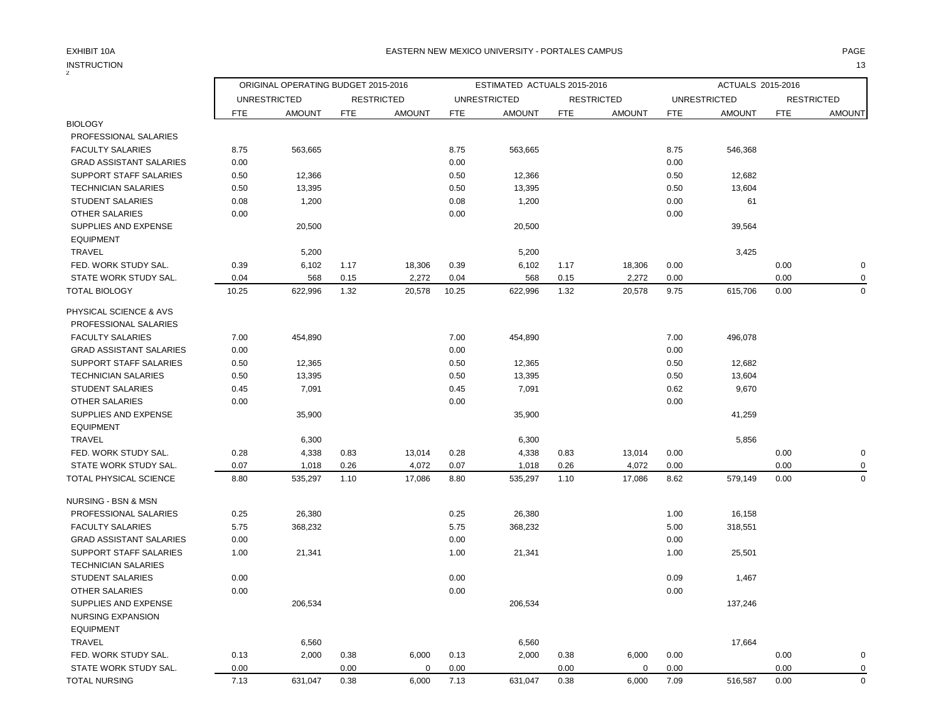## $\underset{2}{\text{INSTRUCTION}}$

| <b>INSTRUCTION</b><br>$\overline{\mathbf{c}}$ |            |                                     |      |                   |            |                             |            |                   |            |                     |            | 13                |
|-----------------------------------------------|------------|-------------------------------------|------|-------------------|------------|-----------------------------|------------|-------------------|------------|---------------------|------------|-------------------|
|                                               |            | ORIGINAL OPERATING BUDGET 2015-2016 |      |                   |            | ESTIMATED ACTUALS 2015-2016 |            |                   |            | ACTUALS 2015-2016   |            |                   |
|                                               |            | <b>UNRESTRICTED</b>                 |      | <b>RESTRICTED</b> |            | <b>UNRESTRICTED</b>         |            | <b>RESTRICTED</b> |            | <b>UNRESTRICTED</b> |            | <b>RESTRICTED</b> |
|                                               | <b>FTE</b> | <b>AMOUNT</b>                       | FTE  | <b>AMOUNT</b>     | <b>FTE</b> | <b>AMOUNT</b>               | <b>FTE</b> | <b>AMOUNT</b>     | <b>FTE</b> | <b>AMOUNT</b>       | <b>FTE</b> | <b>AMOUNT</b>     |
| <b>BIOLOGY</b>                                |            |                                     |      |                   |            |                             |            |                   |            |                     |            |                   |
| PROFESSIONAL SALARIES                         |            |                                     |      |                   |            |                             |            |                   |            |                     |            |                   |
| <b>FACULTY SALARIES</b>                       | 8.75       | 563,665                             |      |                   | 8.75       | 563,665                     |            |                   | 8.75       | 546,368             |            |                   |
| <b>GRAD ASSISTANT SALARIES</b>                | 0.00       |                                     |      |                   | 0.00       |                             |            |                   | 0.00       |                     |            |                   |
| <b>SUPPORT STAFF SALARIES</b>                 | 0.50       | 12,366                              |      |                   | 0.50       | 12,366                      |            |                   | 0.50       | 12,682              |            |                   |
| <b>TECHNICIAN SALARIES</b>                    | 0.50       | 13,395                              |      |                   | 0.50       | 13,395                      |            |                   | 0.50       | 13,604              |            |                   |
| <b>STUDENT SALARIES</b>                       | 0.08       | 1,200                               |      |                   | 0.08       | 1,200                       |            |                   | 0.00       | 61                  |            |                   |
| <b>OTHER SALARIES</b>                         | 0.00       |                                     |      |                   | 0.00       |                             |            |                   | 0.00       |                     |            |                   |
| SUPPLIES AND EXPENSE                          |            | 20,500                              |      |                   |            | 20,500                      |            |                   |            | 39,564              |            |                   |
| <b>EQUIPMENT</b>                              |            |                                     |      |                   |            |                             |            |                   |            |                     |            |                   |
| <b>TRAVEL</b>                                 |            | 5,200                               |      |                   |            | 5,200                       |            |                   |            | 3,425               |            |                   |
| FED. WORK STUDY SAL.                          | 0.39       | 6,102                               | 1.17 | 18,306            | 0.39       | 6,102                       | 1.17       | 18,306            | 0.00       |                     | 0.00       | 0                 |
| STATE WORK STUDY SAL.                         | 0.04       | 568                                 | 0.15 | 2,272             | 0.04       | 568                         | 0.15       | 2,272             | 0.00       |                     | 0.00       | 0                 |
| <b>TOTAL BIOLOGY</b>                          | 10.25      | 622,996                             | 1.32 | 20,578            | 10.25      | 622,996                     | 1.32       | 20,578            | 9.75       | 615,706             | 0.00       | 0                 |
| PHYSICAL SCIENCE & AVS                        |            |                                     |      |                   |            |                             |            |                   |            |                     |            |                   |
| PROFESSIONAL SALARIES                         |            |                                     |      |                   |            |                             |            |                   |            |                     |            |                   |
| <b>FACULTY SALARIES</b>                       | 7.00       | 454.890                             |      |                   | 7.00       | 454,890                     |            |                   | 7.00       | 496,078             |            |                   |
| <b>GRAD ASSISTANT SALARIES</b>                | 0.00       |                                     |      |                   | 0.00       |                             |            |                   | 0.00       |                     |            |                   |
| <b>SUPPORT STAFF SALARIES</b>                 | 0.50       | 12,365                              |      |                   | 0.50       | 12,365                      |            |                   | 0.50       | 12,682              |            |                   |
| <b>TECHNICIAN SALARIES</b>                    | 0.50       | 13,395                              |      |                   | 0.50       | 13,395                      |            |                   | 0.50       | 13,604              |            |                   |
| <b>STUDENT SALARIES</b>                       | 0.45       | 7,091                               |      |                   | 0.45       | 7,091                       |            |                   | 0.62       | 9,670               |            |                   |
| <b>OTHER SALARIES</b>                         | 0.00       |                                     |      |                   | 0.00       |                             |            |                   | 0.00       |                     |            |                   |
| SUPPLIES AND EXPENSE                          |            | 35,900                              |      |                   |            | 35,900                      |            |                   |            | 41,259              |            |                   |
| <b>EQUIPMENT</b>                              |            |                                     |      |                   |            |                             |            |                   |            |                     |            |                   |
| <b>TRAVEL</b>                                 |            | 6,300                               |      |                   |            | 6,300                       |            |                   |            | 5,856               |            |                   |
| FED. WORK STUDY SAL.                          | 0.28       | 4,338                               | 0.83 | 13,014            | 0.28       | 4,338                       | 0.83       | 13,014            | 0.00       |                     | 0.00       | 0                 |
| STATE WORK STUDY SAL.                         | 0.07       | 1,018                               | 0.26 | 4,072             | 0.07       | 1,018                       | 0.26       | 4,072             | 0.00       |                     | 0.00       | $\Omega$          |
| TOTAL PHYSICAL SCIENCE                        | 8.80       | 535,297                             | 1.10 | 17,086            | 8.80       | 535,297                     | 1.10       | 17,086            | 8.62       | 579,149             | 0.00       | $\Omega$          |

| NURSING - BSN & MSN            |      |         |      |       |      |         |      |       |      |         |      |             |
|--------------------------------|------|---------|------|-------|------|---------|------|-------|------|---------|------|-------------|
| PROFESSIONAL SALARIES          | 0.25 | 26,380  |      |       | 0.25 | 26,380  |      |       | 1.00 | 16,158  |      |             |
| <b>FACULTY SALARIES</b>        | 5.75 | 368,232 |      |       | 5.75 | 368,232 |      |       | 5.00 | 318,551 |      |             |
| <b>GRAD ASSISTANT SALARIES</b> | 0.00 |         |      |       | 0.00 |         |      |       | 0.00 |         |      |             |
| SUPPORT STAFF SALARIES         | 1.00 | 21,341  |      |       | 1.00 | 21,341  |      |       | 1.00 | 25,501  |      |             |
| <b>TECHNICIAN SALARIES</b>     |      |         |      |       |      |         |      |       |      |         |      |             |
| <b>STUDENT SALARIES</b>        | 0.00 |         |      |       | 0.00 |         |      |       | 0.09 | 1,467   |      |             |
| <b>OTHER SALARIES</b>          | 0.00 |         |      |       | 0.00 |         |      |       | 0.00 |         |      |             |
| SUPPLIES AND EXPENSE           |      | 206,534 |      |       |      | 206,534 |      |       |      | 137,246 |      |             |
| NURSING EXPANSION              |      |         |      |       |      |         |      |       |      |         |      |             |
| <b>EQUIPMENT</b>               |      |         |      |       |      |         |      |       |      |         |      |             |
| <b>TRAVEL</b>                  |      | 6,560   |      |       |      | 6,560   |      |       |      | 17,664  |      |             |
| FED. WORK STUDY SAL.           | 0.13 | 2,000   | 0.38 | 6,000 | 0.13 | 2,000   | 0.38 | 6,000 | 0.00 |         | 0.00 | $\mathbf 0$ |
| STATE WORK STUDY SAL.          | 0.00 |         | 0.00 | 0     | 0.00 |         | 0.00 | 0     | 0.00 |         | 0.00 | $\mathbf 0$ |
| TOTAL NURSING                  | 7.13 | 631,047 | 0.38 | 6,000 | 7.13 | 631,047 | 0.38 | 6,000 | 7.09 | 516,587 | 0.00 | $\mathbf 0$ |
|                                |      |         |      |       |      |         |      |       |      |         |      |             |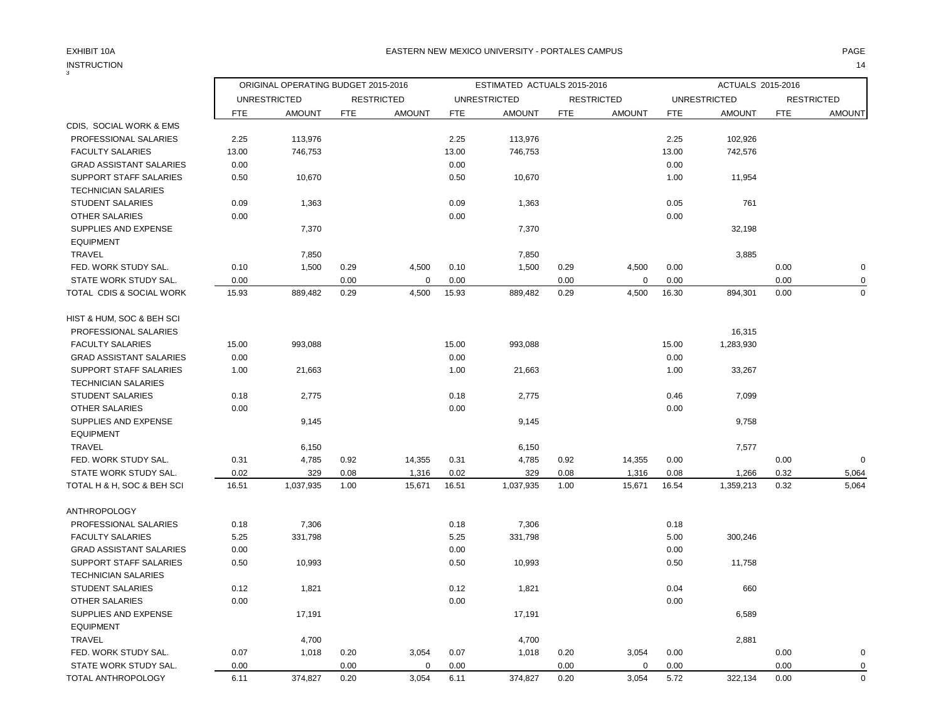3

|                                |            | ORIGINAL OPERATING BUDGET 2015-2016 |            |                   |            | ESTIMATED ACTUALS 2015-2016 |            |                   |            | ACTUALS 2015-2016   |            |                   |
|--------------------------------|------------|-------------------------------------|------------|-------------------|------------|-----------------------------|------------|-------------------|------------|---------------------|------------|-------------------|
|                                |            | <b>UNRESTRICTED</b>                 |            | <b>RESTRICTED</b> |            | <b>UNRESTRICTED</b>         |            | <b>RESTRICTED</b> |            | <b>UNRESTRICTED</b> |            | <b>RESTRICTED</b> |
|                                | <b>FTE</b> | <b>AMOUNT</b>                       | <b>FTE</b> | <b>AMOUNT</b>     | <b>FTE</b> | <b>AMOUNT</b>               | <b>FTE</b> | <b>AMOUNT</b>     | <b>FTE</b> | <b>AMOUNT</b>       | <b>FTE</b> | <b>AMOUNT</b>     |
| CDIS, SOCIAL WORK & EMS        |            |                                     |            |                   |            |                             |            |                   |            |                     |            |                   |
| PROFESSIONAL SALARIES          | 2.25       | 113,976                             |            |                   | 2.25       | 113,976                     |            |                   | 2.25       | 102,926             |            |                   |
| <b>FACULTY SALARIES</b>        | 13.00      | 746,753                             |            |                   | 13.00      | 746,753                     |            |                   | 13.00      | 742,576             |            |                   |
| <b>GRAD ASSISTANT SALARIES</b> | 0.00       |                                     |            |                   | 0.00       |                             |            |                   | 0.00       |                     |            |                   |
| SUPPORT STAFF SALARIES         | 0.50       | 10,670                              |            |                   | 0.50       | 10,670                      |            |                   | 1.00       | 11,954              |            |                   |
| <b>TECHNICIAN SALARIES</b>     |            |                                     |            |                   |            |                             |            |                   |            |                     |            |                   |
| <b>STUDENT SALARIES</b>        | 0.09       | 1,363                               |            |                   | 0.09       | 1,363                       |            |                   | 0.05       | 761                 |            |                   |
| OTHER SALARIES                 | 0.00       |                                     |            |                   | 0.00       |                             |            |                   | 0.00       |                     |            |                   |
| SUPPLIES AND EXPENSE           |            | 7,370                               |            |                   |            | 7,370                       |            |                   |            | 32,198              |            |                   |
| <b>EQUIPMENT</b>               |            |                                     |            |                   |            |                             |            |                   |            |                     |            |                   |
| <b>TRAVEL</b>                  |            | 7,850                               |            |                   |            | 7,850                       |            |                   |            | 3,885               |            |                   |
| FED. WORK STUDY SAL.           | 0.10       | 1,500                               | 0.29       | 4,500             | 0.10       | 1,500                       | 0.29       | 4,500             | 0.00       |                     | 0.00       | $\mathbf 0$       |
| STATE WORK STUDY SAL.          | 0.00       |                                     | 0.00       | 0                 | 0.00       |                             | 0.00       | $\mathbf 0$       | 0.00       |                     | 0.00       | 0                 |
| TOTAL CDIS & SOCIAL WORK       | 15.93      | 889,482                             | 0.29       | 4,500             | 15.93      | 889,482                     | 0.29       | 4,500             | 16.30      | 894,301             | 0.00       | $\Omega$          |
| HIST & HUM, SOC & BEH SCI      |            |                                     |            |                   |            |                             |            |                   |            |                     |            |                   |
| PROFESSIONAL SALARIES          |            |                                     |            |                   |            |                             |            |                   |            | 16,315              |            |                   |
| <b>FACULTY SALARIES</b>        | 15.00      | 993,088                             |            |                   | 15.00      | 993,088                     |            |                   | 15.00      | 1,283,930           |            |                   |
| <b>GRAD ASSISTANT SALARIES</b> | 0.00       |                                     |            |                   | 0.00       |                             |            |                   | 0.00       |                     |            |                   |
| <b>SUPPORT STAFF SALARIES</b>  | 1.00       | 21,663                              |            |                   | 1.00       | 21,663                      |            |                   | 1.00       | 33,267              |            |                   |
| <b>TECHNICIAN SALARIES</b>     |            |                                     |            |                   |            |                             |            |                   |            |                     |            |                   |
| <b>STUDENT SALARIES</b>        | 0.18       | 2,775                               |            |                   | 0.18       | 2,775                       |            |                   | 0.46       | 7,099               |            |                   |
| OTHER SALARIES                 | 0.00       |                                     |            |                   | 0.00       |                             |            |                   | 0.00       |                     |            |                   |
| SUPPLIES AND EXPENSE           |            | 9,145                               |            |                   |            | 9,145                       |            |                   |            | 9,758               |            |                   |
| <b>EQUIPMENT</b>               |            |                                     |            |                   |            |                             |            |                   |            |                     |            |                   |
| TRAVEL                         |            | 6,150                               |            |                   |            | 6,150                       |            |                   |            | 7,577               |            |                   |
| FED. WORK STUDY SAL.           | 0.31       | 4,785                               | 0.92       | 14,355            | 0.31       | 4,785                       | 0.92       | 14,355            | 0.00       |                     | 0.00       | $\mathbf 0$       |
| STATE WORK STUDY SAL.          | 0.02       | 329                                 | 0.08       | 1,316             | 0.02       | 329                         | 0.08       | 1,316             | 0.08       | 1,266               | 0.32       | 5,064             |
| TOTAL H & H, SOC & BEH SCI     | 16.51      | 1,037,935                           | 1.00       | 15,671            | 16.51      | 1,037,935                   | 1.00       | 15,671            | 16.54      | 1,359,213           | 0.32       | 5,064             |
| <b>ANTHROPOLOGY</b>            |            |                                     |            |                   |            |                             |            |                   |            |                     |            |                   |
| PROFESSIONAL SALARIES          | 0.18       | 7,306                               |            |                   | 0.18       | 7,306                       |            |                   | 0.18       |                     |            |                   |
| <b>FACULTY SALARIES</b>        | 5.25       | 331,798                             |            |                   | 5.25       | 331,798                     |            |                   | 5.00       | 300,246             |            |                   |
| <b>GRAD ASSISTANT SALARIES</b> | 0.00       |                                     |            |                   | 0.00       |                             |            |                   | 0.00       |                     |            |                   |
| <b>SUPPORT STAFF SALARIES</b>  | 0.50       | 10,993                              |            |                   | 0.50       | 10,993                      |            |                   | 0.50       | 11,758              |            |                   |
| <b>TECHNICIAN SALARIES</b>     |            |                                     |            |                   |            |                             |            |                   |            |                     |            |                   |
| STUDENT SALARIES               | 0.12       | 1,821                               |            |                   | 0.12       | 1,821                       |            |                   | 0.04       | 660                 |            |                   |
| <b>OTHER SALARIES</b>          | 0.00       |                                     |            |                   | 0.00       |                             |            |                   | 0.00       |                     |            |                   |
| SUPPLIES AND EXPENSE           |            | 17,191                              |            |                   |            | 17,191                      |            |                   |            | 6,589               |            |                   |
| <b>EQUIPMENT</b>               |            |                                     |            |                   |            |                             |            |                   |            |                     |            |                   |
| TRAVEL                         |            | 4,700                               |            |                   |            | 4,700                       |            |                   |            | 2,881               |            |                   |
| FED. WORK STUDY SAL.           | 0.07       | 1,018                               | 0.20       | 3,054             | 0.07       | 1,018                       | 0.20       | 3,054             | 0.00       |                     | 0.00       | $\mathbf 0$       |
| STATE WORK STUDY SAL.          | 0.00       |                                     | 0.00       | $\mathbf 0$       | 0.00       |                             | 0.00       | $\mathbf 0$       | 0.00       |                     | 0.00       | $\mathbf 0$       |
| TOTAL ANTHROPOLOGY             | 6.11       | 374,827                             | 0.20       | 3,054             | 6.11       | 374,827                     | 0.20       | 3,054             | 5.72       | 322,134             | 0.00       | $\mathbf 0$       |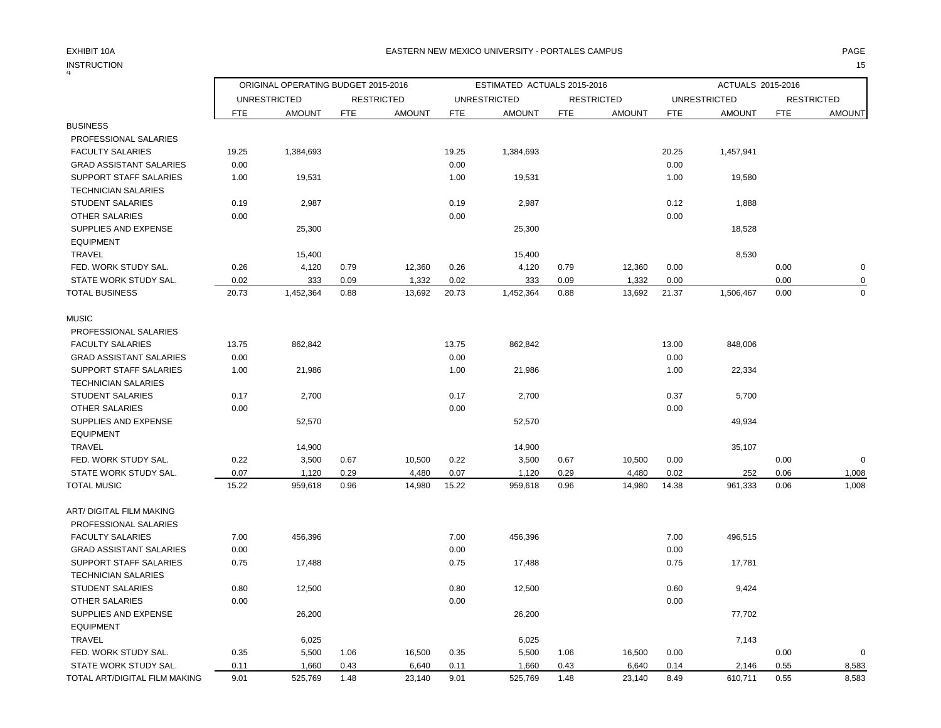#### INSTRUCTION 15 **INSTRUCTION**

|                                |            | ORIGINAL OPERATING BUDGET 2015-2016 |            |                   |            | ESTIMATED ACTUALS 2015-2016 |            |                   |            | ACTUALS 2015-2016   |            |                   |
|--------------------------------|------------|-------------------------------------|------------|-------------------|------------|-----------------------------|------------|-------------------|------------|---------------------|------------|-------------------|
|                                |            | <b>UNRESTRICTED</b>                 |            | <b>RESTRICTED</b> |            | <b>UNRESTRICTED</b>         |            | <b>RESTRICTED</b> |            | <b>UNRESTRICTED</b> |            | <b>RESTRICTED</b> |
|                                | <b>FTE</b> | <b>AMOUNT</b>                       | <b>FTE</b> | <b>AMOUNT</b>     | <b>FTE</b> | <b>AMOUNT</b>               | <b>FTE</b> | <b>AMOUNT</b>     | <b>FTE</b> | <b>AMOUNT</b>       | <b>FTE</b> | <b>AMOUNT</b>     |
| <b>BUSINESS</b>                |            |                                     |            |                   |            |                             |            |                   |            |                     |            |                   |
| PROFESSIONAL SALARIES          |            |                                     |            |                   |            |                             |            |                   |            |                     |            |                   |
| <b>FACULTY SALARIES</b>        | 19.25      | 1,384,693                           |            |                   | 19.25      | 1,384,693                   |            |                   | 20.25      | 1,457,941           |            |                   |
| <b>GRAD ASSISTANT SALARIES</b> | 0.00       |                                     |            |                   | 0.00       |                             |            |                   | 0.00       |                     |            |                   |
| SUPPORT STAFF SALARIES         | 1.00       | 19,531                              |            |                   | 1.00       | 19,531                      |            |                   | 1.00       | 19,580              |            |                   |
| <b>TECHNICIAN SALARIES</b>     |            |                                     |            |                   |            |                             |            |                   |            |                     |            |                   |
| <b>STUDENT SALARIES</b>        | 0.19       | 2,987                               |            |                   | 0.19       | 2,987                       |            |                   | 0.12       | 1,888               |            |                   |
| <b>OTHER SALARIES</b>          | 0.00       |                                     |            |                   | 0.00       |                             |            |                   | 0.00       |                     |            |                   |
| SUPPLIES AND EXPENSE           |            | 25,300                              |            |                   |            | 25,300                      |            |                   |            | 18,528              |            |                   |
| <b>EQUIPMENT</b>               |            |                                     |            |                   |            |                             |            |                   |            |                     |            |                   |
| <b>TRAVEL</b>                  |            | 15,400                              |            |                   |            | 15,400                      |            |                   |            | 8,530               |            |                   |
| FED. WORK STUDY SAL.           | 0.26       | 4,120                               | 0.79       | 12,360            | 0.26       | 4,120                       | 0.79       | 12,360            | 0.00       |                     | 0.00       | $\mathbf 0$       |
| STATE WORK STUDY SAL.          | 0.02       | 333                                 | 0.09       | 1,332             | 0.02       | 333                         | 0.09       | 1,332             | 0.00       |                     | 0.00       | 0                 |
| TOTAL BUSINESS                 | 20.73      | 1,452,364                           | 0.88       | 13,692            | 20.73      | 1,452,364                   | 0.88       | 13,692            | 21.37      | 1,506,467           | 0.00       | $\Omega$          |
| <b>MUSIC</b>                   |            |                                     |            |                   |            |                             |            |                   |            |                     |            |                   |
| PROFESSIONAL SALARIES          |            |                                     |            |                   |            |                             |            |                   |            |                     |            |                   |
| <b>FACULTY SALARIES</b>        | 13.75      | 862,842                             |            |                   | 13.75      | 862,842                     |            |                   | 13.00      | 848,006             |            |                   |
| <b>GRAD ASSISTANT SALARIES</b> | 0.00       |                                     |            |                   | 0.00       |                             |            |                   | 0.00       |                     |            |                   |
| SUPPORT STAFF SALARIES         | 1.00       | 21,986                              |            |                   | 1.00       | 21,986                      |            |                   | 1.00       | 22,334              |            |                   |
| <b>TECHNICIAN SALARIES</b>     |            |                                     |            |                   |            |                             |            |                   |            |                     |            |                   |
| <b>STUDENT SALARIES</b>        | 0.17       | 2,700                               |            |                   | 0.17       | 2,700                       |            |                   | 0.37       | 5,700               |            |                   |
| OTHER SALARIES                 | 0.00       |                                     |            |                   | 0.00       |                             |            |                   | 0.00       |                     |            |                   |
| SUPPLIES AND EXPENSE           |            | 52,570                              |            |                   |            | 52,570                      |            |                   |            | 49,934              |            |                   |
| <b>EQUIPMENT</b>               |            |                                     |            |                   |            |                             |            |                   |            |                     |            |                   |
| <b>TRAVEL</b>                  |            | 14,900                              |            |                   |            | 14,900                      |            |                   |            | 35,107              |            |                   |
| FED. WORK STUDY SAL.           | 0.22       | 3,500                               | 0.67       | 10,500            | 0.22       | 3,500                       | 0.67       | 10,500            | 0.00       |                     | 0.00       | $\mathbf 0$       |
| STATE WORK STUDY SAL.          | 0.07       | 1,120                               | 0.29       | 4,480             | 0.07       | 1,120                       | 0.29       | 4,480             | 0.02       | 252                 | 0.06       | 1,008             |
| <b>TOTAL MUSIC</b>             | 15.22      | 959,618                             | 0.96       | 14,980            | 15.22      | 959,618                     | 0.96       | 14,980            | 14.38      | 961,333             | 0.06       | 1,008             |
| ART/ DIGITAL FILM MAKING       |            |                                     |            |                   |            |                             |            |                   |            |                     |            |                   |
| PROFESSIONAL SALARIES          |            |                                     |            |                   |            |                             |            |                   |            |                     |            |                   |
| <b>FACULTY SALARIES</b>        | 7.00       | 456,396                             |            |                   | 7.00       | 456,396                     |            |                   | 7.00       | 496,515             |            |                   |
| <b>GRAD ASSISTANT SALARIES</b> | 0.00       |                                     |            |                   | 0.00       |                             |            |                   | 0.00       |                     |            |                   |
| <b>SUPPORT STAFF SALARIES</b>  | 0.75       | 17,488                              |            |                   | 0.75       | 17,488                      |            |                   | 0.75       | 17,781              |            |                   |
| <b>TECHNICIAN SALARIES</b>     |            |                                     |            |                   |            |                             |            |                   |            |                     |            |                   |
| <b>STUDENT SALARIES</b>        | 0.80       | 12,500                              |            |                   | 0.80       | 12,500                      |            |                   | 0.60       | 9,424               |            |                   |
| <b>OTHER SALARIES</b>          | 0.00       |                                     |            |                   | 0.00       |                             |            |                   | 0.00       |                     |            |                   |
| SUPPLIES AND EXPENSE           |            | 26,200                              |            |                   |            | 26,200                      |            |                   |            | 77,702              |            |                   |
| <b>EQUIPMENT</b>               |            |                                     |            |                   |            |                             |            |                   |            |                     |            |                   |
| <b>TRAVEL</b>                  |            | 6,025                               |            |                   |            | 6,025                       |            |                   |            | 7,143               |            |                   |
| FED. WORK STUDY SAL.           | 0.35       | 5,500                               | 1.06       | 16,500            | 0.35       | 5,500                       | 1.06       | 16,500            | 0.00       |                     | 0.00       | $\Omega$          |
| STATE WORK STUDY SAL.          | 0.11       | 1,660                               | 0.43       | 6,640             | 0.11       | 1,660                       | 0.43       | 6,640             | 0.14       | 2,146               | 0.55       | 8,583             |
| TOTAL ART/DIGITAL FILM MAKING  | 9.01       | 525,769                             | 1.48       | 23,140            | 9.01       | 525,769                     | 1.48       | 23,140            | 8.49       | 610,711             | 0.55       | 8,583             |
|                                |            |                                     |            |                   |            |                             |            |                   |            |                     |            |                   |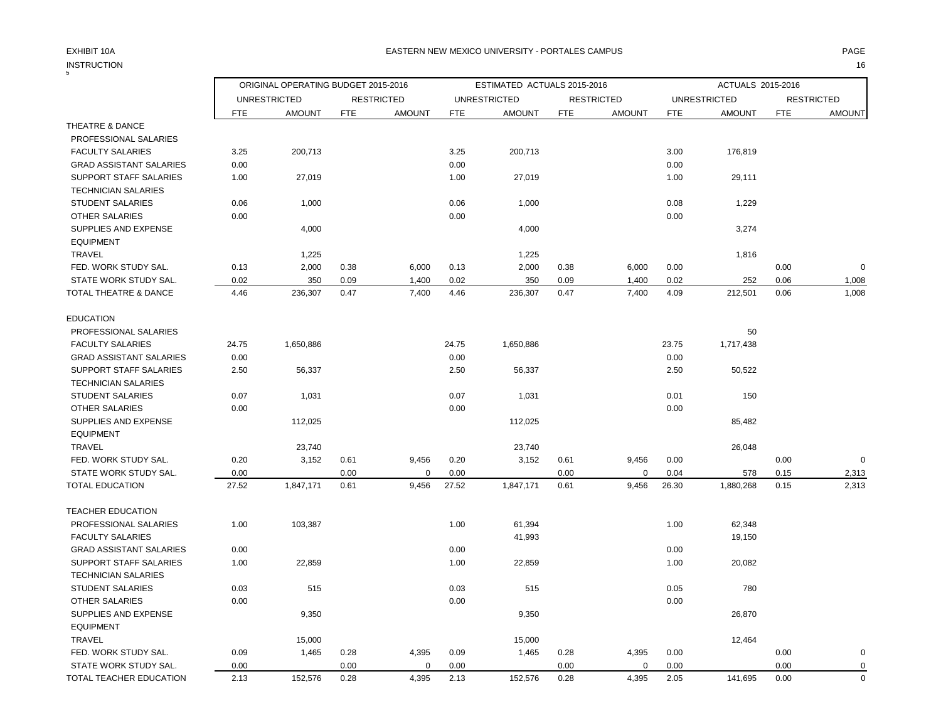## INSTRUCTION 16 INSTRUCTION

|                                |            | ORIGINAL OPERATING BUDGET 2015-2016 |            |                   |            | ESTIMATED ACTUALS 2015-2016 |            |                   |            | ACTUALS 2015-2016   |            |                   |
|--------------------------------|------------|-------------------------------------|------------|-------------------|------------|-----------------------------|------------|-------------------|------------|---------------------|------------|-------------------|
|                                |            | <b>UNRESTRICTED</b>                 |            | <b>RESTRICTED</b> |            | <b>UNRESTRICTED</b>         |            | <b>RESTRICTED</b> |            | <b>UNRESTRICTED</b> |            | <b>RESTRICTED</b> |
|                                | <b>FTE</b> | <b>AMOUNT</b>                       | <b>FTE</b> | <b>AMOUNT</b>     | <b>FTE</b> | <b>AMOUNT</b>               | <b>FTE</b> | <b>AMOUNT</b>     | <b>FTE</b> | <b>AMOUNT</b>       | <b>FTE</b> | <b>AMOUNT</b>     |
| THEATRE & DANCE                |            |                                     |            |                   |            |                             |            |                   |            |                     |            |                   |
| PROFESSIONAL SALARIES          |            |                                     |            |                   |            |                             |            |                   |            |                     |            |                   |
| <b>FACULTY SALARIES</b>        | 3.25       | 200,713                             |            |                   | 3.25       | 200,713                     |            |                   | 3.00       | 176,819             |            |                   |
| <b>GRAD ASSISTANT SALARIES</b> | 0.00       |                                     |            |                   | 0.00       |                             |            |                   | 0.00       |                     |            |                   |
| SUPPORT STAFF SALARIES         | 1.00       | 27,019                              |            |                   | 1.00       | 27,019                      |            |                   | 1.00       | 29,111              |            |                   |
| <b>TECHNICIAN SALARIES</b>     |            |                                     |            |                   |            |                             |            |                   |            |                     |            |                   |
| <b>STUDENT SALARIES</b>        | 0.06       | 1,000                               |            |                   | 0.06       | 1,000                       |            |                   | 0.08       | 1,229               |            |                   |
| OTHER SALARIES                 | 0.00       |                                     |            |                   | 0.00       |                             |            |                   | 0.00       |                     |            |                   |
| SUPPLIES AND EXPENSE           |            | 4,000                               |            |                   |            | 4,000                       |            |                   |            | 3,274               |            |                   |
| <b>EQUIPMENT</b>               |            |                                     |            |                   |            |                             |            |                   |            |                     |            |                   |
| TRAVEL                         |            | 1,225                               |            |                   |            | 1,225                       |            |                   |            | 1,816               |            |                   |
| FED. WORK STUDY SAL.           | 0.13       | 2,000                               | 0.38       | 6,000             | 0.13       | 2,000                       | 0.38       | 6,000             | 0.00       |                     | 0.00       | $\mathbf 0$       |
| STATE WORK STUDY SAL.          | 0.02       | 350                                 | 0.09       | 1,400             | 0.02       | 350                         | 0.09       | 1,400             | 0.02       | 252                 | 0.06       | 1,008             |
| TOTAL THEATRE & DANCE          | 4.46       | 236,307                             | 0.47       | 7,400             | 4.46       | 236,307                     | 0.47       | 7,400             | 4.09       | 212,501             | 0.06       | 1,008             |
|                                |            |                                     |            |                   |            |                             |            |                   |            |                     |            |                   |
| <b>EDUCATION</b>               |            |                                     |            |                   |            |                             |            |                   |            |                     |            |                   |
| PROFESSIONAL SALARIES          |            |                                     |            |                   |            |                             |            |                   |            | 50                  |            |                   |
| <b>FACULTY SALARIES</b>        | 24.75      | 1,650,886                           |            |                   | 24.75      | 1,650,886                   |            |                   | 23.75      | 1,717,438           |            |                   |
| <b>GRAD ASSISTANT SALARIES</b> | 0.00       |                                     |            |                   | 0.00       |                             |            |                   | 0.00       |                     |            |                   |
| <b>SUPPORT STAFF SALARIES</b>  | 2.50       | 56,337                              |            |                   | 2.50       | 56,337                      |            |                   | 2.50       | 50,522              |            |                   |
| <b>TECHNICIAN SALARIES</b>     |            |                                     |            |                   |            |                             |            |                   |            |                     |            |                   |
| <b>STUDENT SALARIES</b>        | 0.07       | 1,031                               |            |                   | 0.07       | 1,031                       |            |                   | 0.01       | 150                 |            |                   |
| OTHER SALARIES                 | 0.00       |                                     |            |                   | 0.00       |                             |            |                   | 0.00       |                     |            |                   |
| SUPPLIES AND EXPENSE           |            | 112,025                             |            |                   |            | 112,025                     |            |                   |            | 85,482              |            |                   |
| <b>EQUIPMENT</b>               |            |                                     |            |                   |            |                             |            |                   |            |                     |            |                   |
| <b>TRAVEL</b>                  |            | 23,740                              |            |                   |            | 23,740                      |            |                   |            | 26,048              |            |                   |
| FED. WORK STUDY SAL.           | 0.20       | 3,152                               | 0.61       | 9,456             | 0.20       | 3,152                       | 0.61       | 9,456             | 0.00       |                     | 0.00       | $\mathbf 0$       |
| STATE WORK STUDY SAL.          | 0.00       |                                     | 0.00       | $\mathbf 0$       | 0.00       |                             | 0.00       | $\mathbf 0$       | 0.04       | 578                 | 0.15       | 2,313             |
| <b>TOTAL EDUCATION</b>         | 27.52      | 1,847,171                           | 0.61       | 9,456             | 27.52      | 1,847,171                   | 0.61       | 9,456             | 26.30      | 1,880,268           | 0.15       | 2,313             |
| <b>TEACHER EDUCATION</b>       |            |                                     |            |                   |            |                             |            |                   |            |                     |            |                   |
| PROFESSIONAL SALARIES          | 1.00       | 103,387                             |            |                   | 1.00       | 61,394                      |            |                   | 1.00       | 62,348              |            |                   |
| <b>FACULTY SALARIES</b>        |            |                                     |            |                   |            | 41,993                      |            |                   |            | 19,150              |            |                   |
| <b>GRAD ASSISTANT SALARIES</b> | 0.00       |                                     |            |                   | 0.00       |                             |            |                   | 0.00       |                     |            |                   |
| SUPPORT STAFF SALARIES         | 1.00       | 22,859                              |            |                   | 1.00       | 22,859                      |            |                   | 1.00       | 20,082              |            |                   |
| <b>TECHNICIAN SALARIES</b>     |            |                                     |            |                   |            |                             |            |                   |            |                     |            |                   |
| <b>STUDENT SALARIES</b>        | 0.03       | 515                                 |            |                   | 0.03       | 515                         |            |                   | 0.05       | 780                 |            |                   |
| <b>OTHER SALARIES</b>          | 0.00       |                                     |            |                   | 0.00       |                             |            |                   | 0.00       |                     |            |                   |
| SUPPLIES AND EXPENSE           |            | 9,350                               |            |                   |            | 9,350                       |            |                   |            | 26,870              |            |                   |
| <b>EQUIPMENT</b>               |            |                                     |            |                   |            |                             |            |                   |            |                     |            |                   |
| TRAVEL                         |            | 15,000                              |            |                   |            | 15,000                      |            |                   |            | 12,464              |            |                   |
| FED. WORK STUDY SAL.           | 0.09       | 1,465                               | 0.28       | 4,395             | 0.09       | 1,465                       | 0.28       | 4,395             | 0.00       |                     | 0.00       | $\mathbf 0$       |
| STATE WORK STUDY SAL.          | 0.00       |                                     | 0.00       | $\mathbf 0$       | 0.00       |                             | 0.00       | $\mathbf 0$       | 0.00       |                     | 0.00       | $\mathbf 0$       |
| TOTAL TEACHER EDUCATION        | 2.13       | 152,576                             | 0.28       | 4,395             | 2.13       | 152,576                     | 0.28       | 4,395             | 2.05       | 141,695             | 0.00       | $\mathbf 0$       |
|                                |            |                                     |            |                   |            |                             |            |                   |            |                     |            |                   |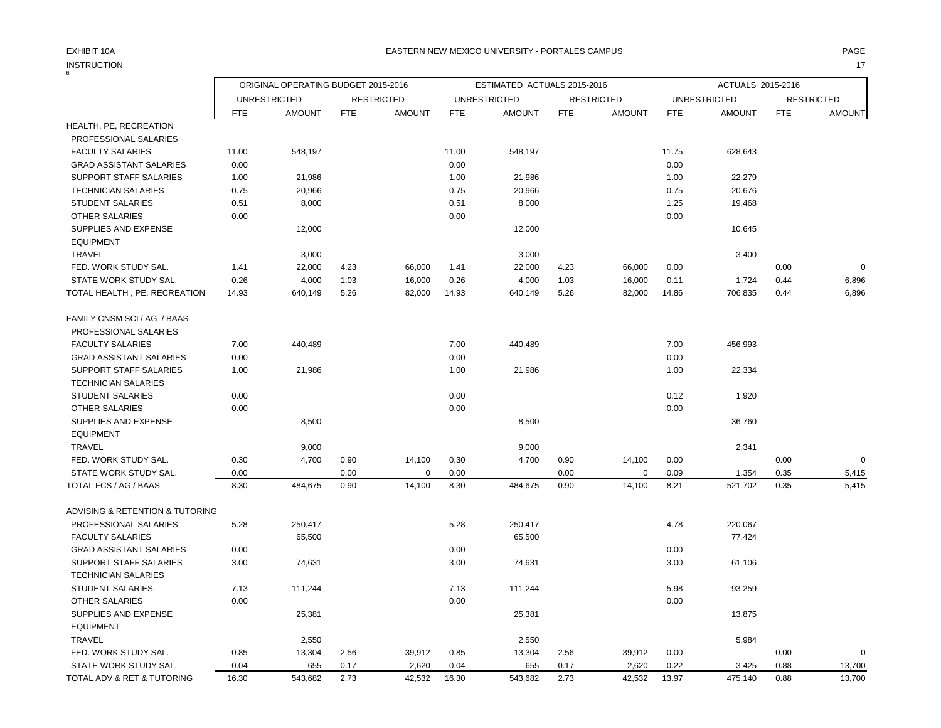| <b>INSTRUCTION</b>              |            |                                     |            |                   |       |                             |            |                   |            |                     |            | 17                |
|---------------------------------|------------|-------------------------------------|------------|-------------------|-------|-----------------------------|------------|-------------------|------------|---------------------|------------|-------------------|
|                                 |            | ORIGINAL OPERATING BUDGET 2015-2016 |            |                   |       | ESTIMATED ACTUALS 2015-2016 |            |                   |            | ACTUALS 2015-2016   |            |                   |
|                                 |            | <b>UNRESTRICTED</b>                 |            | <b>RESTRICTED</b> |       | <b>UNRESTRICTED</b>         |            | <b>RESTRICTED</b> |            | <b>UNRESTRICTED</b> |            | <b>RESTRICTED</b> |
|                                 | <b>FTE</b> | <b>AMOUNT</b>                       | <b>FTE</b> | <b>AMOUNT</b>     | FTE   | <b>AMOUNT</b>               | <b>FTE</b> | <b>AMOUNT</b>     | <b>FTE</b> | <b>AMOUNT</b>       | <b>FTE</b> | <b>AMOUNT</b>     |
| HEALTH, PE, RECREATION          |            |                                     |            |                   |       |                             |            |                   |            |                     |            |                   |
| PROFESSIONAL SALARIES           |            |                                     |            |                   |       |                             |            |                   |            |                     |            |                   |
| <b>FACULTY SALARIES</b>         | 11.00      | 548,197                             |            |                   | 11.00 | 548,197                     |            |                   | 11.75      | 628,643             |            |                   |
| <b>GRAD ASSISTANT SALARIES</b>  | 0.00       |                                     |            |                   | 0.00  |                             |            |                   | 0.00       |                     |            |                   |
| <b>SUPPORT STAFF SALARIES</b>   | 1.00       | 21,986                              |            |                   | 1.00  | 21,986                      |            |                   | 1.00       | 22,279              |            |                   |
| <b>TECHNICIAN SALARIES</b>      | 0.75       | 20,966                              |            |                   | 0.75  | 20,966                      |            |                   | 0.75       | 20,676              |            |                   |
| <b>STUDENT SALARIES</b>         | 0.51       | 8,000                               |            |                   | 0.51  | 8,000                       |            |                   | 1.25       | 19,468              |            |                   |
| <b>OTHER SALARIES</b>           | 0.00       |                                     |            |                   | 0.00  |                             |            |                   | 0.00       |                     |            |                   |
| SUPPLIES AND EXPENSE            |            | 12,000                              |            |                   |       | 12,000                      |            |                   |            | 10,645              |            |                   |
| <b>EQUIPMENT</b>                |            |                                     |            |                   |       |                             |            |                   |            |                     |            |                   |
| TRAVEL                          |            | 3,000                               |            |                   |       | 3,000                       |            |                   |            | 3,400               |            |                   |
| FED. WORK STUDY SAL.            | 1.41       | 22,000                              | 4.23       | 66,000            | 1.41  | 22,000                      | 4.23       | 66,000            | 0.00       |                     | 0.00       | $\mathbf 0$       |
| STATE WORK STUDY SAL.           | 0.26       | 4,000                               | 1.03       | 16,000            | 0.26  | 4,000                       | 1.03       | 16,000            | 0.11       | 1,724               | 0.44       | 6,896             |
| TOTAL HEALTH, PE, RECREATION    | 14.93      | 640,149                             | 5.26       | 82,000            | 14.93 | 640,149                     | 5.26       | 82,000            | 14.86      | 706,835             | 0.44       | 6,896             |
| FAMILY CNSM SCI / AG / BAAS     |            |                                     |            |                   |       |                             |            |                   |            |                     |            |                   |
| PROFESSIONAL SALARIES           |            |                                     |            |                   |       |                             |            |                   |            |                     |            |                   |
| <b>FACULTY SALARIES</b>         | 7.00       | 440,489                             |            |                   | 7.00  | 440,489                     |            |                   | 7.00       | 456,993             |            |                   |
| <b>GRAD ASSISTANT SALARIES</b>  | 0.00       |                                     |            |                   | 0.00  |                             |            |                   | 0.00       |                     |            |                   |
| SUPPORT STAFF SALARIES          | 1.00       | 21,986                              |            |                   | 1.00  | 21,986                      |            |                   | 1.00       | 22,334              |            |                   |
| <b>TECHNICIAN SALARIES</b>      |            |                                     |            |                   |       |                             |            |                   |            |                     |            |                   |
| <b>STUDENT SALARIES</b>         | 0.00       |                                     |            |                   | 0.00  |                             |            |                   | 0.12       | 1,920               |            |                   |
| <b>OTHER SALARIES</b>           | 0.00       |                                     |            |                   | 0.00  |                             |            |                   | 0.00       |                     |            |                   |
| SUPPLIES AND EXPENSE            |            | 8,500                               |            |                   |       | 8,500                       |            |                   |            | 36,760              |            |                   |
| <b>EQUIPMENT</b>                |            |                                     |            |                   |       |                             |            |                   |            |                     |            |                   |
| <b>TRAVEL</b>                   |            | 9,000                               |            |                   |       | 9,000                       |            |                   |            | 2,341               |            |                   |
| FED. WORK STUDY SAL.            | 0.30       | 4,700                               | 0.90       | 14,100            | 0.30  | 4,700                       | 0.90       | 14,100            | 0.00       |                     | 0.00       | $\mathbf 0$       |
| STATE WORK STUDY SAL.           | 0.00       |                                     | 0.00       | 0                 | 0.00  |                             | 0.00       | 0                 | 0.09       | 1,354               | 0.35       | 5,415             |
| TOTAL FCS / AG / BAAS           | 8.30       | 484,675                             | 0.90       | 14,100            | 8.30  | 484,675                     | 0.90       | 14,100            | 8.21       | 521,702             | 0.35       | 5,415             |
| ADVISING & RETENTION & TUTORING |            |                                     |            |                   |       |                             |            |                   |            |                     |            |                   |
| PROFESSIONAL SALARIES           | 5.28       | 250,417                             |            |                   | 5.28  | 250,417                     |            |                   | 4.78       | 220,067             |            |                   |
| <b>FACULTY SALARIES</b>         |            | 65,500                              |            |                   |       | 65,500                      |            |                   |            | 77,424              |            |                   |
| <b>GRAD ASSISTANT SALARIES</b>  | 0.00       |                                     |            |                   | 0.00  |                             |            |                   | 0.00       |                     |            |                   |
| SUPPORT STAFF SALARIES          | 3.00       | 74,631                              |            |                   | 3.00  | 74,631                      |            |                   | 3.00       | 61,106              |            |                   |
| <b>TECHNICIAN SALARIES</b>      |            |                                     |            |                   |       |                             |            |                   |            |                     |            |                   |
| <b>STUDENT SALARIES</b>         | 7.13       | 111,244                             |            |                   | 7.13  | 111,244                     |            |                   | 5.98       | 93,259              |            |                   |
| <b>OTHER SALARIES</b>           | 0.00       |                                     |            |                   | 0.00  |                             |            |                   | 0.00       |                     |            |                   |
| SUPPLIES AND EXPENSE            |            | 25,381                              |            |                   |       | 25,381                      |            |                   |            | 13,875              |            |                   |
| <b>EQUIPMENT</b>                |            |                                     |            |                   |       |                             |            |                   |            |                     |            |                   |
| TRAVEL                          |            | 2,550                               |            |                   |       | 2,550                       |            |                   |            | 5,984               |            |                   |
| FED. WORK STUDY SAL.            | 0.85       | 13,304                              | 2.56       | 39,912            | 0.85  | 13,304                      | 2.56       | 39,912            | 0.00       |                     | 0.00       | $\pmb{0}$         |
| STATE WORK STUDY SAL.           | 0.04       | 655                                 | 0.17       | 2,620             | 0.04  | 655                         | 0.17       | 2,620             | 0.22       | 3,425               | 0.88       | 13,700            |
| TOTAL ADV & RET & TUTORING      | 16.30      | 543,682                             | 2.73       | 42,532            | 16.30 | 543,682                     | 2.73       | 42,532            | 13.97      | 475,140             | 0.88       | 13,700            |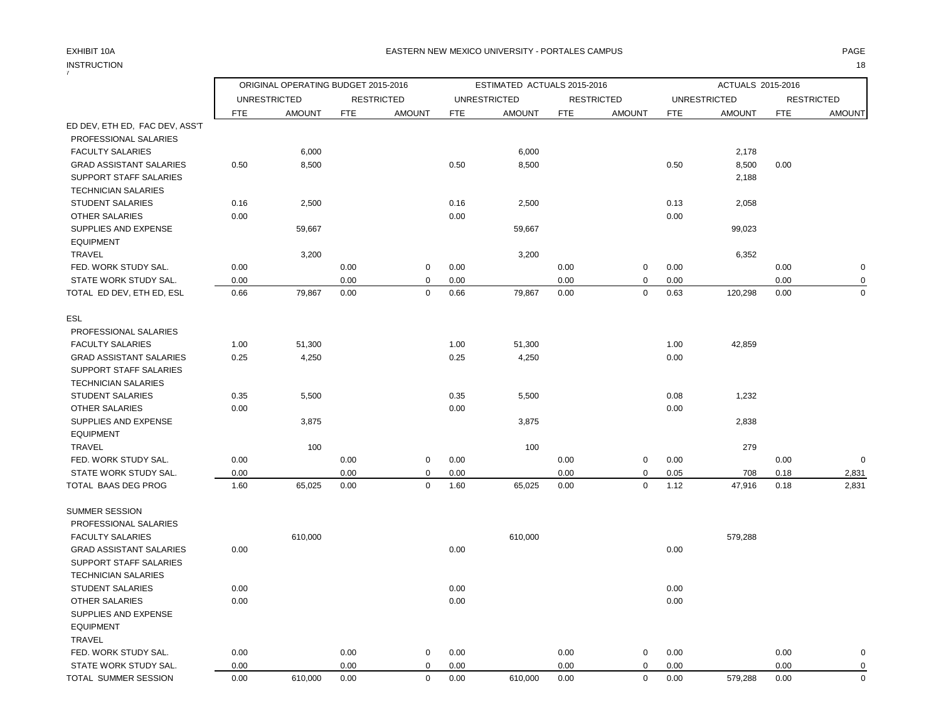### EXHIBIT 10A PAGE EASTERN NEW MEXICO UNIVERSITY - PORTALES CAMPUS

INSTRUCTION 18

| 7                              |            |                                      |            |                                    |            |                                      |            |                                    |            |                                      |            |                                    |
|--------------------------------|------------|--------------------------------------|------------|------------------------------------|------------|--------------------------------------|------------|------------------------------------|------------|--------------------------------------|------------|------------------------------------|
|                                |            | ORIGINAL OPERATING BUDGET 2015-2016  |            |                                    |            | ESTIMATED ACTUALS 2015-2016          |            |                                    |            | ACTUALS 2015-2016                    |            |                                    |
|                                | <b>FTE</b> | <b>UNRESTRICTED</b><br><b>AMOUNT</b> | <b>FTE</b> | <b>RESTRICTED</b><br><b>AMOUNT</b> | <b>FTE</b> | <b>UNRESTRICTED</b><br><b>AMOUNT</b> | <b>FTE</b> | <b>RESTRICTED</b><br><b>AMOUNT</b> | <b>FTE</b> | <b>UNRESTRICTED</b><br><b>AMOUNT</b> | <b>FTE</b> | <b>RESTRICTED</b><br><b>AMOUNT</b> |
| ED DEV, ETH ED, FAC DEV, ASS'T |            |                                      |            |                                    |            |                                      |            |                                    |            |                                      |            |                                    |
| PROFESSIONAL SALARIES          |            |                                      |            |                                    |            |                                      |            |                                    |            |                                      |            |                                    |
| <b>FACULTY SALARIES</b>        |            | 6,000                                |            |                                    |            | 6,000                                |            |                                    |            | 2,178                                |            |                                    |
| <b>GRAD ASSISTANT SALARIES</b> | 0.50       | 8,500                                |            |                                    | 0.50       | 8,500                                |            |                                    | 0.50       | 8,500                                | 0.00       |                                    |
| SUPPORT STAFF SALARIES         |            |                                      |            |                                    |            |                                      |            |                                    |            | 2,188                                |            |                                    |
| <b>TECHNICIAN SALARIES</b>     |            |                                      |            |                                    |            |                                      |            |                                    |            |                                      |            |                                    |
| <b>STUDENT SALARIES</b>        | 0.16       | 2,500                                |            |                                    | 0.16       | 2,500                                |            |                                    | 0.13       | 2,058                                |            |                                    |
| OTHER SALARIES                 | 0.00       |                                      |            |                                    | 0.00       |                                      |            |                                    | 0.00       |                                      |            |                                    |
| SUPPLIES AND EXPENSE           |            | 59,667                               |            |                                    |            | 59,667                               |            |                                    |            | 99,023                               |            |                                    |
| <b>EQUIPMENT</b>               |            |                                      |            |                                    |            |                                      |            |                                    |            |                                      |            |                                    |
| <b>TRAVEL</b>                  |            | 3,200                                |            |                                    |            | 3,200                                |            |                                    |            | 6,352                                |            |                                    |
| FED. WORK STUDY SAL.           | 0.00       |                                      | 0.00       | $\mathbf 0$                        | 0.00       |                                      | 0.00       | 0                                  | 0.00       |                                      | 0.00       | $\mathbf 0$                        |
| STATE WORK STUDY SAL.          | 0.00       |                                      | 0.00       | 0                                  | 0.00       |                                      | 0.00       | 0                                  | 0.00       |                                      | 0.00       | 0                                  |
| TOTAL ED DEV, ETH ED, ESL      | 0.66       | 79,867                               | 0.00       | $\mathbf 0$                        | 0.66       | 79,867                               | 0.00       | $\mathbf 0$                        | 0.63       | 120,298                              | 0.00       | $\mathbf 0$                        |
| ESL                            |            |                                      |            |                                    |            |                                      |            |                                    |            |                                      |            |                                    |
| PROFESSIONAL SALARIES          |            |                                      |            |                                    |            |                                      |            |                                    |            |                                      |            |                                    |
| <b>FACULTY SALARIES</b>        | 1.00       | 51,300                               |            |                                    | 1.00       | 51,300                               |            |                                    | 1.00       | 42,859                               |            |                                    |
| <b>GRAD ASSISTANT SALARIES</b> | 0.25       | 4,250                                |            |                                    | 0.25       | 4,250                                |            |                                    | 0.00       |                                      |            |                                    |
| <b>SUPPORT STAFF SALARIES</b>  |            |                                      |            |                                    |            |                                      |            |                                    |            |                                      |            |                                    |
| <b>TECHNICIAN SALARIES</b>     |            |                                      |            |                                    |            |                                      |            |                                    |            |                                      |            |                                    |
| <b>STUDENT SALARIES</b>        | 0.35       | 5,500                                |            |                                    | 0.35       | 5,500                                |            |                                    | 0.08       | 1,232                                |            |                                    |
| <b>OTHER SALARIES</b>          | 0.00       |                                      |            |                                    | 0.00       |                                      |            |                                    | 0.00       |                                      |            |                                    |
| SUPPLIES AND EXPENSE           |            | 3,875                                |            |                                    |            | 3,875                                |            |                                    |            | 2,838                                |            |                                    |
| <b>EQUIPMENT</b>               |            |                                      |            |                                    |            |                                      |            |                                    |            |                                      |            |                                    |
| <b>TRAVEL</b>                  |            | 100                                  |            |                                    |            | 100                                  |            |                                    |            | 279                                  |            |                                    |
| FED. WORK STUDY SAL.           | 0.00       |                                      | 0.00       | $\mathsf 0$                        | 0.00       |                                      | 0.00       | 0                                  | 0.00       |                                      | 0.00       | $\mathsf 0$                        |
| STATE WORK STUDY SAL.          | 0.00       |                                      | 0.00       | 0                                  | 0.00       |                                      | 0.00       | $\mathbf 0$                        | 0.05       | 708                                  | 0.18       | 2,831                              |
| TOTAL BAAS DEG PROG            | 1.60       | 65,025                               | 0.00       | $\mathbf 0$                        | 1.60       | 65,025                               | 0.00       | 0                                  | 1.12       | 47,916                               | 0.18       | 2,831                              |
| <b>SUMMER SESSION</b>          |            |                                      |            |                                    |            |                                      |            |                                    |            |                                      |            |                                    |
| PROFESSIONAL SALARIES          |            |                                      |            |                                    |            |                                      |            |                                    |            |                                      |            |                                    |
| <b>FACULTY SALARIES</b>        |            | 610,000                              |            |                                    |            | 610,000                              |            |                                    |            | 579,288                              |            |                                    |
| <b>GRAD ASSISTANT SALARIES</b> | 0.00       |                                      |            |                                    | 0.00       |                                      |            |                                    | 0.00       |                                      |            |                                    |
| SUPPORT STAFF SALARIES         |            |                                      |            |                                    |            |                                      |            |                                    |            |                                      |            |                                    |
| <b>TECHNICIAN SALARIES</b>     |            |                                      |            |                                    |            |                                      |            |                                    |            |                                      |            |                                    |
| <b>STUDENT SALARIES</b>        | 0.00       |                                      |            |                                    | 0.00       |                                      |            |                                    | 0.00       |                                      |            |                                    |
| OTHER SALARIES                 | 0.00       |                                      |            |                                    | 0.00       |                                      |            |                                    | 0.00       |                                      |            |                                    |
| SUPPLIES AND EXPENSE           |            |                                      |            |                                    |            |                                      |            |                                    |            |                                      |            |                                    |
| <b>EQUIPMENT</b>               |            |                                      |            |                                    |            |                                      |            |                                    |            |                                      |            |                                    |
| <b>TRAVEL</b>                  |            |                                      |            |                                    |            |                                      |            |                                    |            |                                      |            |                                    |
| FED. WORK STUDY SAL.           | 0.00       |                                      | 0.00       | $\mathbf 0$                        | 0.00       |                                      | 0.00       | 0                                  | 0.00       |                                      | 0.00       | $\mathbf 0$                        |
| STATE WORK STUDY SAL.          | 0.00       |                                      | 0.00       | $\mathbf 0$                        | 0.00       |                                      | 0.00       | 0                                  | 0.00       |                                      | 0.00       | $\pmb{0}$                          |
| TOTAL SUMMER SESSION           | 0.00       | 610,000                              | 0.00       | $\mathbf 0$                        | 0.00       | 610,000                              | 0.00       | 0                                  | 0.00       | 579,288                              | 0.00       | $\mathbf 0$                        |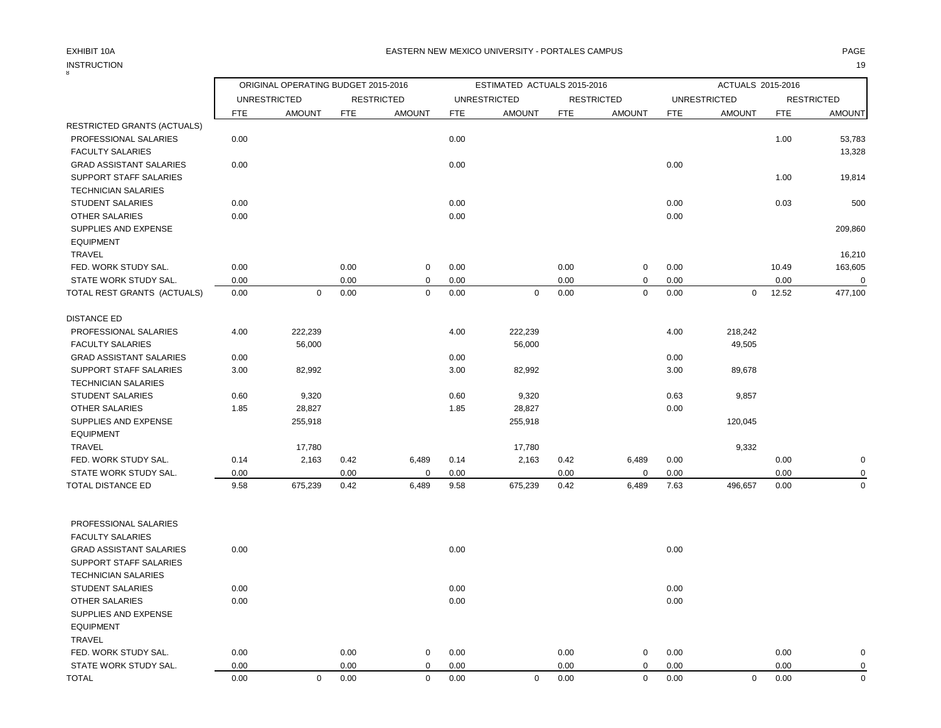## INSTRUCTION 19 INSTRUCTION

| 8                              |            | ORIGINAL OPERATING BUDGET 2015-2016 |      |                   |            | ESTIMATED ACTUALS 2015-2016 |            |                   |            | ACTUALS 2015-2016   |            |                   |
|--------------------------------|------------|-------------------------------------|------|-------------------|------------|-----------------------------|------------|-------------------|------------|---------------------|------------|-------------------|
|                                |            | <b>UNRESTRICTED</b>                 |      | <b>RESTRICTED</b> |            | <b>UNRESTRICTED</b>         |            | <b>RESTRICTED</b> |            | <b>UNRESTRICTED</b> |            | <b>RESTRICTED</b> |
|                                | <b>FTE</b> | <b>AMOUNT</b>                       | FTE  | <b>AMOUNT</b>     | <b>FTE</b> | <b>AMOUNT</b>               | <b>FTE</b> | <b>AMOUNT</b>     | <b>FTE</b> | <b>AMOUNT</b>       | <b>FTE</b> | <b>AMOUNT</b>     |
| RESTRICTED GRANTS (ACTUALS)    |            |                                     |      |                   |            |                             |            |                   |            |                     |            |                   |
| PROFESSIONAL SALARIES          | 0.00       |                                     |      |                   | 0.00       |                             |            |                   |            |                     | 1.00       | 53,783            |
| <b>FACULTY SALARIES</b>        |            |                                     |      |                   |            |                             |            |                   |            |                     |            | 13,328            |
| <b>GRAD ASSISTANT SALARIES</b> | 0.00       |                                     |      |                   | 0.00       |                             |            |                   | 0.00       |                     |            |                   |
| SUPPORT STAFF SALARIES         |            |                                     |      |                   |            |                             |            |                   |            |                     | 1.00       | 19,814            |
| <b>TECHNICIAN SALARIES</b>     |            |                                     |      |                   |            |                             |            |                   |            |                     |            |                   |
| <b>STUDENT SALARIES</b>        | 0.00       |                                     |      |                   | 0.00       |                             |            |                   | 0.00       |                     | 0.03       | 500               |
| <b>OTHER SALARIES</b>          | 0.00       |                                     |      |                   | 0.00       |                             |            |                   | 0.00       |                     |            |                   |
| SUPPLIES AND EXPENSE           |            |                                     |      |                   |            |                             |            |                   |            |                     |            | 209,860           |
| <b>EQUIPMENT</b>               |            |                                     |      |                   |            |                             |            |                   |            |                     |            |                   |
| TRAVEL                         |            |                                     |      |                   |            |                             |            |                   |            |                     |            | 16,210            |
| FED. WORK STUDY SAL.           | 0.00       |                                     | 0.00 | $\mathbf 0$       | 0.00       |                             | 0.00       | $\mathbf 0$       | 0.00       |                     | 10.49      | 163,605           |
| STATE WORK STUDY SAL.          | 0.00       |                                     | 0.00 | $\mathbf 0$       | 0.00       |                             | 0.00       | $\mathbf 0$       | 0.00       |                     | 0.00       |                   |
| TOTAL REST GRANTS (ACTUALS)    | 0.00       | $\mathbf 0$                         | 0.00 | $\mathbf 0$       | 0.00       | $\mathbf 0$                 | 0.00       | $\mathbf 0$       | 0.00       | $\mathbf 0$         | 12.52      | 477,100           |
|                                |            |                                     |      |                   |            |                             |            |                   |            |                     |            |                   |
| <b>DISTANCE ED</b>             |            |                                     |      |                   |            |                             |            |                   |            |                     |            |                   |
| PROFESSIONAL SALARIES          | 4.00       | 222,239                             |      |                   | 4.00       | 222,239                     |            |                   | 4.00       | 218,242             |            |                   |
| <b>FACULTY SALARIES</b>        |            | 56,000                              |      |                   |            | 56,000                      |            |                   |            | 49,505              |            |                   |
| <b>GRAD ASSISTANT SALARIES</b> | 0.00       |                                     |      |                   | 0.00       |                             |            |                   | 0.00       |                     |            |                   |
| SUPPORT STAFF SALARIES         | 3.00       | 82,992                              |      |                   | 3.00       | 82,992                      |            |                   | 3.00       | 89,678              |            |                   |
| <b>TECHNICIAN SALARIES</b>     |            |                                     |      |                   |            |                             |            |                   |            |                     |            |                   |
| <b>STUDENT SALARIES</b>        | 0.60       | 9,320                               |      |                   | 0.60       | 9,320                       |            |                   | 0.63       | 9,857               |            |                   |
| <b>OTHER SALARIES</b>          | 1.85       | 28,827                              |      |                   | 1.85       | 28,827                      |            |                   | 0.00       |                     |            |                   |
| SUPPLIES AND EXPENSE           |            | 255,918                             |      |                   |            | 255,918                     |            |                   |            | 120,045             |            |                   |
| <b>EQUIPMENT</b>               |            |                                     |      |                   |            |                             |            |                   |            |                     |            |                   |
| <b>TRAVEL</b>                  |            | 17,780                              |      |                   |            | 17,780                      |            |                   |            | 9,332               |            |                   |
| FED. WORK STUDY SAL.           | 0.14       | 2,163                               | 0.42 | 6,489             | 0.14       | 2,163                       | 0.42       | 6,489             | 0.00       |                     | 0.00       | 0                 |
| STATE WORK STUDY SAL.          | 0.00       |                                     | 0.00 | $\Omega$          | 0.00       |                             | 0.00       | $\Omega$          | 0.00       |                     | 0.00       |                   |
| TOTAL DISTANCE ED              | 9.58       | 675,239                             | 0.42 | 6,489             | 9.58       | 675,239                     | 0.42       | 6,489             | 7.63       | 496,657             | 0.00       | $\Omega$          |
|                                |            |                                     |      |                   |            |                             |            |                   |            |                     |            |                   |
| PROFESSIONAL SALARIES          |            |                                     |      |                   |            |                             |            |                   |            |                     |            |                   |
| <b>FACULTY SALARIES</b>        |            |                                     |      |                   |            |                             |            |                   |            |                     |            |                   |
| <b>GRAD ASSISTANT SALARIES</b> | 0.00       |                                     |      |                   | 0.00       |                             |            |                   | 0.00       |                     |            |                   |
| SUPPORT STAFF SALARIES         |            |                                     |      |                   |            |                             |            |                   |            |                     |            |                   |
| <b>TECHNICIAN SALARIES</b>     |            |                                     |      |                   |            |                             |            |                   |            |                     |            |                   |
| <b>STUDENT SALARIES</b>        | 0.00       |                                     |      |                   | 0.00       |                             |            |                   | 0.00       |                     |            |                   |
| OTHER SALARIES                 | 0.00       |                                     |      |                   | 0.00       |                             |            |                   | 0.00       |                     |            |                   |
| SUPPLIES AND EXPENSE           |            |                                     |      |                   |            |                             |            |                   |            |                     |            |                   |
| <b>EQUIPMENT</b>               |            |                                     |      |                   |            |                             |            |                   |            |                     |            |                   |
| TRAVEL                         |            |                                     |      |                   |            |                             |            |                   |            |                     |            |                   |
| FED. WORK STUDY SAL.           | 0.00       |                                     | 0.00 | $\mathbf 0$       | 0.00       |                             | 0.00       | 0                 | 0.00       |                     | 0.00       |                   |
| STATE WORK STUDY SAL.          | 0.00       |                                     | 0.00 | $\mathbf 0$       | 0.00       |                             | 0.00       | 0                 | 0.00       |                     | 0.00       | $\Omega$          |

TOTAL 0.00 0 0.00 0 0.00 0 0.00 0 0.00 0 0.00 0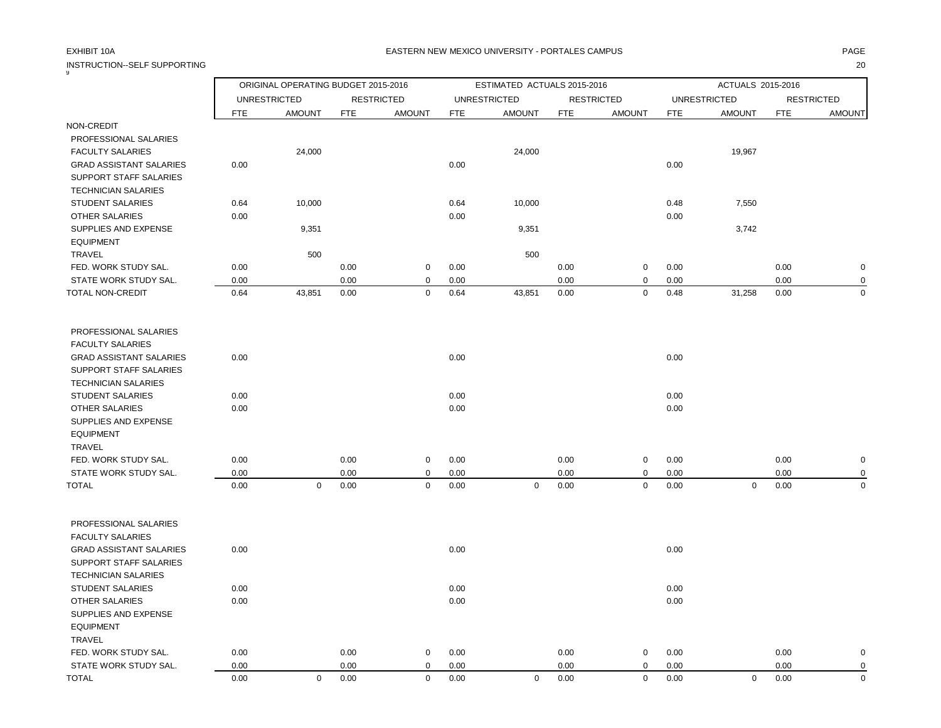INSTRUCTION--SELF SUPPORTING 20

### EXHIBIT 10A PAGE EASTERN NEW MEXICO UNIVERSITY - PORTALES CAMPUS

| 9                              |      | ORIGINAL OPERATING BUDGET 2015-2016 |            |                   |            | ESTIMATED ACTUALS 2015-2016 |            |                   |            | ACTUALS 2015-2016   |      |                   |
|--------------------------------|------|-------------------------------------|------------|-------------------|------------|-----------------------------|------------|-------------------|------------|---------------------|------|-------------------|
|                                |      | <b>UNRESTRICTED</b>                 |            | <b>RESTRICTED</b> |            | <b>UNRESTRICTED</b>         |            | <b>RESTRICTED</b> |            | <b>UNRESTRICTED</b> |      | <b>RESTRICTED</b> |
|                                | FTE  | <b>AMOUNT</b>                       | <b>FTE</b> | <b>AMOUNT</b>     | <b>FTE</b> | <b>AMOUNT</b>               | <b>FTE</b> | <b>AMOUNT</b>     | <b>FTE</b> | <b>AMOUNT</b>       | FTE  | <b>AMOUNT</b>     |
| NON-CREDIT                     |      |                                     |            |                   |            |                             |            |                   |            |                     |      |                   |
| PROFESSIONAL SALARIES          |      |                                     |            |                   |            |                             |            |                   |            |                     |      |                   |
| <b>FACULTY SALARIES</b>        |      | 24,000                              |            |                   |            | 24,000                      |            |                   |            | 19,967              |      |                   |
| <b>GRAD ASSISTANT SALARIES</b> | 0.00 |                                     |            |                   | 0.00       |                             |            |                   | 0.00       |                     |      |                   |
| SUPPORT STAFF SALARIES         |      |                                     |            |                   |            |                             |            |                   |            |                     |      |                   |
| <b>TECHNICIAN SALARIES</b>     |      |                                     |            |                   |            |                             |            |                   |            |                     |      |                   |
| <b>STUDENT SALARIES</b>        | 0.64 | 10,000                              |            |                   | 0.64       | 10,000                      |            |                   | 0.48       | 7,550               |      |                   |
| OTHER SALARIES                 | 0.00 |                                     |            |                   | 0.00       |                             |            |                   | 0.00       |                     |      |                   |
| SUPPLIES AND EXPENSE           |      | 9,351                               |            |                   |            | 9,351                       |            |                   |            | 3,742               |      |                   |
| <b>EQUIPMENT</b>               |      |                                     |            |                   |            |                             |            |                   |            |                     |      |                   |
| <b>TRAVEL</b>                  |      | 500                                 |            |                   |            | 500                         |            |                   |            |                     |      |                   |
| FED. WORK STUDY SAL.           | 0.00 |                                     | 0.00       | 0                 | 0.00       |                             | 0.00       | $\mathbf 0$       | 0.00       |                     | 0.00 | 0                 |
| STATE WORK STUDY SAL.          | 0.00 |                                     | 0.00       | 0                 | 0.00       |                             | 0.00       | $\mathbf 0$       | 0.00       |                     | 0.00 | 0                 |
| TOTAL NON-CREDIT               | 0.64 | 43,851                              | 0.00       | 0                 | 0.64       | 43,851                      | 0.00       | 0                 | 0.48       | 31,258              | 0.00 | $\Omega$          |
|                                |      |                                     |            |                   |            |                             |            |                   |            |                     |      |                   |
| PROFESSIONAL SALARIES          |      |                                     |            |                   |            |                             |            |                   |            |                     |      |                   |
| <b>FACULTY SALARIES</b>        |      |                                     |            |                   |            |                             |            |                   |            |                     |      |                   |
| <b>GRAD ASSISTANT SALARIES</b> | 0.00 |                                     |            |                   | 0.00       |                             |            |                   | 0.00       |                     |      |                   |
| SUPPORT STAFF SALARIES         |      |                                     |            |                   |            |                             |            |                   |            |                     |      |                   |
| <b>TECHNICIAN SALARIES</b>     |      |                                     |            |                   |            |                             |            |                   |            |                     |      |                   |
| <b>STUDENT SALARIES</b>        | 0.00 |                                     |            |                   | 0.00       |                             |            |                   | 0.00       |                     |      |                   |
| <b>OTHER SALARIES</b>          | 0.00 |                                     |            |                   | 0.00       |                             |            |                   | 0.00       |                     |      |                   |
| SUPPLIES AND EXPENSE           |      |                                     |            |                   |            |                             |            |                   |            |                     |      |                   |
| <b>EQUIPMENT</b>               |      |                                     |            |                   |            |                             |            |                   |            |                     |      |                   |
| <b>TRAVEL</b>                  |      |                                     |            |                   |            |                             |            |                   |            |                     |      |                   |
| FED. WORK STUDY SAL.           | 0.00 |                                     | 0.00       | 0                 | 0.00       |                             | 0.00       | $\mathbf 0$       | 0.00       |                     | 0.00 | 0                 |
| STATE WORK STUDY SAL.          | 0.00 |                                     | 0.00       | 0                 | 0.00       |                             | 0.00       | $\mathbf 0$       | 0.00       |                     | 0.00 |                   |
| <b>TOTAL</b>                   | 0.00 | $\mathbf 0$                         | 0.00       | 0                 | 0.00       | $\pmb{0}$                   | 0.00       | $\pmb{0}$         | 0.00       | $\mathsf 0$         | 0.00 | $\Omega$          |
|                                |      |                                     |            |                   |            |                             |            |                   |            |                     |      |                   |
| PROFESSIONAL SALARIES          |      |                                     |            |                   |            |                             |            |                   |            |                     |      |                   |
| <b>FACULTY SALARIES</b>        |      |                                     |            |                   |            |                             |            |                   |            |                     |      |                   |
| <b>GRAD ASSISTANT SALARIES</b> | 0.00 |                                     |            |                   | 0.00       |                             |            |                   | 0.00       |                     |      |                   |
| SUPPORT STAFF SALARIES         |      |                                     |            |                   |            |                             |            |                   |            |                     |      |                   |
| <b>TECHNICIAN SALARIES</b>     |      |                                     |            |                   |            |                             |            |                   |            |                     |      |                   |
| <b>STUDENT SALARIES</b>        | 0.00 |                                     |            |                   | 0.00       |                             |            |                   | 0.00       |                     |      |                   |
| OTHER SALARIES                 | 0.00 |                                     |            |                   | 0.00       |                             |            |                   | 0.00       |                     |      |                   |
| SUPPLIES AND EXPENSE           |      |                                     |            |                   |            |                             |            |                   |            |                     |      |                   |
| <b>EQUIPMENT</b>               |      |                                     |            |                   |            |                             |            |                   |            |                     |      |                   |
| <b>TRAVEL</b>                  |      |                                     |            |                   |            |                             |            |                   |            |                     |      |                   |
| FED. WORK STUDY SAL.           | 0.00 |                                     | 0.00       | 0                 | 0.00       |                             | 0.00       | $\mathbf 0$       | 0.00       |                     | 0.00 | 0                 |
| STATE WORK STUDY SAL.          | 0.00 |                                     | 0.00       | 0                 | 0.00       |                             | 0.00       | $\mathbf 0$       | 0.00       |                     | 0.00 | $\Omega$          |

TOTAL 0.00 0 0.00 0 0.00 0 0.00 0 0.00 0 0.00 0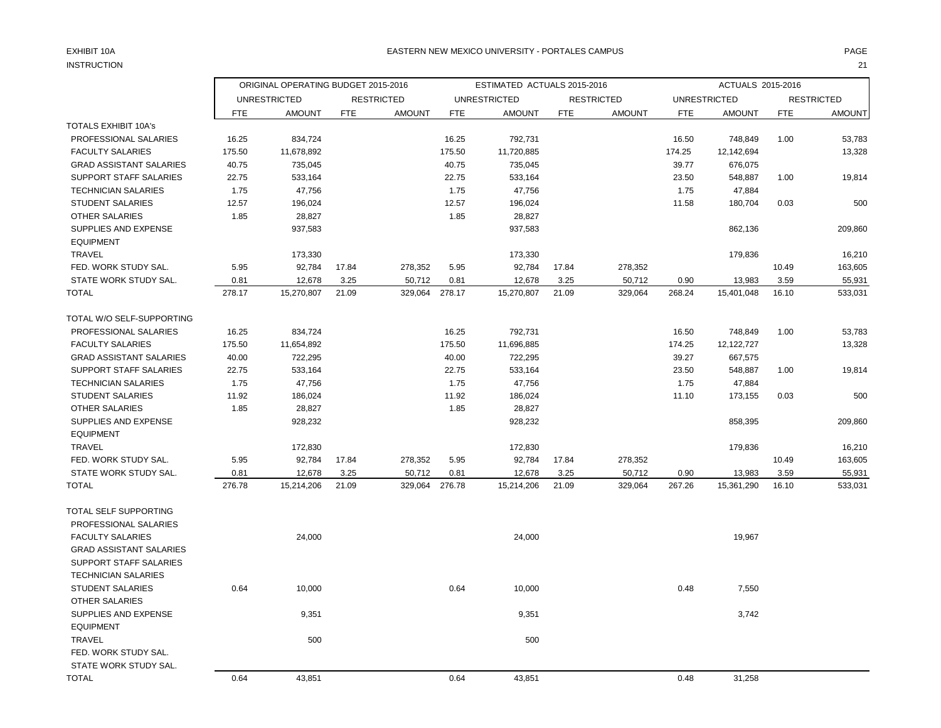# INSTRUCTION 21

### EXHIBIT 10A PAGE PAGE AND THE SERVICE OF THE SERVICE OF THE SERVICE OF THE SERVICE OF THE SERVICE OF THE SERVICE OF THE SERVICE OF THE SERVICE OF THE SERVICE OF THE SERVICE OF THE SERVICE OF THE SERVICE OF THE SERVICE OF T

|                                |        | ORIGINAL OPERATING BUDGET 2015-2016 |            |                   |            | ESTIMATED ACTUALS 2015-2016 |            |                   |            | ACTUALS 2015-2016   |            |                   |
|--------------------------------|--------|-------------------------------------|------------|-------------------|------------|-----------------------------|------------|-------------------|------------|---------------------|------------|-------------------|
|                                |        | <b>UNRESTRICTED</b>                 |            | <b>RESTRICTED</b> |            | <b>UNRESTRICTED</b>         |            | <b>RESTRICTED</b> |            | <b>UNRESTRICTED</b> |            | <b>RESTRICTED</b> |
|                                | FTE    | <b>AMOUNT</b>                       | <b>FTE</b> | <b>AMOUNT</b>     | <b>FTE</b> | <b>AMOUNT</b>               | <b>FTE</b> | <b>AMOUNT</b>     | <b>FTE</b> | <b>AMOUNT</b>       | <b>FTE</b> | <b>AMOUNT</b>     |
| <b>TOTALS EXHIBIT 10A's</b>    |        |                                     |            |                   |            |                             |            |                   |            |                     |            |                   |
| PROFESSIONAL SALARIES          | 16.25  | 834,724                             |            |                   | 16.25      | 792,731                     |            |                   | 16.50      | 748,849             | 1.00       | 53,783            |
| <b>FACULTY SALARIES</b>        | 175.50 | 11,678,892                          |            |                   | 175.50     | 11,720,885                  |            |                   | 174.25     | 12,142,694          |            | 13,328            |
| <b>GRAD ASSISTANT SALARIES</b> | 40.75  | 735,045                             |            |                   | 40.75      | 735,045                     |            |                   | 39.77      | 676,075             |            |                   |
| <b>SUPPORT STAFF SALARIES</b>  | 22.75  | 533,164                             |            |                   | 22.75      | 533,164                     |            |                   | 23.50      | 548,887             | 1.00       | 19,814            |
| <b>TECHNICIAN SALARIES</b>     | 1.75   | 47,756                              |            |                   | 1.75       | 47,756                      |            |                   | 1.75       | 47,884              |            |                   |
| <b>STUDENT SALARIES</b>        | 12.57  | 196,024                             |            |                   | 12.57      | 196,024                     |            |                   | 11.58      | 180,704             | 0.03       | 500               |
| <b>OTHER SALARIES</b>          | 1.85   | 28,827                              |            |                   | 1.85       | 28,827                      |            |                   |            |                     |            |                   |
| SUPPLIES AND EXPENSE           |        | 937,583                             |            |                   |            | 937,583                     |            |                   |            | 862,136             |            | 209,860           |
| <b>EQUIPMENT</b>               |        |                                     |            |                   |            |                             |            |                   |            |                     |            |                   |
| <b>TRAVEL</b>                  |        | 173,330                             |            |                   |            | 173,330                     |            |                   |            | 179,836             |            | 16,210            |
| FED. WORK STUDY SAL.           | 5.95   | 92,784                              | 17.84      | 278,352           | 5.95       | 92,784                      | 17.84      | 278,352           |            |                     | 10.49      | 163,605           |
| STATE WORK STUDY SAL.          | 0.81   | 12,678                              | 3.25       | 50,712            | 0.81       | 12,678                      | 3.25       | 50,712            | 0.90       | 13,983              | 3.59       | 55,931            |
| <b>TOTAL</b>                   | 278.17 | 15,270,807                          | 21.09      | 329,064           | 278.17     | 15,270,807                  | 21.09      | 329,064           | 268.24     | 15,401,048          | 16.10      | 533,031           |
| TOTAL W/O SELF-SUPPORTING      |        |                                     |            |                   |            |                             |            |                   |            |                     |            |                   |
| PROFESSIONAL SALARIES          | 16.25  | 834,724                             |            |                   | 16.25      | 792,731                     |            |                   | 16.50      | 748,849             | 1.00       | 53,783            |
| <b>FACULTY SALARIES</b>        | 175.50 | 11,654,892                          |            |                   | 175.50     | 11,696,885                  |            |                   | 174.25     | 12,122,727          |            | 13,328            |
| <b>GRAD ASSISTANT SALARIES</b> | 40.00  | 722,295                             |            |                   | 40.00      | 722,295                     |            |                   | 39.27      | 667,575             |            |                   |
| <b>SUPPORT STAFF SALARIES</b>  | 22.75  | 533,164                             |            |                   | 22.75      | 533,164                     |            |                   | 23.50      | 548,887             | 1.00       | 19,814            |
| <b>TECHNICIAN SALARIES</b>     | 1.75   | 47,756                              |            |                   | 1.75       | 47,756                      |            |                   | 1.75       | 47,884              |            |                   |
| <b>STUDENT SALARIES</b>        | 11.92  | 186,024                             |            |                   | 11.92      | 186,024                     |            |                   | 11.10      | 173,155             | 0.03       | 500               |
| <b>OTHER SALARIES</b>          | 1.85   | 28,827                              |            |                   | 1.85       | 28,827                      |            |                   |            |                     |            |                   |
| SUPPLIES AND EXPENSE           |        | 928,232                             |            |                   |            | 928,232                     |            |                   |            | 858,395             |            | 209,860           |
| <b>EQUIPMENT</b>               |        |                                     |            |                   |            |                             |            |                   |            |                     |            |                   |
| <b>TRAVEL</b>                  |        | 172,830                             |            |                   |            | 172,830                     |            |                   |            | 179,836             |            | 16,210            |
| FED. WORK STUDY SAL.           | 5.95   | 92,784                              | 17.84      | 278,352           | 5.95       | 92,784                      | 17.84      | 278,352           |            |                     | 10.49      | 163,605           |
| STATE WORK STUDY SAL.          | 0.81   | 12,678                              | 3.25       | 50,712            | 0.81       | 12,678                      | 3.25       | 50,712            | 0.90       | 13,983              | 3.59       | 55,931            |
| <b>TOTAL</b>                   | 276.78 | 15,214,206                          | 21.09      | 329,064           | 276.78     | 15,214,206                  | 21.09      | 329,064           | 267.26     | 15,361,290          | 16.10      | 533,031           |
| TOTAL SELF SUPPORTING          |        |                                     |            |                   |            |                             |            |                   |            |                     |            |                   |
| PROFESSIONAL SALARIES          |        |                                     |            |                   |            |                             |            |                   |            |                     |            |                   |
| <b>FACULTY SALARIES</b>        |        | 24,000                              |            |                   |            | 24,000                      |            |                   |            | 19,967              |            |                   |
| <b>GRAD ASSISTANT SALARIES</b> |        |                                     |            |                   |            |                             |            |                   |            |                     |            |                   |
| SUPPORT STAFF SALARIES         |        |                                     |            |                   |            |                             |            |                   |            |                     |            |                   |
| <b>TECHNICIAN SALARIES</b>     |        |                                     |            |                   |            |                             |            |                   |            |                     |            |                   |
| <b>STUDENT SALARIES</b>        | 0.64   | 10,000                              |            |                   | 0.64       | 10,000                      |            |                   | 0.48       | 7,550               |            |                   |
| <b>OTHER SALARIES</b>          |        |                                     |            |                   |            |                             |            |                   |            |                     |            |                   |
| SUPPLIES AND EXPENSE           |        | 9,351                               |            |                   |            | 9,351                       |            |                   |            | 3,742               |            |                   |
| <b>EQUIPMENT</b>               |        |                                     |            |                   |            |                             |            |                   |            |                     |            |                   |
| <b>TRAVEL</b>                  |        | 500                                 |            |                   |            | 500                         |            |                   |            |                     |            |                   |
| FED. WORK STUDY SAL.           |        |                                     |            |                   |            |                             |            |                   |            |                     |            |                   |
| STATE WORK STUDY SAL.          |        |                                     |            |                   |            |                             |            |                   |            |                     |            |                   |
| <b>TOTAL</b>                   | 0.64   | 43,851                              |            |                   | 0.64       | 43,851                      |            |                   | 0.48       | 31,258              |            |                   |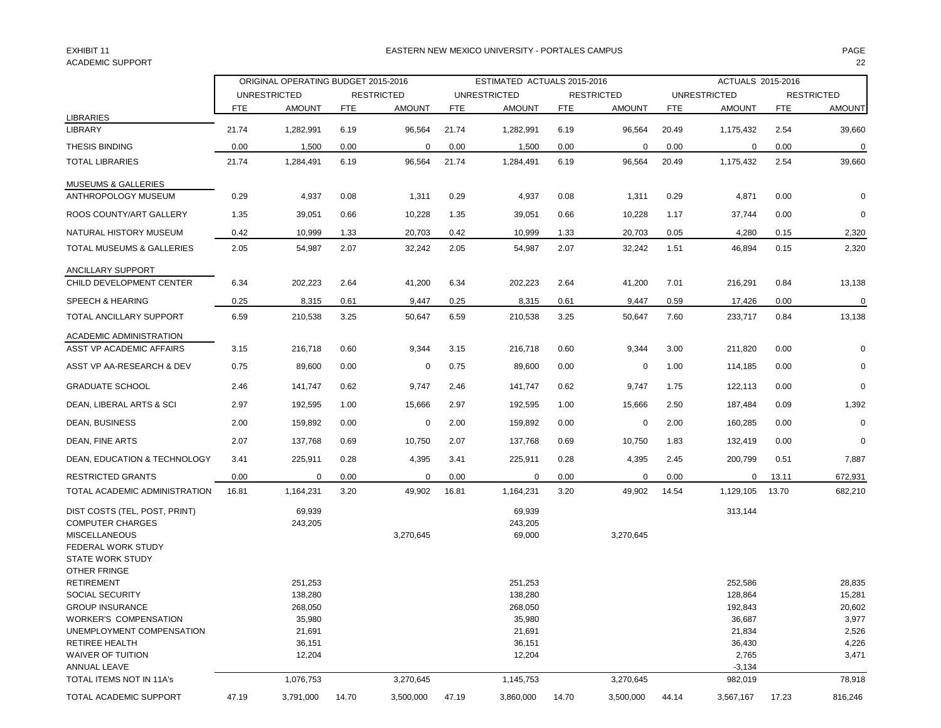## ACADEMIC SUPPORT 22

### EXHIBIT 11 PAGE EASTERN NEW MEXICO UNIVERSITY - PORTALES CAMPUS

|                                                                                                                                                                                                                                |       | ORIGINAL OPERATING BUDGET 2015-2016                                                |            |                   |            | ESTIMATED ACTUALS 2015-2016                                                        |       |                   |            | ACTUALS 2015-2016                                                                |            |                                                                          |
|--------------------------------------------------------------------------------------------------------------------------------------------------------------------------------------------------------------------------------|-------|------------------------------------------------------------------------------------|------------|-------------------|------------|------------------------------------------------------------------------------------|-------|-------------------|------------|----------------------------------------------------------------------------------|------------|--------------------------------------------------------------------------|
|                                                                                                                                                                                                                                |       | <b>UNRESTRICTED</b>                                                                |            | <b>RESTRICTED</b> |            | <b>UNRESTRICTED</b>                                                                |       | <b>RESTRICTED</b> |            | <b>UNRESTRICTED</b>                                                              |            | <b>RESTRICTED</b>                                                        |
| <b>LIBRARIES</b>                                                                                                                                                                                                               | FTE   | <b>AMOUNT</b>                                                                      | <b>FTE</b> | <b>AMOUNT</b>     | <b>FTE</b> | <b>AMOUNT</b>                                                                      | FTE   | <b>AMOUNT</b>     | <b>FTE</b> | <b>AMOUNT</b>                                                                    | <b>FTE</b> | <b>AMOUNT</b>                                                            |
| <b>LIBRARY</b>                                                                                                                                                                                                                 | 21.74 | 1,282,991                                                                          | 6.19       | 96,564            | 21.74      | 1,282,991                                                                          | 6.19  | 96,564            | 20.49      | 1,175,432                                                                        | 2.54       | 39,660                                                                   |
| <b>THESIS BINDING</b>                                                                                                                                                                                                          | 0.00  | 1,500                                                                              | 0.00       | 0                 | 0.00       | 1,500                                                                              | 0.00  | 0                 | 0.00       | 0                                                                                | 0.00       | 0                                                                        |
| <b>TOTAL LIBRARIES</b>                                                                                                                                                                                                         | 21.74 | 1,284,491                                                                          | 6.19       | 96,564            | 21.74      | 1,284,491                                                                          | 6.19  | 96,564            | 20.49      | 1,175,432                                                                        | 2.54       | 39,660                                                                   |
| <b>MUSEUMS &amp; GALLERIES</b>                                                                                                                                                                                                 |       |                                                                                    |            |                   |            |                                                                                    |       |                   |            |                                                                                  |            |                                                                          |
| ANTHROPOLOGY MUSEUM                                                                                                                                                                                                            | 0.29  | 4,937                                                                              | 0.08       | 1,311             | 0.29       | 4,937                                                                              | 0.08  | 1,311             | 0.29       | 4,871                                                                            | 0.00       | 0                                                                        |
| ROOS COUNTY/ART GALLERY                                                                                                                                                                                                        | 1.35  | 39,051                                                                             | 0.66       | 10,228            | 1.35       | 39,051                                                                             | 0.66  | 10,228            | 1.17       | 37,744                                                                           | 0.00       | 0                                                                        |
| NATURAL HISTORY MUSEUM                                                                                                                                                                                                         | 0.42  | 10,999                                                                             | 1.33       | 20,703            | 0.42       | 10,999                                                                             | 1.33  | 20,703            | 0.05       | 4,280                                                                            | 0.15       | 2,320                                                                    |
| TOTAL MUSEUMS & GALLERIES                                                                                                                                                                                                      | 2.05  | 54,987                                                                             | 2.07       | 32,242            | 2.05       | 54,987                                                                             | 2.07  | 32,242            | 1.51       | 46,894                                                                           | 0.15       | 2,320                                                                    |
| ANCILLARY SUPPORT                                                                                                                                                                                                              |       |                                                                                    |            |                   |            |                                                                                    |       |                   |            |                                                                                  |            |                                                                          |
| CHILD DEVELOPMENT CENTER                                                                                                                                                                                                       | 6.34  | 202,223                                                                            | 2.64       | 41,200            | 6.34       | 202,223                                                                            | 2.64  | 41,200            | 7.01       | 216,291                                                                          | 0.84       | 13,138                                                                   |
| SPEECH & HEARING                                                                                                                                                                                                               | 0.25  | 8,315                                                                              | 0.61       | 9,447             | 0.25       | 8,315                                                                              | 0.61  | 9,447             | 0.59       | 17,426                                                                           | 0.00       | $\pmb{0}$                                                                |
| <b>TOTAL ANCILLARY SUPPORT</b>                                                                                                                                                                                                 | 6.59  | 210,538                                                                            | 3.25       | 50,647            | 6.59       | 210,538                                                                            | 3.25  | 50,647            | 7.60       | 233,717                                                                          | 0.84       | 13,138                                                                   |
| ACADEMIC ADMINISTRATION                                                                                                                                                                                                        |       |                                                                                    |            |                   |            |                                                                                    |       |                   |            |                                                                                  |            |                                                                          |
| ASST VP ACADEMIC AFFAIRS                                                                                                                                                                                                       | 3.15  | 216,718                                                                            | 0.60       | 9,344             | 3.15       | 216,718                                                                            | 0.60  | 9,344             | 3.00       | 211,820                                                                          | 0.00       | 0                                                                        |
| ASST VP AA-RESEARCH & DEV                                                                                                                                                                                                      | 0.75  | 89,600                                                                             | 0.00       | 0                 | 0.75       | 89,600                                                                             | 0.00  | 0                 | 1.00       | 114,185                                                                          | 0.00       | 0                                                                        |
| <b>GRADUATE SCHOOL</b>                                                                                                                                                                                                         | 2.46  | 141,747                                                                            | 0.62       | 9,747             | 2.46       | 141,747                                                                            | 0.62  | 9,747             | 1.75       | 122,113                                                                          | 0.00       | $\mathbf 0$                                                              |
| DEAN, LIBERAL ARTS & SCI                                                                                                                                                                                                       | 2.97  | 192,595                                                                            | 1.00       | 15,666            | 2.97       | 192,595                                                                            | 1.00  | 15,666            | 2.50       | 187,484                                                                          | 0.09       | 1,392                                                                    |
| <b>DEAN, BUSINESS</b>                                                                                                                                                                                                          | 2.00  | 159,892                                                                            | 0.00       | 0                 | 2.00       | 159,892                                                                            | 0.00  | 0                 | 2.00       | 160,285                                                                          | 0.00       | $\mathbf 0$                                                              |
| DEAN, FINE ARTS                                                                                                                                                                                                                | 2.07  | 137,768                                                                            | 0.69       | 10,750            | 2.07       | 137,768                                                                            | 0.69  | 10,750            | 1.83       | 132,419                                                                          | 0.00       | 0                                                                        |
| DEAN, EDUCATION & TECHNOLOGY                                                                                                                                                                                                   | 3.41  | 225,911                                                                            | 0.28       | 4,395             | 3.41       | 225,911                                                                            | 0.28  | 4,395             | 2.45       | 200,799                                                                          | 0.51       | 7,887                                                                    |
| <b>RESTRICTED GRANTS</b>                                                                                                                                                                                                       | 0.00  | 0                                                                                  | 0.00       | 0                 | 0.00       | $\mathbf 0$                                                                        | 0.00  | 0                 | 0.00       | 0                                                                                | 13.11      | 672,931                                                                  |
| TOTAL ACADEMIC ADMINISTRATION                                                                                                                                                                                                  | 16.81 | 1,164,231                                                                          | 3.20       | 49,902            | 16.81      | 1,164,231                                                                          | 3.20  | 49,902            | 14.54      | 1,129,105                                                                        | 13.70      | 682,210                                                                  |
| DIST COSTS (TEL, POST, PRINT)<br><b>COMPUTER CHARGES</b><br><b>MISCELLANEOUS</b><br>FEDERAL WORK STUDY<br><b>STATE WORK STUDY</b>                                                                                              |       | 69,939<br>243,205                                                                  |            | 3,270,645         |            | 69,939<br>243,205<br>69,000                                                        |       | 3,270,645         |            | 313,144                                                                          |            |                                                                          |
| OTHER FRINGE<br><b>RETIREMENT</b><br>SOCIAL SECURITY<br><b>GROUP INSURANCE</b><br><b>WORKER'S COMPENSATION</b><br>UNEMPLOYMENT COMPENSATION<br>RETIREE HEALTH<br>WAIVER OF TUITION<br>ANNUAL LEAVE<br>TOTAL ITEMS NOT IN 11A's |       | 251,253<br>138,280<br>268,050<br>35,980<br>21,691<br>36,151<br>12,204<br>1,076,753 |            | 3,270,645         |            | 251,253<br>138,280<br>268,050<br>35,980<br>21,691<br>36,151<br>12,204<br>1,145,753 |       | 3,270,645         |            | 252,586<br>128,864<br>192,843<br>36,687<br>21,834<br>36,430<br>2,765<br>$-3,134$ |            | 28,835<br>15,281<br>20,602<br>3,977<br>2,526<br>4,226<br>3,471<br>78,918 |
| TOTAL ACADEMIC SUPPORT                                                                                                                                                                                                         |       |                                                                                    |            |                   |            |                                                                                    |       |                   |            | 982,019                                                                          |            |                                                                          |
|                                                                                                                                                                                                                                | 47.19 | 3,791,000                                                                          | 14.70      | 3,500,000         | 47.19      | 3,860,000                                                                          | 14.70 | 3,500,000         | 44.14      | 3,567,167                                                                        | 17.23      | 816,246                                                                  |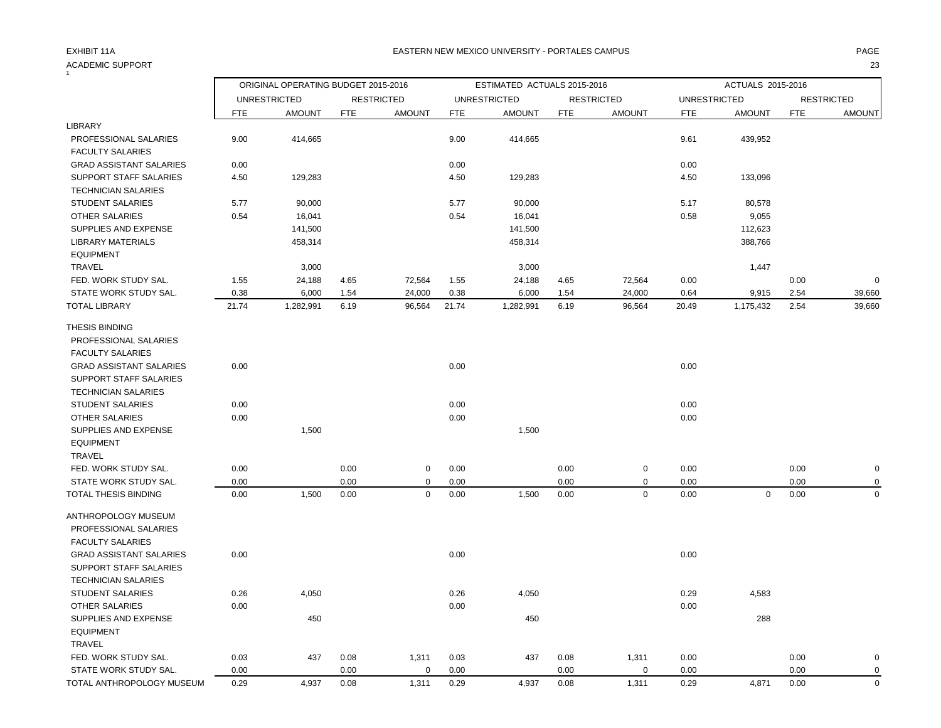#### ACADEMIC SUPPORT 23  $\frac{1}{1}$

### EXHIBIT 11A PAGE EASTERN NEW MEXICO UNIVERSITY - PORTALES CAMPUS

| <b>UNRESTRICTED</b><br><b>RESTRICTED</b><br><b>UNRESTRICTED</b><br><b>RESTRICTED</b><br><b>UNRESTRICTED</b><br><b>RESTRICTED</b><br><b>AMOUNT</b><br><b>AMOUNT</b><br><b>FTE</b><br><b>AMOUNT</b><br><b>FTE</b><br><b>FTE</b><br><b>AMOUNT</b><br><b>FTE</b><br>FTE<br><b>AMOUNT</b><br><b>FTE</b><br><b>AMOUNT</b><br>PROFESSIONAL SALARIES<br>9.00<br>414,665<br>9.00<br>414,665<br>439,952<br>9.61<br><b>FACULTY SALARIES</b><br><b>GRAD ASSISTANT SALARIES</b><br>0.00<br>0.00<br>0.00<br>SUPPORT STAFF SALARIES<br>4.50<br>129,283<br>129,283<br>4.50<br>133,096<br>4.50<br><b>TECHNICIAN SALARIES</b><br>5.77<br>90,000<br>5.77<br>90,000<br><b>STUDENT SALARIES</b><br>5.17<br>80,578<br><b>OTHER SALARIES</b><br>0.54<br>0.54<br>0.58<br>16,041<br>16,041<br>9,055<br>SUPPLIES AND EXPENSE<br>141,500<br>141,500<br>112,623<br><b>LIBRARY MATERIALS</b><br>458,314<br>458,314<br>388,766<br><b>EQUIPMENT</b><br><b>TRAVEL</b><br>3,000<br>3,000<br>1,447<br>FED. WORK STUDY SAL.<br>$\mathbf 0$<br>1.55<br>24,188<br>4.65<br>72,564<br>1.55<br>24,188<br>4.65<br>72,564<br>0.00<br>0.00<br>STATE WORK STUDY SAL.<br>0.38<br>6,000<br>24,000<br>0.38<br>6,000<br>1.54<br>24,000<br>0.64<br>9,915<br>2.54<br>39,660<br>1.54<br>21.74<br>1,282,991<br>6.19<br>96,564<br>21.74<br>1,282,991<br>6.19<br>96,564<br>20.49<br>1,175,432<br>2.54<br>39,660<br>PROFESSIONAL SALARIES<br><b>FACULTY SALARIES</b><br><b>GRAD ASSISTANT SALARIES</b><br>0.00<br>0.00<br>0.00<br>SUPPORT STAFF SALARIES<br><b>TECHNICIAN SALARIES</b><br><b>STUDENT SALARIES</b><br>0.00<br>0.00<br>0.00<br>0.00<br>0.00<br>0.00<br><b>OTHER SALARIES</b><br>1,500<br>1,500<br>SUPPLIES AND EXPENSE<br><b>EQUIPMENT</b><br><b>TRAVEL</b><br>FED. WORK STUDY SAL.<br>0.00<br>0.00<br>0.00<br>0.00<br>0.00<br>0.00<br>$\mathsf 0$<br>$\mathbf 0$<br>$\pmb{0}$<br>STATE WORK STUDY SAL.<br>0.00<br>0.00<br>$\mathbf 0$<br>0.00<br>0.00<br>$\mathbf 0$<br>0.00<br>0.00<br>0<br>1,500<br>0.00<br>$\mathsf 0$<br>0.00<br>1,500<br>$\mathbf 0$<br>0.00<br>$\pmb{0}$<br>0.00<br>$\mathbf 0$<br>0.00<br>0.00<br>PROFESSIONAL SALARIES<br><b>FACULTY SALARIES</b><br><b>GRAD ASSISTANT SALARIES</b><br>0.00<br>0.00<br>0.00<br>SUPPORT STAFF SALARIES<br><b>TECHNICIAN SALARIES</b><br><b>STUDENT SALARIES</b><br>0.26<br>4,050<br>0.26<br>4,050<br>0.29<br>4,583<br>OTHER SALARIES<br>0.00<br>0.00<br>0.00<br>SUPPLIES AND EXPENSE<br>288<br>450<br>450<br><b>EQUIPMENT</b><br><b>TRAVEL</b><br>FED. WORK STUDY SAL.<br>0.03<br>437<br>0.08<br>0.03<br>437<br>0.08<br>1,311<br>0.00<br>0.00<br>$\pmb{0}$<br>1,311<br>STATE WORK STUDY SAL.<br>0.00<br>0.00<br>$\mathbf 0$<br>0.00<br>0.00<br>0<br>0.00<br>0.00<br>0<br>$\mathbf 0$<br>1,311<br>0.29<br>0.08<br>0.29<br>4,937<br>0.08<br>4,937<br>1,311<br>0.29<br>4,871<br>0.00 |                             | ORIGINAL OPERATING BUDGET 2015-2016 |  | ESTIMATED ACTUALS 2015-2016 |  | ACTUALS 2015-2016 |  |
|--------------------------------------------------------------------------------------------------------------------------------------------------------------------------------------------------------------------------------------------------------------------------------------------------------------------------------------------------------------------------------------------------------------------------------------------------------------------------------------------------------------------------------------------------------------------------------------------------------------------------------------------------------------------------------------------------------------------------------------------------------------------------------------------------------------------------------------------------------------------------------------------------------------------------------------------------------------------------------------------------------------------------------------------------------------------------------------------------------------------------------------------------------------------------------------------------------------------------------------------------------------------------------------------------------------------------------------------------------------------------------------------------------------------------------------------------------------------------------------------------------------------------------------------------------------------------------------------------------------------------------------------------------------------------------------------------------------------------------------------------------------------------------------------------------------------------------------------------------------------------------------------------------------------------------------------------------------------------------------------------------------------------------------------------------------------------------------------------------------------------------------------------------------------------------------------------------------------------------------------------------------------------------------------------------------------------------------------------------------------------------------------------------------------------------------------------------------------------------------------------------------------------------------------------------------------------------------------------------------------------------------------------------------------------------------------------------------------------------------------------------------------------------------------------|-----------------------------|-------------------------------------|--|-----------------------------|--|-------------------|--|
|                                                                                                                                                                                                                                                                                                                                                                                                                                                                                                                                                                                                                                                                                                                                                                                                                                                                                                                                                                                                                                                                                                                                                                                                                                                                                                                                                                                                                                                                                                                                                                                                                                                                                                                                                                                                                                                                                                                                                                                                                                                                                                                                                                                                                                                                                                                                                                                                                                                                                                                                                                                                                                                                                                                                                                                                  |                             |                                     |  |                             |  |                   |  |
|                                                                                                                                                                                                                                                                                                                                                                                                                                                                                                                                                                                                                                                                                                                                                                                                                                                                                                                                                                                                                                                                                                                                                                                                                                                                                                                                                                                                                                                                                                                                                                                                                                                                                                                                                                                                                                                                                                                                                                                                                                                                                                                                                                                                                                                                                                                                                                                                                                                                                                                                                                                                                                                                                                                                                                                                  |                             |                                     |  |                             |  |                   |  |
|                                                                                                                                                                                                                                                                                                                                                                                                                                                                                                                                                                                                                                                                                                                                                                                                                                                                                                                                                                                                                                                                                                                                                                                                                                                                                                                                                                                                                                                                                                                                                                                                                                                                                                                                                                                                                                                                                                                                                                                                                                                                                                                                                                                                                                                                                                                                                                                                                                                                                                                                                                                                                                                                                                                                                                                                  | <b>LIBRARY</b>              |                                     |  |                             |  |                   |  |
|                                                                                                                                                                                                                                                                                                                                                                                                                                                                                                                                                                                                                                                                                                                                                                                                                                                                                                                                                                                                                                                                                                                                                                                                                                                                                                                                                                                                                                                                                                                                                                                                                                                                                                                                                                                                                                                                                                                                                                                                                                                                                                                                                                                                                                                                                                                                                                                                                                                                                                                                                                                                                                                                                                                                                                                                  |                             |                                     |  |                             |  |                   |  |
|                                                                                                                                                                                                                                                                                                                                                                                                                                                                                                                                                                                                                                                                                                                                                                                                                                                                                                                                                                                                                                                                                                                                                                                                                                                                                                                                                                                                                                                                                                                                                                                                                                                                                                                                                                                                                                                                                                                                                                                                                                                                                                                                                                                                                                                                                                                                                                                                                                                                                                                                                                                                                                                                                                                                                                                                  |                             |                                     |  |                             |  |                   |  |
|                                                                                                                                                                                                                                                                                                                                                                                                                                                                                                                                                                                                                                                                                                                                                                                                                                                                                                                                                                                                                                                                                                                                                                                                                                                                                                                                                                                                                                                                                                                                                                                                                                                                                                                                                                                                                                                                                                                                                                                                                                                                                                                                                                                                                                                                                                                                                                                                                                                                                                                                                                                                                                                                                                                                                                                                  |                             |                                     |  |                             |  |                   |  |
|                                                                                                                                                                                                                                                                                                                                                                                                                                                                                                                                                                                                                                                                                                                                                                                                                                                                                                                                                                                                                                                                                                                                                                                                                                                                                                                                                                                                                                                                                                                                                                                                                                                                                                                                                                                                                                                                                                                                                                                                                                                                                                                                                                                                                                                                                                                                                                                                                                                                                                                                                                                                                                                                                                                                                                                                  |                             |                                     |  |                             |  |                   |  |
|                                                                                                                                                                                                                                                                                                                                                                                                                                                                                                                                                                                                                                                                                                                                                                                                                                                                                                                                                                                                                                                                                                                                                                                                                                                                                                                                                                                                                                                                                                                                                                                                                                                                                                                                                                                                                                                                                                                                                                                                                                                                                                                                                                                                                                                                                                                                                                                                                                                                                                                                                                                                                                                                                                                                                                                                  |                             |                                     |  |                             |  |                   |  |
|                                                                                                                                                                                                                                                                                                                                                                                                                                                                                                                                                                                                                                                                                                                                                                                                                                                                                                                                                                                                                                                                                                                                                                                                                                                                                                                                                                                                                                                                                                                                                                                                                                                                                                                                                                                                                                                                                                                                                                                                                                                                                                                                                                                                                                                                                                                                                                                                                                                                                                                                                                                                                                                                                                                                                                                                  |                             |                                     |  |                             |  |                   |  |
|                                                                                                                                                                                                                                                                                                                                                                                                                                                                                                                                                                                                                                                                                                                                                                                                                                                                                                                                                                                                                                                                                                                                                                                                                                                                                                                                                                                                                                                                                                                                                                                                                                                                                                                                                                                                                                                                                                                                                                                                                                                                                                                                                                                                                                                                                                                                                                                                                                                                                                                                                                                                                                                                                                                                                                                                  |                             |                                     |  |                             |  |                   |  |
|                                                                                                                                                                                                                                                                                                                                                                                                                                                                                                                                                                                                                                                                                                                                                                                                                                                                                                                                                                                                                                                                                                                                                                                                                                                                                                                                                                                                                                                                                                                                                                                                                                                                                                                                                                                                                                                                                                                                                                                                                                                                                                                                                                                                                                                                                                                                                                                                                                                                                                                                                                                                                                                                                                                                                                                                  |                             |                                     |  |                             |  |                   |  |
|                                                                                                                                                                                                                                                                                                                                                                                                                                                                                                                                                                                                                                                                                                                                                                                                                                                                                                                                                                                                                                                                                                                                                                                                                                                                                                                                                                                                                                                                                                                                                                                                                                                                                                                                                                                                                                                                                                                                                                                                                                                                                                                                                                                                                                                                                                                                                                                                                                                                                                                                                                                                                                                                                                                                                                                                  |                             |                                     |  |                             |  |                   |  |
|                                                                                                                                                                                                                                                                                                                                                                                                                                                                                                                                                                                                                                                                                                                                                                                                                                                                                                                                                                                                                                                                                                                                                                                                                                                                                                                                                                                                                                                                                                                                                                                                                                                                                                                                                                                                                                                                                                                                                                                                                                                                                                                                                                                                                                                                                                                                                                                                                                                                                                                                                                                                                                                                                                                                                                                                  |                             |                                     |  |                             |  |                   |  |
|                                                                                                                                                                                                                                                                                                                                                                                                                                                                                                                                                                                                                                                                                                                                                                                                                                                                                                                                                                                                                                                                                                                                                                                                                                                                                                                                                                                                                                                                                                                                                                                                                                                                                                                                                                                                                                                                                                                                                                                                                                                                                                                                                                                                                                                                                                                                                                                                                                                                                                                                                                                                                                                                                                                                                                                                  |                             |                                     |  |                             |  |                   |  |
|                                                                                                                                                                                                                                                                                                                                                                                                                                                                                                                                                                                                                                                                                                                                                                                                                                                                                                                                                                                                                                                                                                                                                                                                                                                                                                                                                                                                                                                                                                                                                                                                                                                                                                                                                                                                                                                                                                                                                                                                                                                                                                                                                                                                                                                                                                                                                                                                                                                                                                                                                                                                                                                                                                                                                                                                  |                             |                                     |  |                             |  |                   |  |
|                                                                                                                                                                                                                                                                                                                                                                                                                                                                                                                                                                                                                                                                                                                                                                                                                                                                                                                                                                                                                                                                                                                                                                                                                                                                                                                                                                                                                                                                                                                                                                                                                                                                                                                                                                                                                                                                                                                                                                                                                                                                                                                                                                                                                                                                                                                                                                                                                                                                                                                                                                                                                                                                                                                                                                                                  |                             |                                     |  |                             |  |                   |  |
|                                                                                                                                                                                                                                                                                                                                                                                                                                                                                                                                                                                                                                                                                                                                                                                                                                                                                                                                                                                                                                                                                                                                                                                                                                                                                                                                                                                                                                                                                                                                                                                                                                                                                                                                                                                                                                                                                                                                                                                                                                                                                                                                                                                                                                                                                                                                                                                                                                                                                                                                                                                                                                                                                                                                                                                                  | <b>TOTAL LIBRARY</b>        |                                     |  |                             |  |                   |  |
|                                                                                                                                                                                                                                                                                                                                                                                                                                                                                                                                                                                                                                                                                                                                                                                                                                                                                                                                                                                                                                                                                                                                                                                                                                                                                                                                                                                                                                                                                                                                                                                                                                                                                                                                                                                                                                                                                                                                                                                                                                                                                                                                                                                                                                                                                                                                                                                                                                                                                                                                                                                                                                                                                                                                                                                                  | THESIS BINDING              |                                     |  |                             |  |                   |  |
|                                                                                                                                                                                                                                                                                                                                                                                                                                                                                                                                                                                                                                                                                                                                                                                                                                                                                                                                                                                                                                                                                                                                                                                                                                                                                                                                                                                                                                                                                                                                                                                                                                                                                                                                                                                                                                                                                                                                                                                                                                                                                                                                                                                                                                                                                                                                                                                                                                                                                                                                                                                                                                                                                                                                                                                                  |                             |                                     |  |                             |  |                   |  |
|                                                                                                                                                                                                                                                                                                                                                                                                                                                                                                                                                                                                                                                                                                                                                                                                                                                                                                                                                                                                                                                                                                                                                                                                                                                                                                                                                                                                                                                                                                                                                                                                                                                                                                                                                                                                                                                                                                                                                                                                                                                                                                                                                                                                                                                                                                                                                                                                                                                                                                                                                                                                                                                                                                                                                                                                  |                             |                                     |  |                             |  |                   |  |
|                                                                                                                                                                                                                                                                                                                                                                                                                                                                                                                                                                                                                                                                                                                                                                                                                                                                                                                                                                                                                                                                                                                                                                                                                                                                                                                                                                                                                                                                                                                                                                                                                                                                                                                                                                                                                                                                                                                                                                                                                                                                                                                                                                                                                                                                                                                                                                                                                                                                                                                                                                                                                                                                                                                                                                                                  |                             |                                     |  |                             |  |                   |  |
|                                                                                                                                                                                                                                                                                                                                                                                                                                                                                                                                                                                                                                                                                                                                                                                                                                                                                                                                                                                                                                                                                                                                                                                                                                                                                                                                                                                                                                                                                                                                                                                                                                                                                                                                                                                                                                                                                                                                                                                                                                                                                                                                                                                                                                                                                                                                                                                                                                                                                                                                                                                                                                                                                                                                                                                                  |                             |                                     |  |                             |  |                   |  |
|                                                                                                                                                                                                                                                                                                                                                                                                                                                                                                                                                                                                                                                                                                                                                                                                                                                                                                                                                                                                                                                                                                                                                                                                                                                                                                                                                                                                                                                                                                                                                                                                                                                                                                                                                                                                                                                                                                                                                                                                                                                                                                                                                                                                                                                                                                                                                                                                                                                                                                                                                                                                                                                                                                                                                                                                  |                             |                                     |  |                             |  |                   |  |
|                                                                                                                                                                                                                                                                                                                                                                                                                                                                                                                                                                                                                                                                                                                                                                                                                                                                                                                                                                                                                                                                                                                                                                                                                                                                                                                                                                                                                                                                                                                                                                                                                                                                                                                                                                                                                                                                                                                                                                                                                                                                                                                                                                                                                                                                                                                                                                                                                                                                                                                                                                                                                                                                                                                                                                                                  |                             |                                     |  |                             |  |                   |  |
|                                                                                                                                                                                                                                                                                                                                                                                                                                                                                                                                                                                                                                                                                                                                                                                                                                                                                                                                                                                                                                                                                                                                                                                                                                                                                                                                                                                                                                                                                                                                                                                                                                                                                                                                                                                                                                                                                                                                                                                                                                                                                                                                                                                                                                                                                                                                                                                                                                                                                                                                                                                                                                                                                                                                                                                                  |                             |                                     |  |                             |  |                   |  |
|                                                                                                                                                                                                                                                                                                                                                                                                                                                                                                                                                                                                                                                                                                                                                                                                                                                                                                                                                                                                                                                                                                                                                                                                                                                                                                                                                                                                                                                                                                                                                                                                                                                                                                                                                                                                                                                                                                                                                                                                                                                                                                                                                                                                                                                                                                                                                                                                                                                                                                                                                                                                                                                                                                                                                                                                  |                             |                                     |  |                             |  |                   |  |
|                                                                                                                                                                                                                                                                                                                                                                                                                                                                                                                                                                                                                                                                                                                                                                                                                                                                                                                                                                                                                                                                                                                                                                                                                                                                                                                                                                                                                                                                                                                                                                                                                                                                                                                                                                                                                                                                                                                                                                                                                                                                                                                                                                                                                                                                                                                                                                                                                                                                                                                                                                                                                                                                                                                                                                                                  |                             |                                     |  |                             |  |                   |  |
|                                                                                                                                                                                                                                                                                                                                                                                                                                                                                                                                                                                                                                                                                                                                                                                                                                                                                                                                                                                                                                                                                                                                                                                                                                                                                                                                                                                                                                                                                                                                                                                                                                                                                                                                                                                                                                                                                                                                                                                                                                                                                                                                                                                                                                                                                                                                                                                                                                                                                                                                                                                                                                                                                                                                                                                                  |                             |                                     |  |                             |  |                   |  |
|                                                                                                                                                                                                                                                                                                                                                                                                                                                                                                                                                                                                                                                                                                                                                                                                                                                                                                                                                                                                                                                                                                                                                                                                                                                                                                                                                                                                                                                                                                                                                                                                                                                                                                                                                                                                                                                                                                                                                                                                                                                                                                                                                                                                                                                                                                                                                                                                                                                                                                                                                                                                                                                                                                                                                                                                  |                             |                                     |  |                             |  |                   |  |
|                                                                                                                                                                                                                                                                                                                                                                                                                                                                                                                                                                                                                                                                                                                                                                                                                                                                                                                                                                                                                                                                                                                                                                                                                                                                                                                                                                                                                                                                                                                                                                                                                                                                                                                                                                                                                                                                                                                                                                                                                                                                                                                                                                                                                                                                                                                                                                                                                                                                                                                                                                                                                                                                                                                                                                                                  |                             |                                     |  |                             |  |                   |  |
|                                                                                                                                                                                                                                                                                                                                                                                                                                                                                                                                                                                                                                                                                                                                                                                                                                                                                                                                                                                                                                                                                                                                                                                                                                                                                                                                                                                                                                                                                                                                                                                                                                                                                                                                                                                                                                                                                                                                                                                                                                                                                                                                                                                                                                                                                                                                                                                                                                                                                                                                                                                                                                                                                                                                                                                                  | <b>TOTAL THESIS BINDING</b> |                                     |  |                             |  |                   |  |
|                                                                                                                                                                                                                                                                                                                                                                                                                                                                                                                                                                                                                                                                                                                                                                                                                                                                                                                                                                                                                                                                                                                                                                                                                                                                                                                                                                                                                                                                                                                                                                                                                                                                                                                                                                                                                                                                                                                                                                                                                                                                                                                                                                                                                                                                                                                                                                                                                                                                                                                                                                                                                                                                                                                                                                                                  | ANTHROPOLOGY MUSEUM         |                                     |  |                             |  |                   |  |
|                                                                                                                                                                                                                                                                                                                                                                                                                                                                                                                                                                                                                                                                                                                                                                                                                                                                                                                                                                                                                                                                                                                                                                                                                                                                                                                                                                                                                                                                                                                                                                                                                                                                                                                                                                                                                                                                                                                                                                                                                                                                                                                                                                                                                                                                                                                                                                                                                                                                                                                                                                                                                                                                                                                                                                                                  |                             |                                     |  |                             |  |                   |  |
|                                                                                                                                                                                                                                                                                                                                                                                                                                                                                                                                                                                                                                                                                                                                                                                                                                                                                                                                                                                                                                                                                                                                                                                                                                                                                                                                                                                                                                                                                                                                                                                                                                                                                                                                                                                                                                                                                                                                                                                                                                                                                                                                                                                                                                                                                                                                                                                                                                                                                                                                                                                                                                                                                                                                                                                                  |                             |                                     |  |                             |  |                   |  |
|                                                                                                                                                                                                                                                                                                                                                                                                                                                                                                                                                                                                                                                                                                                                                                                                                                                                                                                                                                                                                                                                                                                                                                                                                                                                                                                                                                                                                                                                                                                                                                                                                                                                                                                                                                                                                                                                                                                                                                                                                                                                                                                                                                                                                                                                                                                                                                                                                                                                                                                                                                                                                                                                                                                                                                                                  |                             |                                     |  |                             |  |                   |  |
|                                                                                                                                                                                                                                                                                                                                                                                                                                                                                                                                                                                                                                                                                                                                                                                                                                                                                                                                                                                                                                                                                                                                                                                                                                                                                                                                                                                                                                                                                                                                                                                                                                                                                                                                                                                                                                                                                                                                                                                                                                                                                                                                                                                                                                                                                                                                                                                                                                                                                                                                                                                                                                                                                                                                                                                                  |                             |                                     |  |                             |  |                   |  |
|                                                                                                                                                                                                                                                                                                                                                                                                                                                                                                                                                                                                                                                                                                                                                                                                                                                                                                                                                                                                                                                                                                                                                                                                                                                                                                                                                                                                                                                                                                                                                                                                                                                                                                                                                                                                                                                                                                                                                                                                                                                                                                                                                                                                                                                                                                                                                                                                                                                                                                                                                                                                                                                                                                                                                                                                  |                             |                                     |  |                             |  |                   |  |
|                                                                                                                                                                                                                                                                                                                                                                                                                                                                                                                                                                                                                                                                                                                                                                                                                                                                                                                                                                                                                                                                                                                                                                                                                                                                                                                                                                                                                                                                                                                                                                                                                                                                                                                                                                                                                                                                                                                                                                                                                                                                                                                                                                                                                                                                                                                                                                                                                                                                                                                                                                                                                                                                                                                                                                                                  |                             |                                     |  |                             |  |                   |  |
|                                                                                                                                                                                                                                                                                                                                                                                                                                                                                                                                                                                                                                                                                                                                                                                                                                                                                                                                                                                                                                                                                                                                                                                                                                                                                                                                                                                                                                                                                                                                                                                                                                                                                                                                                                                                                                                                                                                                                                                                                                                                                                                                                                                                                                                                                                                                                                                                                                                                                                                                                                                                                                                                                                                                                                                                  |                             |                                     |  |                             |  |                   |  |
|                                                                                                                                                                                                                                                                                                                                                                                                                                                                                                                                                                                                                                                                                                                                                                                                                                                                                                                                                                                                                                                                                                                                                                                                                                                                                                                                                                                                                                                                                                                                                                                                                                                                                                                                                                                                                                                                                                                                                                                                                                                                                                                                                                                                                                                                                                                                                                                                                                                                                                                                                                                                                                                                                                                                                                                                  |                             |                                     |  |                             |  |                   |  |
|                                                                                                                                                                                                                                                                                                                                                                                                                                                                                                                                                                                                                                                                                                                                                                                                                                                                                                                                                                                                                                                                                                                                                                                                                                                                                                                                                                                                                                                                                                                                                                                                                                                                                                                                                                                                                                                                                                                                                                                                                                                                                                                                                                                                                                                                                                                                                                                                                                                                                                                                                                                                                                                                                                                                                                                                  |                             |                                     |  |                             |  |                   |  |
|                                                                                                                                                                                                                                                                                                                                                                                                                                                                                                                                                                                                                                                                                                                                                                                                                                                                                                                                                                                                                                                                                                                                                                                                                                                                                                                                                                                                                                                                                                                                                                                                                                                                                                                                                                                                                                                                                                                                                                                                                                                                                                                                                                                                                                                                                                                                                                                                                                                                                                                                                                                                                                                                                                                                                                                                  |                             |                                     |  |                             |  |                   |  |
|                                                                                                                                                                                                                                                                                                                                                                                                                                                                                                                                                                                                                                                                                                                                                                                                                                                                                                                                                                                                                                                                                                                                                                                                                                                                                                                                                                                                                                                                                                                                                                                                                                                                                                                                                                                                                                                                                                                                                                                                                                                                                                                                                                                                                                                                                                                                                                                                                                                                                                                                                                                                                                                                                                                                                                                                  |                             |                                     |  |                             |  |                   |  |
|                                                                                                                                                                                                                                                                                                                                                                                                                                                                                                                                                                                                                                                                                                                                                                                                                                                                                                                                                                                                                                                                                                                                                                                                                                                                                                                                                                                                                                                                                                                                                                                                                                                                                                                                                                                                                                                                                                                                                                                                                                                                                                                                                                                                                                                                                                                                                                                                                                                                                                                                                                                                                                                                                                                                                                                                  |                             |                                     |  |                             |  |                   |  |
|                                                                                                                                                                                                                                                                                                                                                                                                                                                                                                                                                                                                                                                                                                                                                                                                                                                                                                                                                                                                                                                                                                                                                                                                                                                                                                                                                                                                                                                                                                                                                                                                                                                                                                                                                                                                                                                                                                                                                                                                                                                                                                                                                                                                                                                                                                                                                                                                                                                                                                                                                                                                                                                                                                                                                                                                  | TOTAL ANTHROPOLOGY MUSEUM   |                                     |  |                             |  |                   |  |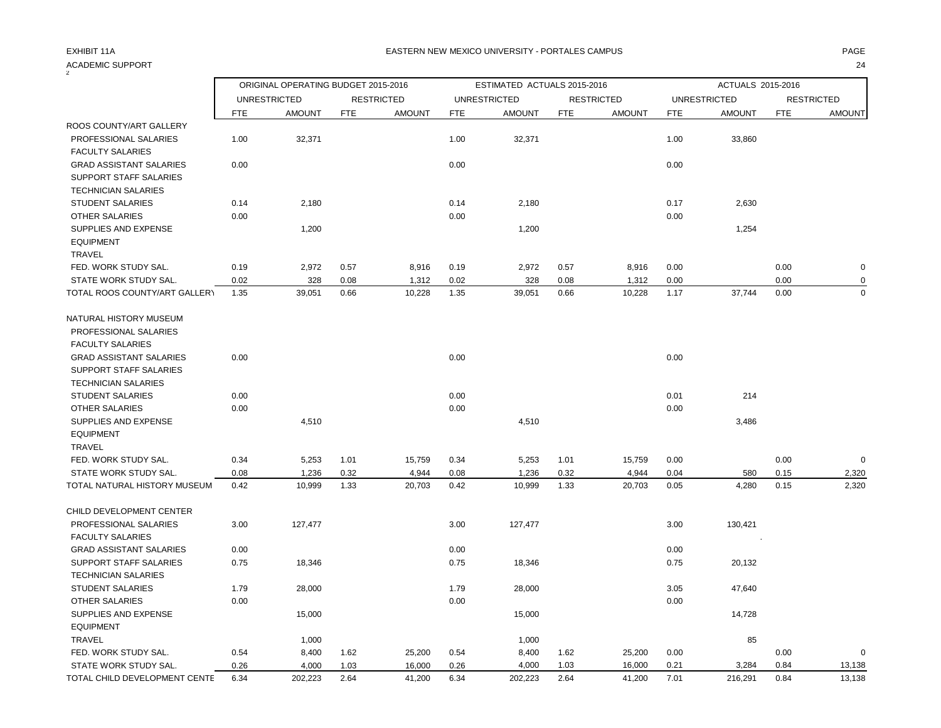## ACADEMIC SUPPORT 24<br>2

|                                          |      | ORIGINAL OPERATING BUDGET 2015-2016 |      |                   |            | ESTIMATED ACTUALS 2015-2016 |            |                   |            | ACTUALS 2015-2016   |      |                   |
|------------------------------------------|------|-------------------------------------|------|-------------------|------------|-----------------------------|------------|-------------------|------------|---------------------|------|-------------------|
|                                          |      | <b>UNRESTRICTED</b>                 |      | <b>RESTRICTED</b> |            | <b>UNRESTRICTED</b>         |            | <b>RESTRICTED</b> |            | <b>UNRESTRICTED</b> |      | <b>RESTRICTED</b> |
|                                          | FTE  | <b>AMOUNT</b>                       | FTE  | <b>AMOUNT</b>     | <b>FTE</b> | <b>AMOUNT</b>               | <b>FTE</b> | <b>AMOUNT</b>     | <b>FTE</b> | <b>AMOUNT</b>       | FTE  | <b>AMOUNT</b>     |
| ROOS COUNTY/ART GALLERY                  |      |                                     |      |                   |            |                             |            |                   |            |                     |      |                   |
| PROFESSIONAL SALARIES                    | 1.00 | 32,371                              |      |                   | 1.00       | 32,371                      |            |                   | 1.00       | 33,860              |      |                   |
| <b>FACULTY SALARIES</b>                  |      |                                     |      |                   |            |                             |            |                   |            |                     |      |                   |
| <b>GRAD ASSISTANT SALARIES</b>           | 0.00 |                                     |      |                   | 0.00       |                             |            |                   | 0.00       |                     |      |                   |
| SUPPORT STAFF SALARIES                   |      |                                     |      |                   |            |                             |            |                   |            |                     |      |                   |
| <b>TECHNICIAN SALARIES</b>               |      |                                     |      |                   |            |                             |            |                   |            |                     |      |                   |
| <b>STUDENT SALARIES</b>                  | 0.14 | 2,180                               |      |                   | 0.14       | 2,180                       |            |                   | 0.17       | 2,630               |      |                   |
| <b>OTHER SALARIES</b>                    | 0.00 |                                     |      |                   | 0.00       |                             |            |                   | 0.00       |                     |      |                   |
| SUPPLIES AND EXPENSE                     |      | 1,200                               |      |                   |            | 1,200                       |            |                   |            | 1,254               |      |                   |
| <b>EQUIPMENT</b>                         |      |                                     |      |                   |            |                             |            |                   |            |                     |      |                   |
| <b>TRAVEL</b>                            |      |                                     |      |                   |            |                             |            |                   |            |                     |      |                   |
| FED. WORK STUDY SAL.                     | 0.19 | 2,972                               | 0.57 | 8,916             | 0.19       | 2,972                       | 0.57       | 8,916             | 0.00       |                     | 0.00 | 0                 |
| STATE WORK STUDY SAL.                    | 0.02 | 328                                 | 0.08 | 1,312             | 0.02       | 328                         | 0.08       | 1,312             | 0.00       |                     | 0.00 | $\Omega$          |
| TOTAL ROOS COUNTY/ART GALLERY            | 1.35 | 39,051                              | 0.66 | 10,228            | 1.35       | 39,051                      | 0.66       | 10,228            | 1.17       | 37,744              | 0.00 | $\mathbf 0$       |
| NATURAL HISTORY MUSEUM                   |      |                                     |      |                   |            |                             |            |                   |            |                     |      |                   |
| PROFESSIONAL SALARIES                    |      |                                     |      |                   |            |                             |            |                   |            |                     |      |                   |
| <b>FACULTY SALARIES</b>                  |      |                                     |      |                   |            |                             |            |                   |            |                     |      |                   |
| <b>GRAD ASSISTANT SALARIES</b>           | 0.00 |                                     |      |                   | 0.00       |                             |            |                   | 0.00       |                     |      |                   |
| SUPPORT STAFF SALARIES                   |      |                                     |      |                   |            |                             |            |                   |            |                     |      |                   |
| <b>TECHNICIAN SALARIES</b>               |      |                                     |      |                   |            |                             |            |                   |            |                     |      |                   |
| <b>STUDENT SALARIES</b>                  | 0.00 |                                     |      |                   | 0.00       |                             |            |                   | 0.01       | 214                 |      |                   |
| <b>OTHER SALARIES</b>                    | 0.00 |                                     |      |                   | 0.00       |                             |            |                   | 0.00       |                     |      |                   |
| SUPPLIES AND EXPENSE                     |      | 4,510                               |      |                   |            | 4,510                       |            |                   |            | 3,486               |      |                   |
| <b>EQUIPMENT</b>                         |      |                                     |      |                   |            |                             |            |                   |            |                     |      |                   |
| <b>TRAVEL</b>                            |      |                                     |      |                   |            |                             |            |                   |            |                     |      |                   |
| FED. WORK STUDY SAL.                     | 0.34 | 5,253                               | 1.01 | 15,759            | 0.34       | 5,253                       | 1.01       | 15,759            | 0.00       |                     | 0.00 | $\Omega$          |
| STATE WORK STUDY SAL.                    | 0.08 | 1,236                               | 0.32 | 4,944             | 0.08       | 1,236                       | 0.32       | 4,944             | 0.04       | 580                 | 0.15 | 2,320             |
| TOTAL NATURAL HISTORY MUSEUM             | 0.42 | 10,999                              | 1.33 | 20,703            | 0.42       | 10,999                      | 1.33       | 20,703            | 0.05       | 4,280               | 0.15 | 2,320             |
| CHILD DEVELOPMENT CENTER                 |      |                                     |      |                   |            |                             |            |                   |            |                     |      |                   |
| PROFESSIONAL SALARIES                    | 3.00 | 127,477                             |      |                   | 3.00       | 127,477                     |            |                   | 3.00       | 130,421             |      |                   |
| <b>FACULTY SALARIES</b>                  |      |                                     |      |                   |            |                             |            |                   |            |                     |      |                   |
| <b>GRAD ASSISTANT SALARIES</b>           | 0.00 |                                     |      |                   | 0.00       |                             |            |                   | 0.00       |                     |      |                   |
| SUPPORT STAFF SALARIES                   | 0.75 | 18,346                              |      |                   | 0.75       | 18,346                      |            |                   | 0.75       | 20,132              |      |                   |
| <b>TECHNICIAN SALARIES</b>               |      |                                     |      |                   |            |                             |            |                   |            |                     |      |                   |
| STUDENT SALARIES                         | 1.79 | 28,000                              |      |                   | 1.79       | 28,000                      |            |                   | 3.05       | 47,640              |      |                   |
| OTHER SALARIES                           | 0.00 |                                     |      |                   | 0.00       |                             |            |                   | 0.00       |                     |      |                   |
| SUPPLIES AND EXPENSE<br><b>EQUIPMENT</b> |      | 15,000                              |      |                   |            | 15,000                      |            |                   |            | 14,728              |      |                   |
| <b>TRAVEL</b>                            |      | 1.000                               |      |                   |            | 1.000                       |            |                   |            | 85                  |      |                   |
|                                          |      |                                     |      |                   |            |                             |            |                   |            |                     |      |                   |

 FED. WORK STUDY SAL. 0.54 8,400 1.62 25,200 0.54 8,400 1.62 25,200 0.00 0.00 0 STATE WORK STUDY SAL. 0.26 4,000 1.03 16,000 0.26 4,000 1.03 16,000 0.21 3,284 0.84 13,138 TOTAL CHILD DEVELOPMENT CENTE 6.34 202,223 2.64 41,200 6.34 202,223 2.64 41,200 7.01 216,291 0.84 13,138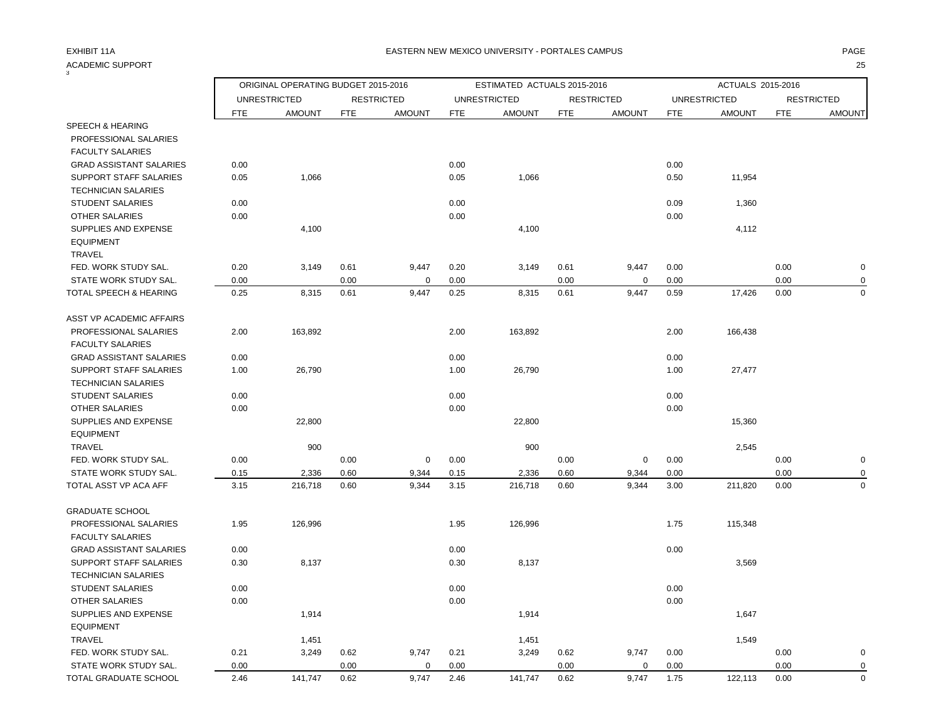| <b>ACADEMIC SUPPORT</b>        |            |                                     |            |                   |            |                             |            |                   | 25         |                     |            |                   |  |
|--------------------------------|------------|-------------------------------------|------------|-------------------|------------|-----------------------------|------------|-------------------|------------|---------------------|------------|-------------------|--|
|                                |            | ORIGINAL OPERATING BUDGET 2015-2016 |            |                   |            | ESTIMATED ACTUALS 2015-2016 |            |                   |            | ACTUALS 2015-2016   |            |                   |  |
|                                |            | <b>UNRESTRICTED</b>                 |            | <b>RESTRICTED</b> |            | <b>UNRESTRICTED</b>         |            | <b>RESTRICTED</b> |            | <b>UNRESTRICTED</b> |            | <b>RESTRICTED</b> |  |
|                                | <b>FTE</b> | <b>AMOUNT</b>                       | <b>FTE</b> | <b>AMOUNT</b>     | <b>FTE</b> | <b>AMOUNT</b>               | <b>FTE</b> | <b>AMOUNT</b>     | <b>FTE</b> | <b>AMOUNT</b>       | <b>FTE</b> | <b>AMOUNT</b>     |  |
| SPEECH & HEARING               |            |                                     |            |                   |            |                             |            |                   |            |                     |            |                   |  |
| PROFESSIONAL SALARIES          |            |                                     |            |                   |            |                             |            |                   |            |                     |            |                   |  |
| <b>FACULTY SALARIES</b>        |            |                                     |            |                   |            |                             |            |                   |            |                     |            |                   |  |
| <b>GRAD ASSISTANT SALARIES</b> | 0.00       |                                     |            |                   | 0.00       |                             |            |                   | 0.00       |                     |            |                   |  |
| <b>SUPPORT STAFF SALARIES</b>  | 0.05       | 1,066                               |            |                   | 0.05       | 1,066                       |            |                   | 0.50       | 11,954              |            |                   |  |
| <b>TECHNICIAN SALARIES</b>     |            |                                     |            |                   |            |                             |            |                   |            |                     |            |                   |  |
| <b>STUDENT SALARIES</b>        | 0.00       |                                     |            |                   | 0.00       |                             |            |                   | 0.09       | 1,360               |            |                   |  |
| <b>OTHER SALARIES</b>          | 0.00       |                                     |            |                   | 0.00       |                             |            |                   | 0.00       |                     |            |                   |  |
| SUPPLIES AND EXPENSE           |            | 4,100                               |            |                   |            | 4,100                       |            |                   |            | 4,112               |            |                   |  |
| <b>EQUIPMENT</b>               |            |                                     |            |                   |            |                             |            |                   |            |                     |            |                   |  |
| <b>TRAVEL</b>                  |            |                                     |            |                   |            |                             |            |                   |            |                     |            |                   |  |
| FED. WORK STUDY SAL.           | 0.20       | 3,149                               | 0.61       | 9,447             | 0.20       | 3,149                       | 0.61       | 9,447             | 0.00       |                     | 0.00       | $\pmb{0}$         |  |
| STATE WORK STUDY SAL.          | 0.00       |                                     | 0.00       | $\mathbf 0$       | 0.00       |                             | 0.00       | $\mathbf 0$       | 0.00       |                     | 0.00       | $\mathbf 0$       |  |
| TOTAL SPEECH & HEARING         | 0.25       | 8,315                               | 0.61       | 9,447             | 0.25       | 8,315                       | 0.61       | 9,447             | 0.59       | 17,426              | 0.00       | $\mathbf 0$       |  |
| ASST VP ACADEMIC AFFAIRS       |            |                                     |            |                   |            |                             |            |                   |            |                     |            |                   |  |
| PROFESSIONAL SALARIES          | 2.00       | 163,892                             |            |                   | 2.00       | 163,892                     |            |                   | 2.00       | 166,438             |            |                   |  |
| <b>FACULTY SALARIES</b>        |            |                                     |            |                   |            |                             |            |                   |            |                     |            |                   |  |
| <b>GRAD ASSISTANT SALARIES</b> | 0.00       |                                     |            |                   | 0.00       |                             |            |                   | 0.00       |                     |            |                   |  |
| <b>SUPPORT STAFF SALARIES</b>  | 1.00       | 26,790                              |            |                   | 1.00       | 26,790                      |            |                   | 1.00       | 27,477              |            |                   |  |
| <b>TECHNICIAN SALARIES</b>     |            |                                     |            |                   |            |                             |            |                   |            |                     |            |                   |  |
| STUDENT SALARIES               | 0.00       |                                     |            |                   | 0.00       |                             |            |                   | 0.00       |                     |            |                   |  |
| OTHER SALARIES                 | 0.00       |                                     |            |                   | 0.00       |                             |            |                   | 0.00       |                     |            |                   |  |
| SUPPLIES AND EXPENSE           |            | 22,800                              |            |                   |            | 22,800                      |            |                   |            | 15,360              |            |                   |  |
| <b>EQUIPMENT</b>               |            |                                     |            |                   |            |                             |            |                   |            |                     |            |                   |  |
| <b>TRAVEL</b>                  |            | 900                                 |            |                   |            | 900                         |            |                   |            | 2,545               |            |                   |  |
| FED. WORK STUDY SAL.           | 0.00       |                                     | 0.00       | $\mathbf 0$       | 0.00       |                             | 0.00       | $\mathbf 0$       | 0.00       |                     | 0.00       | $\mathbf 0$       |  |
| STATE WORK STUDY SAL.          | 0.15       | 2,336                               | 0.60       | 9,344             | 0.15       | 2,336                       | 0.60       | 9,344             | 0.00       |                     | 0.00       | 0                 |  |
| TOTAL ASST VP ACA AFF          | 3.15       | 216,718                             | 0.60       | 9,344             | 3.15       | 216,718                     | 0.60       | 9,344             | 3.00       | 211,820             | 0.00       | $\mathbf 0$       |  |
| <b>GRADUATE SCHOOL</b>         |            |                                     |            |                   |            |                             |            |                   |            |                     |            |                   |  |
| PROFESSIONAL SALARIES          | 1.95       | 126,996                             |            |                   | 1.95       | 126,996                     |            |                   | 1.75       | 115,348             |            |                   |  |
| <b>FACULTY SALARIES</b>        |            |                                     |            |                   |            |                             |            |                   |            |                     |            |                   |  |
| <b>GRAD ASSISTANT SALARIES</b> | 0.00       |                                     |            |                   | 0.00       |                             |            |                   | 0.00       |                     |            |                   |  |
| <b>SUPPORT STAFF SALARIES</b>  | 0.30       | 8,137                               |            |                   | 0.30       | 8,137                       |            |                   |            | 3,569               |            |                   |  |
| <b>TECHNICIAN SALARIES</b>     |            |                                     |            |                   |            |                             |            |                   |            |                     |            |                   |  |
| <b>STUDENT SALARIES</b>        | 0.00       |                                     |            |                   | 0.00       |                             |            |                   | 0.00       |                     |            |                   |  |
| <b>OTHER SALARIES</b>          | 0.00       |                                     |            |                   | 0.00       |                             |            |                   | 0.00       |                     |            |                   |  |
| SUPPLIES AND EXPENSE           |            | 1,914                               |            |                   |            | 1,914                       |            |                   |            | 1,647               |            |                   |  |
| <b>EQUIPMENT</b>               |            |                                     |            |                   |            |                             |            |                   |            |                     |            |                   |  |
| <b>TRAVEL</b>                  |            | 1,451                               |            |                   |            | 1,451                       |            |                   |            | 1,549               |            |                   |  |
| FED. WORK STUDY SAL.           | 0.21       | 3,249                               | 0.62       | 9,747             | 0.21       | 3,249                       | 0.62       | 9,747             | 0.00       |                     | 0.00       | $\mathbf 0$       |  |
| STATE WORK STUDY SAL.          | 0.00       |                                     | 0.00       | $\mathbf 0$       | 0.00       |                             | 0.00       | $\mathbf 0$       | 0.00       |                     | 0.00       | $\mathbf 0$       |  |
| TOTAL GRADUATE SCHOOL          | 2.46       | 141,747                             | 0.62       | 9.747             | 2.46       | 141,747                     | 0.62       | 9,747             | 1.75       | 122,113             | 0.00       | $\mathbf 0$       |  |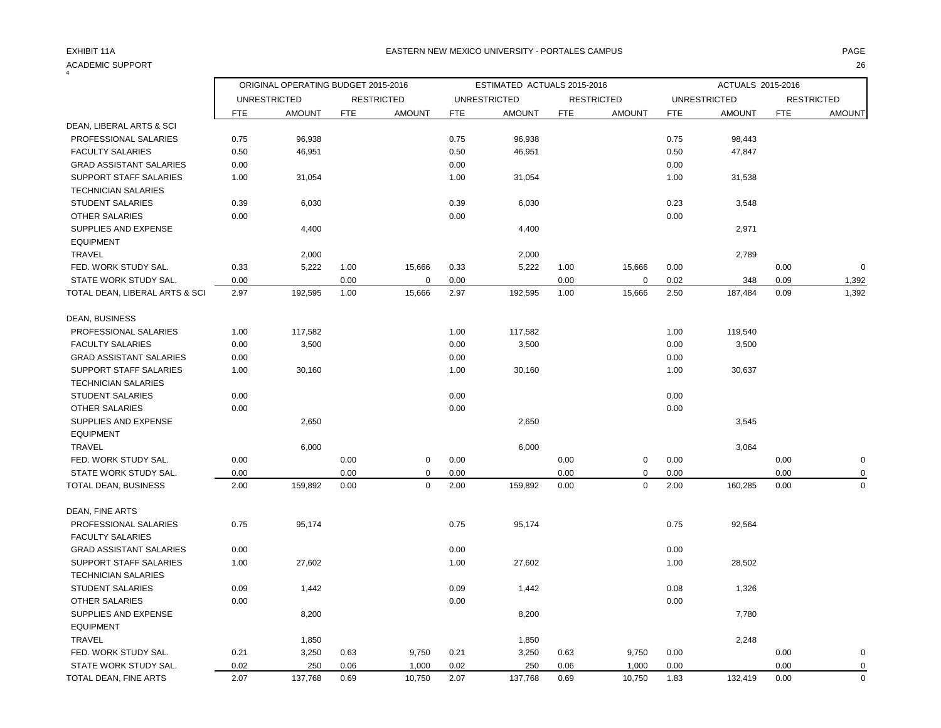| <b>ACADEMIC SUPPORT</b>        |            |                                     |            |                   |            |                             |            |                   |            |                     |            | 26                |
|--------------------------------|------------|-------------------------------------|------------|-------------------|------------|-----------------------------|------------|-------------------|------------|---------------------|------------|-------------------|
|                                |            | ORIGINAL OPERATING BUDGET 2015-2016 |            |                   |            | ESTIMATED ACTUALS 2015-2016 |            |                   |            | ACTUALS 2015-2016   |            |                   |
|                                |            | <b>UNRESTRICTED</b>                 |            | <b>RESTRICTED</b> |            | <b>UNRESTRICTED</b>         |            | <b>RESTRICTED</b> |            | <b>UNRESTRICTED</b> |            | <b>RESTRICTED</b> |
|                                | <b>FTE</b> | <b>AMOUNT</b>                       | <b>FTE</b> | <b>AMOUNT</b>     | <b>FTE</b> | <b>AMOUNT</b>               | <b>FTE</b> | <b>AMOUNT</b>     | <b>FTE</b> | <b>AMOUNT</b>       | <b>FTE</b> | <b>AMOUNT</b>     |
| DEAN, LIBERAL ARTS & SCI       |            |                                     |            |                   |            |                             |            |                   |            |                     |            |                   |
| PROFESSIONAL SALARIES          | 0.75       | 96,938                              |            |                   | 0.75       | 96,938                      |            |                   | 0.75       | 98,443              |            |                   |
| <b>FACULTY SALARIES</b>        | 0.50       | 46,951                              |            |                   | 0.50       | 46,951                      |            |                   | 0.50       | 47,847              |            |                   |
| <b>GRAD ASSISTANT SALARIES</b> | 0.00       |                                     |            |                   | 0.00       |                             |            |                   | 0.00       |                     |            |                   |
| SUPPORT STAFF SALARIES         | 1.00       | 31,054                              |            |                   | 1.00       | 31,054                      |            |                   | 1.00       | 31,538              |            |                   |
| <b>TECHNICIAN SALARIES</b>     |            |                                     |            |                   |            |                             |            |                   |            |                     |            |                   |
| STUDENT SALARIES               | 0.39       | 6,030                               |            |                   | 0.39       | 6,030                       |            |                   | 0.23       | 3,548               |            |                   |
| <b>OTHER SALARIES</b>          | 0.00       |                                     |            |                   | 0.00       |                             |            |                   | 0.00       |                     |            |                   |
| SUPPLIES AND EXPENSE           |            | 4,400                               |            |                   |            | 4,400                       |            |                   |            | 2,971               |            |                   |
| <b>EQUIPMENT</b>               |            |                                     |            |                   |            |                             |            |                   |            |                     |            |                   |
| <b>TRAVEL</b>                  |            | 2,000                               |            |                   |            | 2,000                       |            |                   |            | 2,789               |            |                   |
| FED. WORK STUDY SAL.           | 0.33       | 5,222                               | 1.00       | 15,666            | 0.33       | 5,222                       | 1.00       | 15,666            | 0.00       |                     | 0.00       | $\mathbf 0$       |
| STATE WORK STUDY SAL.          | 0.00       |                                     | 0.00       | $\mathbf 0$       | 0.00       |                             | 0.00       | $\mathbf 0$       | 0.02       | 348                 | 0.09       | 1,392             |
| TOTAL DEAN, LIBERAL ARTS & SCI | 2.97       | 192,595                             | 1.00       | 15,666            | 2.97       | 192,595                     | 1.00       | 15,666            | 2.50       | 187,484             | 0.09       | 1,392             |
| DEAN, BUSINESS                 |            |                                     |            |                   |            |                             |            |                   |            |                     |            |                   |
| PROFESSIONAL SALARIES          | 1.00       | 117,582                             |            |                   | 1.00       | 117,582                     |            |                   | 1.00       | 119,540             |            |                   |
| <b>FACULTY SALARIES</b>        | 0.00       | 3,500                               |            |                   | 0.00       | 3,500                       |            |                   | 0.00       | 3,500               |            |                   |
| <b>GRAD ASSISTANT SALARIES</b> | 0.00       |                                     |            |                   | 0.00       |                             |            |                   | 0.00       |                     |            |                   |
| SUPPORT STAFF SALARIES         | 1.00       | 30,160                              |            |                   | 1.00       | 30,160                      |            |                   | 1.00       | 30,637              |            |                   |
| <b>TECHNICIAN SALARIES</b>     |            |                                     |            |                   |            |                             |            |                   |            |                     |            |                   |
| <b>STUDENT SALARIES</b>        | 0.00       |                                     |            |                   | 0.00       |                             |            |                   | 0.00       |                     |            |                   |
| OTHER SALARIES                 | 0.00       |                                     |            |                   | 0.00       |                             |            |                   | 0.00       |                     |            |                   |
| SUPPLIES AND EXPENSE           |            | 2,650                               |            |                   |            | 2,650                       |            |                   |            | 3,545               |            |                   |
| <b>EQUIPMENT</b>               |            |                                     |            |                   |            |                             |            |                   |            |                     |            |                   |
| <b>TRAVEL</b>                  |            | 6,000                               |            |                   |            | 6,000                       |            |                   |            | 3,064               |            |                   |
| FED. WORK STUDY SAL.           | 0.00       |                                     | 0.00       | 0                 | 0.00       |                             | 0.00       | 0                 | 0.00       |                     | 0.00       | $\mathbf 0$       |
| STATE WORK STUDY SAL.          | 0.00       |                                     | 0.00       | $\mathbf 0$       | 0.00       |                             | 0.00       | $\mathbf 0$       | 0.00       |                     | 0.00       | $\mathbf 0$       |
| TOTAL DEAN, BUSINESS           | 2.00       | 159,892                             | 0.00       | $\mathbf 0$       | 2.00       | 159,892                     | 0.00       | $\mathbf 0$       | 2.00       | 160,285             | 0.00       | $\mathbf 0$       |
| DEAN, FINE ARTS                |            |                                     |            |                   |            |                             |            |                   |            |                     |            |                   |
| PROFESSIONAL SALARIES          | 0.75       | 95,174                              |            |                   | 0.75       | 95,174                      |            |                   | 0.75       | 92,564              |            |                   |
| <b>FACULTY SALARIES</b>        |            |                                     |            |                   |            |                             |            |                   |            |                     |            |                   |
| <b>GRAD ASSISTANT SALARIES</b> | 0.00       |                                     |            |                   | 0.00       |                             |            |                   | 0.00       |                     |            |                   |
| <b>SUPPORT STAFF SALARIES</b>  | 1.00       | 27,602                              |            |                   | 1.00       | 27,602                      |            |                   | 1.00       | 28,502              |            |                   |
| <b>TECHNICIAN SALARIES</b>     |            |                                     |            |                   |            |                             |            |                   |            |                     |            |                   |
| <b>STUDENT SALARIES</b>        | 0.09       | 1,442                               |            |                   | 0.09       | 1,442                       |            |                   | 0.08       | 1,326               |            |                   |
| <b>OTHER SALARIES</b>          | 0.00       |                                     |            |                   | 0.00       |                             |            |                   | 0.00       |                     |            |                   |
| SUPPLIES AND EXPENSE           |            | 8,200                               |            |                   |            | 8,200                       |            |                   |            | 7,780               |            |                   |
| <b>EQUIPMENT</b>               |            |                                     |            |                   |            |                             |            |                   |            |                     |            |                   |
| <b>TRAVEL</b>                  |            | 1,850                               |            |                   |            | 1,850                       |            |                   |            | 2,248               |            |                   |
| FED. WORK STUDY SAL.           | 0.21       | 3,250                               | 0.63       | 9,750             | 0.21       | 3,250                       | 0.63       | 9,750             | 0.00       |                     | 0.00       | $\mathbf 0$       |
| STATE WORK STUDY SAL.          | 0.02       | 250                                 | 0.06       | 1,000             | 0.02       | 250                         | 0.06       | 1,000             | 0.00       |                     | 0.00       | $\mathbf 0$       |
| TOTAL DEAN, FINE ARTS          | 2.07       | 137,768                             | 0.69       | 10,750            | 2.07       | 137,768                     | 0.69       | 10,750            | 1.83       | 132,419             | 0.00       | $\mathbf 0$       |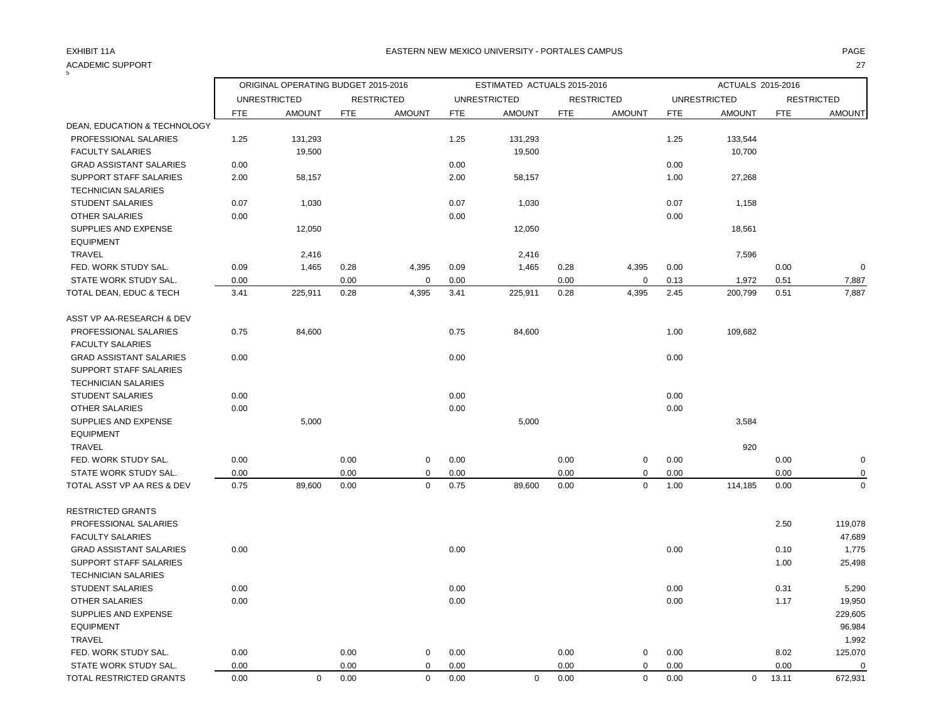| ACADEMIC SUPPORT               |            |                                     |            |                   |            |                             |            | 27                |            |                     |            |                   |  |
|--------------------------------|------------|-------------------------------------|------------|-------------------|------------|-----------------------------|------------|-------------------|------------|---------------------|------------|-------------------|--|
|                                |            | ORIGINAL OPERATING BUDGET 2015-2016 |            |                   |            | ESTIMATED ACTUALS 2015-2016 |            |                   |            | ACTUALS 2015-2016   |            |                   |  |
|                                |            | <b>UNRESTRICTED</b>                 |            | <b>RESTRICTED</b> |            | <b>UNRESTRICTED</b>         |            | <b>RESTRICTED</b> |            | <b>UNRESTRICTED</b> |            | <b>RESTRICTED</b> |  |
|                                | <b>FTE</b> | <b>AMOUNT</b>                       | <b>FTE</b> | <b>AMOUNT</b>     | <b>FTE</b> | <b>AMOUNT</b>               | <b>FTE</b> | <b>AMOUNT</b>     | <b>FTE</b> | <b>AMOUNT</b>       | <b>FTE</b> | <b>AMOUNT</b>     |  |
| DEAN, EDUCATION & TECHNOLOGY   |            |                                     |            |                   |            |                             |            |                   |            |                     |            |                   |  |
| PROFESSIONAL SALARIES          | 1.25       | 131,293                             |            |                   | 1.25       | 131,293                     |            |                   | 1.25       | 133,544             |            |                   |  |
| <b>FACULTY SALARIES</b>        |            | 19,500                              |            |                   |            | 19,500                      |            |                   |            | 10,700              |            |                   |  |
| <b>GRAD ASSISTANT SALARIES</b> | 0.00       |                                     |            |                   | 0.00       |                             |            |                   | 0.00       |                     |            |                   |  |
| <b>SUPPORT STAFF SALARIES</b>  | 2.00       | 58,157                              |            |                   | 2.00       | 58,157                      |            |                   | 1.00       | 27,268              |            |                   |  |
| <b>TECHNICIAN SALARIES</b>     |            |                                     |            |                   |            |                             |            |                   |            |                     |            |                   |  |
| <b>STUDENT SALARIES</b>        | 0.07       | 1,030                               |            |                   | 0.07       | 1,030                       |            |                   | 0.07       | 1,158               |            |                   |  |
| OTHER SALARIES                 | 0.00       |                                     |            |                   | 0.00       |                             |            |                   | 0.00       |                     |            |                   |  |
| SUPPLIES AND EXPENSE           |            | 12,050                              |            |                   |            | 12,050                      |            |                   |            | 18,561              |            |                   |  |
| <b>EQUIPMENT</b>               |            |                                     |            |                   |            |                             |            |                   |            |                     |            |                   |  |
| <b>TRAVEL</b>                  |            | 2,416                               |            |                   |            | 2,416                       |            |                   |            | 7,596               |            |                   |  |
| FED. WORK STUDY SAL.           | 0.09       | 1,465                               | 0.28       | 4,395             | 0.09       | 1,465                       | 0.28       | 4,395             | 0.00       |                     | 0.00       | $\mathbf 0$       |  |
| STATE WORK STUDY SAL.          | 0.00       |                                     | 0.00       | $\Omega$          | 0.00       |                             | 0.00       | $\mathbf 0$       | 0.13       | 1,972               | 0.51       | 7,887             |  |
| TOTAL DEAN, EDUC & TECH        | 3.41       | 225,911                             | 0.28       | 4,395             | 3.41       | 225,911                     | 0.28       | 4,395             | 2.45       | 200,799             | 0.51       | 7,887             |  |
| ASST VP AA-RESEARCH & DEV      |            |                                     |            |                   |            |                             |            |                   |            |                     |            |                   |  |
| PROFESSIONAL SALARIES          | 0.75       | 84,600                              |            |                   | 0.75       | 84,600                      |            |                   | 1.00       | 109,682             |            |                   |  |
| <b>FACULTY SALARIES</b>        |            |                                     |            |                   |            |                             |            |                   |            |                     |            |                   |  |
| <b>GRAD ASSISTANT SALARIES</b> | 0.00       |                                     |            |                   | 0.00       |                             |            |                   | 0.00       |                     |            |                   |  |
| <b>SUPPORT STAFF SALARIES</b>  |            |                                     |            |                   |            |                             |            |                   |            |                     |            |                   |  |
| <b>TECHNICIAN SALARIES</b>     |            |                                     |            |                   |            |                             |            |                   |            |                     |            |                   |  |
| <b>STUDENT SALARIES</b>        | 0.00       |                                     |            |                   | 0.00       |                             |            |                   | 0.00       |                     |            |                   |  |
| OTHER SALARIES                 | 0.00       |                                     |            |                   | 0.00       |                             |            |                   | 0.00       |                     |            |                   |  |
| SUPPLIES AND EXPENSE           |            | 5,000                               |            |                   |            | 5,000                       |            |                   |            | 3,584               |            |                   |  |
| <b>EQUIPMENT</b>               |            |                                     |            |                   |            |                             |            |                   |            |                     |            |                   |  |
| <b>TRAVEL</b>                  |            |                                     |            |                   |            |                             |            |                   |            | 920                 |            |                   |  |
| FED. WORK STUDY SAL.           | 0.00       |                                     | 0.00       | $\mathbf 0$       | 0.00       |                             | 0.00       | $\mathsf 0$       | 0.00       |                     | 0.00       | $\mathbf 0$       |  |
| STATE WORK STUDY SAL.          | 0.00       |                                     | 0.00       | 0                 | 0.00       |                             | 0.00       | $\mathbf 0$       | 0.00       |                     | 0.00       | $\mathbf 0$       |  |
| TOTAL ASST VP AA RES & DEV     | 0.75       | 89,600                              | 0.00       | $\mathbf 0$       | 0.75       | 89,600                      | 0.00       | $\mathbf 0$       | 1.00       | 114,185             | 0.00       | $\mathbf 0$       |  |
| <b>RESTRICTED GRANTS</b>       |            |                                     |            |                   |            |                             |            |                   |            |                     |            |                   |  |
| PROFESSIONAL SALARIES          |            |                                     |            |                   |            |                             |            |                   |            |                     | 2.50       | 119,078           |  |
| <b>FACULTY SALARIES</b>        |            |                                     |            |                   |            |                             |            |                   |            |                     |            | 47,689            |  |
| <b>GRAD ASSISTANT SALARIES</b> | 0.00       |                                     |            |                   | 0.00       |                             |            |                   | 0.00       |                     | 0.10       | 1,775             |  |
| <b>SUPPORT STAFF SALARIES</b>  |            |                                     |            |                   |            |                             |            |                   |            |                     | 1.00       | 25,498            |  |
| <b>TECHNICIAN SALARIES</b>     |            |                                     |            |                   |            |                             |            |                   |            |                     |            |                   |  |
| <b>STUDENT SALARIES</b>        | 0.00       |                                     |            |                   | 0.00       |                             |            |                   | 0.00       |                     | 0.31       | 5,290             |  |
| <b>OTHER SALARIES</b>          | 0.00       |                                     |            |                   | 0.00       |                             |            |                   | 0.00       |                     | 1.17       | 19,950            |  |
| SUPPLIES AND EXPENSE           |            |                                     |            |                   |            |                             |            |                   |            |                     |            | 229,605           |  |
| <b>EQUIPMENT</b>               |            |                                     |            |                   |            |                             |            |                   |            |                     |            | 96,984            |  |
| <b>TRAVEL</b>                  |            |                                     |            |                   |            |                             |            |                   |            |                     |            | 1,992             |  |
| FED. WORK STUDY SAL.           | 0.00       |                                     | 0.00       | $\mathbf 0$       | 0.00       |                             | 0.00       | 0                 | 0.00       |                     | 8.02       | 125,070           |  |
| STATE WORK STUDY SAL.          | 0.00       |                                     | 0.00       | $\mathbf 0$       | 0.00       |                             | 0.00       | $\mathbf 0$       | 0.00       |                     | 0.00       | $\mathbf 0$       |  |
| TOTAL RESTRICTED GRANTS        | 0.00       | $\mathbf 0$                         | 0.00       | $\mathbf 0$       | 0.00       | $\mathbf 0$                 | 0.00       | $\mathbf 0$       | 0.00       | $\mathbf 0$         | 13.11      | 672,931           |  |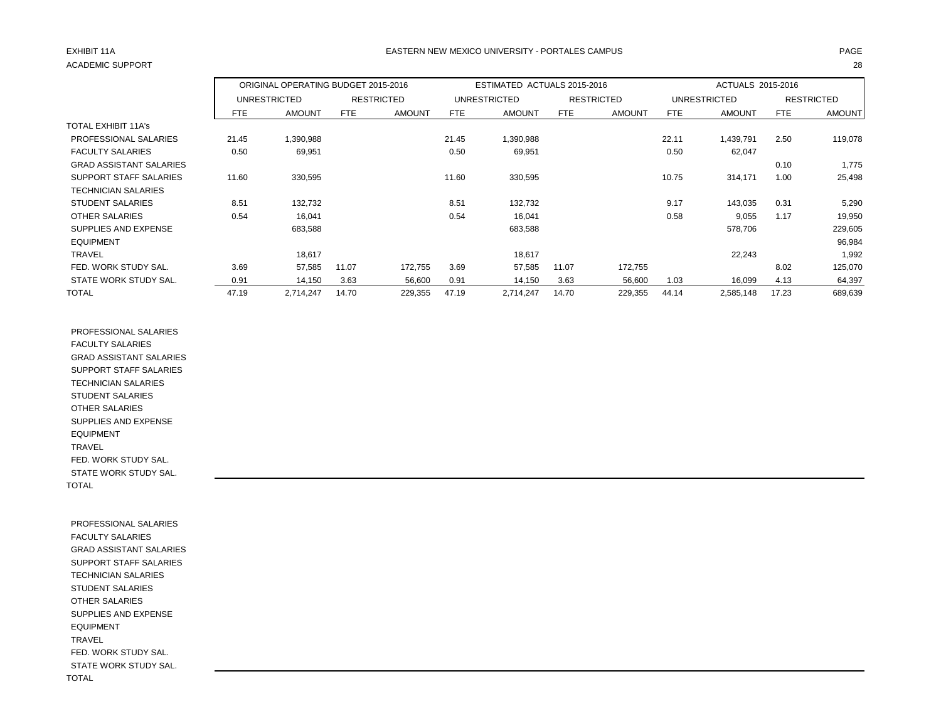# ACADEMIC SUPPORT 28

### EXHIBIT 11A PAGE EASTERN NEW MEXICO UNIVERSITY - PORTALES CAMPUS

|                                |            | ORIGINAL OPERATING BUDGET 2015-2016 |       |                   |            | ESTIMATED ACTUALS 2015-2016 |            |                   | ACTUALS 2015-2016 |                     |            |                   |
|--------------------------------|------------|-------------------------------------|-------|-------------------|------------|-----------------------------|------------|-------------------|-------------------|---------------------|------------|-------------------|
|                                |            | UNRESTRICTED                        |       | <b>RESTRICTED</b> |            | <b>UNRESTRICTED</b>         |            | <b>RESTRICTED</b> |                   | <b>UNRESTRICTED</b> |            | <b>RESTRICTED</b> |
|                                | <b>FTE</b> | <b>AMOUNT</b>                       | FTE   | <b>AMOUNT</b>     | <b>FTE</b> | <b>AMOUNT</b>               | <b>FTE</b> | <b>AMOUNT</b>     | FTE               | <b>AMOUNT</b>       | <b>FTE</b> | <b>AMOUNT</b>     |
| <b>TOTAL EXHIBIT 11A's</b>     |            |                                     |       |                   |            |                             |            |                   |                   |                     |            |                   |
| PROFESSIONAL SALARIES          | 21.45      | 1,390,988                           |       |                   | 21.45      | 1,390,988                   |            |                   | 22.11             | 1,439,791           | 2.50       | 119,078           |
| <b>FACULTY SALARIES</b>        | 0.50       | 69,951                              |       |                   | 0.50       | 69,951                      |            |                   | 0.50              | 62,047              |            |                   |
| <b>GRAD ASSISTANT SALARIES</b> |            |                                     |       |                   |            |                             |            |                   |                   |                     | 0.10       | 1,775             |
| SUPPORT STAFF SALARIES         | 11.60      | 330,595                             |       |                   | 11.60      | 330,595                     |            |                   | 10.75             | 314,171             | 1.00       | 25,498            |
| <b>TECHNICIAN SALARIES</b>     |            |                                     |       |                   |            |                             |            |                   |                   |                     |            |                   |
| <b>STUDENT SALARIES</b>        | 8.51       | 132,732                             |       |                   | 8.51       | 132,732                     |            |                   | 9.17              | 143,035             | 0.31       | 5,290             |
| <b>OTHER SALARIES</b>          | 0.54       | 16,041                              |       |                   | 0.54       | 16,041                      |            |                   | 0.58              | 9,055               | 1.17       | 19,950            |
| SUPPLIES AND EXPENSE           |            | 683,588                             |       |                   |            | 683,588                     |            |                   |                   | 578,706             |            | 229,605           |
| <b>EQUIPMENT</b>               |            |                                     |       |                   |            |                             |            |                   |                   |                     |            | 96,984            |
| <b>TRAVEL</b>                  |            | 18,617                              |       |                   |            | 18,617                      |            |                   |                   | 22,243              |            | 1,992             |
| FED. WORK STUDY SAL.           | 3.69       | 57,585                              | 11.07 | 172,755           | 3.69       | 57,585                      | 11.07      | 172,755           |                   |                     | 8.02       | 125,070           |
| STATE WORK STUDY SAL.          | 0.91       | 14,150                              | 3.63  | 56,600            | 0.91       | 14,150                      | 3.63       | 56,600            | 1.03              | 16,099              | 4.13       | 64,397            |
| <b>TOTAL</b>                   | 47.19      | 2,714,247                           | 14.70 | 229,355           | 47.19      | 2,714,247                   | 14.70      | 229,355           | 44.14             | 2,585,148           | 17.23      | 689,639           |

 PROFESSIONAL SALARIES FACULTY SALARIES GRAD ASSISTANT SALARIES SUPPORT STAFF SALARIES TECHNICIAN SALARIES STUDENT SALARIES OTHER SALARIES SUPPLIES AND EXPENSE EQUIPMENT TRAVEL FED. WORK STUDY SAL. STATE WORK STUDY SAL. TOTAL

 PROFESSIONAL SALARIES FACULTY SALARIES GRAD ASSISTANT SALARIES SUPPORT STAFF SALARIES TECHNICIAN SALARIES STUDENT SALARIES OTHER SALARIES SUPPLIES AND EXPENSE EQUIPMENT TRAVEL FED. WORK STUDY SAL. STATE WORK STUDY SAL. TOTAL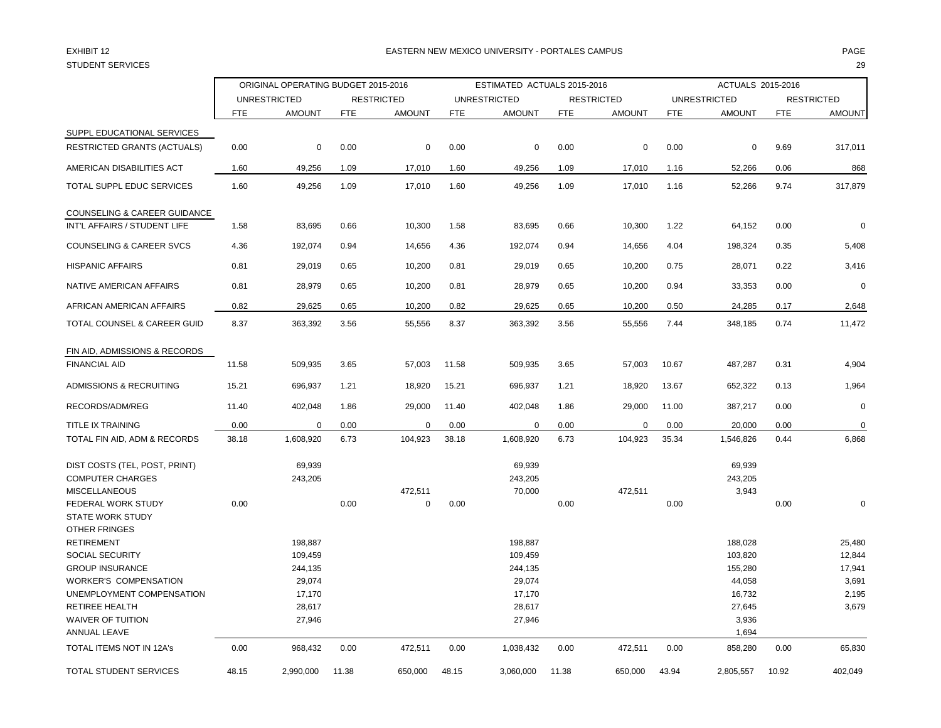# STUDENT SERVICES 29

### EXHIBIT 12 PAGE EASTERN NEW MEXICO UNIVERSITY - PORTALES CAMPUS

|                                                                                  |            | ORIGINAL OPERATING BUDGET 2015-2016 |            |                   | ESTIMATED ACTUALS 2015-2016 |                             |            |                   |            | ACTUALS 2015-2016          |            |                   |  |
|----------------------------------------------------------------------------------|------------|-------------------------------------|------------|-------------------|-----------------------------|-----------------------------|------------|-------------------|------------|----------------------------|------------|-------------------|--|
|                                                                                  |            | <b>UNRESTRICTED</b>                 |            | <b>RESTRICTED</b> |                             | <b>UNRESTRICTED</b>         |            | <b>RESTRICTED</b> |            | <b>UNRESTRICTED</b>        |            | <b>RESTRICTED</b> |  |
|                                                                                  | <b>FTE</b> | <b>AMOUNT</b>                       | <b>FTE</b> | <b>AMOUNT</b>     | <b>FTE</b>                  | <b>AMOUNT</b>               | <b>FTE</b> | <b>AMOUNT</b>     | <b>FTE</b> | <b>AMOUNT</b>              | <b>FTE</b> | <b>AMOUNT</b>     |  |
| SUPPL EDUCATIONAL SERVICES                                                       |            |                                     |            |                   |                             |                             |            |                   |            |                            |            |                   |  |
| <b>RESTRICTED GRANTS (ACTUALS)</b>                                               | 0.00       | 0                                   | 0.00       | 0                 | 0.00                        | 0                           | 0.00       | $\mathbf 0$       | 0.00       | 0                          | 9.69       | 317,011           |  |
| AMERICAN DISABILITIES ACT                                                        | 1.60       | 49,256                              | 1.09       | 17,010            | 1.60                        | 49,256                      | 1.09       | 17,010            | 1.16       | 52,266                     | 0.06       | 868               |  |
| TOTAL SUPPL EDUC SERVICES                                                        | 1.60       | 49,256                              | 1.09       | 17,010            | 1.60                        | 49,256                      | 1.09       | 17,010            | 1.16       | 52,266                     | 9.74       | 317,879           |  |
| <b>COUNSELING &amp; CAREER GUIDANCE</b><br>INT'L AFFAIRS / STUDENT LIFE          | 1.58       | 83,695                              | 0.66       | 10,300            | 1.58                        | 83,695                      | 0.66       | 10,300            | 1.22       | 64,152                     | 0.00       | $\mathbf 0$       |  |
| <b>COUNSELING &amp; CAREER SVCS</b>                                              | 4.36       | 192,074                             | 0.94       | 14,656            | 4.36                        | 192,074                     | 0.94       | 14,656            | 4.04       | 198,324                    | 0.35       | 5,408             |  |
| <b>HISPANIC AFFAIRS</b>                                                          | 0.81       | 29,019                              | 0.65       | 10,200            | 0.81                        | 29,019                      | 0.65       | 10,200            | 0.75       | 28,071                     | 0.22       | 3,416             |  |
| NATIVE AMERICAN AFFAIRS                                                          | 0.81       | 28,979                              | 0.65       | 10,200            | 0.81                        | 28,979                      | 0.65       | 10,200            | 0.94       | 33,353                     | 0.00       | $\mathbf 0$       |  |
| AFRICAN AMERICAN AFFAIRS                                                         | 0.82       | 29,625                              | 0.65       | 10,200            | 0.82                        | 29,625                      | 0.65       | 10,200            | 0.50       | 24,285                     | 0.17       | 2,648             |  |
| TOTAL COUNSEL & CAREER GUID                                                      | 8.37       | 363,392                             | 3.56       | 55,556            | 8.37                        | 363,392                     | 3.56       | 55,556            | 7.44       | 348,185                    | 0.74       | 11,472            |  |
| FIN AID, ADMISSIONS & RECORDS                                                    |            |                                     |            |                   |                             |                             |            |                   |            |                            |            |                   |  |
| <b>FINANCIAL AID</b>                                                             | 11.58      | 509,935                             | 3.65       | 57,003            | 11.58                       | 509,935                     | 3.65       | 57,003            | 10.67      | 487,287                    | 0.31       | 4,904             |  |
| ADMISSIONS & RECRUITING                                                          | 15.21      | 696,937                             | 1.21       | 18,920            | 15.21                       | 696,937                     | 1.21       | 18,920            | 13.67      | 652,322                    | 0.13       | 1,964             |  |
| RECORDS/ADM/REG                                                                  | 11.40      | 402,048                             | 1.86       | 29,000            | 11.40                       | 402,048                     | 1.86       | 29,000            | 11.00      | 387,217                    | 0.00       | $\mathbf 0$       |  |
| <b>TITLE IX TRAINING</b>                                                         | 0.00       | $\mathbf 0$                         | 0.00       | $\mathbf 0$       | 0.00                        | $\mathbf 0$                 | 0.00       | 0                 | 0.00       | 20,000                     | 0.00       | $\mathbf 0$       |  |
| TOTAL FIN AID, ADM & RECORDS                                                     | 38.18      | 1,608,920                           | 6.73       | 104,923           | 38.18                       | 1,608,920                   | 6.73       | 104,923           | 35.34      | 1,546,826                  | 0.44       | 6,868             |  |
| DIST COSTS (TEL, POST, PRINT)<br><b>COMPUTER CHARGES</b><br><b>MISCELLANEOUS</b> |            | 69,939<br>243,205                   |            | 472,511           |                             | 69,939<br>243,205<br>70,000 |            | 472,511           |            | 69,939<br>243,205<br>3,943 |            |                   |  |
| FEDERAL WORK STUDY<br><b>STATE WORK STUDY</b><br><b>OTHER FRINGES</b>            | 0.00       |                                     | 0.00       | $\mathbf 0$       | 0.00                        |                             | 0.00       |                   | 0.00       |                            | 0.00       | $\mathbf 0$       |  |
| <b>RETIREMENT</b>                                                                |            | 198,887                             |            |                   |                             | 198,887                     |            |                   |            | 188,028                    |            | 25,480            |  |
| SOCIAL SECURITY                                                                  |            | 109,459                             |            |                   |                             | 109,459                     |            |                   |            | 103,820                    |            | 12,844            |  |
| <b>GROUP INSURANCE</b>                                                           |            | 244,135                             |            |                   |                             | 244,135                     |            |                   |            | 155,280                    |            | 17,941            |  |
| <b>WORKER'S COMPENSATION</b>                                                     |            | 29,074                              |            |                   |                             | 29,074                      |            |                   |            | 44,058                     |            | 3,691             |  |
| UNEMPLOYMENT COMPENSATION<br><b>RETIREE HEALTH</b>                               |            | 17,170                              |            |                   |                             | 17,170                      |            |                   |            | 16,732                     |            | 2,195             |  |
| <b>WAIVER OF TUITION</b>                                                         |            | 28,617<br>27,946                    |            |                   |                             | 28,617<br>27,946            |            |                   |            | 27,645<br>3,936            |            | 3,679             |  |
| ANNUAL LEAVE                                                                     |            |                                     |            |                   |                             |                             |            |                   |            | 1,694                      |            |                   |  |
| TOTAL ITEMS NOT IN 12A's                                                         | 0.00       | 968,432                             | 0.00       | 472,511           | 0.00                        | 1,038,432                   | 0.00       | 472,511           | 0.00       | 858,280                    | 0.00       | 65,830            |  |
| TOTAL STUDENT SERVICES                                                           | 48.15      | 2,990,000                           | 11.38      | 650.000           | 48.15                       | 3,060,000                   | 11.38      | 650,000           | 43.94      | 2,805,557                  | 10.92      | 402,049           |  |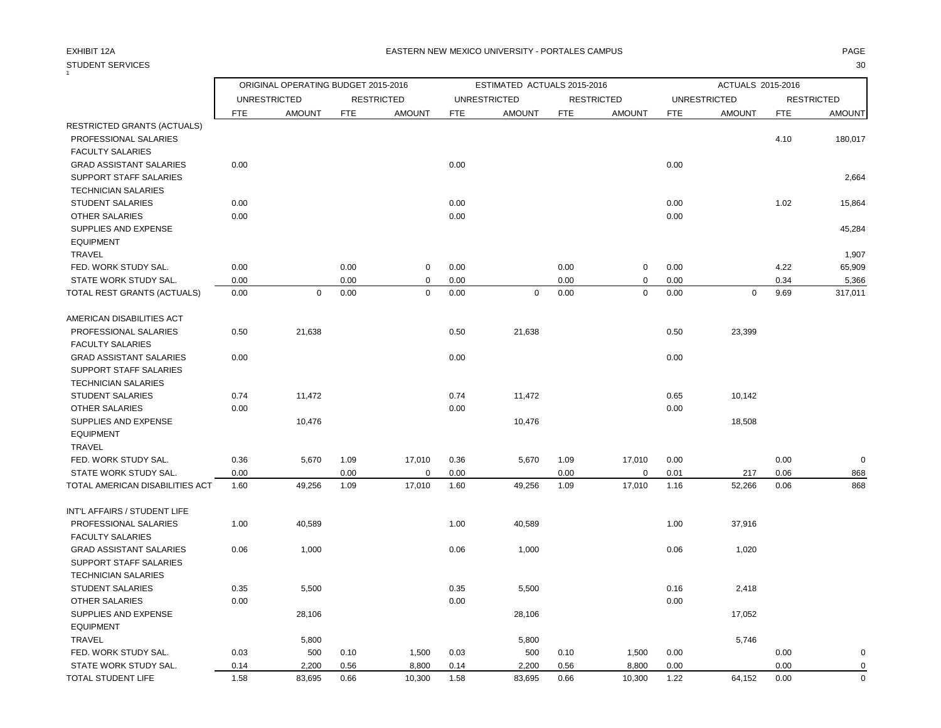#### STUDENT SERVICES 30 1

### EXHIBIT 12A PAGE EASTERN NEW MEXICO UNIVERSITY - PORTALES CAMPUS

|                                 |            | ORIGINAL OPERATING BUDGET 2015-2016 |            |                   | ESTIMATED ACTUALS 2015-2016 |                     |            |                   |            | ACTUALS 2015-2016   |            |                   |  |
|---------------------------------|------------|-------------------------------------|------------|-------------------|-----------------------------|---------------------|------------|-------------------|------------|---------------------|------------|-------------------|--|
|                                 |            | <b>UNRESTRICTED</b>                 |            | <b>RESTRICTED</b> |                             | <b>UNRESTRICTED</b> |            | <b>RESTRICTED</b> |            | <b>UNRESTRICTED</b> |            | <b>RESTRICTED</b> |  |
|                                 | <b>FTE</b> | <b>AMOUNT</b>                       | <b>FTE</b> | <b>AMOUNT</b>     | <b>FTE</b>                  | <b>AMOUNT</b>       | <b>FTE</b> | <b>AMOUNT</b>     | <b>FTE</b> | <b>AMOUNT</b>       | <b>FTE</b> | <b>AMOUNT</b>     |  |
| RESTRICTED GRANTS (ACTUALS)     |            |                                     |            |                   |                             |                     |            |                   |            |                     |            |                   |  |
| PROFESSIONAL SALARIES           |            |                                     |            |                   |                             |                     |            |                   |            |                     | 4.10       | 180,017           |  |
| <b>FACULTY SALARIES</b>         |            |                                     |            |                   |                             |                     |            |                   |            |                     |            |                   |  |
| <b>GRAD ASSISTANT SALARIES</b>  | 0.00       |                                     |            |                   | 0.00                        |                     |            |                   | 0.00       |                     |            |                   |  |
| <b>SUPPORT STAFF SALARIES</b>   |            |                                     |            |                   |                             |                     |            |                   |            |                     |            | 2,664             |  |
| <b>TECHNICIAN SALARIES</b>      |            |                                     |            |                   |                             |                     |            |                   |            |                     |            |                   |  |
| <b>STUDENT SALARIES</b>         | 0.00       |                                     |            |                   | 0.00                        |                     |            |                   | 0.00       |                     | 1.02       | 15,864            |  |
| <b>OTHER SALARIES</b>           | 0.00       |                                     |            |                   | 0.00                        |                     |            |                   | 0.00       |                     |            |                   |  |
| SUPPLIES AND EXPENSE            |            |                                     |            |                   |                             |                     |            |                   |            |                     |            | 45,284            |  |
| <b>EQUIPMENT</b>                |            |                                     |            |                   |                             |                     |            |                   |            |                     |            |                   |  |
| <b>TRAVEL</b>                   |            |                                     |            |                   |                             |                     |            |                   |            |                     |            | 1,907             |  |
| FED. WORK STUDY SAL.            | 0.00       |                                     | 0.00       | $\mathbf 0$       | 0.00                        |                     | 0.00       | 0                 | 0.00       |                     | 4.22       | 65,909            |  |
| STATE WORK STUDY SAL.           | 0.00       |                                     | 0.00       | $\mathbf 0$       | 0.00                        |                     | 0.00       | 0                 | 0.00       |                     | 0.34       | 5,366             |  |
| TOTAL REST GRANTS (ACTUALS)     | 0.00       | $\mathbf 0$                         | 0.00       | $\mathbf 0$       | 0.00                        | $\mathbf 0$         | 0.00       | $\mathbf 0$       | 0.00       | $\mathbf 0$         | 9.69       | 317,011           |  |
| AMERICAN DISABILITIES ACT       |            |                                     |            |                   |                             |                     |            |                   |            |                     |            |                   |  |
| PROFESSIONAL SALARIES           | 0.50       | 21,638                              |            |                   | 0.50                        | 21,638              |            |                   | 0.50       | 23,399              |            |                   |  |
| <b>FACULTY SALARIES</b>         |            |                                     |            |                   |                             |                     |            |                   |            |                     |            |                   |  |
| <b>GRAD ASSISTANT SALARIES</b>  | 0.00       |                                     |            |                   | 0.00                        |                     |            |                   | 0.00       |                     |            |                   |  |
| SUPPORT STAFF SALARIES          |            |                                     |            |                   |                             |                     |            |                   |            |                     |            |                   |  |
| <b>TECHNICIAN SALARIES</b>      |            |                                     |            |                   |                             |                     |            |                   |            |                     |            |                   |  |
| <b>STUDENT SALARIES</b>         | 0.74       | 11,472                              |            |                   | 0.74                        | 11,472              |            |                   | 0.65       | 10,142              |            |                   |  |
| <b>OTHER SALARIES</b>           | 0.00       |                                     |            |                   | 0.00                        |                     |            |                   | 0.00       |                     |            |                   |  |
| SUPPLIES AND EXPENSE            |            | 10,476                              |            |                   |                             | 10,476              |            |                   |            | 18,508              |            |                   |  |
| <b>EQUIPMENT</b>                |            |                                     |            |                   |                             |                     |            |                   |            |                     |            |                   |  |
| TRAVEL                          |            |                                     |            |                   |                             |                     |            |                   |            |                     |            |                   |  |
| FED. WORK STUDY SAL.            | 0.36       | 5,670                               | 1.09       | 17,010            | 0.36                        | 5,670               | 1.09       | 17,010            | 0.00       |                     | 0.00       | $\mathbf 0$       |  |
| STATE WORK STUDY SAL.           | 0.00       |                                     | 0.00       | $\mathbf 0$       | 0.00                        |                     | 0.00       | $\mathbf 0$       | 0.01       | 217                 | 0.06       | 868               |  |
| TOTAL AMERICAN DISABILITIES ACT | 1.60       | 49,256                              | 1.09       | 17,010            | 1.60                        | 49,256              | 1.09       | 17,010            | 1.16       | 52,266              | 0.06       | 868               |  |
| INT'L AFFAIRS / STUDENT LIFE    |            |                                     |            |                   |                             |                     |            |                   |            |                     |            |                   |  |
| PROFESSIONAL SALARIES           | 1.00       | 40,589                              |            |                   | 1.00                        | 40,589              |            |                   | 1.00       | 37,916              |            |                   |  |
| <b>FACULTY SALARIES</b>         |            |                                     |            |                   |                             |                     |            |                   |            |                     |            |                   |  |
| <b>GRAD ASSISTANT SALARIES</b>  | 0.06       | 1,000                               |            |                   | 0.06                        | 1,000               |            |                   | 0.06       | 1,020               |            |                   |  |
| SUPPORT STAFF SALARIES          |            |                                     |            |                   |                             |                     |            |                   |            |                     |            |                   |  |
| <b>TECHNICIAN SALARIES</b>      |            |                                     |            |                   |                             |                     |            |                   |            |                     |            |                   |  |
| <b>STUDENT SALARIES</b>         | 0.35       | 5,500                               |            |                   | 0.35                        | 5,500               |            |                   | 0.16       | 2,418               |            |                   |  |
| <b>OTHER SALARIES</b>           | 0.00       |                                     |            |                   | 0.00                        |                     |            |                   | 0.00       |                     |            |                   |  |
| SUPPLIES AND EXPENSE            |            | 28,106                              |            |                   |                             | 28,106              |            |                   |            | 17,052              |            |                   |  |
| <b>EQUIPMENT</b>                |            |                                     |            |                   |                             |                     |            |                   |            |                     |            |                   |  |
| <b>TRAVEL</b>                   |            | 5,800                               |            |                   |                             | 5,800               |            |                   |            | 5,746               |            |                   |  |
| FED. WORK STUDY SAL.            | 0.03       | 500                                 | 0.10       | 1,500             | 0.03                        | 500                 | 0.10       | 1,500             | 0.00       |                     | 0.00       | $\mathbf 0$       |  |
| STATE WORK STUDY SAL.           | 0.14       | 2,200                               | 0.56       | 8,800             | 0.14                        | 2,200               | 0.56       | 8,800             | 0.00       |                     | 0.00       | 0                 |  |
| TOTAL STUDENT LIFE              | 1.58       | 83,695                              | 0.66       | 10,300            | 1.58                        | 83,695              | 0.66       | 10,300            | 1.22       | 64,152              | 0.00       | $\Omega$          |  |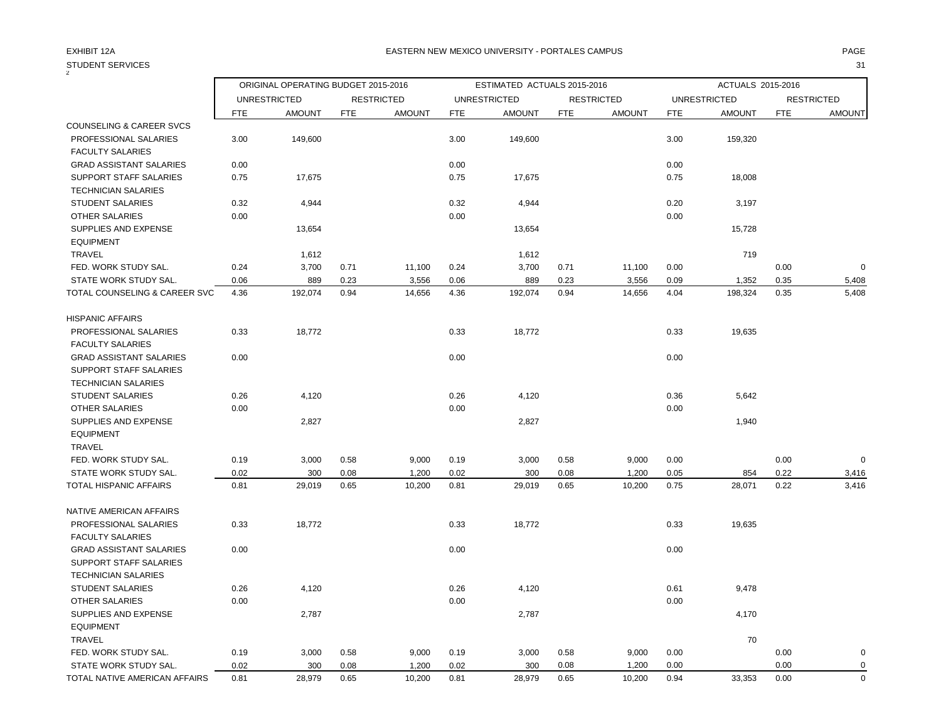## STUDENT SERVICES 31

| 2                                                        |              |                     | ORIGINAL OPERATING BUDGET 2015-2016<br>ESTIMATED ACTUALS 2015-2016 |                   |              |                     |      | ACTUALS 2015-2016 |              |                     |            |                   |
|----------------------------------------------------------|--------------|---------------------|--------------------------------------------------------------------|-------------------|--------------|---------------------|------|-------------------|--------------|---------------------|------------|-------------------|
|                                                          |              | <b>UNRESTRICTED</b> |                                                                    | <b>RESTRICTED</b> |              | <b>UNRESTRICTED</b> |      | <b>RESTRICTED</b> |              | <b>UNRESTRICTED</b> |            | <b>RESTRICTED</b> |
|                                                          | <b>FTE</b>   | <b>AMOUNT</b>       | <b>FTE</b>                                                         | <b>AMOUNT</b>     | <b>FTE</b>   | <b>AMOUNT</b>       | FTE  | <b>AMOUNT</b>     | <b>FTE</b>   | <b>AMOUNT</b>       | <b>FTE</b> | <b>AMOUNT</b>     |
| <b>COUNSELING &amp; CAREER SVCS</b>                      |              |                     |                                                                    |                   |              |                     |      |                   |              |                     |            |                   |
| PROFESSIONAL SALARIES                                    | 3.00         | 149,600             |                                                                    |                   | 3.00         | 149,600             |      |                   | 3.00         | 159,320             |            |                   |
| <b>FACULTY SALARIES</b>                                  |              |                     |                                                                    |                   |              |                     |      |                   |              |                     |            |                   |
| <b>GRAD ASSISTANT SALARIES</b><br>SUPPORT STAFF SALARIES | 0.00<br>0.75 | 17,675              |                                                                    |                   | 0.00<br>0.75 |                     |      |                   | 0.00<br>0.75 | 18,008              |            |                   |
| <b>TECHNICIAN SALARIES</b>                               |              |                     |                                                                    |                   |              | 17,675              |      |                   |              |                     |            |                   |
| <b>STUDENT SALARIES</b>                                  | 0.32         | 4,944               |                                                                    |                   | 0.32         | 4,944               |      |                   | 0.20         | 3,197               |            |                   |
| <b>OTHER SALARIES</b>                                    | 0.00         |                     |                                                                    |                   | 0.00         |                     |      |                   | 0.00         |                     |            |                   |
| SUPPLIES AND EXPENSE                                     |              | 13,654              |                                                                    |                   |              | 13,654              |      |                   |              | 15,728              |            |                   |
| <b>EQUIPMENT</b>                                         |              |                     |                                                                    |                   |              |                     |      |                   |              |                     |            |                   |
| <b>TRAVEL</b>                                            |              | 1,612               |                                                                    |                   |              | 1,612               |      |                   |              | 719                 |            |                   |
| FED. WORK STUDY SAL.                                     | 0.24         | 3,700               | 0.71                                                               | 11,100            | 0.24         | 3,700               | 0.71 | 11,100            | 0.00         |                     | 0.00       | $\mathbf 0$       |
| STATE WORK STUDY SAL.                                    | 0.06         | 889                 | 0.23                                                               | 3,556             | 0.06         | 889                 | 0.23 | 3,556             | 0.09         | 1,352               | 0.35       | 5,408             |
| TOTAL COUNSELING & CAREER SVC                            | 4.36         | 192,074             | 0.94                                                               | 14,656            | 4.36         | 192,074             | 0.94 | 14,656            | 4.04         | 198,324             | 0.35       | 5,408             |
| <b>HISPANIC AFFAIRS</b>                                  |              |                     |                                                                    |                   |              |                     |      |                   |              |                     |            |                   |
| PROFESSIONAL SALARIES                                    | 0.33         | 18,772              |                                                                    |                   | 0.33         | 18,772              |      |                   | 0.33         | 19,635              |            |                   |
| <b>FACULTY SALARIES</b>                                  |              |                     |                                                                    |                   |              |                     |      |                   |              |                     |            |                   |
| <b>GRAD ASSISTANT SALARIES</b>                           | 0.00         |                     |                                                                    |                   | 0.00         |                     |      |                   | 0.00         |                     |            |                   |
| SUPPORT STAFF SALARIES                                   |              |                     |                                                                    |                   |              |                     |      |                   |              |                     |            |                   |
| <b>TECHNICIAN SALARIES</b>                               |              |                     |                                                                    |                   |              |                     |      |                   |              |                     |            |                   |
| <b>STUDENT SALARIES</b>                                  | 0.26         | 4,120               |                                                                    |                   | 0.26         | 4,120               |      |                   | 0.36         | 5,642               |            |                   |
| <b>OTHER SALARIES</b>                                    | 0.00         |                     |                                                                    |                   | 0.00         |                     |      |                   | 0.00         |                     |            |                   |
| SUPPLIES AND EXPENSE                                     |              | 2,827               |                                                                    |                   |              | 2,827               |      |                   |              | 1,940               |            |                   |
| <b>EQUIPMENT</b>                                         |              |                     |                                                                    |                   |              |                     |      |                   |              |                     |            |                   |
| <b>TRAVEL</b>                                            |              |                     |                                                                    |                   |              |                     |      |                   |              |                     |            |                   |
| FED. WORK STUDY SAL.                                     | 0.19         | 3,000               | 0.58                                                               | 9,000             | 0.19         | 3,000               | 0.58 | 9,000             | 0.00         |                     | 0.00       | $\mathbf 0$       |
| STATE WORK STUDY SAL.                                    | 0.02         | 300                 | 0.08                                                               | 1,200             | 0.02         | 300                 | 0.08 | 1,200             | 0.05         | 854                 | 0.22       | 3,416             |
| TOTAL HISPANIC AFFAIRS                                   | 0.81         | 29,019              | 0.65                                                               | 10,200            | 0.81         | 29,019              | 0.65 | 10,200            | 0.75         | 28,071              | 0.22       | 3,416             |
| NATIVE AMERICAN AFFAIRS                                  |              |                     |                                                                    |                   |              |                     |      |                   |              |                     |            |                   |
| PROFESSIONAL SALARIES                                    | 0.33         | 18,772              |                                                                    |                   | 0.33         | 18,772              |      |                   | 0.33         | 19,635              |            |                   |
| FACULTY SALARIES                                         |              |                     |                                                                    |                   |              |                     |      |                   |              |                     |            |                   |
| <b>GRAD ASSISTANT SALARIES</b>                           | 0.00         |                     |                                                                    |                   | 0.00         |                     |      |                   | 0.00         |                     |            |                   |
| SUPPORT STAFF SALARIES                                   |              |                     |                                                                    |                   |              |                     |      |                   |              |                     |            |                   |
| <b>TECHNICIAN SALARIES</b>                               |              |                     |                                                                    |                   |              |                     |      |                   |              |                     |            |                   |
| <b>STUDENT SALARIES</b>                                  | 0.26         | 4,120               |                                                                    |                   | 0.26         | 4,120               |      |                   | 0.61         | 9,478               |            |                   |
| OTHER SALARIES                                           | 0.00         |                     |                                                                    |                   | 0.00         |                     |      |                   | 0.00         |                     |            |                   |
| SUPPLIES AND EXPENSE                                     |              | 2,787               |                                                                    |                   |              | 2,787               |      |                   |              | 4,170               |            |                   |
| <b>EQUIPMENT</b>                                         |              |                     |                                                                    |                   |              |                     |      |                   |              |                     |            |                   |
| <b>TRAVEL</b>                                            |              |                     |                                                                    |                   |              |                     |      |                   |              | 70                  |            |                   |
| FED. WORK STUDY SAL.                                     | 0.19         | 3,000               | 0.58                                                               | 9,000             | 0.19         | 3,000               | 0.58 | 9,000             | 0.00         |                     | 0.00       | $\mathbf 0$       |
| STATE WORK STUDY SAL.                                    | 0.02         | 300                 | 0.08                                                               | 1,200             | 0.02         | 300                 | 0.08 | 1,200             | 0.00         |                     | 0.00       | $\mathbf 0$       |
| TOTAL NATIVE AMERICAN AFFAIRS                            | 0.81         | 28,979              | 0.65                                                               | 10,200            | 0.81         | 28,979              | 0.65 | 10,200            | 0.94         | 33,353              | 0.00       | $\mathbf 0$       |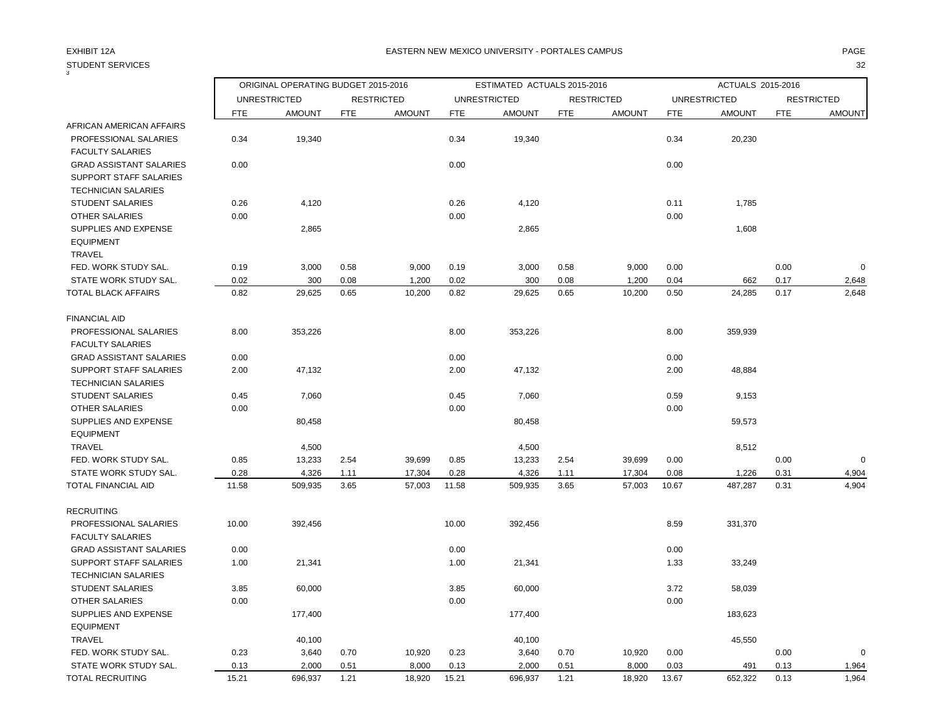3

## STUDENT SERVICES 32

|                                                                                        |            | ORIGINAL OPERATING BUDGET 2015-2016 |            |                   | ESTIMATED ACTUALS 2015-2016 |                     |            |                   |            | ACTUALS 2015-2016   |            |                   |  |
|----------------------------------------------------------------------------------------|------------|-------------------------------------|------------|-------------------|-----------------------------|---------------------|------------|-------------------|------------|---------------------|------------|-------------------|--|
|                                                                                        |            | <b>UNRESTRICTED</b>                 |            | <b>RESTRICTED</b> |                             | <b>UNRESTRICTED</b> |            | <b>RESTRICTED</b> |            | <b>UNRESTRICTED</b> |            | <b>RESTRICTED</b> |  |
|                                                                                        | <b>FTE</b> | <b>AMOUNT</b>                       | <b>FTE</b> | <b>AMOUNT</b>     | <b>FTE</b>                  | <b>AMOUNT</b>       | <b>FTE</b> | <b>AMOUNT</b>     | <b>FTE</b> | <b>AMOUNT</b>       | <b>FTE</b> | <b>AMOUNT</b>     |  |
| AFRICAN AMERICAN AFFAIRS                                                               |            |                                     |            |                   |                             |                     |            |                   |            |                     |            |                   |  |
| PROFESSIONAL SALARIES<br><b>FACULTY SALARIES</b>                                       | 0.34       | 19,340                              |            |                   | 0.34                        | 19,340              |            |                   | 0.34       | 20,230              |            |                   |  |
| <b>GRAD ASSISTANT SALARIES</b><br>SUPPORT STAFF SALARIES<br><b>TECHNICIAN SALARIES</b> | 0.00       |                                     |            |                   | 0.00                        |                     |            |                   | 0.00       |                     |            |                   |  |
| <b>STUDENT SALARIES</b>                                                                | 0.26       | 4,120                               |            |                   | 0.26                        | 4,120               |            |                   | 0.11       | 1,785               |            |                   |  |
| <b>OTHER SALARIES</b><br>SUPPLIES AND EXPENSE<br><b>EQUIPMENT</b><br><b>TRAVEL</b>     | 0.00       | 2,865                               |            |                   | 0.00                        | 2,865               |            |                   | 0.00       | 1,608               |            |                   |  |
| FED. WORK STUDY SAL.                                                                   | 0.19       | 3,000                               | 0.58       | 9,000             | 0.19                        | 3,000               | 0.58       | 9,000             | 0.00       |                     | 0.00       | $\mathbf 0$       |  |
| STATE WORK STUDY SAL.                                                                  | 0.02       | 300                                 | 0.08       | 1,200             | 0.02                        | 300                 | 0.08       | 1,200             | 0.04       | 662                 | 0.17       | 2,648             |  |
| TOTAL BLACK AFFAIRS                                                                    | 0.82       | 29,625                              | 0.65       | 10,200            | 0.82                        | 29,625              | 0.65       | 10,200            | 0.50       | 24,285              | 0.17       | 2,648             |  |
| <b>FINANCIAL AID</b>                                                                   |            |                                     |            |                   |                             |                     |            |                   |            |                     |            |                   |  |
| PROFESSIONAL SALARIES<br><b>FACULTY SALARIES</b>                                       | 8.00       | 353,226                             |            |                   | 8.00                        | 353,226             |            |                   | 8.00       | 359,939             |            |                   |  |
| <b>GRAD ASSISTANT SALARIES</b>                                                         | 0.00       |                                     |            |                   | 0.00                        |                     |            |                   | 0.00       |                     |            |                   |  |
| SUPPORT STAFF SALARIES<br><b>TECHNICIAN SALARIES</b>                                   | 2.00       | 47,132                              |            |                   | 2.00                        | 47,132              |            |                   | 2.00       | 48,884              |            |                   |  |
| <b>STUDENT SALARIES</b>                                                                | 0.45       | 7,060                               |            |                   | 0.45                        | 7,060               |            |                   | 0.59       | 9,153               |            |                   |  |
| OTHER SALARIES                                                                         | 0.00       |                                     |            |                   | 0.00                        |                     |            |                   | 0.00       |                     |            |                   |  |
| SUPPLIES AND EXPENSE<br><b>EQUIPMENT</b>                                               |            | 80,458                              |            |                   |                             | 80,458              |            |                   |            | 59,573              |            |                   |  |
| <b>TRAVEL</b>                                                                          |            | 4,500                               |            |                   |                             | 4,500               |            |                   |            | 8,512               |            |                   |  |
| FED. WORK STUDY SAL.                                                                   | 0.85       | 13,233                              | 2.54       | 39,699            | 0.85                        | 13,233              | 2.54       | 39,699            | 0.00       |                     | 0.00       | $\mathbf 0$       |  |
| STATE WORK STUDY SAL.                                                                  | 0.28       | 4,326                               | 1.11       | 17,304            | 0.28                        | 4,326               | 1.11       | 17,304            | 0.08       | 1,226               | 0.31       | 4,904             |  |
| TOTAL FINANCIAL AID                                                                    | 11.58      | 509,935                             | 3.65       | 57,003            | 11.58                       | 509,935             | 3.65       | 57,003            | 10.67      | 487,287             | 0.31       | 4,904             |  |
| <b>RECRUITING</b>                                                                      |            |                                     |            |                   |                             |                     |            |                   |            |                     |            |                   |  |
| PROFESSIONAL SALARIES                                                                  | 10.00      | 392,456                             |            |                   | 10.00                       | 392,456             |            |                   | 8.59       | 331,370             |            |                   |  |
| <b>FACULTY SALARIES</b>                                                                |            |                                     |            |                   |                             |                     |            |                   |            |                     |            |                   |  |
| <b>GRAD ASSISTANT SALARIES</b>                                                         | 0.00       |                                     |            |                   | 0.00                        |                     |            |                   | 0.00       |                     |            |                   |  |
| SUPPORT STAFF SALARIES                                                                 | 1.00       | 21,341                              |            |                   | 1.00                        | 21,341              |            |                   | 1.33       | 33,249              |            |                   |  |
| <b>TECHNICIAN SALARIES</b>                                                             |            |                                     |            |                   |                             |                     |            |                   |            |                     |            |                   |  |
| <b>STUDENT SALARIES</b>                                                                | 3.85       | 60,000                              |            |                   | 3.85                        | 60,000              |            |                   | 3.72       | 58,039              |            |                   |  |
| <b>OTHER SALARIES</b>                                                                  | 0.00       |                                     |            |                   | 0.00                        |                     |            |                   | 0.00       |                     |            |                   |  |
| SUPPLIES AND EXPENSE                                                                   |            | 177,400                             |            |                   |                             | 177,400             |            |                   |            | 183,623             |            |                   |  |
| <b>EQUIPMENT</b>                                                                       |            |                                     |            |                   |                             |                     |            |                   |            |                     |            |                   |  |
| <b>TRAVEL</b>                                                                          |            | 40,100                              |            |                   |                             | 40,100              |            |                   |            | 45,550              |            |                   |  |
| FED. WORK STUDY SAL.                                                                   | 0.23       | 3,640                               | 0.70       | 10,920            | 0.23                        | 3,640               | 0.70       | 10,920            | 0.00       |                     | 0.00       | $\Omega$          |  |
| STATE WORK STUDY SAL.                                                                  | 0.13       | 2,000                               | 0.51       | 8,000             | 0.13                        | 2,000               | 0.51       | 8,000             | 0.03       | 491                 | 0.13       | 1,964             |  |
| TOTAL RECRUITING                                                                       | 15.21      | 696,937                             | 1.21       | 18,920            | 15.21                       | 696,937             | 1.21       | 18,920            | 13.67      | 652,322             | 0.13       | 1,964             |  |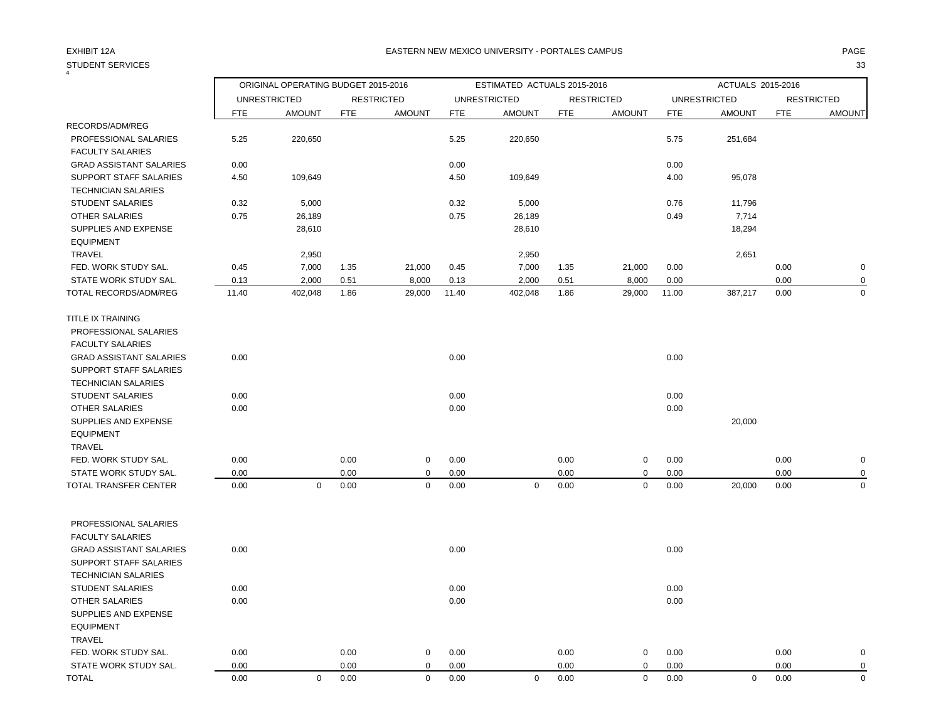#### STUDENT SERVICES 33  $\frac{6}{4}$

### EXHIBIT 12A PAGE EASTERN NEW MEXICO UNIVERSITY - PORTALES CAMPUS

|                                                          |            | ORIGINAL OPERATING BUDGET 2015-2016 |            |                   | ESTIMATED ACTUALS 2015-2016 |                     |            |                   |            | ACTUALS 2015-2016   |            |                   |  |
|----------------------------------------------------------|------------|-------------------------------------|------------|-------------------|-----------------------------|---------------------|------------|-------------------|------------|---------------------|------------|-------------------|--|
|                                                          |            | <b>UNRESTRICTED</b>                 |            | <b>RESTRICTED</b> |                             | <b>UNRESTRICTED</b> |            | <b>RESTRICTED</b> |            | <b>UNRESTRICTED</b> |            | <b>RESTRICTED</b> |  |
|                                                          | <b>FTE</b> | <b>AMOUNT</b>                       | <b>FTE</b> | <b>AMOUNT</b>     | <b>FTE</b>                  | <b>AMOUNT</b>       | <b>FTE</b> | <b>AMOUNT</b>     | <b>FTE</b> | <b>AMOUNT</b>       | <b>FTE</b> | <b>AMOUNT</b>     |  |
| RECORDS/ADM/REG                                          |            |                                     |            |                   |                             |                     |            |                   |            |                     |            |                   |  |
| PROFESSIONAL SALARIES<br><b>FACULTY SALARIES</b>         | 5.25       | 220,650                             |            |                   | 5.25                        | 220,650             |            |                   | 5.75       | 251,684             |            |                   |  |
| <b>GRAD ASSISTANT SALARIES</b>                           | 0.00       |                                     |            |                   | 0.00                        |                     |            |                   | 0.00       |                     |            |                   |  |
| SUPPORT STAFF SALARIES<br><b>TECHNICIAN SALARIES</b>     | 4.50       | 109,649                             |            |                   | 4.50                        | 109,649             |            |                   | 4.00       | 95,078              |            |                   |  |
| <b>STUDENT SALARIES</b>                                  | 0.32       | 5,000                               |            |                   | 0.32                        | 5,000               |            |                   | 0.76       | 11,796              |            |                   |  |
| <b>OTHER SALARIES</b>                                    | 0.75       | 26,189                              |            |                   | 0.75                        | 26,189              |            |                   | 0.49       | 7,714               |            |                   |  |
| SUPPLIES AND EXPENSE<br><b>EQUIPMENT</b>                 |            | 28,610                              |            |                   |                             | 28,610              |            |                   |            | 18,294              |            |                   |  |
| TRAVEL                                                   |            | 2,950                               |            |                   |                             | 2,950               |            |                   |            | 2,651               |            |                   |  |
| FED. WORK STUDY SAL.                                     | 0.45       | 7,000                               | 1.35       | 21,000            | 0.45                        | 7,000               | 1.35       | 21,000            | 0.00       |                     | 0.00       | 0                 |  |
| STATE WORK STUDY SAL.                                    | 0.13       | 2,000                               | 0.51       | 8,000             | 0.13                        | 2,000               | 0.51       | 8,000             | 0.00       |                     | 0.00       |                   |  |
| <b>TOTAL RECORDS/ADM/REG</b>                             | 11.40      | 402,048                             | 1.86       | 29,000            | 11.40                       | 402,048             | 1.86       | 29,000            | 11.00      | 387,217             | 0.00       | $\Omega$          |  |
| TITLE IX TRAINING<br>PROFESSIONAL SALARIES               |            |                                     |            |                   |                             |                     |            |                   |            |                     |            |                   |  |
| <b>FACULTY SALARIES</b>                                  |            |                                     |            |                   |                             |                     |            |                   |            |                     |            |                   |  |
| <b>GRAD ASSISTANT SALARIES</b><br>SUPPORT STAFF SALARIES | 0.00       |                                     |            |                   | 0.00                        |                     |            |                   | 0.00       |                     |            |                   |  |
| <b>TECHNICIAN SALARIES</b>                               |            |                                     |            |                   |                             |                     |            |                   |            |                     |            |                   |  |
| <b>STUDENT SALARIES</b>                                  | 0.00       |                                     |            |                   | 0.00                        |                     |            |                   | 0.00       |                     |            |                   |  |
| <b>OTHER SALARIES</b>                                    | 0.00       |                                     |            |                   | 0.00                        |                     |            |                   | 0.00       |                     |            |                   |  |
| <b>SUPPLIES AND EXPENSE</b><br><b>EQUIPMENT</b>          |            |                                     |            |                   |                             |                     |            |                   |            | 20,000              |            |                   |  |
| <b>TRAVEL</b>                                            |            |                                     |            |                   |                             |                     |            |                   |            |                     |            |                   |  |
| FED. WORK STUDY SAL.                                     | 0.00       |                                     | 0.00       | $\mathbf 0$       | 0.00                        |                     | 0.00       | $\mathbf 0$       | 0.00       |                     | 0.00       | 0                 |  |
| STATE WORK STUDY SAL.                                    | 0.00       |                                     | 0.00       | $\mathbf 0$       | 0.00                        |                     | 0.00       | $\mathbf 0$       | 0.00       |                     | 0.00       |                   |  |
| TOTAL TRANSFER CENTER                                    | 0.00       | $\mathbf 0$                         | 0.00       | $\mathbf 0$       | 0.00                        | $\mathbf 0$         | 0.00       | 0                 | 0.00       | 20,000              | 0.00       | $\Omega$          |  |
| PROFESSIONAL SALARIES<br><b>FACULTY SALARIES</b>         |            |                                     |            |                   |                             |                     |            |                   |            |                     |            |                   |  |
| <b>GRAD ASSISTANT SALARIES</b><br>SUPPORT STAFF SALARIES | 0.00       |                                     |            |                   | 0.00                        |                     |            |                   | 0.00       |                     |            |                   |  |
| <b>TECHNICIAN SALARIES</b>                               |            |                                     |            |                   |                             |                     |            |                   |            |                     |            |                   |  |
| <b>STUDENT SALARIES</b>                                  | 0.00       |                                     |            |                   | 0.00                        |                     |            |                   | 0.00       |                     |            |                   |  |
| OTHER SALARIES<br><b>SUPPLIES AND EXPENSE</b>            | 0.00       |                                     |            |                   | 0.00                        |                     |            |                   | 0.00       |                     |            |                   |  |
| <b>EQUIPMENT</b><br><b>TRAVEL</b>                        |            |                                     |            |                   |                             |                     |            |                   |            |                     |            |                   |  |
| FED. WORK STUDY SAL.                                     | 0.00       |                                     | 0.00       | $\mathbf 0$       | 0.00                        |                     | 0.00       | $\mathbf 0$       | 0.00       |                     | 0.00       | O                 |  |
| STATE WORK STUDY SAL.                                    | 0.00       |                                     | 0.00       | $\mathbf 0$       | 0.00                        |                     | 0.00       | $\mathbf 0$       | 0.00       |                     | 0.00       | $\Omega$          |  |

TOTAL 0.00 0 0.00 0 0.00 0 0.00 0 0.00 0 0.00 0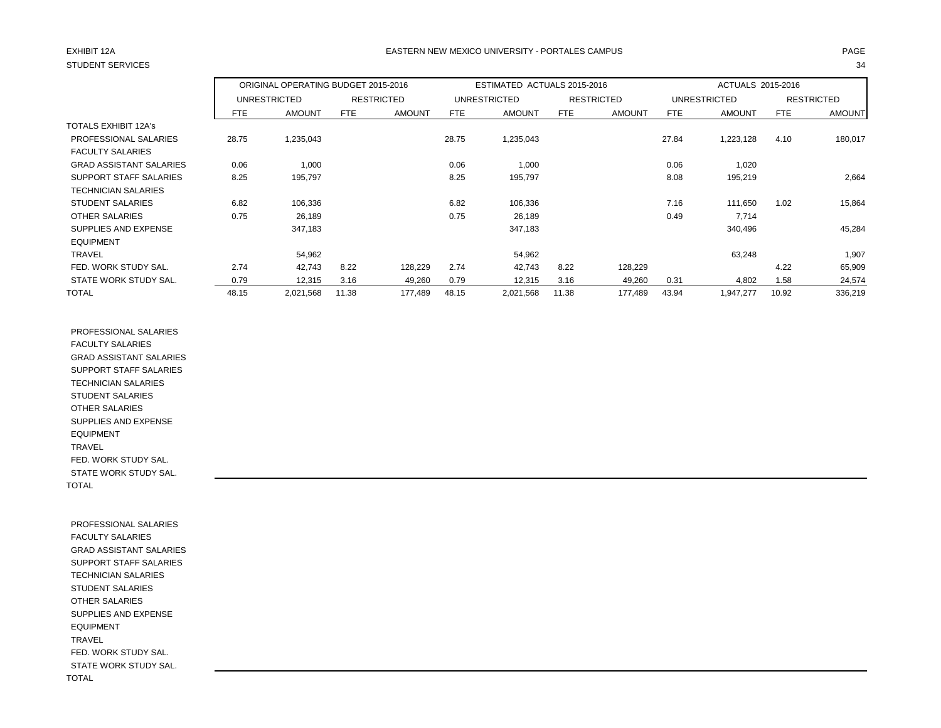# STUDENT SERVICES 34

### EXHIBIT 12A PAGE EASTERN NEW MEXICO UNIVERSITY - PORTALES CAMPUS

|                                |            | ORIGINAL OPERATING BUDGET 2015-2016 |            |                   |            | ESTIMATED ACTUALS 2015-2016 |            |                   | ACTUALS 2015-2016 |                     |            |                   |
|--------------------------------|------------|-------------------------------------|------------|-------------------|------------|-----------------------------|------------|-------------------|-------------------|---------------------|------------|-------------------|
|                                |            | <b>UNRESTRICTED</b>                 |            | <b>RESTRICTED</b> |            | <b>UNRESTRICTED</b>         |            | <b>RESTRICTED</b> |                   | <b>UNRESTRICTED</b> |            | <b>RESTRICTED</b> |
|                                | <b>FTE</b> | <b>AMOUNT</b>                       | <b>FTE</b> | <b>AMOUNT</b>     | <b>FTE</b> | <b>AMOUNT</b>               | <b>FTE</b> | <b>AMOUNT</b>     | <b>FTE</b>        | <b>AMOUNT</b>       | <b>FTE</b> | <b>AMOUNT</b>     |
| <b>TOTALS EXHIBIT 12A's</b>    |            |                                     |            |                   |            |                             |            |                   |                   |                     |            |                   |
| PROFESSIONAL SALARIES          | 28.75      | 1,235,043                           |            |                   | 28.75      | 1,235,043                   |            |                   | 27.84             | 1,223,128           | 4.10       | 180,017           |
| <b>FACULTY SALARIES</b>        |            |                                     |            |                   |            |                             |            |                   |                   |                     |            |                   |
| <b>GRAD ASSISTANT SALARIES</b> | 0.06       | 1,000                               |            |                   | 0.06       | 1,000                       |            |                   | 0.06              | 1,020               |            |                   |
| <b>SUPPORT STAFF SALARIES</b>  | 8.25       | 195,797                             |            |                   | 8.25       | 195,797                     |            |                   | 8.08              | 195,219             |            | 2,664             |
| <b>TECHNICIAN SALARIES</b>     |            |                                     |            |                   |            |                             |            |                   |                   |                     |            |                   |
| <b>STUDENT SALARIES</b>        | 6.82       | 106,336                             |            |                   | 6.82       | 106,336                     |            |                   | 7.16              | 111,650             | 1.02       | 15,864            |
| OTHER SALARIES                 | 0.75       | 26,189                              |            |                   | 0.75       | 26,189                      |            |                   | 0.49              | 7,714               |            |                   |
| SUPPLIES AND EXPENSE           |            | 347,183                             |            |                   |            | 347,183                     |            |                   |                   | 340,496             |            | 45,284            |
| <b>EQUIPMENT</b>               |            |                                     |            |                   |            |                             |            |                   |                   |                     |            |                   |
| <b>TRAVEL</b>                  |            | 54,962                              |            |                   |            | 54,962                      |            |                   |                   | 63,248              |            | 1,907             |
| FED. WORK STUDY SAL.           | 2.74       | 42,743                              | 8.22       | 128,229           | 2.74       | 42,743                      | 8.22       | 128,229           |                   |                     | 4.22       | 65,909            |
| STATE WORK STUDY SAL.          | 0.79       | 12,315                              | 3.16       | 49,260            | 0.79       | 12,315                      | 3.16       | 49,260            | 0.31              | 4,802               | 1.58       | 24,574            |
| <b>TOTAL</b>                   | 48.15      | 2,021,568                           | 11.38      | 177,489           | 48.15      | 2,021,568                   | 11.38      | 177,489           | 43.94             | 1,947,277           | 10.92      | 336,219           |

 PROFESSIONAL SALARIES FACULTY SALARIES GRAD ASSISTANT SALARIES SUPPORT STAFF SALARIES TECHNICIAN SALARIES STUDENT SALARIES OTHER SALARIES SUPPLIES AND EXPENSE EQUIPMENT TRAVEL FED. WORK STUDY SAL. STATE WORK STUDY SAL. TOTAL

 PROFESSIONAL SALARIES FACULTY SALARIES GRAD ASSISTANT SALARIES SUPPORT STAFF SALARIES TECHNICIAN SALARIES STUDENT SALARIES OTHER SALARIES SUPPLIES AND EXPENSE EQUIPMENT TRAVEL FED. WORK STUDY SAL. STATE WORK STUDY SAL. TOTAL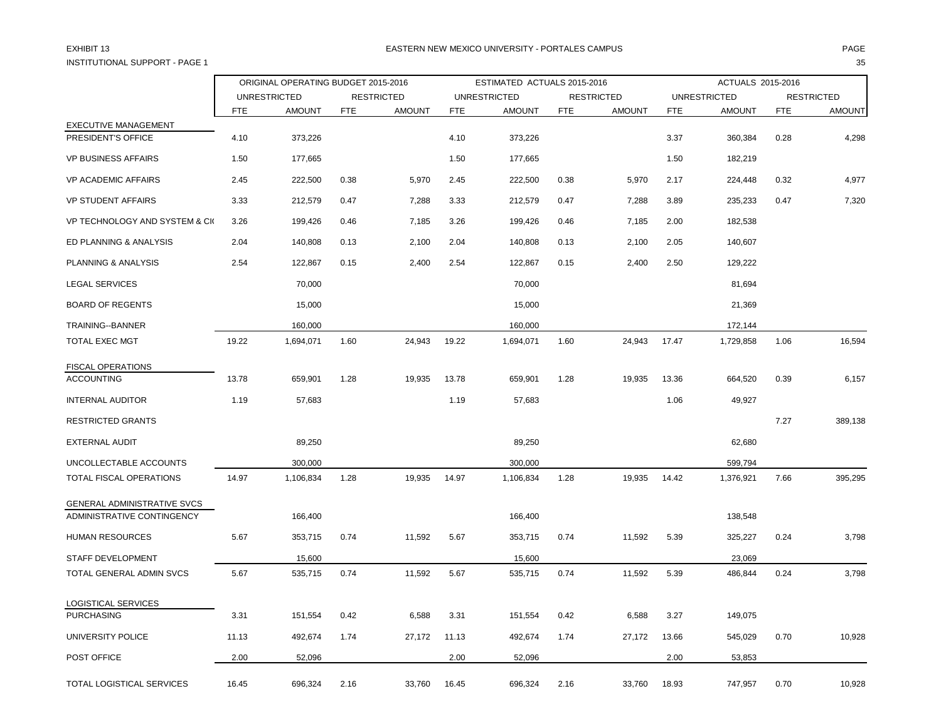INSTITUTIONAL SUPPORT - PAGE 1 35

#### EXHIBIT 13 PAGE PAGE IN THE RESTRIAL MEXICO UNIVERSITY - PORTALES CAMPUS PAGE IN THE RESTRIAL OF PAGE IN THE RESTRIAL OF A SERVICE OF PAGE IN THE RESTRIAL OF A SERVICE OF A SERVICE OF A SERVICE OF A SERVICE OF A SERVICE OF

|                               |            | ORIGINAL OPERATING BUDGET 2015-2016 |            |                   | ESTIMATED ACTUALS 2015-2016 |                     |            |                   | ACTUALS 2015-2016 |                     |            |                   |
|-------------------------------|------------|-------------------------------------|------------|-------------------|-----------------------------|---------------------|------------|-------------------|-------------------|---------------------|------------|-------------------|
|                               |            | <b>UNRESTRICTED</b>                 |            | <b>RESTRICTED</b> |                             | <b>UNRESTRICTED</b> |            | <b>RESTRICTED</b> |                   | <b>UNRESTRICTED</b> |            | <b>RESTRICTED</b> |
|                               | <b>FTE</b> | <b>AMOUNT</b>                       | <b>FTE</b> | <b>AMOUNT</b>     | <b>FTE</b>                  | <b>AMOUNT</b>       | <b>FTE</b> | <b>AMOUNT</b>     | <b>FTE</b>        | <b>AMOUNT</b>       | <b>FTE</b> | <b>AMOUNT</b>     |
| <b>EXECUTIVE MANAGEMENT</b>   |            |                                     |            |                   |                             |                     |            |                   |                   |                     |            |                   |
| PRESIDENT'S OFFICE            | 4.10       | 373,226                             |            |                   | 4.10                        | 373,226             |            |                   | 3.37              | 360,384             | 0.28       | 4,298             |
| <b>VP BUSINESS AFFAIRS</b>    | 1.50       | 177,665                             |            |                   | 1.50                        | 177,665             |            |                   | 1.50              | 182,219             |            |                   |
| <b>VP ACADEMIC AFFAIRS</b>    | 2.45       | 222,500                             | 0.38       | 5,970             | 2.45                        | 222,500             | 0.38       | 5,970             | 2.17              | 224,448             | 0.32       | 4,977             |
| <b>VP STUDENT AFFAIRS</b>     | 3.33       | 212,579                             | 0.47       | 7,288             | 3.33                        | 212,579             | 0.47       | 7,288             | 3.89              | 235,233             | 0.47       | 7,320             |
| VP TECHNOLOGY AND SYSTEM & CK | 3.26       | 199,426                             | 0.46       | 7,185             | 3.26                        | 199,426             | 0.46       | 7,185             | 2.00              | 182,538             |            |                   |
| ED PLANNING & ANALYSIS        | 2.04       | 140,808                             | 0.13       | 2,100             | 2.04                        | 140,808             | 0.13       | 2,100             | 2.05              | 140,607             |            |                   |
| PLANNING & ANALYSIS           | 2.54       | 122,867                             | 0.15       | 2,400             | 2.54                        | 122,867             | 0.15       | 2,400             | 2.50              | 129,222             |            |                   |
| <b>LEGAL SERVICES</b>         |            | 70,000                              |            |                   |                             | 70,000              |            |                   |                   | 81,694              |            |                   |
| <b>BOARD OF REGENTS</b>       |            | 15,000                              |            |                   |                             | 15,000              |            |                   |                   | 21,369              |            |                   |
| TRAINING--BANNER              |            | 160,000                             |            |                   |                             | 160,000             |            |                   |                   | 172,144             |            |                   |
| <b>TOTAL EXEC MGT</b>         | 19.22      | 1,694,071                           | 1.60       | 24,943            | 19.22                       | 1,694,071           | 1.60       | 24,943            | 17.47             | 1,729,858           | 1.06       | 16,594            |
| <b>FISCAL OPERATIONS</b>      |            |                                     |            |                   |                             |                     |            |                   |                   |                     |            |                   |
| <b>ACCOUNTING</b>             | 13.78      | 659,901                             | 1.28       | 19,935            | 13.78                       | 659,901             | 1.28       | 19,935            | 13.36             | 664,520             | 0.39       | 6,157             |
| <b>INTERNAL AUDITOR</b>       | 1.19       | 57,683                              |            |                   | 1.19                        | 57,683              |            |                   | 1.06              | 49,927              |            |                   |
| <b>RESTRICTED GRANTS</b>      |            |                                     |            |                   |                             |                     |            |                   |                   |                     | 7.27       | 389,138           |
| <b>EXTERNAL AUDIT</b>         |            | 89,250                              |            |                   |                             | 89,250              |            |                   |                   | 62,680              |            |                   |
| UNCOLLECTABLE ACCOUNTS        |            | 300,000                             |            |                   |                             | 300,000             |            |                   |                   | 599,794             |            |                   |
| TOTAL FISCAL OPERATIONS       | 14.97      | 1,106,834                           | 1.28       | 19,935            | 14.97                       | 1,106,834           | 1.28       | 19,935            | 14.42             | 1,376,921           | 7.66       | 395,295           |
| GENERAL ADMINISTRATIVE SVCS   |            |                                     |            |                   |                             |                     |            |                   |                   |                     |            |                   |
| ADMINISTRATIVE CONTINGENCY    |            | 166,400                             |            |                   |                             | 166,400             |            |                   |                   | 138,548             |            |                   |
| HUMAN RESOURCES               | 5.67       | 353,715                             | 0.74       | 11,592            | 5.67                        | 353,715             | 0.74       | 11,592            | 5.39              | 325,227             | 0.24       | 3,798             |
| STAFF DEVELOPMENT             |            | 15,600                              |            |                   |                             | 15,600              |            |                   |                   | 23,069              |            |                   |
| TOTAL GENERAL ADMIN SVCS      | 5.67       | 535,715                             | 0.74       | 11,592            | 5.67                        | 535,715             | 0.74       | 11,592            | 5.39              | 486,844             | 0.24       | 3,798             |
| LOGISTICAL SERVICES           |            |                                     |            |                   |                             |                     |            |                   |                   |                     |            |                   |
| <b>PURCHASING</b>             | 3.31       | 151,554                             | 0.42       | 6,588             | 3.31                        | 151,554             | 0.42       | 6,588             | 3.27              | 149,075             |            |                   |
| UNIVERSITY POLICE             | 11.13      | 492,674                             | 1.74       | 27,172            | 11.13                       | 492,674             | 1.74       | 27,172            | 13.66             | 545,029             | 0.70       | 10,928            |
| POST OFFICE                   | 2.00       | 52,096                              |            |                   | 2.00                        | 52,096              |            |                   | 2.00              | 53,853              |            |                   |
| TOTAL LOGISTICAL SERVICES     | 16.45      | 696,324                             | 2.16       | 33,760            | 16.45                       | 696,324             | 2.16       | 33,760            | 18.93             | 747,957             | 0.70       | 10,928            |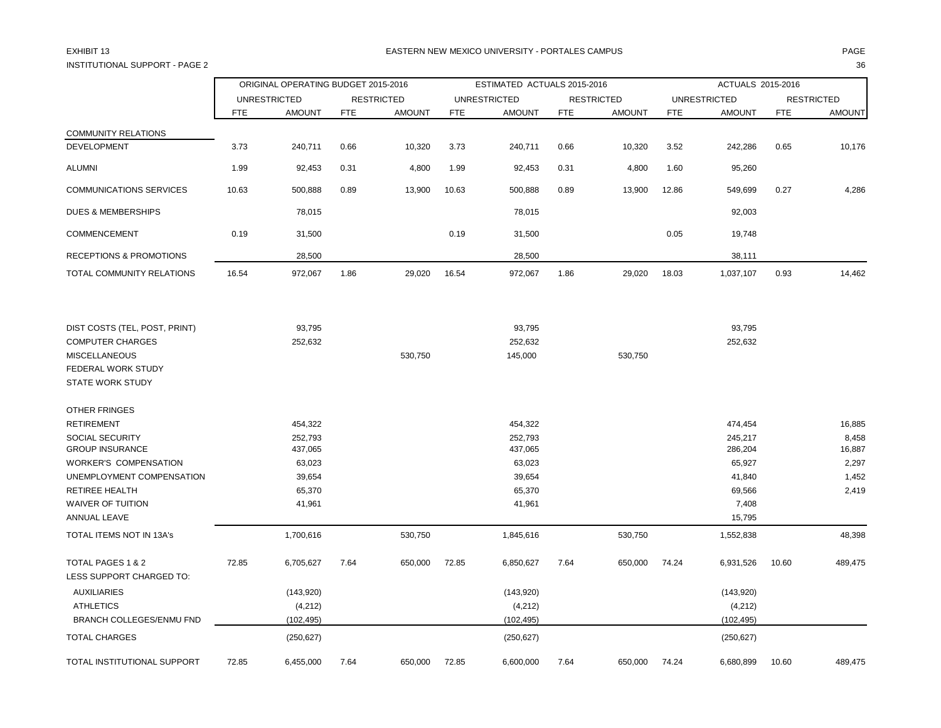## INSTITUTIONAL SUPPORT - PAGE 2

### EXHIBIT 13 PAGE PAGE IN THE RESTRIAL MEXICO UNIVERSITY - PORTALES CAMPUS PAGE IN THE RESTRIAL OF PAGE IN THE RESTRIAL OF PAGE IN THE RESTRIAL OF PAGE IN THE RESTRIAL OF PAGE IN THE RESTRIAL OF PAGE IN THE RESTRIAL OF PAGE

| I              | ٦  |
|----------------|----|
| M.<br>.,<br>۰. | ۰. |

|                                                                                                  | ORIGINAL OPERATING BUDGET 2015-2016 |               |                   |               | ESTIMATED ACTUALS 2015-2016 |                    |                   |               | ACTUALS 2015-2016   |                 |                   |               |
|--------------------------------------------------------------------------------------------------|-------------------------------------|---------------|-------------------|---------------|-----------------------------|--------------------|-------------------|---------------|---------------------|-----------------|-------------------|---------------|
|                                                                                                  | <b>UNRESTRICTED</b>                 |               | <b>RESTRICTED</b> |               | <b>UNRESTRICTED</b>         |                    | <b>RESTRICTED</b> |               | <b>UNRESTRICTED</b> |                 | <b>RESTRICTED</b> |               |
|                                                                                                  | FTE                                 | <b>AMOUNT</b> | <b>FTE</b>        | <b>AMOUNT</b> | <b>FTE</b>                  | <b>AMOUNT</b>      | <b>FTE</b>        | <b>AMOUNT</b> | <b>FTE</b>          | <b>AMOUNT</b>   | <b>FTE</b>        | <b>AMOUNT</b> |
| <b>COMMUNITY RELATIONS</b>                                                                       |                                     |               |                   |               |                             |                    |                   |               |                     |                 |                   |               |
| <b>DEVELOPMENT</b>                                                                               | 3.73                                | 240,711       | 0.66              | 10,320        | 3.73                        | 240,711            | 0.66              | 10,320        | 3.52                | 242,286         | 0.65              | 10,176        |
| ALUMNI                                                                                           | 1.99                                | 92,453        | 0.31              | 4,800         | 1.99                        | 92,453             | 0.31              | 4,800         | 1.60                | 95,260          |                   |               |
| <b>COMMUNICATIONS SERVICES</b>                                                                   | 10.63                               | 500,888       | 0.89              | 13,900        | 10.63                       | 500,888            | 0.89              | 13,900        | 12.86               | 549,699         | 0.27              | 4,286         |
| <b>DUES &amp; MEMBERSHIPS</b>                                                                    |                                     | 78,015        |                   |               |                             | 78,015             |                   |               |                     | 92,003          |                   |               |
| COMMENCEMENT                                                                                     | 0.19                                | 31,500        |                   |               | 0.19                        | 31,500             |                   |               | 0.05                | 19,748          |                   |               |
| <b>RECEPTIONS &amp; PROMOTIONS</b>                                                               |                                     | 28,500        |                   |               |                             | 28,500             |                   |               |                     | 38,111          |                   |               |
| TOTAL COMMUNITY RELATIONS                                                                        | 16.54                               | 972,067       | 1.86              | 29,020        | 16.54                       | 972,067            | 1.86              | 29,020        | 18.03               | 1,037,107       | 0.93              | 14,462        |
| DIST COSTS (TEL, POST, PRINT)                                                                    |                                     | 93,795        |                   |               |                             | 93,795             |                   |               |                     | 93,795          |                   |               |
| <b>COMPUTER CHARGES</b><br><b>MISCELLANEOUS</b><br>FEDERAL WORK STUDY<br><b>STATE WORK STUDY</b> |                                     | 252,632       |                   | 530,750       |                             | 252,632<br>145,000 |                   | 530,750       |                     | 252,632         |                   |               |
| OTHER FRINGES                                                                                    |                                     |               |                   |               |                             |                    |                   |               |                     |                 |                   |               |
| <b>RETIREMENT</b>                                                                                |                                     | 454,322       |                   |               |                             | 454,322            |                   |               |                     | 474,454         |                   | 16,885        |
| SOCIAL SECURITY                                                                                  |                                     | 252,793       |                   |               |                             | 252,793            |                   |               |                     | 245,217         |                   | 8,458         |
| <b>GROUP INSURANCE</b>                                                                           |                                     | 437,065       |                   |               |                             | 437,065            |                   |               |                     | 286,204         |                   | 16,887        |
| <b>WORKER'S COMPENSATION</b>                                                                     |                                     | 63,023        |                   |               |                             | 63,023             |                   |               |                     | 65,927          |                   | 2,297         |
| UNEMPLOYMENT COMPENSATION                                                                        |                                     | 39,654        |                   |               |                             | 39,654             |                   |               |                     | 41,840          |                   | 1,452         |
| <b>RETIREE HEALTH</b>                                                                            |                                     | 65,370        |                   |               |                             | 65,370             |                   |               |                     | 69,566          |                   | 2,419         |
| <b>WAIVER OF TUITION</b><br>ANNUAL LEAVE                                                         |                                     | 41,961        |                   |               |                             | 41,961             |                   |               |                     | 7,408<br>15,795 |                   |               |
| TOTAL ITEMS NOT IN 13A's                                                                         |                                     | 1,700,616     |                   | 530,750       |                             | 1,845,616          |                   | 530,750       |                     | 1,552,838       |                   | 48,398        |
| TOTAL PAGES 1 & 2<br>LESS SUPPORT CHARGED TO:                                                    | 72.85                               | 6,705,627     | 7.64              | 650,000       | 72.85                       | 6,850,627          | 7.64              | 650,000       | 74.24               | 6,931,526       | 10.60             | 489,475       |
| <b>AUXILIARIES</b>                                                                               |                                     | (143,920)     |                   |               |                             | (143,920)          |                   |               |                     | (143, 920)      |                   |               |
| <b>ATHLETICS</b>                                                                                 |                                     | (4,212)       |                   |               |                             | (4,212)            |                   |               |                     | (4,212)         |                   |               |
| BRANCH COLLEGES/ENMU FND                                                                         |                                     | (102, 495)    |                   |               |                             | (102, 495)         |                   |               |                     | (102, 495)      |                   |               |
| <b>TOTAL CHARGES</b>                                                                             |                                     | (250, 627)    |                   |               |                             | (250, 627)         |                   |               |                     | (250, 627)      |                   |               |
| TOTAL INSTITUTIONAL SUPPORT                                                                      | 72.85                               | 6,455,000     | 7.64              | 650,000       | 72.85                       | 6,600,000          | 7.64              | 650,000       | 74.24               | 6,680,899       | 10.60             | 489,475       |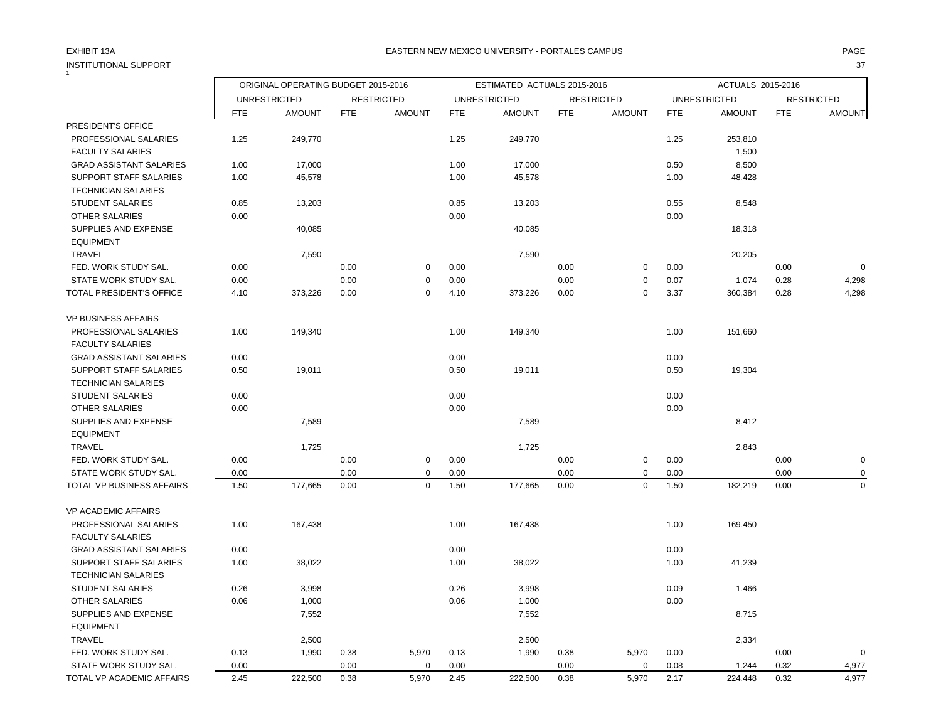# INSTITUTIONAL SUPPORT 37<br>1

### EXHIBIT 13A PAGE EASTERN NEW MEXICO UNIVERSITY - PORTALES CAMPUS

|                                |            | ORIGINAL OPERATING BUDGET 2015-2016 |            |                   |            | ESTIMATED ACTUALS 2015-2016 |            |                   |            | ACTUALS 2015-2016   |            |                   |
|--------------------------------|------------|-------------------------------------|------------|-------------------|------------|-----------------------------|------------|-------------------|------------|---------------------|------------|-------------------|
|                                |            | <b>UNRESTRICTED</b>                 |            | <b>RESTRICTED</b> |            | <b>UNRESTRICTED</b>         |            | <b>RESTRICTED</b> |            | <b>UNRESTRICTED</b> |            | <b>RESTRICTED</b> |
|                                | <b>FTE</b> | <b>AMOUNT</b>                       | <b>FTE</b> | <b>AMOUNT</b>     | <b>FTE</b> | <b>AMOUNT</b>               | <b>FTE</b> | <b>AMOUNT</b>     | <b>FTE</b> | <b>AMOUNT</b>       | <b>FTE</b> | AMOUNT            |
| PRESIDENT'S OFFICE             |            |                                     |            |                   |            |                             |            |                   |            |                     |            |                   |
| PROFESSIONAL SALARIES          | 1.25       | 249,770                             |            |                   | 1.25       | 249,770                     |            |                   | 1.25       | 253,810             |            |                   |
| <b>FACULTY SALARIES</b>        |            |                                     |            |                   |            |                             |            |                   |            | 1,500               |            |                   |
| <b>GRAD ASSISTANT SALARIES</b> | 1.00       | 17,000                              |            |                   | 1.00       | 17,000                      |            |                   | 0.50       | 8,500               |            |                   |
| SUPPORT STAFF SALARIES         | 1.00       | 45,578                              |            |                   | 1.00       | 45,578                      |            |                   | 1.00       | 48,428              |            |                   |
| <b>TECHNICIAN SALARIES</b>     |            |                                     |            |                   |            |                             |            |                   |            |                     |            |                   |
| <b>STUDENT SALARIES</b>        | 0.85       | 13,203                              |            |                   | 0.85       | 13,203                      |            |                   | 0.55       | 8,548               |            |                   |
| OTHER SALARIES                 | 0.00       |                                     |            |                   | 0.00       |                             |            |                   | 0.00       |                     |            |                   |
| SUPPLIES AND EXPENSE           |            | 40,085                              |            |                   |            | 40,085                      |            |                   |            | 18,318              |            |                   |
| <b>EQUIPMENT</b>               |            |                                     |            |                   |            |                             |            |                   |            |                     |            |                   |
| <b>TRAVEL</b>                  |            | 7,590                               |            |                   |            | 7,590                       |            |                   |            | 20,205              |            |                   |
| FED. WORK STUDY SAL.           | 0.00       |                                     | 0.00       | $\pmb{0}$         | 0.00       |                             | 0.00       | 0                 | 0.00       |                     | 0.00       | $\mathbf 0$       |
| STATE WORK STUDY SAL.          | 0.00       |                                     | 0.00       | 0                 | 0.00       |                             | 0.00       | 0                 | 0.07       | 1,074               | 0.28       | 4,298             |
| TOTAL PRESIDENT'S OFFICE       | 4.10       | 373,226                             | 0.00       | $\mathbf 0$       | 4.10       | 373,226                     | 0.00       | 0                 | 3.37       | 360,384             | 0.28       | 4,298             |
| <b>VP BUSINESS AFFAIRS</b>     |            |                                     |            |                   |            |                             |            |                   |            |                     |            |                   |
| PROFESSIONAL SALARIES          | 1.00       | 149,340                             |            |                   | 1.00       | 149,340                     |            |                   | 1.00       | 151,660             |            |                   |
| <b>FACULTY SALARIES</b>        |            |                                     |            |                   |            |                             |            |                   |            |                     |            |                   |
| <b>GRAD ASSISTANT SALARIES</b> | 0.00       |                                     |            |                   | 0.00       |                             |            |                   | 0.00       |                     |            |                   |
| SUPPORT STAFF SALARIES         | 0.50       | 19,011                              |            |                   | 0.50       | 19,011                      |            |                   | 0.50       | 19,304              |            |                   |
| <b>TECHNICIAN SALARIES</b>     |            |                                     |            |                   |            |                             |            |                   |            |                     |            |                   |
| <b>STUDENT SALARIES</b>        | 0.00       |                                     |            |                   | 0.00       |                             |            |                   | 0.00       |                     |            |                   |
| <b>OTHER SALARIES</b>          | 0.00       |                                     |            |                   | 0.00       |                             |            |                   | 0.00       |                     |            |                   |
| SUPPLIES AND EXPENSE           |            | 7,589                               |            |                   |            | 7,589                       |            |                   |            | 8,412               |            |                   |
| <b>EQUIPMENT</b>               |            |                                     |            |                   |            |                             |            |                   |            |                     |            |                   |
| TRAVEL                         |            | 1,725                               |            |                   |            | 1,725                       |            |                   |            | 2,843               |            |                   |
| FED. WORK STUDY SAL.           | 0.00       |                                     | 0.00       | $\mathbf 0$       | 0.00       |                             | 0.00       | 0                 | 0.00       |                     | 0.00       | $\pmb{0}$         |
| STATE WORK STUDY SAL.          | 0.00       |                                     | 0.00       | 0                 | 0.00       |                             | 0.00       | 0                 | 0.00       |                     | 0.00       | 0                 |
| TOTAL VP BUSINESS AFFAIRS      | 1.50       | 177,665                             | 0.00       | $\mathbf 0$       | 1.50       | 177,665                     | 0.00       | $\mathbf 0$       | 1.50       | 182,219             | 0.00       | $\pmb{0}$         |
| <b>VP ACADEMIC AFFAIRS</b>     |            |                                     |            |                   |            |                             |            |                   |            |                     |            |                   |
| PROFESSIONAL SALARIES          | 1.00       | 167,438                             |            |                   | 1.00       | 167,438                     |            |                   | 1.00       | 169,450             |            |                   |
| <b>FACULTY SALARIES</b>        |            |                                     |            |                   |            |                             |            |                   |            |                     |            |                   |
| <b>GRAD ASSISTANT SALARIES</b> | 0.00       |                                     |            |                   | 0.00       |                             |            |                   | 0.00       |                     |            |                   |
| SUPPORT STAFF SALARIES         | 1.00       | 38,022                              |            |                   | 1.00       | 38,022                      |            |                   | 1.00       | 41,239              |            |                   |
| <b>TECHNICIAN SALARIES</b>     |            |                                     |            |                   |            |                             |            |                   |            |                     |            |                   |
| <b>STUDENT SALARIES</b>        | 0.26       | 3,998                               |            |                   | 0.26       | 3,998                       |            |                   | 0.09       | 1,466               |            |                   |
| <b>OTHER SALARIES</b>          | 0.06       | 1,000                               |            |                   | 0.06       | 1,000                       |            |                   | 0.00       |                     |            |                   |
| SUPPLIES AND EXPENSE           |            | 7,552                               |            |                   |            | 7,552                       |            |                   |            | 8,715               |            |                   |
| <b>EQUIPMENT</b>               |            |                                     |            |                   |            |                             |            |                   |            |                     |            |                   |
| <b>TRAVEL</b>                  |            | 2,500                               |            |                   |            | 2,500                       |            |                   |            | 2,334               |            |                   |
| FED. WORK STUDY SAL.           | 0.13       | 1,990                               | 0.38       | 5,970             | 0.13       | 1,990                       | 0.38       | 5,970             | 0.00       |                     | 0.00       | $\mathbf 0$       |
| STATE WORK STUDY SAL.          | 0.00       |                                     | 0.00       | $\mathbf 0$       | 0.00       |                             | 0.00       | 0                 | 0.08       | 1,244               | 0.32       | 4,977             |
| TOTAL VP ACADEMIC AFFAIRS      | 2.45       | 222,500                             | 0.38       | 5,970             | 2.45       | 222,500                     | 0.38       | 5,970             | 2.17       | 224,448             | 0.32       | 4,977             |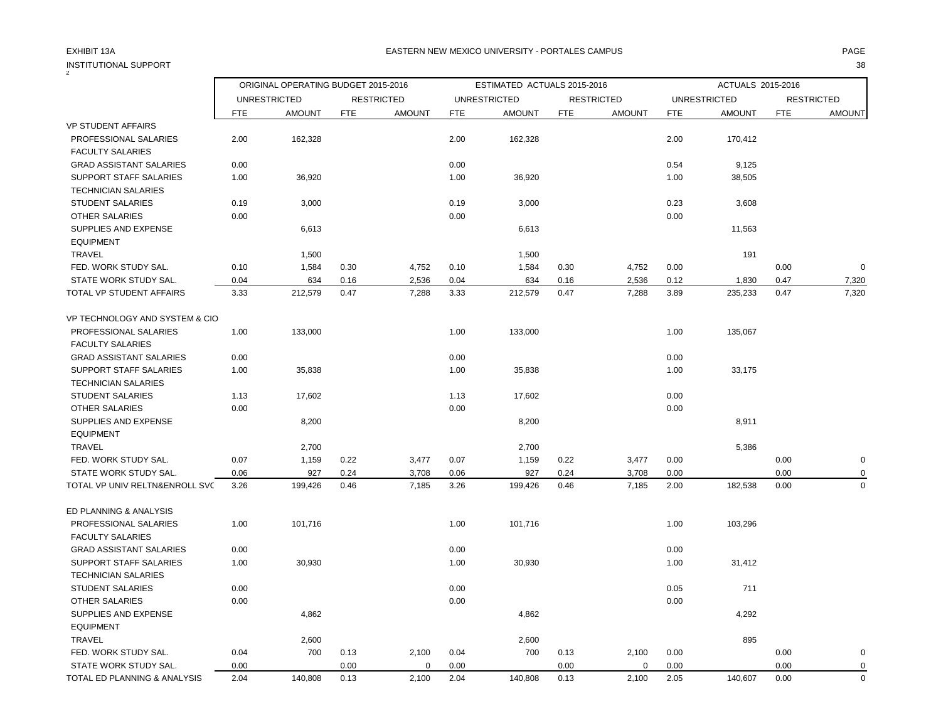2

|                                                  |            | ORIGINAL OPERATING BUDGET 2015-2016 |            |                   |            | ESTIMATED ACTUALS 2015-2016 |            |                   |            | ACTUALS 2015-2016   |            |                   |
|--------------------------------------------------|------------|-------------------------------------|------------|-------------------|------------|-----------------------------|------------|-------------------|------------|---------------------|------------|-------------------|
|                                                  |            | <b>UNRESTRICTED</b>                 |            | <b>RESTRICTED</b> |            | <b>UNRESTRICTED</b>         |            | <b>RESTRICTED</b> |            | <b>UNRESTRICTED</b> |            | <b>RESTRICTED</b> |
|                                                  | <b>FTE</b> | <b>AMOUNT</b>                       | <b>FTE</b> | <b>AMOUNT</b>     | <b>FTE</b> | <b>AMOUNT</b>               | <b>FTE</b> | <b>AMOUNT</b>     | <b>FTE</b> | <b>AMOUNT</b>       | <b>FTE</b> | <b>AMOUNT</b>     |
| <b>VP STUDENT AFFAIRS</b>                        |            |                                     |            |                   |            |                             |            |                   |            |                     |            |                   |
| PROFESSIONAL SALARIES<br><b>FACULTY SALARIES</b> | 2.00       | 162,328                             |            |                   | 2.00       | 162,328                     |            |                   | 2.00       | 170,412             |            |                   |
| <b>GRAD ASSISTANT SALARIES</b>                   | 0.00       |                                     |            |                   | 0.00       |                             |            |                   | 0.54       | 9,125               |            |                   |
| SUPPORT STAFF SALARIES                           | 1.00       | 36,920                              |            |                   | 1.00       | 36,920                      |            |                   | 1.00       | 38,505              |            |                   |
| <b>TECHNICIAN SALARIES</b>                       |            |                                     |            |                   |            |                             |            |                   |            |                     |            |                   |
| <b>STUDENT SALARIES</b>                          | 0.19       | 3,000                               |            |                   | 0.19       | 3,000                       |            |                   | 0.23       | 3,608               |            |                   |
| OTHER SALARIES                                   | 0.00       |                                     |            |                   | 0.00       |                             |            |                   | 0.00       |                     |            |                   |
| SUPPLIES AND EXPENSE                             |            | 6,613                               |            |                   |            | 6,613                       |            |                   |            | 11,563              |            |                   |
| <b>EQUIPMENT</b>                                 |            |                                     |            |                   |            |                             |            |                   |            |                     |            |                   |
| TRAVEL                                           |            | 1,500                               |            |                   |            | 1,500                       |            |                   |            | 191                 |            |                   |
| FED. WORK STUDY SAL.                             | 0.10       | 1,584                               | 0.30       | 4,752             | 0.10       | 1,584                       | 0.30       | 4,752             | 0.00       |                     | 0.00       | $\mathbf 0$       |
| STATE WORK STUDY SAL.                            | 0.04       | 634                                 | 0.16       | 2,536             | 0.04       | 634                         | 0.16       | 2,536             | 0.12       | 1,830               | 0.47       | 7,320             |
| TOTAL VP STUDENT AFFAIRS                         | 3.33       | 212,579                             | 0.47       | 7,288             | 3.33       | 212,579                     | 0.47       | 7,288             | 3.89       | 235,233             | 0.47       | 7,320             |
| VP TECHNOLOGY AND SYSTEM & CIO                   |            |                                     |            |                   |            |                             |            |                   |            |                     |            |                   |
| PROFESSIONAL SALARIES                            | 1.00       | 133,000                             |            |                   | 1.00       | 133,000                     |            |                   | 1.00       | 135,067             |            |                   |
| <b>FACULTY SALARIES</b>                          |            |                                     |            |                   |            |                             |            |                   |            |                     |            |                   |
| <b>GRAD ASSISTANT SALARIES</b>                   | 0.00       |                                     |            |                   | 0.00       |                             |            |                   | 0.00       |                     |            |                   |
| SUPPORT STAFF SALARIES                           | 1.00       | 35,838                              |            |                   | 1.00       | 35,838                      |            |                   | 1.00       | 33,175              |            |                   |
| <b>TECHNICIAN SALARIES</b>                       |            |                                     |            |                   |            |                             |            |                   |            |                     |            |                   |
| <b>STUDENT SALARIES</b>                          | 1.13       | 17,602                              |            |                   | 1.13       | 17,602                      |            |                   | 0.00       |                     |            |                   |
| OTHER SALARIES                                   | 0.00       |                                     |            |                   | 0.00       |                             |            |                   | 0.00       |                     |            |                   |
| SUPPLIES AND EXPENSE                             |            | 8,200                               |            |                   |            | 8,200                       |            |                   |            | 8,911               |            |                   |
| <b>EQUIPMENT</b>                                 |            |                                     |            |                   |            |                             |            |                   |            |                     |            |                   |
| TRAVEL                                           |            | 2,700                               |            |                   |            | 2,700                       |            |                   |            | 5,386               |            |                   |
| FED. WORK STUDY SAL.                             | 0.07       | 1,159                               | 0.22       | 3,477             | 0.07       | 1,159                       | 0.22       | 3,477             | 0.00       |                     | 0.00       | $\pmb{0}$         |
| STATE WORK STUDY SAL.                            | 0.06       | 927                                 | 0.24       | 3,708             | 0.06       | 927                         | 0.24       | 3,708             | 0.00       |                     | 0.00       | 0                 |
| TOTAL VP UNIV RELTN&ENROLL SVC                   | 3.26       | 199,426                             | 0.46       | 7,185             | 3.26       | 199,426                     | 0.46       | 7,185             | 2.00       | 182,538             | 0.00       | $\mathbf 0$       |
| ED PLANNING & ANALYSIS                           |            |                                     |            |                   |            |                             |            |                   |            |                     |            |                   |
| PROFESSIONAL SALARIES                            | 1.00       | 101,716                             |            |                   | 1.00       | 101,716                     |            |                   | 1.00       | 103,296             |            |                   |
| <b>FACULTY SALARIES</b>                          |            |                                     |            |                   |            |                             |            |                   |            |                     |            |                   |
| <b>GRAD ASSISTANT SALARIES</b>                   | 0.00       |                                     |            |                   | 0.00       |                             |            |                   | 0.00       |                     |            |                   |
| <b>SUPPORT STAFF SALARIES</b>                    | 1.00       | 30,930                              |            |                   | 1.00       | 30,930                      |            |                   | 1.00       | 31,412              |            |                   |
| <b>TECHNICIAN SALARIES</b>                       |            |                                     |            |                   |            |                             |            |                   |            |                     |            |                   |
| STUDENT SALARIES                                 | 0.00       |                                     |            |                   | 0.00       |                             |            |                   | 0.05       | 711                 |            |                   |
| <b>OTHER SALARIES</b>                            | 0.00       |                                     |            |                   | 0.00       |                             |            |                   | 0.00       |                     |            |                   |
| SUPPLIES AND EXPENSE                             |            | 4,862                               |            |                   |            | 4,862                       |            |                   |            | 4,292               |            |                   |
| <b>EQUIPMENT</b>                                 |            |                                     |            |                   |            |                             |            |                   |            |                     |            |                   |
| TRAVEL                                           |            | 2,600                               |            |                   |            | 2,600                       |            |                   |            | 895                 |            |                   |
| FED. WORK STUDY SAL.                             | 0.04       | 700                                 | 0.13       | 2,100             | 0.04       | 700                         | 0.13       | 2,100             | 0.00       |                     | 0.00       | $\mathbf 0$       |
| STATE WORK STUDY SAL.                            | 0.00       |                                     | 0.00       | 0                 | 0.00       |                             | 0.00       | $\mathbf 0$       | 0.00       |                     | 0.00       | $\pmb{0}$         |
| TOTAL ED PLANNING & ANALYSIS                     | 2.04       | 140,808                             | 0.13       | 2,100             | 2.04       | 140,808                     | 0.13       | 2,100             | 2.05       | 140,607             | 0.00       | $\mathbf 0$       |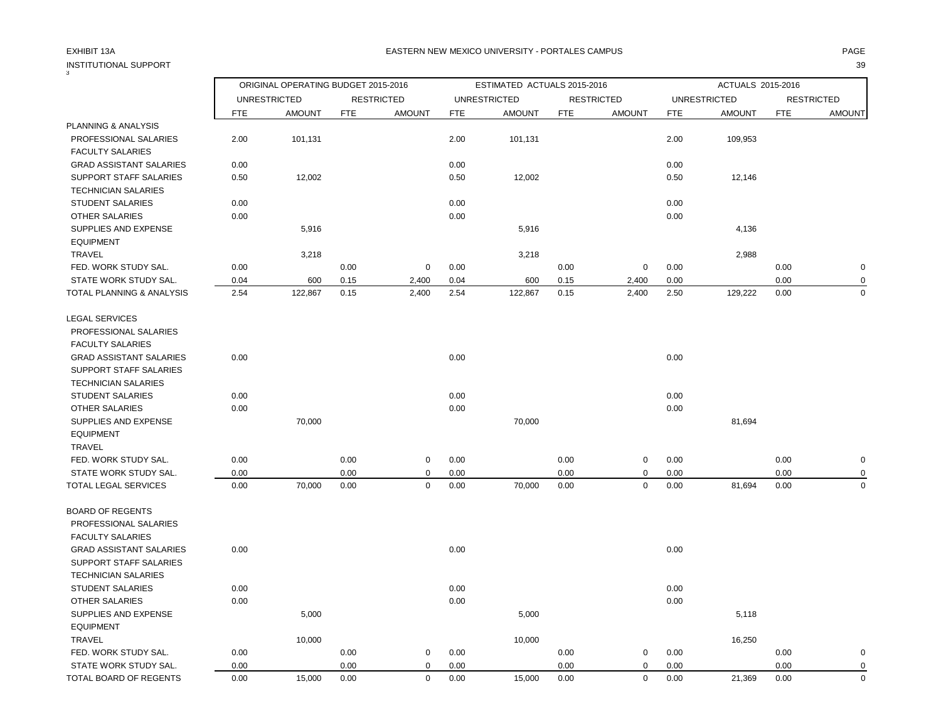## EXHIBIT 13A PAGE EASTERN NEW MEXICO UNIVERSITY - PORTALES CAMPUS

| 3                                                    |            | ORIGINAL OPERATING BUDGET 2015-2016 |            |                   |            | ESTIMATED ACTUALS 2015-2016 |            |                   |            | ACTUALS 2015-2016   |            |                   |
|------------------------------------------------------|------------|-------------------------------------|------------|-------------------|------------|-----------------------------|------------|-------------------|------------|---------------------|------------|-------------------|
|                                                      |            | <b>UNRESTRICTED</b>                 |            | <b>RESTRICTED</b> |            | <b>UNRESTRICTED</b>         |            | <b>RESTRICTED</b> |            | <b>UNRESTRICTED</b> |            | <b>RESTRICTED</b> |
|                                                      | <b>FTE</b> | <b>AMOUNT</b>                       | <b>FTE</b> | <b>AMOUNT</b>     | <b>FTE</b> | <b>AMOUNT</b>               | <b>FTE</b> | <b>AMOUNT</b>     | <b>FTE</b> | <b>AMOUNT</b>       | <b>FTE</b> | <b>AMOUNT</b>     |
| PLANNING & ANALYSIS                                  |            |                                     |            |                   |            |                             |            |                   |            |                     |            |                   |
| PROFESSIONAL SALARIES<br><b>FACULTY SALARIES</b>     | 2.00       | 101,131                             |            |                   | 2.00       | 101,131                     |            |                   | 2.00       | 109,953             |            |                   |
| <b>GRAD ASSISTANT SALARIES</b>                       | 0.00       |                                     |            |                   | 0.00       |                             |            |                   | 0.00       |                     |            |                   |
| SUPPORT STAFF SALARIES<br><b>TECHNICIAN SALARIES</b> | 0.50       | 12,002                              |            |                   | 0.50       | 12,002                      |            |                   | 0.50       | 12,146              |            |                   |
| <b>STUDENT SALARIES</b>                              | 0.00       |                                     |            |                   | 0.00       |                             |            |                   | 0.00       |                     |            |                   |
| <b>OTHER SALARIES</b>                                | 0.00       |                                     |            |                   | 0.00       |                             |            |                   | 0.00       |                     |            |                   |
| SUPPLIES AND EXPENSE<br><b>EQUIPMENT</b>             |            | 5,916                               |            |                   |            | 5,916                       |            |                   |            | 4,136               |            |                   |
| <b>TRAVEL</b>                                        |            | 3,218                               |            |                   |            | 3,218                       |            |                   |            | 2,988               |            |                   |
| FED. WORK STUDY SAL.                                 | 0.00       |                                     | 0.00       | $\mathbf 0$       | 0.00       |                             | 0.00       | $\mathbf 0$       | 0.00       |                     | 0.00       | $\mathbf 0$       |
| STATE WORK STUDY SAL.                                | 0.04       | 600                                 | 0.15       | 2,400             | 0.04       | 600                         | 0.15       | 2,400             | 0.00       |                     | 0.00       | $\mathbf 0$       |
| TOTAL PLANNING & ANALYSIS                            | 2.54       | 122,867                             | 0.15       | 2,400             | 2.54       | 122,867                     | 0.15       | 2,400             | 2.50       | 129,222             | 0.00       | $\mathbf 0$       |
| <b>LEGAL SERVICES</b><br>PROFESSIONAL SALARIES       |            |                                     |            |                   |            |                             |            |                   |            |                     |            |                   |
| <b>FACULTY SALARIES</b>                              |            |                                     |            |                   |            |                             |            |                   |            |                     |            |                   |
| <b>GRAD ASSISTANT SALARIES</b>                       | 0.00       |                                     |            |                   | 0.00       |                             |            |                   | 0.00       |                     |            |                   |
| SUPPORT STAFF SALARIES                               |            |                                     |            |                   |            |                             |            |                   |            |                     |            |                   |
| <b>TECHNICIAN SALARIES</b>                           |            |                                     |            |                   |            |                             |            |                   |            |                     |            |                   |
| <b>STUDENT SALARIES</b>                              | 0.00       |                                     |            |                   | 0.00       |                             |            |                   | 0.00       |                     |            |                   |
| OTHER SALARIES                                       | 0.00       |                                     |            |                   | 0.00       |                             |            |                   | 0.00       |                     |            |                   |
| SUPPLIES AND EXPENSE<br><b>EQUIPMENT</b>             |            | 70,000                              |            |                   |            | 70,000                      |            |                   |            | 81,694              |            |                   |
| TRAVEL                                               |            |                                     |            |                   |            |                             |            |                   |            |                     |            |                   |
| FED. WORK STUDY SAL.                                 | 0.00       |                                     | 0.00       | 0                 | 0.00       |                             | 0.00       | 0                 | 0.00       |                     | 0.00       | $\pmb{0}$         |
| STATE WORK STUDY SAL.                                | 0.00       |                                     | 0.00       | $\mathbf 0$       | 0.00       |                             | 0.00       | 0                 | 0.00       |                     | 0.00       | $\mathbf 0$       |
| TOTAL LEGAL SERVICES                                 | 0.00       | 70,000                              | 0.00       | $\mathbf 0$       | 0.00       | 70,000                      | 0.00       | 0                 | 0.00       | 81,694              | 0.00       | $\mathbf 0$       |
| <b>BOARD OF REGENTS</b>                              |            |                                     |            |                   |            |                             |            |                   |            |                     |            |                   |
| PROFESSIONAL SALARIES                                |            |                                     |            |                   |            |                             |            |                   |            |                     |            |                   |
| <b>FACULTY SALARIES</b>                              |            |                                     |            |                   |            |                             |            |                   |            |                     |            |                   |
| <b>GRAD ASSISTANT SALARIES</b>                       | 0.00       |                                     |            |                   | 0.00       |                             |            |                   | 0.00       |                     |            |                   |
| SUPPORT STAFF SALARIES                               |            |                                     |            |                   |            |                             |            |                   |            |                     |            |                   |
| <b>TECHNICIAN SALARIES</b>                           |            |                                     |            |                   |            |                             |            |                   |            |                     |            |                   |
| <b>STUDENT SALARIES</b>                              | 0.00       |                                     |            |                   | 0.00       |                             |            |                   | 0.00       |                     |            |                   |
| OTHER SALARIES                                       | 0.00       |                                     |            |                   | 0.00       |                             |            |                   | 0.00       |                     |            |                   |
| SUPPLIES AND EXPENSE                                 |            | 5,000                               |            |                   |            | 5,000                       |            |                   |            | 5,118               |            |                   |
| <b>EQUIPMENT</b>                                     |            |                                     |            |                   |            |                             |            |                   |            |                     |            |                   |
| <b>TRAVEL</b>                                        |            | 10,000                              |            |                   |            | 10,000                      |            |                   |            | 16,250              |            |                   |
| FED. WORK STUDY SAL.                                 | 0.00       |                                     | 0.00       | $\mathbf 0$       | 0.00       |                             | 0.00       | 0                 | 0.00       |                     | 0.00       | $\mathbf 0$       |
| STATE WORK STUDY SAL.                                | 0.00       |                                     | 0.00       | $\mathbf 0$       | 0.00       |                             | 0.00       | 0                 | 0.00       |                     | 0.00       | $\mathbf 0$       |
| TOTAL BOARD OF REGENTS                               | 0.00       | 15,000                              | 0.00       | $\mathbf 0$       | 0.00       | 15,000                      | 0.00       | 0                 | 0.00       | 21,369              | 0.00       | $\mathbf 0$       |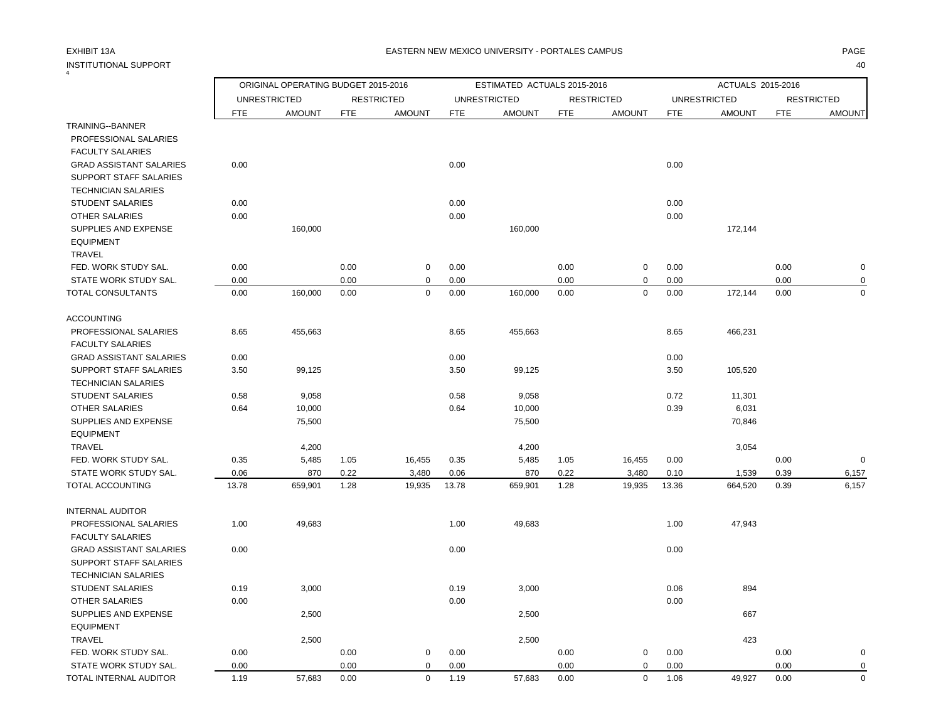4

## EXHIBIT 13A PAGE EASTERN NEW MEXICO UNIVERSITY - PORTALES CAMPUS

|                                   |            | ORIGINAL OPERATING BUDGET 2015-2016 |            |                   |            | ESTIMATED ACTUALS 2015-2016 |            |                   |            | ACTUALS 2015-2016   |            |                   |
|-----------------------------------|------------|-------------------------------------|------------|-------------------|------------|-----------------------------|------------|-------------------|------------|---------------------|------------|-------------------|
|                                   |            | <b>UNRESTRICTED</b>                 |            | <b>RESTRICTED</b> |            | <b>UNRESTRICTED</b>         |            | <b>RESTRICTED</b> |            | <b>UNRESTRICTED</b> |            | <b>RESTRICTED</b> |
|                                   | <b>FTE</b> | <b>AMOUNT</b>                       | <b>FTE</b> | <b>AMOUNT</b>     | <b>FTE</b> | <b>AMOUNT</b>               | <b>FTE</b> | <b>AMOUNT</b>     | <b>FTE</b> | <b>AMOUNT</b>       | <b>FTE</b> | <b>AMOUNT</b>     |
| TRAINING--BANNER                  |            |                                     |            |                   |            |                             |            |                   |            |                     |            |                   |
| PROFESSIONAL SALARIES             |            |                                     |            |                   |            |                             |            |                   |            |                     |            |                   |
| <b>FACULTY SALARIES</b>           |            |                                     |            |                   |            |                             |            |                   |            |                     |            |                   |
| <b>GRAD ASSISTANT SALARIES</b>    | 0.00       |                                     |            |                   | 0.00       |                             |            |                   | 0.00       |                     |            |                   |
| SUPPORT STAFF SALARIES            |            |                                     |            |                   |            |                             |            |                   |            |                     |            |                   |
| <b>TECHNICIAN SALARIES</b>        |            |                                     |            |                   |            |                             |            |                   |            |                     |            |                   |
| <b>STUDENT SALARIES</b>           | 0.00       |                                     |            |                   | 0.00       |                             |            |                   | 0.00       |                     |            |                   |
| <b>OTHER SALARIES</b>             | 0.00       |                                     |            |                   | 0.00       |                             |            |                   | 0.00       |                     |            |                   |
| SUPPLIES AND EXPENSE              |            | 160,000                             |            |                   |            | 160,000                     |            |                   |            | 172,144             |            |                   |
| <b>EQUIPMENT</b><br><b>TRAVEL</b> |            |                                     |            |                   |            |                             |            |                   |            |                     |            |                   |
| FED. WORK STUDY SAL.              | 0.00       |                                     | 0.00       | 0                 | 0.00       |                             | 0.00       | $\mathbf 0$       | 0.00       |                     | 0.00       | $\mathbf 0$       |
| STATE WORK STUDY SAL.             | 0.00       |                                     | 0.00       | $\mathbf 0$       | 0.00       |                             | 0.00       | $\mathbf 0$       | 0.00       |                     | 0.00       | 0                 |
| TOTAL CONSULTANTS                 | 0.00       | 160,000                             | 0.00       | $\mathbf 0$       | 0.00       | 160,000                     | 0.00       | $\mathbf 0$       | 0.00       | 172,144             | 0.00       | $\mathbf 0$       |
|                                   |            |                                     |            |                   |            |                             |            |                   |            |                     |            |                   |
| <b>ACCOUNTING</b>                 |            |                                     |            |                   |            |                             |            |                   |            |                     |            |                   |
| PROFESSIONAL SALARIES             | 8.65       | 455,663                             |            |                   | 8.65       | 455,663                     |            |                   | 8.65       | 466,231             |            |                   |
| <b>FACULTY SALARIES</b>           |            |                                     |            |                   |            |                             |            |                   |            |                     |            |                   |
| <b>GRAD ASSISTANT SALARIES</b>    | 0.00       |                                     |            |                   | 0.00       |                             |            |                   | 0.00       |                     |            |                   |
| <b>SUPPORT STAFF SALARIES</b>     | 3.50       | 99,125                              |            |                   | 3.50       | 99,125                      |            |                   | 3.50       | 105,520             |            |                   |
| <b>TECHNICIAN SALARIES</b>        |            |                                     |            |                   |            |                             |            |                   |            |                     |            |                   |
| <b>STUDENT SALARIES</b>           | 0.58       | 9,058                               |            |                   | 0.58       | 9,058                       |            |                   | 0.72       | 11,301              |            |                   |
| <b>OTHER SALARIES</b>             | 0.64       | 10,000                              |            |                   | 0.64       | 10,000                      |            |                   | 0.39       | 6,031               |            |                   |
| SUPPLIES AND EXPENSE              |            | 75,500                              |            |                   |            | 75,500                      |            |                   |            | 70,846              |            |                   |
| <b>EQUIPMENT</b>                  |            |                                     |            |                   |            |                             |            |                   |            |                     |            |                   |
| <b>TRAVEL</b>                     |            | 4,200                               |            |                   |            | 4,200                       |            |                   |            | 3,054               |            |                   |
| FED. WORK STUDY SAL.              | 0.35       | 5,485                               | 1.05       | 16,455            | 0.35       | 5,485                       | 1.05       | 16,455            | 0.00       |                     | 0.00       | $\mathbf 0$       |
| STATE WORK STUDY SAL.             | 0.06       | 870                                 | 0.22       | 3,480             | 0.06       | 870                         | 0.22       | 3,480             | 0.10       | 1,539               | 0.39       | 6,157             |
| TOTAL ACCOUNTING                  | 13.78      | 659,901                             | 1.28       | 19,935            | 13.78      | 659,901                     | 1.28       | 19,935            | 13.36      | 664,520             | 0.39       | 6,157             |
| <b>INTERNAL AUDITOR</b>           |            |                                     |            |                   |            |                             |            |                   |            |                     |            |                   |
| PROFESSIONAL SALARIES             | 1.00       | 49,683                              |            |                   | 1.00       | 49,683                      |            |                   | 1.00       | 47,943              |            |                   |
| <b>FACULTY SALARIES</b>           |            |                                     |            |                   |            |                             |            |                   |            |                     |            |                   |
| <b>GRAD ASSISTANT SALARIES</b>    | 0.00       |                                     |            |                   | 0.00       |                             |            |                   | 0.00       |                     |            |                   |
| SUPPORT STAFF SALARIES            |            |                                     |            |                   |            |                             |            |                   |            |                     |            |                   |
| <b>TECHNICIAN SALARIES</b>        |            |                                     |            |                   |            |                             |            |                   |            |                     |            |                   |
| <b>STUDENT SALARIES</b>           | 0.19       | 3,000                               |            |                   | 0.19       | 3,000                       |            |                   | 0.06       | 894                 |            |                   |
| <b>OTHER SALARIES</b>             | 0.00       |                                     |            |                   | 0.00       |                             |            |                   | 0.00       |                     |            |                   |
| SUPPLIES AND EXPENSE              |            | 2,500                               |            |                   |            | 2,500                       |            |                   |            | 667                 |            |                   |
| <b>EQUIPMENT</b>                  |            |                                     |            |                   |            |                             |            |                   |            |                     |            |                   |
| <b>TRAVEL</b>                     |            | 2,500                               |            |                   |            | 2,500                       |            |                   |            | 423                 |            |                   |
| FED. WORK STUDY SAL.              | 0.00       |                                     | 0.00       | 0                 | 0.00       |                             | 0.00       | $\pmb{0}$         | 0.00       |                     | 0.00       | 0                 |
| STATE WORK STUDY SAL.             | 0.00       |                                     | 0.00       | $\Omega$          | 0.00       |                             | 0.00       | $\mathbf 0$       | 0.00       |                     | 0.00       | $\mathbf 0$       |
| TOTAL INTERNAL AUDITOR            | 1.19       | 57,683                              | 0.00       | $\Omega$          | 1.19       | 57,683                      | 0.00       | $\mathbf 0$       | 1.06       | 49,927              | 0.00       | $\mathbf 0$       |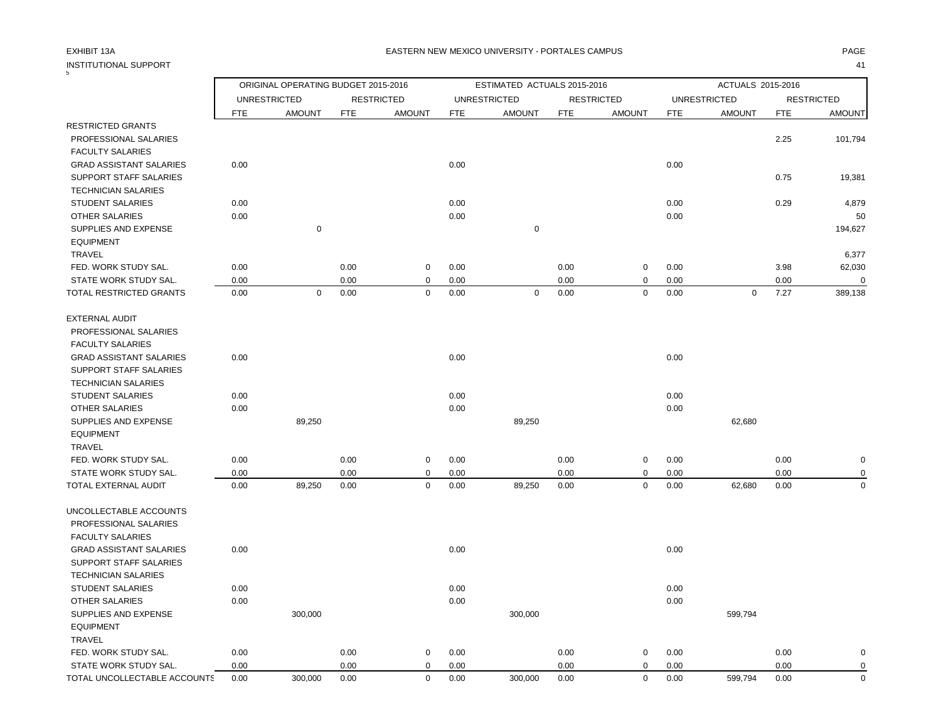| INSTITUTIONAL SUPPORT          |            |                                     |            |                   |            |                             |            |                   |            |                     |            | 41                |
|--------------------------------|------------|-------------------------------------|------------|-------------------|------------|-----------------------------|------------|-------------------|------------|---------------------|------------|-------------------|
|                                |            | ORIGINAL OPERATING BUDGET 2015-2016 |            |                   |            | ESTIMATED ACTUALS 2015-2016 |            |                   |            | ACTUALS 2015-2016   |            |                   |
|                                |            | <b>UNRESTRICTED</b>                 |            | <b>RESTRICTED</b> |            | <b>UNRESTRICTED</b>         |            | <b>RESTRICTED</b> |            | <b>UNRESTRICTED</b> |            | <b>RESTRICTED</b> |
|                                | <b>FTE</b> | <b>AMOUNT</b>                       | <b>FTE</b> | <b>AMOUNT</b>     | <b>FTE</b> | <b>AMOUNT</b>               | <b>FTE</b> | <b>AMOUNT</b>     | <b>FTE</b> | <b>AMOUNT</b>       | <b>FTE</b> | <b>AMOUNT</b>     |
| <b>RESTRICTED GRANTS</b>       |            |                                     |            |                   |            |                             |            |                   |            |                     |            |                   |
| PROFESSIONAL SALARIES          |            |                                     |            |                   |            |                             |            |                   |            |                     | 2.25       | 101,794           |
| <b>FACULTY SALARIES</b>        |            |                                     |            |                   |            |                             |            |                   |            |                     |            |                   |
| <b>GRAD ASSISTANT SALARIES</b> | 0.00       |                                     |            |                   | 0.00       |                             |            |                   | 0.00       |                     |            |                   |
| <b>SUPPORT STAFF SALARIES</b>  |            |                                     |            |                   |            |                             |            |                   |            |                     | 0.75       | 19,381            |
| <b>TECHNICIAN SALARIES</b>     |            |                                     |            |                   |            |                             |            |                   |            |                     |            |                   |
| <b>STUDENT SALARIES</b>        | 0.00       |                                     |            |                   | 0.00       |                             |            |                   | 0.00       |                     | 0.29       | 4,879             |
| OTHER SALARIES                 | 0.00       |                                     |            |                   | 0.00       |                             |            |                   | 0.00       |                     |            | 50                |
| SUPPLIES AND EXPENSE           |            | $\pmb{0}$                           |            |                   |            | $\mathsf 0$                 |            |                   |            |                     |            | 194,627           |
| <b>EQUIPMENT</b>               |            |                                     |            |                   |            |                             |            |                   |            |                     |            |                   |
| <b>TRAVEL</b>                  |            |                                     |            |                   |            |                             |            |                   |            |                     |            | 6,377             |
| FED. WORK STUDY SAL.           | 0.00       |                                     | 0.00       | $\mathbf 0$       | 0.00       |                             | 0.00       | $\pmb{0}$         | 0.00       |                     | 3.98       | 62,030            |
| STATE WORK STUDY SAL.          | 0.00       |                                     | 0.00       | 0                 | 0.00       |                             | 0.00       | $\pmb{0}$         | 0.00       |                     | 0.00       | $\Omega$          |
| TOTAL RESTRICTED GRANTS        | 0.00       | $\mathbf 0$                         | 0.00       | $\mathbf 0$       | 0.00       | $\mathbf 0$                 | 0.00       | $\mathbf 0$       | 0.00       | $\mathbf 0$         | 7.27       | 389,138           |
| <b>EXTERNAL AUDIT</b>          |            |                                     |            |                   |            |                             |            |                   |            |                     |            |                   |
| PROFESSIONAL SALARIES          |            |                                     |            |                   |            |                             |            |                   |            |                     |            |                   |
| <b>FACULTY SALARIES</b>        |            |                                     |            |                   |            |                             |            |                   |            |                     |            |                   |
| <b>GRAD ASSISTANT SALARIES</b> | 0.00       |                                     |            |                   | 0.00       |                             |            |                   | 0.00       |                     |            |                   |
| <b>SUPPORT STAFF SALARIES</b>  |            |                                     |            |                   |            |                             |            |                   |            |                     |            |                   |
| <b>TECHNICIAN SALARIES</b>     |            |                                     |            |                   |            |                             |            |                   |            |                     |            |                   |
| <b>STUDENT SALARIES</b>        | 0.00       |                                     |            |                   | 0.00       |                             |            |                   | 0.00       |                     |            |                   |
| OTHER SALARIES                 | 0.00       |                                     |            |                   | 0.00       |                             |            |                   | 0.00       |                     |            |                   |
| SUPPLIES AND EXPENSE           |            | 89,250                              |            |                   |            | 89,250                      |            |                   |            | 62,680              |            |                   |
| <b>EQUIPMENT</b>               |            |                                     |            |                   |            |                             |            |                   |            |                     |            |                   |
| TRAVEL                         |            |                                     |            |                   |            |                             |            |                   |            |                     |            |                   |
| FED. WORK STUDY SAL.           | 0.00       |                                     | 0.00       | $\mathbf 0$       | 0.00       |                             | 0.00       | 0                 | 0.00       |                     | 0.00       | $\mathbf 0$       |
| STATE WORK STUDY SAL.          | 0.00       |                                     | 0.00       | 0                 | 0.00       |                             | 0.00       | $\mathbf 0$       | 0.00       |                     | 0.00       | $\mathbf 0$       |
| TOTAL EXTERNAL AUDIT           | 0.00       | 89,250                              | 0.00       | $\mathbf 0$       | 0.00       | 89,250                      | 0.00       | $\mathbf 0$       | 0.00       | 62,680              | 0.00       | $\Omega$          |
| UNCOLLECTABLE ACCOUNTS         |            |                                     |            |                   |            |                             |            |                   |            |                     |            |                   |
| PROFESSIONAL SALARIES          |            |                                     |            |                   |            |                             |            |                   |            |                     |            |                   |
| <b>FACULTY SALARIES</b>        |            |                                     |            |                   |            |                             |            |                   |            |                     |            |                   |
| <b>GRAD ASSISTANT SALARIES</b> | 0.00       |                                     |            |                   | 0.00       |                             |            |                   | 0.00       |                     |            |                   |
| <b>SUPPORT STAFF SALARIES</b>  |            |                                     |            |                   |            |                             |            |                   |            |                     |            |                   |
| <b>TECHNICIAN SALARIES</b>     |            |                                     |            |                   |            |                             |            |                   |            |                     |            |                   |
| <b>STUDENT SALARIES</b>        | 0.00       |                                     |            |                   | 0.00       |                             |            |                   | 0.00       |                     |            |                   |
| <b>OTHER SALARIES</b>          | 0.00       |                                     |            |                   | 0.00       |                             |            |                   | 0.00       |                     |            |                   |
| SUPPLIES AND EXPENSE           |            | 300,000                             |            |                   |            | 300,000                     |            |                   |            | 599,794             |            |                   |
| <b>EQUIPMENT</b>               |            |                                     |            |                   |            |                             |            |                   |            |                     |            |                   |
| <b>TRAVEL</b>                  |            |                                     |            |                   |            |                             |            |                   |            |                     |            |                   |
| FED. WORK STUDY SAL.           | 0.00       |                                     | 0.00       | $\mathbf 0$       | 0.00       |                             | 0.00       | 0                 | 0.00       |                     | 0.00       | $\mathbf 0$       |
| STATE WORK STUDY SAL.          | 0.00       |                                     | 0.00       | $\mathbf 0$       | 0.00       |                             | 0.00       | $\mathbf 0$       | 0.00       |                     | 0.00       | 0                 |
| TOTAL UNCOLLECTABLE ACCOUNTS   | 0.00       | 300,000                             | 0.00       | $\mathbf 0$       | 0.00       | 300,000                     | 0.00       | $\mathbf 0$       | 0.00       | 599,794             | 0.00       | $\mathbf 0$       |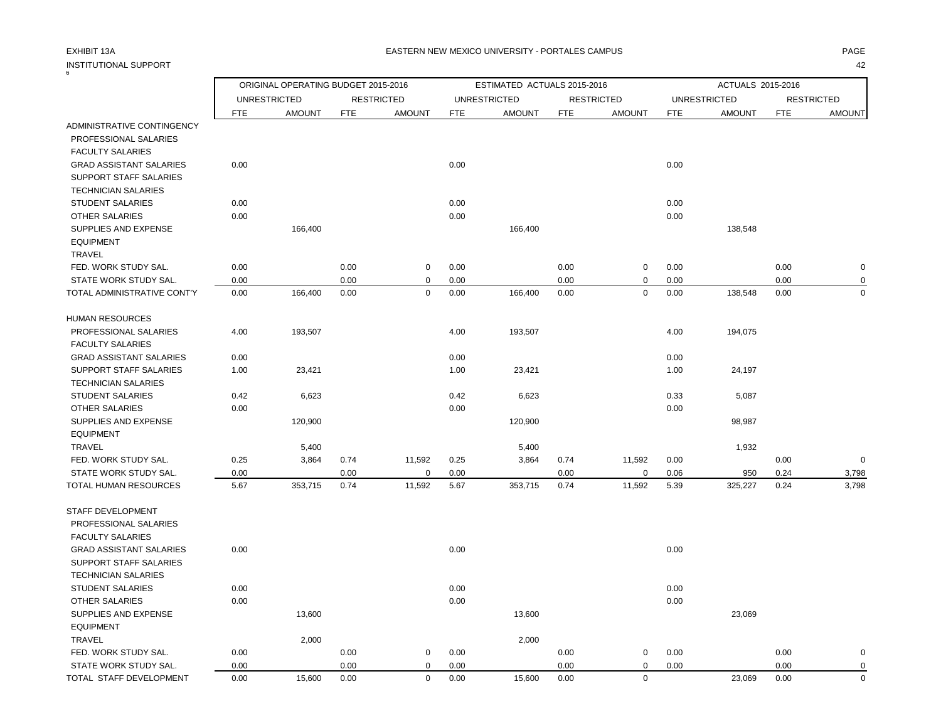EQUIPMENT

### INSTITUTIONAL SUPPORT 42 6

ORIGINAL OPERATING BUDGET 2015-2016 ESTIMATED ACTUALS 2015-2016 ACTUALS 2015-2016

UNRESTRICTED RESTRICTED UNRESTRICTED RESTRICTED UNRESTRICTED RESTRICTED FTE AMOUNT FTE AMOUNT FTE AMOUNT FTE AMOUNT FTE AMOUNT FTE AMOUNT ADMINISTRATIVE CONTINGENCY PROFESSIONAL SALARIES FACULTY SALARIES GRAD ASSISTANT SALARIES 0.00 0.00 0.00 SUPPORT STAFF SALARIES TECHNICIAN SALARIES STUDENT SALARIES 0.00 0.00 0.00 OTHER SALARIES 0.00 0.00 0.00 SUPPLIES AND EXPENSE 138,548 and 166,400 166,400 166,400 166,400 156,400 156,400 156,400 156,400 156,400 156,400 156,400 156,400 156,400 156,400 156,400 156,400 156,400 156,400 156,400 156,400 156,400 156,400 156,400 156,4 EQUIPMENT **TRAVEL**  FED. WORK STUDY SAL. 0.00 0.00 0 0.00 0.00 0 0.00 0.00 0 STATE WORK STUDY SAL.  $0.00$   $0.00$   $0.00$   $0.00$   $0.00$   $0.00$   $0.00$   $0.00$   $0.00$   $0.00$ TOTAL ADMINISTRATIVE CONT'Y 0.00 166,400 0.00 0 0.00 166,400 0.00 0 0.00 138,548 0.00 0 HUMAN RESOURCES PROFESSIONAL SALARIES 4.00 193,507 4.00 193,507 4.00 194,075 FACULTY SALARIES GRAD ASSISTANT SALARIES 0.00 0.00 0.00 SUPPORT STAFF SALARIES 1.00 23,421 1.00 23,421 2.00 23,421 1.00 24,197 TECHNICIAN SALARIES

STUDENT SALARIES 6.623 6,623 6,623 6,623 6,623 6,623 6,623 5,087 OTHER SALARIES 0.00 0.00 0.00 SUPPLIES AND EXPENSE 28,987 120,900 120,900 120,900 120,900 120,900 120,900 120,900 120,900 120,900 120,900 120,900 120,900 120,900 120,900 120,900 120,900 120,900 120,900 120,900 120,900 120,900 120,900 120,900 120,900 12 TRAVEL 5,400 5,400 1,932 FED. WORK STUDY SAL. 0.25 3,864 0.74 11,592 0.25 3,864 0.74 11,592 0.00 0.00 0 STATE WORK STUDY SAL.  $0.00$   $0.00$   $0.00$   $0.00$   $0.00$   $0.00$   $0.00$   $0.06$   $950$   $0.24$   $3.798$ TOTAL HUMAN RESOURCES 5.67 353,715 0.74 11,592 5.67 353,715 0.74 11,592 5.39 325,227 0.24 3,798 STAFF DEVELOPMENT PROFESSIONAL SALARIES FACULTY SALARIES

| <b>GRAD ASSISTANT SALARIES</b> | 0.00 |        |      |   | 0.00 |        |      |   | 0.00 |        |      |   |
|--------------------------------|------|--------|------|---|------|--------|------|---|------|--------|------|---|
| SUPPORT STAFF SALARIES         |      |        |      |   |      |        |      |   |      |        |      |   |
| <b>TECHNICIAN SALARIES</b>     |      |        |      |   |      |        |      |   |      |        |      |   |
| <b>STUDENT SALARIES</b>        | 0.00 |        |      |   | 0.00 |        |      |   | 0.00 |        |      |   |
| OTHER SALARIES                 | 0.00 |        |      |   | 0.00 |        |      |   | 0.00 |        |      |   |
| SUPPLIES AND EXPENSE           |      | 13,600 |      |   |      | 13,600 |      |   |      | 23,069 |      |   |
| <b>EQUIPMENT</b>               |      |        |      |   |      |        |      |   |      |        |      |   |
| <b>TRAVEL</b>                  |      | 2,000  |      |   |      | 2,000  |      |   |      |        |      |   |
| FED. WORK STUDY SAL.           | 0.00 |        | 0.00 | 0 | 0.00 |        | 0.00 | 0 | 0.00 |        | 0.00 | 0 |
| STATE WORK STUDY SAL.          | 0.00 |        | 0.00 |   | 0.00 |        | 0.00 |   | 0.00 |        | 0.00 | 0 |
| TOTAL STAFF DEVELOPMENT        | 0.00 | 15,600 | 0.00 | 0 | 0.00 | 15,600 | 0.00 | 0 |      | 23,069 | 0.00 | 0 |
|                                |      |        |      |   |      |        |      |   |      |        |      |   |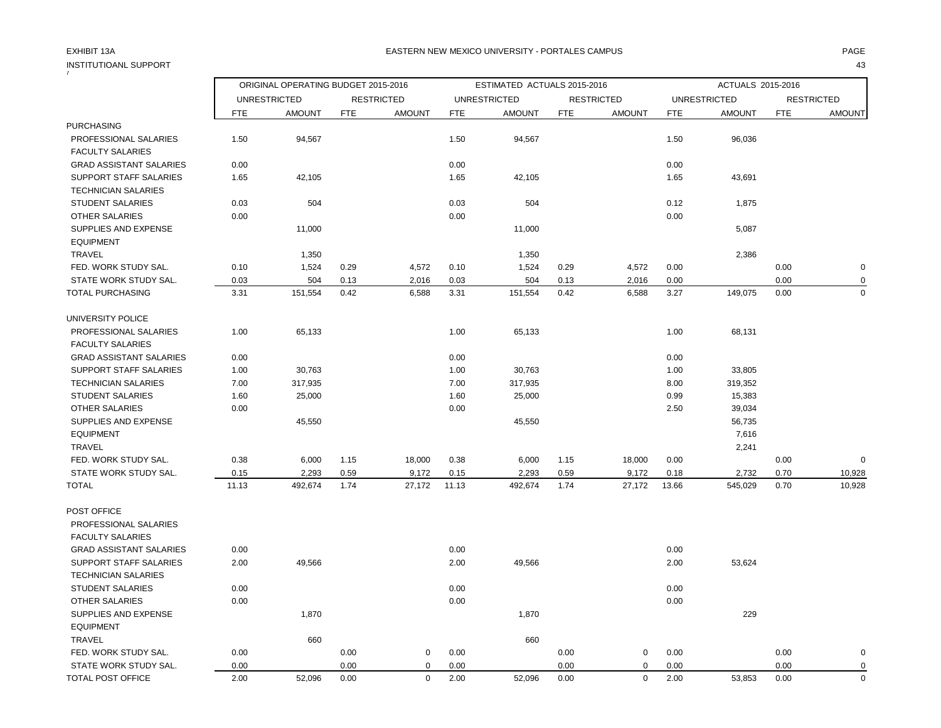### EXHIBIT 13A PAGE EASTERN NEW MEXICO UNIVERSITY - PORTALES CAMPUS

| INSTITUTIOANL SUPPORT          |            |                                     |      |                   |                             |                     |            |                   |                   |                     |            | 43                |
|--------------------------------|------------|-------------------------------------|------|-------------------|-----------------------------|---------------------|------------|-------------------|-------------------|---------------------|------------|-------------------|
|                                |            | ORIGINAL OPERATING BUDGET 2015-2016 |      |                   | ESTIMATED ACTUALS 2015-2016 |                     |            |                   | ACTUALS 2015-2016 |                     |            |                   |
|                                |            | <b>UNRESTRICTED</b>                 |      | <b>RESTRICTED</b> |                             | <b>UNRESTRICTED</b> |            | <b>RESTRICTED</b> |                   | <b>UNRESTRICTED</b> |            | <b>RESTRICTED</b> |
|                                | <b>FTE</b> | <b>AMOUNT</b>                       | FTE  | <b>AMOUNT</b>     | <b>FTE</b>                  | <b>AMOUNT</b>       | <b>FTE</b> | <b>AMOUNT</b>     | <b>FTE</b>        | <b>AMOUNT</b>       | <b>FTE</b> | <b>AMOUNT</b>     |
| <b>PURCHASING</b>              |            |                                     |      |                   |                             |                     |            |                   |                   |                     |            |                   |
| PROFESSIONAL SALARIES          | 1.50       | 94,567                              |      |                   | 1.50                        | 94,567              |            |                   | 1.50              | 96,036              |            |                   |
| <b>FACULTY SALARIES</b>        |            |                                     |      |                   |                             |                     |            |                   |                   |                     |            |                   |
| <b>GRAD ASSISTANT SALARIES</b> | 0.00       |                                     |      |                   | 0.00                        |                     |            |                   | 0.00              |                     |            |                   |
| SUPPORT STAFF SALARIES         | 1.65       | 42,105                              |      |                   | 1.65                        | 42,105              |            |                   | 1.65              | 43,691              |            |                   |
| <b>TECHNICIAN SALARIES</b>     |            |                                     |      |                   |                             |                     |            |                   |                   |                     |            |                   |
| <b>STUDENT SALARIES</b>        | 0.03       | 504                                 |      |                   | 0.03                        | 504                 |            |                   | 0.12              | 1,875               |            |                   |
| <b>OTHER SALARIES</b>          | 0.00       |                                     |      |                   | 0.00                        |                     |            |                   | 0.00              |                     |            |                   |
| SUPPLIES AND EXPENSE           |            | 11,000                              |      |                   |                             | 11,000              |            |                   |                   | 5,087               |            |                   |
| <b>EQUIPMENT</b>               |            |                                     |      |                   |                             |                     |            |                   |                   |                     |            |                   |
| <b>TRAVEL</b>                  |            | 1,350                               |      |                   |                             | 1,350               |            |                   |                   | 2,386               |            |                   |
| FED. WORK STUDY SAL.           | 0.10       | 1,524                               | 0.29 | 4,572             | 0.10                        | 1,524               | 0.29       | 4,572             | 0.00              |                     | 0.00       | $\mathbf 0$       |
| STATE WORK STUDY SAL.          | 0.03       | 504                                 | 0.13 | 2,016             | 0.03                        | 504                 | 0.13       | 2,016             | 0.00              |                     | 0.00       | $\mathbf 0$       |
| TOTAL PURCHASING               | 3.31       | 151,554                             | 0.42 | 6,588             | 3.31                        | 151,554             | 0.42       | 6,588             | 3.27              | 149,075             | 0.00       | $\mathbf 0$       |
| UNIVERSITY POLICE              |            |                                     |      |                   |                             |                     |            |                   |                   |                     |            |                   |
| PROFESSIONAL SALARIES          | 1.00       | 65,133                              |      |                   | 1.00                        | 65,133              |            |                   | 1.00              | 68,131              |            |                   |
| <b>FACULTY SALARIES</b>        |            |                                     |      |                   |                             |                     |            |                   |                   |                     |            |                   |
| <b>GRAD ASSISTANT SALARIES</b> | 0.00       |                                     |      |                   | 0.00                        |                     |            |                   | 0.00              |                     |            |                   |
| SUPPORT STAFF SALARIES         | 1.00       | 30,763                              |      |                   | 1.00                        | 30,763              |            |                   | 1.00              | 33,805              |            |                   |
| <b>TECHNICIAN SALARIES</b>     | 7.00       | 317,935                             |      |                   | 7.00                        | 317,935             |            |                   | 8.00              | 319,352             |            |                   |
| <b>STUDENT SALARIES</b>        | 1.60       | 25,000                              |      |                   | 1.60                        | 25,000              |            |                   | 0.99              | 15,383              |            |                   |
| <b>OTHER SALARIES</b>          | 0.00       |                                     |      |                   | 0.00                        |                     |            |                   | 2.50              | 39,034              |            |                   |
| SUPPLIES AND EXPENSE           |            | 45,550                              |      |                   |                             | 45,550              |            |                   |                   | 56,735              |            |                   |
| <b>EQUIPMENT</b>               |            |                                     |      |                   |                             |                     |            |                   |                   | 7,616               |            |                   |
| <b>TRAVEL</b>                  |            |                                     |      |                   |                             |                     |            |                   |                   | 2,241               |            |                   |
| FED. WORK STUDY SAL.           | 0.38       | 6,000                               | 1.15 | 18,000            | 0.38                        | 6,000               | 1.15       | 18,000            | 0.00              |                     | 0.00       | $\mathbf 0$       |
| STATE WORK STUDY SAL.          | 0.15       | 2,293                               | 0.59 | 9,172             | 0.15                        | 2,293               | 0.59       | 9,172             | 0.18              | 2,732               | 0.70       | 10,928            |
| <b>TOTAL</b>                   | 11.13      | 492,674                             | 1.74 | 27,172            | 11.13                       | 492,674             | 1.74       | 27,172            | 13.66             | 545,029             | 0.70       | 10,928            |
| POST OFFICE                    |            |                                     |      |                   |                             |                     |            |                   |                   |                     |            |                   |
| PROFESSIONAL SALARIES          |            |                                     |      |                   |                             |                     |            |                   |                   |                     |            |                   |
| <b>FACULTY SALARIES</b>        |            |                                     |      |                   |                             |                     |            |                   |                   |                     |            |                   |
| <b>GRAD ASSISTANT SALARIES</b> | 0.00       |                                     |      |                   | 0.00                        |                     |            |                   | 0.00              |                     |            |                   |
| SUPPORT STAFF SALARIES         | 2.00       | 49,566                              |      |                   | 2.00                        | 49,566              |            |                   | 2.00              | 53,624              |            |                   |
| <b>TECHNICIAN SALARIES</b>     |            |                                     |      |                   |                             |                     |            |                   |                   |                     |            |                   |
| <b>STUDENT SALARIES</b>        | 0.00       |                                     |      |                   | 0.00                        |                     |            |                   | 0.00              |                     |            |                   |
| <b>OTHER SALARIES</b>          | 0.00       |                                     |      |                   | 0.00                        |                     |            |                   | 0.00              |                     |            |                   |
| SUPPLIES AND EXPENSE           |            | 1,870                               |      |                   |                             | 1,870               |            |                   |                   | 229                 |            |                   |
| <b>EQUIPMENT</b>               |            |                                     |      |                   |                             |                     |            |                   |                   |                     |            |                   |
| <b>TRAVEL</b>                  |            | 660                                 |      |                   |                             | 660                 |            |                   |                   |                     |            |                   |
| FED. WORK STUDY SAL.           | 0.00       |                                     | 0.00 | $\mathbf 0$       | 0.00                        |                     | 0.00       | $\mathbf 0$       | 0.00              |                     | 0.00       | $\mathbf 0$       |
| STATE WORK STUDY SAL.          | 0.00       |                                     | 0.00 | $\mathbf 0$       | 0.00                        |                     | 0.00       | $\mathbf 0$       | 0.00              |                     | 0.00       | $\pmb{0}$         |
| TOTAL POST OFFICE              | 2.00       | 52,096                              | 0.00 | $\mathbf 0$       | 2.00                        | 52,096              | 0.00       | $\mathbf 0$       | 2.00              | 53,853              | 0.00       | $\mathbf 0$       |
|                                |            |                                     |      |                   |                             |                     |            |                   |                   |                     |            |                   |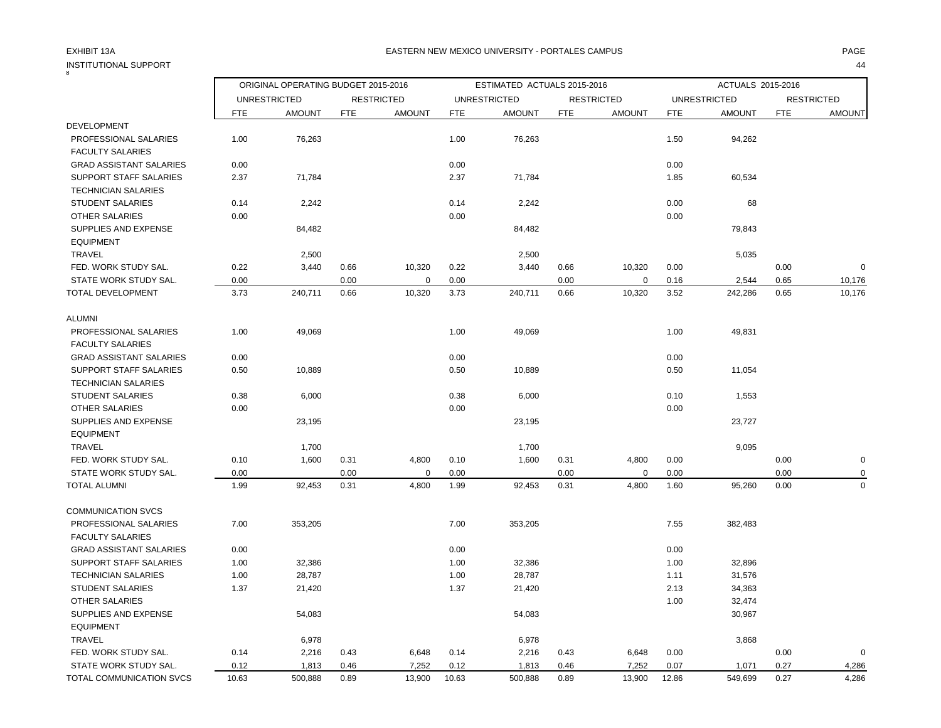| <b>INSTITUTIONAL SUPPORT</b>   |            |                                     |            |                   |            |                             |            |                   |            |                     |            | 44                |
|--------------------------------|------------|-------------------------------------|------------|-------------------|------------|-----------------------------|------------|-------------------|------------|---------------------|------------|-------------------|
|                                |            | ORIGINAL OPERATING BUDGET 2015-2016 |            |                   |            | ESTIMATED ACTUALS 2015-2016 |            |                   |            | ACTUALS 2015-2016   |            |                   |
|                                |            | <b>UNRESTRICTED</b>                 |            | <b>RESTRICTED</b> |            | <b>UNRESTRICTED</b>         |            | <b>RESTRICTED</b> |            | <b>UNRESTRICTED</b> |            | <b>RESTRICTED</b> |
|                                | <b>FTE</b> | <b>AMOUNT</b>                       | <b>FTE</b> | <b>AMOUNT</b>     | <b>FTE</b> | <b>AMOUNT</b>               | <b>FTE</b> | <b>AMOUNT</b>     | <b>FTE</b> | <b>AMOUNT</b>       | <b>FTE</b> | <b>AMOUNT</b>     |
| <b>DEVELOPMENT</b>             |            |                                     |            |                   |            |                             |            |                   |            |                     |            |                   |
| PROFESSIONAL SALARIES          | 1.00       | 76,263                              |            |                   | 1.00       | 76,263                      |            |                   | 1.50       | 94,262              |            |                   |
| <b>FACULTY SALARIES</b>        |            |                                     |            |                   |            |                             |            |                   |            |                     |            |                   |
| <b>GRAD ASSISTANT SALARIES</b> | 0.00       |                                     |            |                   | 0.00       |                             |            |                   | 0.00       |                     |            |                   |
| <b>SUPPORT STAFF SALARIES</b>  | 2.37       | 71,784                              |            |                   | 2.37       | 71,784                      |            |                   | 1.85       | 60,534              |            |                   |
| <b>TECHNICIAN SALARIES</b>     |            |                                     |            |                   |            |                             |            |                   |            |                     |            |                   |
| <b>STUDENT SALARIES</b>        | 0.14       | 2,242                               |            |                   | 0.14       | 2,242                       |            |                   | 0.00       | 68                  |            |                   |
| OTHER SALARIES                 | 0.00       |                                     |            |                   | 0.00       |                             |            |                   | 0.00       |                     |            |                   |
| SUPPLIES AND EXPENSE           |            | 84,482                              |            |                   |            | 84,482                      |            |                   |            | 79,843              |            |                   |
| <b>EQUIPMENT</b>               |            |                                     |            |                   |            |                             |            |                   |            |                     |            |                   |
| <b>TRAVEL</b>                  |            | 2,500                               |            |                   |            | 2,500                       |            |                   |            | 5,035               |            |                   |
| FED. WORK STUDY SAL.           | 0.22       | 3,440                               | 0.66       | 10,320            | 0.22       | 3,440                       | 0.66       | 10,320            | 0.00       |                     | 0.00       | $\mathbf 0$       |
| STATE WORK STUDY SAL.          | 0.00       |                                     | 0.00       | $\Omega$          | 0.00       |                             | 0.00       | $\Omega$          | 0.16       | 2,544               | 0.65       | 10,176            |
| TOTAL DEVELOPMENT              | 3.73       | 240,711                             | 0.66       | 10,320            | 3.73       | 240,711                     | 0.66       | 10,320            | 3.52       | 242,286             | 0.65       | 10,176            |
| <b>ALUMNI</b>                  |            |                                     |            |                   |            |                             |            |                   |            |                     |            |                   |
| PROFESSIONAL SALARIES          | 1.00       | 49,069                              |            |                   | 1.00       | 49,069                      |            |                   | 1.00       | 49,831              |            |                   |
| <b>FACULTY SALARIES</b>        |            |                                     |            |                   |            |                             |            |                   |            |                     |            |                   |
| <b>GRAD ASSISTANT SALARIES</b> | 0.00       |                                     |            |                   | 0.00       |                             |            |                   | 0.00       |                     |            |                   |
| <b>SUPPORT STAFF SALARIES</b>  | 0.50       | 10,889                              |            |                   | 0.50       | 10,889                      |            |                   | 0.50       | 11,054              |            |                   |
| <b>TECHNICIAN SALARIES</b>     |            |                                     |            |                   |            |                             |            |                   |            |                     |            |                   |
| <b>STUDENT SALARIES</b>        | 0.38       | 6,000                               |            |                   | 0.38       | 6,000                       |            |                   | 0.10       | 1,553               |            |                   |
| OTHER SALARIES                 | 0.00       |                                     |            |                   | 0.00       |                             |            |                   | 0.00       |                     |            |                   |
| SUPPLIES AND EXPENSE           |            | 23,195                              |            |                   |            | 23,195                      |            |                   |            | 23,727              |            |                   |
| <b>EQUIPMENT</b>               |            |                                     |            |                   |            |                             |            |                   |            |                     |            |                   |
| <b>TRAVEL</b>                  |            | 1,700                               |            |                   |            | 1,700                       |            |                   |            | 9,095               |            |                   |
| FED. WORK STUDY SAL.           | 0.10       | 1,600                               | 0.31       | 4,800             | 0.10       | 1,600                       | 0.31       | 4,800             | 0.00       |                     | 0.00       | $\mathbf 0$       |
| STATE WORK STUDY SAL.          | 0.00       |                                     | 0.00       | $\Omega$          | 0.00       |                             | 0.00       | 0                 | 0.00       |                     | 0.00       | 0                 |
| <b>TOTAL ALUMNI</b>            | 1.99       | 92,453                              | 0.31       | 4,800             | 1.99       | 92,453                      | 0.31       | 4,800             | 1.60       | 95,260              | 0.00       | $\mathbf 0$       |
| <b>COMMUNICATION SVCS</b>      |            |                                     |            |                   |            |                             |            |                   |            |                     |            |                   |
| PROFESSIONAL SALARIES          | 7.00       | 353,205                             |            |                   | 7.00       | 353,205                     |            |                   | 7.55       | 382,483             |            |                   |
| <b>FACULTY SALARIES</b>        |            |                                     |            |                   |            |                             |            |                   |            |                     |            |                   |
| <b>GRAD ASSISTANT SALARIES</b> | 0.00       |                                     |            |                   | 0.00       |                             |            |                   | 0.00       |                     |            |                   |
| <b>SUPPORT STAFF SALARIES</b>  | 1.00       | 32,386                              |            |                   | 1.00       | 32,386                      |            |                   | 1.00       | 32,896              |            |                   |
| <b>TECHNICIAN SALARIES</b>     | 1.00       | 28,787                              |            |                   | 1.00       | 28,787                      |            |                   | 1.11       | 31,576              |            |                   |
| <b>STUDENT SALARIES</b>        | 1.37       | 21,420                              |            |                   | 1.37       | 21,420                      |            |                   | 2.13       | 34,363              |            |                   |
| <b>OTHER SALARIES</b>          |            |                                     |            |                   |            |                             |            |                   | 1.00       | 32,474              |            |                   |
| SUPPLIES AND EXPENSE           |            | 54,083                              |            |                   |            | 54,083                      |            |                   |            | 30,967              |            |                   |
| <b>EQUIPMENT</b>               |            |                                     |            |                   |            |                             |            |                   |            |                     |            |                   |
| <b>TRAVEL</b>                  |            | 6,978                               |            |                   |            | 6,978                       |            |                   |            | 3,868               |            |                   |
| FED. WORK STUDY SAL.           | 0.14       | 2,216                               | 0.43       | 6,648             | 0.14       | 2,216                       | 0.43       | 6,648             | 0.00       |                     | 0.00       | $\mathbf 0$       |
| STATE WORK STUDY SAL.          | 0.12       | 1,813                               | 0.46       | 7,252             | 0.12       | 1,813                       | 0.46       | 7,252             | 0.07       | 1,071               | 0.27       | 4,286             |
| TOTAL COMMUNICATION SVCS       | 10.63      | 500,888                             | 0.89       | 13,900            | 10.63      | 500,888                     | 0.89       | 13,900            | 12.86      | 549,699             | 0.27       | 4,286             |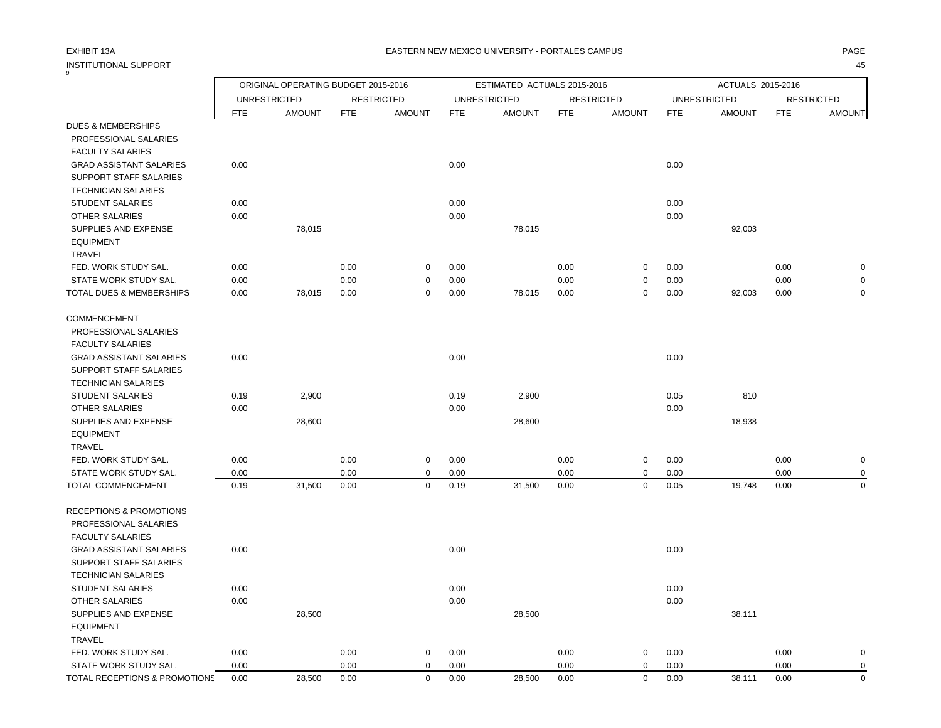## EXHIBIT 13A PAGE EASTERN NEW MEXICO UNIVERSITY - PORTALES CAMPUS

| INSTITUTIONAL SUPPORT                             |              |                                     |              |                            |              |                             |              |                   |              |                     |              | 45                |
|---------------------------------------------------|--------------|-------------------------------------|--------------|----------------------------|--------------|-----------------------------|--------------|-------------------|--------------|---------------------|--------------|-------------------|
|                                                   |              | ORIGINAL OPERATING BUDGET 2015-2016 |              |                            |              | ESTIMATED ACTUALS 2015-2016 |              |                   |              | ACTUALS 2015-2016   |              |                   |
|                                                   |              | <b>UNRESTRICTED</b>                 |              | <b>RESTRICTED</b>          |              | <b>UNRESTRICTED</b>         |              | <b>RESTRICTED</b> |              | <b>UNRESTRICTED</b> |              | <b>RESTRICTED</b> |
|                                                   | <b>FTE</b>   | <b>AMOUNT</b>                       | <b>FTE</b>   | <b>AMOUNT</b>              | <b>FTE</b>   | <b>AMOUNT</b>               | <b>FTE</b>   | <b>AMOUNT</b>     | <b>FTE</b>   | <b>AMOUNT</b>       | <b>FTE</b>   | <b>AMOUNT</b>     |
| <b>DUES &amp; MEMBERSHIPS</b>                     |              |                                     |              |                            |              |                             |              |                   |              |                     |              |                   |
| PROFESSIONAL SALARIES                             |              |                                     |              |                            |              |                             |              |                   |              |                     |              |                   |
| <b>FACULTY SALARIES</b>                           |              |                                     |              |                            |              |                             |              |                   |              |                     |              |                   |
| <b>GRAD ASSISTANT SALARIES</b>                    | 0.00         |                                     |              |                            | 0.00         |                             |              |                   | 0.00         |                     |              |                   |
| SUPPORT STAFF SALARIES                            |              |                                     |              |                            |              |                             |              |                   |              |                     |              |                   |
| <b>TECHNICIAN SALARIES</b>                        |              |                                     |              |                            |              |                             |              |                   |              |                     |              |                   |
| <b>STUDENT SALARIES</b>                           | 0.00         |                                     |              |                            | 0.00         |                             |              |                   | 0.00         |                     |              |                   |
| OTHER SALARIES                                    | 0.00         |                                     |              |                            | 0.00         |                             |              |                   | 0.00         |                     |              |                   |
| SUPPLIES AND EXPENSE                              |              | 78,015                              |              |                            |              | 78,015                      |              |                   |              | 92,003              |              |                   |
| <b>EQUIPMENT</b>                                  |              |                                     |              |                            |              |                             |              |                   |              |                     |              |                   |
| <b>TRAVEL</b>                                     |              |                                     |              |                            |              |                             |              |                   |              |                     |              |                   |
| FED. WORK STUDY SAL.                              | 0.00         |                                     | 0.00         | $\mathbf 0$                | 0.00         |                             | 0.00         | 0                 | 0.00         |                     | 0.00         | $\pmb{0}$         |
| STATE WORK STUDY SAL.<br>TOTAL DUES & MEMBERSHIPS | 0.00<br>0.00 | 78,015                              | 0.00<br>0.00 | $\mathbf 0$<br>$\mathbf 0$ | 0.00<br>0.00 | 78,015                      | 0.00<br>0.00 | 0<br>$\pmb{0}$    | 0.00<br>0.00 | 92,003              | 0.00<br>0.00 | 0<br>$\mathbf 0$  |
|                                                   |              |                                     |              |                            |              |                             |              |                   |              |                     |              |                   |
| COMMENCEMENT                                      |              |                                     |              |                            |              |                             |              |                   |              |                     |              |                   |
| PROFESSIONAL SALARIES                             |              |                                     |              |                            |              |                             |              |                   |              |                     |              |                   |
| <b>FACULTY SALARIES</b>                           |              |                                     |              |                            |              |                             |              |                   |              |                     |              |                   |
| <b>GRAD ASSISTANT SALARIES</b>                    | 0.00         |                                     |              |                            | 0.00         |                             |              |                   | 0.00         |                     |              |                   |
| SUPPORT STAFF SALARIES                            |              |                                     |              |                            |              |                             |              |                   |              |                     |              |                   |
| <b>TECHNICIAN SALARIES</b>                        |              |                                     |              |                            |              |                             |              |                   |              |                     |              |                   |
| <b>STUDENT SALARIES</b>                           | 0.19         | 2,900                               |              |                            | 0.19         | 2,900                       |              |                   | 0.05         | 810                 |              |                   |
| <b>OTHER SALARIES</b>                             | 0.00         |                                     |              |                            | 0.00         |                             |              |                   | 0.00         |                     |              |                   |
| SUPPLIES AND EXPENSE                              |              | 28,600                              |              |                            |              | 28,600                      |              |                   |              | 18,938              |              |                   |
| <b>EQUIPMENT</b>                                  |              |                                     |              |                            |              |                             |              |                   |              |                     |              |                   |
| TRAVEL                                            |              |                                     |              |                            |              |                             |              |                   |              |                     |              |                   |
| FED. WORK STUDY SAL.                              | 0.00         |                                     | 0.00         | 0                          | 0.00         |                             | 0.00         | 0                 | 0.00         |                     | 0.00         | $\mathbf 0$       |
| STATE WORK STUDY SAL.                             | 0.00         |                                     | 0.00         | $\mathbf 0$                | 0.00         |                             | 0.00         | 0                 | 0.00         |                     | 0.00         | $\mathbf 0$       |
| TOTAL COMMENCEMENT                                | 0.19         | 31,500                              | 0.00         | $\mathbf 0$                | 0.19         | 31,500                      | 0.00         | 0                 | 0.05         | 19,748              | 0.00         | $\mathbf 0$       |
| <b>RECEPTIONS &amp; PROMOTIONS</b>                |              |                                     |              |                            |              |                             |              |                   |              |                     |              |                   |
| PROFESSIONAL SALARIES                             |              |                                     |              |                            |              |                             |              |                   |              |                     |              |                   |
| <b>FACULTY SALARIES</b>                           |              |                                     |              |                            |              |                             |              |                   |              |                     |              |                   |
| <b>GRAD ASSISTANT SALARIES</b>                    | 0.00         |                                     |              |                            | 0.00         |                             |              |                   | 0.00         |                     |              |                   |
| <b>SUPPORT STAFF SALARIES</b>                     |              |                                     |              |                            |              |                             |              |                   |              |                     |              |                   |
| <b>TECHNICIAN SALARIES</b>                        |              |                                     |              |                            |              |                             |              |                   |              |                     |              |                   |
| <b>STUDENT SALARIES</b>                           | 0.00         |                                     |              |                            | 0.00         |                             |              |                   | 0.00         |                     |              |                   |
| <b>OTHER SALARIES</b>                             | 0.00         |                                     |              |                            | 0.00         |                             |              |                   | 0.00         |                     |              |                   |
| SUPPLIES AND EXPENSE                              |              | 28,500                              |              |                            |              | 28,500                      |              |                   |              | 38,111              |              |                   |
| <b>EQUIPMENT</b>                                  |              |                                     |              |                            |              |                             |              |                   |              |                     |              |                   |
| TRAVEL                                            |              |                                     |              |                            |              |                             |              |                   |              |                     |              |                   |
| FED. WORK STUDY SAL.                              | 0.00         |                                     | 0.00         | $\mathbf 0$                | 0.00         |                             | 0.00         | 0                 | 0.00         |                     | 0.00         | 0                 |
| STATE WORK STUDY SAL.                             | 0.00         |                                     | 0.00         | $\mathbf 0$                | 0.00         |                             | 0.00         | $\mathbf 0$       | 0.00         |                     | 0.00         | $\mathbf 0$       |
| TOTAL RECEPTIONS & PROMOTIONS                     | 0.00         | 28,500                              | 0.00         | $\mathbf 0$                | 0.00         | 28,500                      | 0.00         | $\mathbf 0$       | 0.00         | 38,111              | 0.00         | $\mathbf 0$       |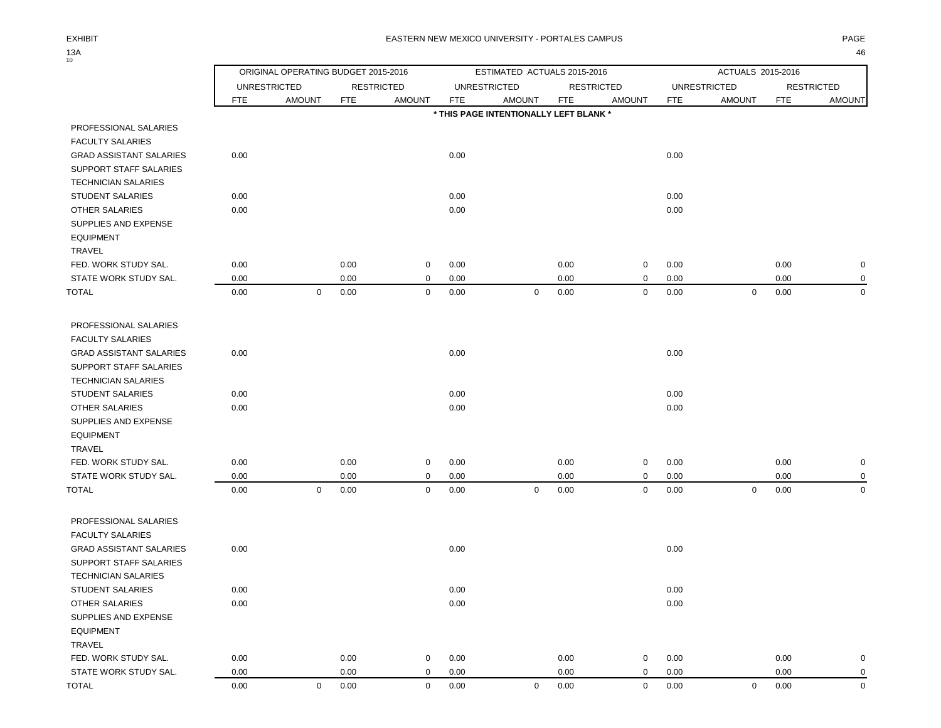$13A$ <sub>10</sub>

|                                                  |            | ORIGINAL OPERATING BUDGET 2015-2016 |            |                   |            | ESTIMATED ACTUALS 2015-2016            |            |                   |            | ACTUALS 2015-2016   |            |                   |
|--------------------------------------------------|------------|-------------------------------------|------------|-------------------|------------|----------------------------------------|------------|-------------------|------------|---------------------|------------|-------------------|
|                                                  |            | <b>UNRESTRICTED</b>                 |            | <b>RESTRICTED</b> |            | <b>UNRESTRICTED</b>                    |            | <b>RESTRICTED</b> |            | <b>UNRESTRICTED</b> |            | <b>RESTRICTED</b> |
|                                                  | <b>FTE</b> | <b>AMOUNT</b>                       | <b>FTE</b> | <b>AMOUNT</b>     | <b>FTE</b> | <b>AMOUNT</b>                          | <b>FTE</b> | <b>AMOUNT</b>     | <b>FTE</b> | <b>AMOUNT</b>       | <b>FTE</b> | <b>AMOUNT</b>     |
|                                                  |            |                                     |            |                   |            | * THIS PAGE INTENTIONALLY LEFT BLANK * |            |                   |            |                     |            |                   |
| PROFESSIONAL SALARIES<br><b>FACULTY SALARIES</b> |            |                                     |            |                   |            |                                        |            |                   |            |                     |            |                   |
| <b>GRAD ASSISTANT SALARIES</b>                   | 0.00       |                                     |            |                   | 0.00       |                                        |            |                   | 0.00       |                     |            |                   |
| SUPPORT STAFF SALARIES                           |            |                                     |            |                   |            |                                        |            |                   |            |                     |            |                   |
| <b>TECHNICIAN SALARIES</b>                       |            |                                     |            |                   |            |                                        |            |                   |            |                     |            |                   |
| <b>STUDENT SALARIES</b>                          | 0.00       |                                     |            |                   | 0.00       |                                        |            |                   | 0.00       |                     |            |                   |
| OTHER SALARIES                                   | 0.00       |                                     |            |                   | 0.00       |                                        |            |                   | 0.00       |                     |            |                   |
| SUPPLIES AND EXPENSE<br><b>EQUIPMENT</b>         |            |                                     |            |                   |            |                                        |            |                   |            |                     |            |                   |
| TRAVEL                                           |            |                                     |            |                   |            |                                        |            |                   |            |                     |            |                   |
| FED. WORK STUDY SAL.                             | 0.00       |                                     | 0.00       | 0                 | 0.00       |                                        | 0.00       | 0                 | 0.00       |                     | 0.00       | $\pmb{0}$         |
| STATE WORK STUDY SAL.                            | 0.00       |                                     | 0.00       | $\mathbf 0$       | 0.00       |                                        | 0.00       | $\mathbf 0$       | 0.00       |                     | 0.00       | $\mathbf 0$       |
| TOTAL                                            | 0.00       | $\mathbf 0$                         | 0.00       | $\mathbf 0$       | 0.00       | $\mathbf 0$                            | 0.00       | $\mathbf 0$       | 0.00       | $\mathbf 0$         | 0.00       | $\mathbf 0$       |
| PROFESSIONAL SALARIES<br><b>FACULTY SALARIES</b> |            |                                     |            |                   |            |                                        |            |                   |            |                     |            |                   |
| <b>GRAD ASSISTANT SALARIES</b>                   | 0.00       |                                     |            |                   | 0.00       |                                        |            |                   | 0.00       |                     |            |                   |
| SUPPORT STAFF SALARIES                           |            |                                     |            |                   |            |                                        |            |                   |            |                     |            |                   |
| <b>TECHNICIAN SALARIES</b>                       |            |                                     |            |                   |            |                                        |            |                   |            |                     |            |                   |
| <b>STUDENT SALARIES</b>                          | 0.00       |                                     |            |                   | 0.00       |                                        |            |                   | 0.00       |                     |            |                   |
| OTHER SALARIES                                   | 0.00       |                                     |            |                   | 0.00       |                                        |            |                   | 0.00       |                     |            |                   |
| SUPPLIES AND EXPENSE<br><b>EQUIPMENT</b>         |            |                                     |            |                   |            |                                        |            |                   |            |                     |            |                   |
| TRAVEL                                           |            |                                     |            |                   |            |                                        |            |                   |            |                     |            |                   |
| FED. WORK STUDY SAL.                             | 0.00       |                                     | 0.00       | 0                 | 0.00       |                                        | 0.00       | 0                 | 0.00       |                     | 0.00       | $\mathbf 0$       |
| STATE WORK STUDY SAL.                            | 0.00       |                                     | 0.00       | $\mathbf 0$       | 0.00       |                                        | 0.00       | $\mathbf 0$       | 0.00       |                     | 0.00       | $\mathbf 0$       |
| <b>TOTAL</b>                                     | 0.00       | $\mathbf 0$                         | 0.00       | $\mathbf 0$       | 0.00       | $\mathbf 0$                            | 0.00       | $\mathbf 0$       | 0.00       | $\mathbf 0$         | 0.00       | $\mathbf 0$       |
| PROFESSIONAL SALARIES                            |            |                                     |            |                   |            |                                        |            |                   |            |                     |            |                   |
| <b>FACULTY SALARIES</b>                          |            |                                     |            |                   |            |                                        |            |                   |            |                     |            |                   |
| <b>GRAD ASSISTANT SALARIES</b>                   | 0.00       |                                     |            |                   | 0.00       |                                        |            |                   | 0.00       |                     |            |                   |
| SUPPORT STAFF SALARIES                           |            |                                     |            |                   |            |                                        |            |                   |            |                     |            |                   |
| <b>TECHNICIAN SALARIES</b>                       |            |                                     |            |                   |            |                                        |            |                   |            |                     |            |                   |
| <b>STUDENT SALARIES</b>                          | 0.00       |                                     |            |                   | 0.00       |                                        |            |                   | 0.00       |                     |            |                   |
| <b>OTHER SALARIES</b>                            | 0.00       |                                     |            |                   | 0.00       |                                        |            |                   | 0.00       |                     |            |                   |
| SUPPLIES AND EXPENSE<br><b>EQUIPMENT</b>         |            |                                     |            |                   |            |                                        |            |                   |            |                     |            |                   |
| TRAVEL                                           |            |                                     |            |                   |            |                                        |            |                   |            |                     |            |                   |
| FED. WORK STUDY SAL.                             | 0.00       |                                     | 0.00       | 0                 | 0.00       |                                        | 0.00       | $\Omega$          | 0.00       |                     | 0.00       | 0                 |

STATE WORK STUDY SAL.  $0.00$   $0.00$   $0.00$   $0.00$   $0.00$   $0.00$   $0.00$   $0.00$   $0.00$   $0.00$ TOTAL 0.00 0 0.00 0 0.00 0 0.00 0 0.00 0 0.00 0

| $\sim$ |  |  |
|--------|--|--|
|        |  |  |
|        |  |  |
|        |  |  |
|        |  |  |
|        |  |  |
|        |  |  |
|        |  |  |
|        |  |  |
|        |  |  |
|        |  |  |
|        |  |  |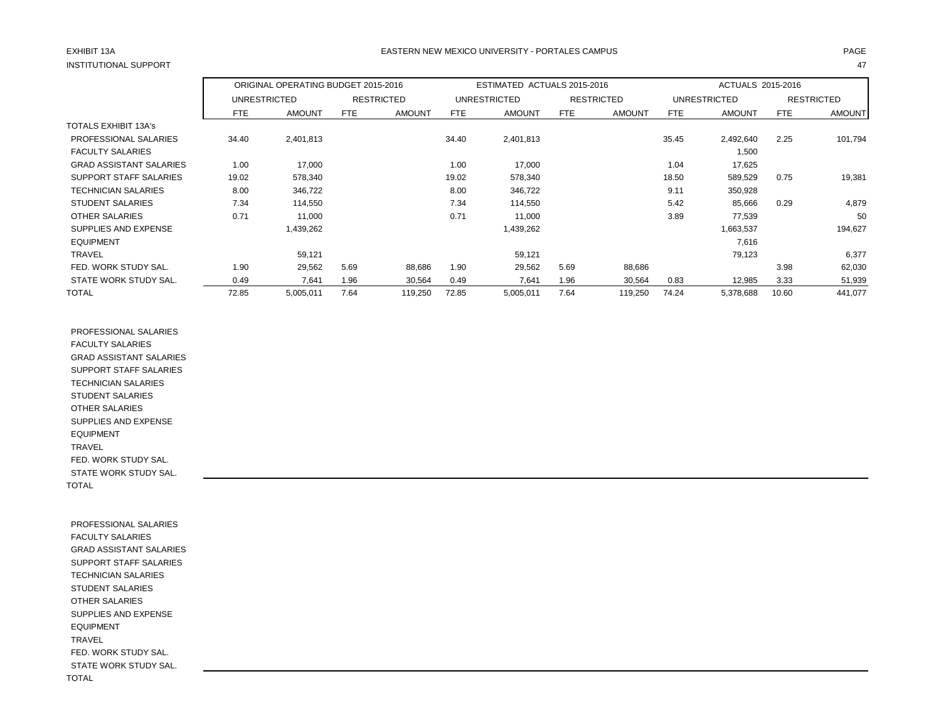## EXHIBIT 13A PAGE EASTERN NEW MEXICO UNIVERSITY - PORTALES CAMPUS

|                                |            | ORIGINAL OPERATING BUDGET 2015-2016 |            |                   |       | ESTIMATED ACTUALS 2015-2016 |            |                   |            | ACTUALS 2015-2016 |       |                   |
|--------------------------------|------------|-------------------------------------|------------|-------------------|-------|-----------------------------|------------|-------------------|------------|-------------------|-------|-------------------|
|                                |            | UNRESTRICTED                        |            | <b>RESTRICTED</b> |       | <b>UNRESTRICTED</b>         |            | <b>RESTRICTED</b> |            | UNRESTRICTED      |       | <b>RESTRICTED</b> |
|                                | <b>FTE</b> | <b>AMOUNT</b>                       | <b>FTE</b> | <b>AMOUNT</b>     | FTE   | <b>AMOUNT</b>               | <b>FTE</b> | <b>AMOUNT</b>     | <b>FTE</b> | <b>AMOUNT</b>     | FTE   | <b>AMOUNT</b>     |
| <b>TOTALS EXHIBIT 13A's</b>    |            |                                     |            |                   |       |                             |            |                   |            |                   |       |                   |
| PROFESSIONAL SALARIES          | 34.40      | 2,401,813                           |            |                   | 34.40 | 2,401,813                   |            |                   | 35.45      | 2,492,640         | 2.25  | 101,794           |
| <b>FACULTY SALARIES</b>        |            |                                     |            |                   |       |                             |            |                   |            | 1,500             |       |                   |
| <b>GRAD ASSISTANT SALARIES</b> | 1.00       | 17,000                              |            |                   | 1.00  | 17,000                      |            |                   | 1.04       | 17,625            |       |                   |
| SUPPORT STAFF SALARIES         | 19.02      | 578,340                             |            |                   | 19.02 | 578,340                     |            |                   | 18.50      | 589,529           | 0.75  | 19,381            |
| <b>TECHNICIAN SALARIES</b>     | 8.00       | 346,722                             |            |                   | 8.00  | 346,722                     |            |                   | 9.11       | 350,928           |       |                   |
| <b>STUDENT SALARIES</b>        | 7.34       | 114.550                             |            |                   | 7.34  | 114,550                     |            |                   | 5.42       | 85,666            | 0.29  | 4,879             |
| <b>OTHER SALARIES</b>          | 0.71       | 11,000                              |            |                   | 0.71  | 11,000                      |            |                   | 3.89       | 77,539            |       | 50                |
| SUPPLIES AND EXPENSE           |            | 1,439,262                           |            |                   |       | 1,439,262                   |            |                   |            | 1,663,537         |       | 194,627           |
| <b>EQUIPMENT</b>               |            |                                     |            |                   |       |                             |            |                   |            | 7,616             |       |                   |
| <b>TRAVEL</b>                  |            | 59,121                              |            |                   |       | 59,121                      |            |                   |            | 79,123            |       | 6,377             |
| FED. WORK STUDY SAL.           | 1.90       | 29,562                              | 5.69       | 88,686            | 1.90  | 29,562                      | 5.69       | 88,686            |            |                   | 3.98  | 62,030            |
| STATE WORK STUDY SAL.          | 0.49       | 7,641                               | 1.96       | 30,564            | 0.49  | 7,641                       | 1.96       | 30,564            | 0.83       | 12,985            | 3.33  | 51,939            |
| TOTAL                          | 72.85      | 5,005,011                           | 7.64       | 119,250           | 72.85 | 5,005,011                   | 7.64       | 119,250           | 74.24      | 5,378,688         | 10.60 | 441,077           |

 PROFESSIONAL SALARIES FACULTY SALARIES GRAD ASSISTANT SALARIES SUPPORT STAFF SALARIES TECHNICIAN SALARIES STUDENT SALARIES OTHER SALARIES SUPPLIES AND EXPENSE EQUIPMENT TRAVEL FED. WORK STUDY SAL. STATE WORK STUDY SAL. TOTAL

 PROFESSIONAL SALARIES FACULTY SALARIES GRAD ASSISTANT SALARIES SUPPORT STAFF SALARIES TECHNICIAN SALARIES STUDENT SALARIES OTHER SALARIES SUPPLIES AND EXPENSE EQUIPMENT TRAVEL FED. WORK STUDY SAL. STATE WORK STUDY SAL. TOTAL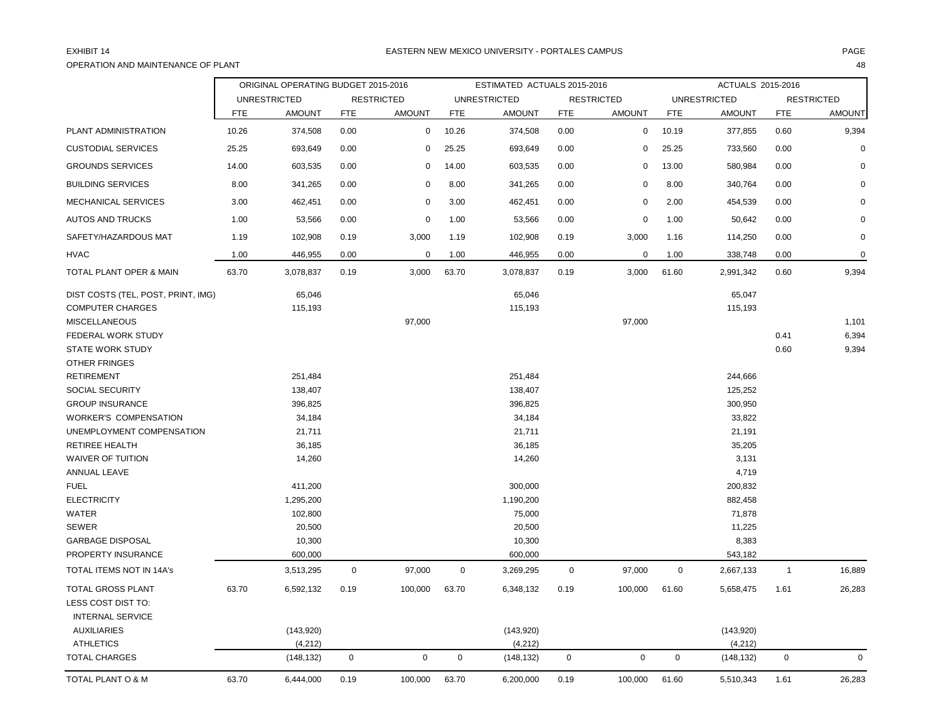## OPERATION AND MAINTENANCE OF PLANT 48

|                                               |            | ORIGINAL OPERATING BUDGET 2015-2016 |             |                   |             | ESTIMATED ACTUALS 2015-2016 |             |                   |             | ACTUALS 2015-2016   |                |                   |
|-----------------------------------------------|------------|-------------------------------------|-------------|-------------------|-------------|-----------------------------|-------------|-------------------|-------------|---------------------|----------------|-------------------|
|                                               |            | <b>UNRESTRICTED</b>                 |             | <b>RESTRICTED</b> |             | <b>UNRESTRICTED</b>         |             | <b>RESTRICTED</b> |             | <b>UNRESTRICTED</b> |                | <b>RESTRICTED</b> |
|                                               | <b>FTE</b> | <b>AMOUNT</b>                       | <b>FTE</b>  | <b>AMOUNT</b>     | <b>FTE</b>  | <b>AMOUNT</b>               | <b>FTE</b>  | <b>AMOUNT</b>     | <b>FTE</b>  | <b>AMOUNT</b>       | <b>FTE</b>     | <b>AMOUNT</b>     |
| PLANT ADMINISTRATION                          | 10.26      | 374,508                             | 0.00        | $\mathbf 0$       | 10.26       | 374,508                     | 0.00        | $\mathbf 0$       | 10.19       | 377,855             | 0.60           | 9,394             |
| <b>CUSTODIAL SERVICES</b>                     | 25.25      | 693,649                             | 0.00        | $\mathbf 0$       | 25.25       | 693,649                     | 0.00        | $\mathbf 0$       | 25.25       | 733,560             | 0.00           | $\Omega$          |
| <b>GROUNDS SERVICES</b>                       | 14.00      | 603,535                             | 0.00        | $\mathbf 0$       | 14.00       | 603,535                     | 0.00        | 0                 | 13.00       | 580,984             | 0.00           | $\Omega$          |
| <b>BUILDING SERVICES</b>                      | 8.00       | 341,265                             | 0.00        | $\mathbf 0$       | 8.00        | 341,265                     | 0.00        | $\Omega$          | 8.00        | 340,764             | 0.00           |                   |
| MECHANICAL SERVICES                           | 3.00       | 462,451                             | 0.00        | $\mathbf 0$       | 3.00        | 462,451                     | 0.00        | 0                 | 2.00        | 454,539             | 0.00           | $\Omega$          |
| <b>AUTOS AND TRUCKS</b>                       | 1.00       | 53,566                              | 0.00        | 0                 | 1.00        | 53,566                      | 0.00        | 0                 | 1.00        | 50,642              | 0.00           | $\Omega$          |
| SAFETY/HAZARDOUS MAT                          | 1.19       | 102,908                             | 0.19        | 3,000             | 1.19        | 102,908                     | 0.19        | 3,000             | 1.16        | 114,250             | 0.00           | $\mathbf 0$       |
| <b>HVAC</b>                                   | 1.00       | 446,955                             | 0.00        | $\mathbf 0$       | 1.00        | 446,955                     | 0.00        | 0                 | 1.00        | 338,748             | 0.00           | 0                 |
| TOTAL PLANT OPER & MAIN                       | 63.70      | 3,078,837                           | 0.19        | 3,000             | 63.70       | 3,078,837                   | 0.19        | 3,000             | 61.60       | 2,991,342           | 0.60           | 9,394             |
| DIST COSTS (TEL, POST, PRINT, IMG)            |            | 65,046                              |             |                   |             | 65,046                      |             |                   |             | 65,047              |                |                   |
| <b>COMPUTER CHARGES</b>                       |            | 115,193                             |             |                   |             | 115,193                     |             |                   |             | 115,193             |                |                   |
| <b>MISCELLANEOUS</b>                          |            |                                     |             | 97,000            |             |                             |             | 97,000            |             |                     |                | 1,101             |
| FEDERAL WORK STUDY                            |            |                                     |             |                   |             |                             |             |                   |             |                     | 0.41           | 6,394             |
| <b>STATE WORK STUDY</b>                       |            |                                     |             |                   |             |                             |             |                   |             |                     | 0.60           | 9,394             |
| <b>OTHER FRINGES</b>                          |            |                                     |             |                   |             |                             |             |                   |             |                     |                |                   |
| <b>RETIREMENT</b>                             |            | 251,484                             |             |                   |             | 251,484                     |             |                   |             | 244,666             |                |                   |
| SOCIAL SECURITY                               |            | 138,407                             |             |                   |             | 138,407                     |             |                   |             | 125,252             |                |                   |
| <b>GROUP INSURANCE</b>                        |            | 396,825                             |             |                   |             | 396,825                     |             |                   |             | 300,950             |                |                   |
| <b>WORKER'S COMPENSATION</b>                  |            | 34,184                              |             |                   |             | 34,184                      |             |                   |             | 33,822              |                |                   |
| UNEMPLOYMENT COMPENSATION                     |            | 21,711                              |             |                   |             | 21,711                      |             |                   |             | 21,191              |                |                   |
| <b>RETIREE HEALTH</b>                         |            | 36,185                              |             |                   |             | 36,185                      |             |                   |             | 35,205              |                |                   |
| <b>WAIVER OF TUITION</b>                      |            | 14,260                              |             |                   |             | 14,260                      |             |                   |             | 3,131               |                |                   |
| ANNUAL LEAVE                                  |            |                                     |             |                   |             |                             |             |                   |             | 4,719               |                |                   |
| <b>FUEL</b>                                   |            | 411,200                             |             |                   |             | 300,000                     |             |                   |             | 200,832             |                |                   |
| <b>ELECTRICITY</b>                            |            | 1,295,200                           |             |                   |             | 1,190,200                   |             |                   |             | 882,458             |                |                   |
| <b>WATER</b>                                  |            | 102,800                             |             |                   |             | 75,000                      |             |                   |             | 71,878              |                |                   |
| <b>SEWER</b>                                  |            | 20,500                              |             |                   |             | 20,500                      |             |                   |             | 11,225              |                |                   |
| <b>GARBAGE DISPOSAL</b>                       |            | 10,300                              |             |                   |             | 10,300                      |             |                   |             | 8,383               |                |                   |
| <b>PROPERTY INSURANCE</b>                     |            | 600,000                             |             |                   |             | 600,000                     |             |                   |             | 543,182             |                |                   |
| TOTAL ITEMS NOT IN 14A's                      |            | 3,513,295                           | $\mathbf 0$ | 97,000            | $\pmb{0}$   | 3,269,295                   | $\mathbf 0$ | 97,000            | $\mathbf 0$ | 2,667,133           | $\overline{1}$ | 16,889            |
| TOTAL GROSS PLANT                             | 63.70      | 6,592,132                           | 0.19        | 100,000           | 63.70       | 6,348,132                   | 0.19        | 100,000           | 61.60       | 5,658,475           | 1.61           | 26,283            |
| LESS COST DIST TO:<br><b>INTERNAL SERVICE</b> |            |                                     |             |                   |             |                             |             |                   |             |                     |                |                   |
| <b>AUXILIARIES</b>                            |            | (143,920)                           |             |                   |             | (143,920)                   |             |                   |             | (143,920)           |                |                   |
| <b>ATHLETICS</b>                              |            | (4, 212)                            |             |                   |             | (4,212)                     |             |                   |             | (4,212)             |                |                   |
| <b>TOTAL CHARGES</b>                          |            | (148, 132)                          | $\mathbf 0$ | $\pmb{0}$         | $\mathbf 0$ | (148, 132)                  | $\mathbf 0$ | $\mathsf 0$       | $\mathbf 0$ | (148, 132)          | $\mathbf 0$    | $\mathbf 0$       |
| TOTAL PLANT O & M                             | 63.70      | 6,444,000                           | 0.19        | 100,000           | 63.70       | 6,200,000                   | 0.19        | 100,000           | 61.60       | 5,510,343           | 1.61           | 26,283            |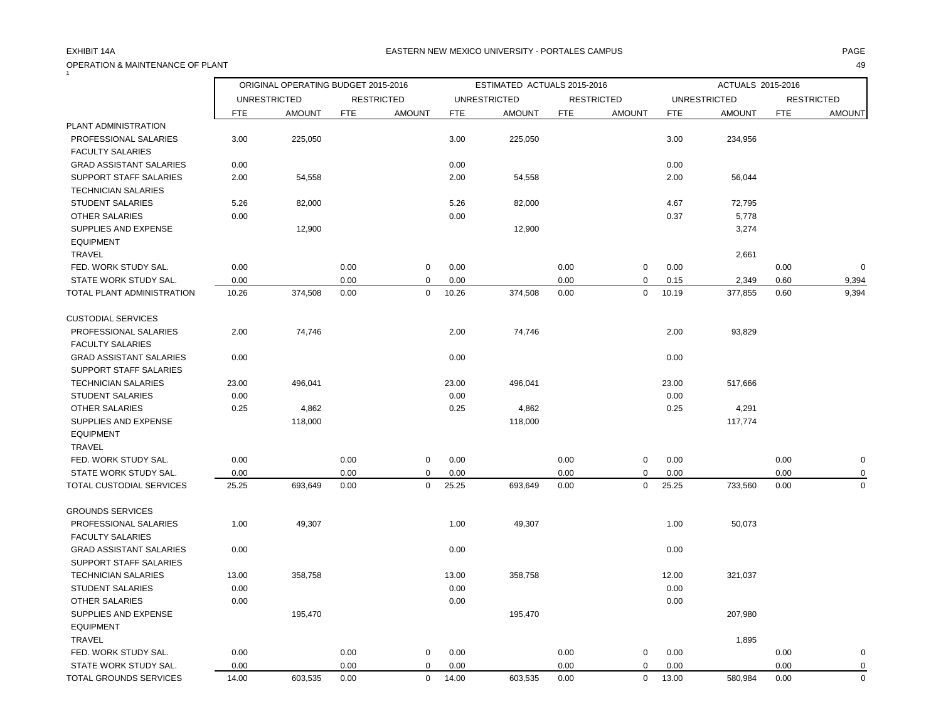## OPERATION & MAINTENANCE OF PLANT 49  $\tilde{1}$

## EXHIBIT 14A PAGE EASTERN NEW MEXICO UNIVERSITY - PORTALES CAMPUS

|                                |       | ORIGINAL OPERATING BUDGET 2015-2016 |            |                   |            | ESTIMATED ACTUALS 2015-2016 |            |                   |            | ACTUALS 2015-2016   |            |                   |
|--------------------------------|-------|-------------------------------------|------------|-------------------|------------|-----------------------------|------------|-------------------|------------|---------------------|------------|-------------------|
|                                |       | <b>UNRESTRICTED</b>                 |            | <b>RESTRICTED</b> |            | <b>UNRESTRICTED</b>         |            | <b>RESTRICTED</b> |            | <b>UNRESTRICTED</b> |            | <b>RESTRICTED</b> |
|                                | FTE   | <b>AMOUNT</b>                       | <b>FTE</b> | <b>AMOUNT</b>     | <b>FTE</b> | <b>AMOUNT</b>               | <b>FTE</b> | <b>AMOUNT</b>     | <b>FTE</b> | <b>AMOUNT</b>       | <b>FTE</b> | <b>AMOUNT</b>     |
| PLANT ADMINISTRATION           |       |                                     |            |                   |            |                             |            |                   |            |                     |            |                   |
| PROFESSIONAL SALARIES          | 3.00  | 225,050                             |            |                   | 3.00       | 225,050                     |            |                   | 3.00       | 234,956             |            |                   |
| <b>FACULTY SALARIES</b>        |       |                                     |            |                   |            |                             |            |                   |            |                     |            |                   |
| <b>GRAD ASSISTANT SALARIES</b> | 0.00  |                                     |            |                   | 0.00       |                             |            |                   | 0.00       |                     |            |                   |
| SUPPORT STAFF SALARIES         | 2.00  | 54,558                              |            |                   | 2.00       | 54,558                      |            |                   | 2.00       | 56,044              |            |                   |
| <b>TECHNICIAN SALARIES</b>     |       |                                     |            |                   |            |                             |            |                   |            |                     |            |                   |
| <b>STUDENT SALARIES</b>        | 5.26  | 82,000                              |            |                   | 5.26       | 82,000                      |            |                   | 4.67       | 72,795              |            |                   |
| OTHER SALARIES                 | 0.00  |                                     |            |                   | 0.00       |                             |            |                   | 0.37       | 5,778               |            |                   |
| SUPPLIES AND EXPENSE           |       | 12,900                              |            |                   |            | 12,900                      |            |                   |            | 3,274               |            |                   |
| <b>EQUIPMENT</b>               |       |                                     |            |                   |            |                             |            |                   |            |                     |            |                   |
| TRAVEL                         |       |                                     |            |                   |            |                             |            |                   |            | 2,661               |            |                   |
| FED. WORK STUDY SAL.           | 0.00  |                                     | 0.00       | $\mathbf 0$       | 0.00       |                             | 0.00       | $\mathbf 0$       | 0.00       |                     | 0.00       | $\mathbf 0$       |
| STATE WORK STUDY SAL.          | 0.00  |                                     | 0.00       | 0                 | 0.00       |                             | 0.00       | 0                 | 0.15       | 2,349               | 0.60       | 9,394             |
| TOTAL PLANT ADMINISTRATION     | 10.26 | 374,508                             | 0.00       | $\mathbf 0$       | 10.26      | 374,508                     | 0.00       | $\mathbf 0$       | 10.19      | 377,855             | 0.60       | 9,394             |
| <b>CUSTODIAL SERVICES</b>      |       |                                     |            |                   |            |                             |            |                   |            |                     |            |                   |
| PROFESSIONAL SALARIES          | 2.00  | 74,746                              |            |                   | 2.00       | 74,746                      |            |                   | 2.00       | 93,829              |            |                   |
| <b>FACULTY SALARIES</b>        |       |                                     |            |                   |            |                             |            |                   |            |                     |            |                   |
| <b>GRAD ASSISTANT SALARIES</b> | 0.00  |                                     |            |                   | 0.00       |                             |            |                   | 0.00       |                     |            |                   |
| SUPPORT STAFF SALARIES         |       |                                     |            |                   |            |                             |            |                   |            |                     |            |                   |
| <b>TECHNICIAN SALARIES</b>     | 23.00 | 496,041                             |            |                   | 23.00      | 496,041                     |            |                   | 23.00      | 517,666             |            |                   |
| <b>STUDENT SALARIES</b>        | 0.00  |                                     |            |                   | 0.00       |                             |            |                   | 0.00       |                     |            |                   |
| <b>OTHER SALARIES</b>          | 0.25  | 4,862                               |            |                   | 0.25       | 4,862                       |            |                   | 0.25       | 4,291               |            |                   |
| SUPPLIES AND EXPENSE           |       | 118,000                             |            |                   |            | 118,000                     |            |                   |            | 117,774             |            |                   |
| <b>EQUIPMENT</b>               |       |                                     |            |                   |            |                             |            |                   |            |                     |            |                   |
| <b>TRAVEL</b>                  |       |                                     |            |                   |            |                             |            |                   |            |                     |            |                   |
| FED. WORK STUDY SAL.           | 0.00  |                                     | 0.00       | $\mathbf 0$       | 0.00       |                             | 0.00       | $\mathsf 0$       | 0.00       |                     | 0.00       | $\pmb{0}$         |
| STATE WORK STUDY SAL.          | 0.00  |                                     | 0.00       | 0                 | 0.00       |                             | 0.00       | 0                 | 0.00       |                     | 0.00       | 0                 |
| TOTAL CUSTODIAL SERVICES       | 25.25 | 693,649                             | 0.00       | $\mathbf 0$       | 25.25      | 693,649                     | 0.00       | $\mathbf 0$       | 25.25      | 733,560             | 0.00       | $\pmb{0}$         |
| <b>GROUNDS SERVICES</b>        |       |                                     |            |                   |            |                             |            |                   |            |                     |            |                   |
| PROFESSIONAL SALARIES          | 1.00  | 49,307                              |            |                   | 1.00       | 49,307                      |            |                   | 1.00       | 50,073              |            |                   |
| <b>FACULTY SALARIES</b>        |       |                                     |            |                   |            |                             |            |                   |            |                     |            |                   |
| <b>GRAD ASSISTANT SALARIES</b> | 0.00  |                                     |            |                   | 0.00       |                             |            |                   | 0.00       |                     |            |                   |
| SUPPORT STAFF SALARIES         |       |                                     |            |                   |            |                             |            |                   |            |                     |            |                   |
| <b>TECHNICIAN SALARIES</b>     | 13.00 | 358,758                             |            |                   | 13.00      | 358,758                     |            |                   | 12.00      | 321,037             |            |                   |
| <b>STUDENT SALARIES</b>        | 0.00  |                                     |            |                   | 0.00       |                             |            |                   | 0.00       |                     |            |                   |
| <b>OTHER SALARIES</b>          | 0.00  |                                     |            |                   | 0.00       |                             |            |                   | 0.00       |                     |            |                   |
| SUPPLIES AND EXPENSE           |       | 195,470                             |            |                   |            | 195,470                     |            |                   |            | 207,980             |            |                   |
| <b>EQUIPMENT</b>               |       |                                     |            |                   |            |                             |            |                   |            |                     |            |                   |
| TRAVEL                         |       |                                     |            |                   |            |                             |            |                   |            | 1,895               |            |                   |
| FED. WORK STUDY SAL.           | 0.00  |                                     | 0.00       | $\mathbf 0$       | 0.00       |                             | 0.00       | 0                 | 0.00       |                     | 0.00       | 0                 |
| STATE WORK STUDY SAL.          | 0.00  |                                     | 0.00       | $\mathbf 0$       | 0.00       |                             | 0.00       | 0                 | 0.00       |                     | 0.00       | $\mathbf 0$       |
| TOTAL GROUNDS SERVICES         | 14.00 | 603,535                             | 0.00       | $\mathbf 0$       | 14.00      | 603,535                     | 0.00       | $\mathbf 0$       | 13.00      | 580,984             | 0.00       | $\mathbf 0$       |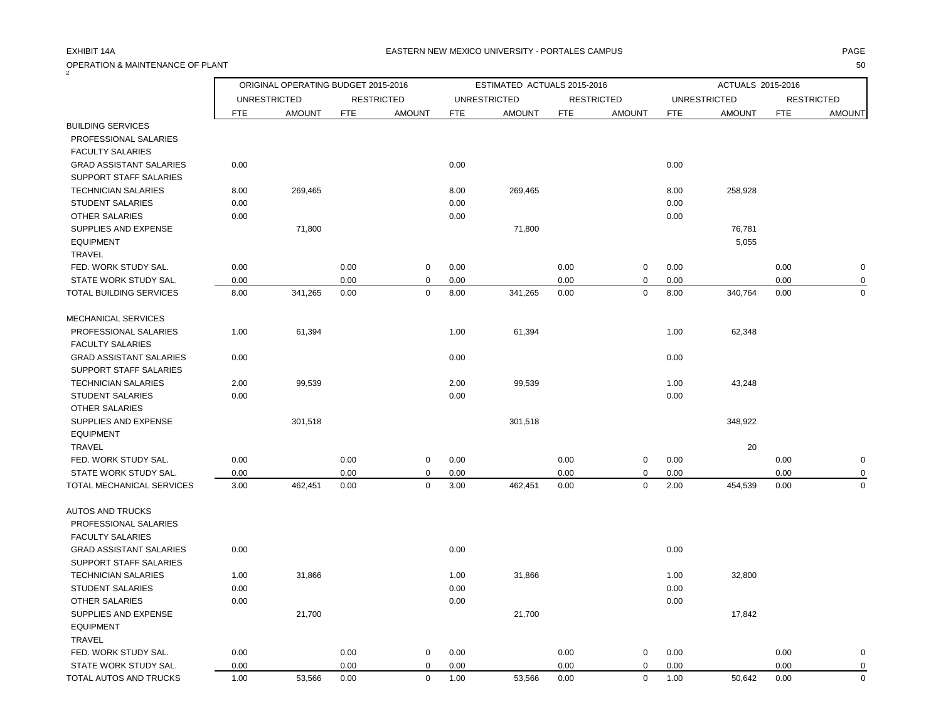### OPERATION & MAINTENANCE OF PLANT 50  $\bar{2}$

|                                |            | ORIGINAL OPERATING BUDGET 2015-2016 |            |                   |            | ESTIMATED ACTUALS 2015-2016 |            |                   |            | ACTUALS 2015-2016   |            |                   |
|--------------------------------|------------|-------------------------------------|------------|-------------------|------------|-----------------------------|------------|-------------------|------------|---------------------|------------|-------------------|
|                                |            | <b>UNRESTRICTED</b>                 |            | <b>RESTRICTED</b> |            | <b>UNRESTRICTED</b>         |            | <b>RESTRICTED</b> |            | <b>UNRESTRICTED</b> |            | <b>RESTRICTED</b> |
|                                | <b>FTE</b> | <b>AMOUNT</b>                       | <b>FTE</b> | <b>AMOUNT</b>     | <b>FTE</b> | <b>AMOUNT</b>               | <b>FTE</b> | <b>AMOUNT</b>     | <b>FTE</b> | <b>AMOUNT</b>       | <b>FTE</b> | <b>AMOUNT</b>     |
| <b>BUILDING SERVICES</b>       |            |                                     |            |                   |            |                             |            |                   |            |                     |            |                   |
| PROFESSIONAL SALARIES          |            |                                     |            |                   |            |                             |            |                   |            |                     |            |                   |
| <b>FACULTY SALARIES</b>        |            |                                     |            |                   |            |                             |            |                   |            |                     |            |                   |
| <b>GRAD ASSISTANT SALARIES</b> | 0.00       |                                     |            |                   | 0.00       |                             |            |                   | 0.00       |                     |            |                   |
| <b>SUPPORT STAFF SALARIES</b>  |            |                                     |            |                   |            |                             |            |                   |            |                     |            |                   |
| <b>TECHNICIAN SALARIES</b>     | 8.00       | 269,465                             |            |                   | 8.00       | 269,465                     |            |                   | 8.00       | 258,928             |            |                   |
| <b>STUDENT SALARIES</b>        | 0.00       |                                     |            |                   | 0.00       |                             |            |                   | 0.00       |                     |            |                   |
| OTHER SALARIES                 | 0.00       |                                     |            |                   | 0.00       |                             |            |                   | 0.00       |                     |            |                   |
| SUPPLIES AND EXPENSE           |            | 71,800                              |            |                   |            | 71,800                      |            |                   |            | 76,781              |            |                   |
| <b>EQUIPMENT</b>               |            |                                     |            |                   |            |                             |            |                   |            | 5,055               |            |                   |
| <b>TRAVEL</b>                  |            |                                     |            |                   |            |                             |            |                   |            |                     |            |                   |
| FED. WORK STUDY SAL.           | 0.00       |                                     | 0.00       | $\mathbf 0$       | 0.00       |                             | 0.00       | $\mathsf 0$       | 0.00       |                     | 0.00       | $\mathbf 0$       |
| STATE WORK STUDY SAL.          | 0.00       |                                     | 0.00       | $\pmb{0}$         | 0.00       |                             | 0.00       | 0                 | 0.00       |                     | 0.00       | 0                 |
| TOTAL BUILDING SERVICES        | 8.00       | 341,265                             | 0.00       | $\mathbf 0$       | 8.00       | 341,265                     | 0.00       | $\mathbf 0$       | 8.00       | 340,764             | 0.00       | $\Omega$          |
| MECHANICAL SERVICES            |            |                                     |            |                   |            |                             |            |                   |            |                     |            |                   |
| PROFESSIONAL SALARIES          | 1.00       | 61,394                              |            |                   | 1.00       | 61,394                      |            |                   | 1.00       | 62,348              |            |                   |
| <b>FACULTY SALARIES</b>        |            |                                     |            |                   |            |                             |            |                   |            |                     |            |                   |
| <b>GRAD ASSISTANT SALARIES</b> | 0.00       |                                     |            |                   | 0.00       |                             |            |                   | 0.00       |                     |            |                   |
| SUPPORT STAFF SALARIES         |            |                                     |            |                   |            |                             |            |                   |            |                     |            |                   |
| <b>TECHNICIAN SALARIES</b>     | 2.00       | 99,539                              |            |                   | 2.00       | 99,539                      |            |                   | 1.00       | 43,248              |            |                   |
| <b>STUDENT SALARIES</b>        | 0.00       |                                     |            |                   | 0.00       |                             |            |                   | 0.00       |                     |            |                   |
| OTHER SALARIES                 |            |                                     |            |                   |            |                             |            |                   |            |                     |            |                   |
| SUPPLIES AND EXPENSE           |            | 301,518                             |            |                   |            | 301,518                     |            |                   |            | 348,922             |            |                   |
| <b>EQUIPMENT</b>               |            |                                     |            |                   |            |                             |            |                   |            |                     |            |                   |
| TRAVEL                         |            |                                     |            |                   |            |                             |            |                   |            | 20                  |            |                   |
| FED. WORK STUDY SAL.           | 0.00       |                                     | 0.00       | $\mathbf 0$       | 0.00       |                             | 0.00       | 0                 | 0.00       |                     | 0.00       | $\mathbf 0$       |
| STATE WORK STUDY SAL.          | 0.00       |                                     | 0.00       | 0                 | 0.00       |                             | 0.00       | 0                 | 0.00       |                     | 0.00       | $\Omega$          |
| TOTAL MECHANICAL SERVICES      | 3.00       | 462,451                             | 0.00       | $\mathbf 0$       | 3.00       | 462,451                     | 0.00       | $\pmb{0}$         | 2.00       | 454,539             | 0.00       | $\mathbf 0$       |
|                                |            |                                     |            |                   |            |                             |            |                   |            |                     |            |                   |
| <b>AUTOS AND TRUCKS</b>        |            |                                     |            |                   |            |                             |            |                   |            |                     |            |                   |
| PROFESSIONAL SALARIES          |            |                                     |            |                   |            |                             |            |                   |            |                     |            |                   |
| <b>FACULTY SALARIES</b>        |            |                                     |            |                   |            |                             |            |                   |            |                     |            |                   |
| <b>GRAD ASSISTANT SALARIES</b> | 0.00       |                                     |            |                   | 0.00       |                             |            |                   | 0.00       |                     |            |                   |
| SUPPORT STAFF SALARIES         |            |                                     |            |                   |            |                             |            |                   |            |                     |            |                   |
| <b>TECHNICIAN SALARIES</b>     | 1.00       | 31,866                              |            |                   | 1.00       | 31,866                      |            |                   | 1.00       | 32,800              |            |                   |
| <b>STUDENT SALARIES</b>        | 0.00       |                                     |            |                   | 0.00       |                             |            |                   | 0.00       |                     |            |                   |
| <b>OTHER SALARIES</b>          | 0.00       |                                     |            |                   | 0.00       |                             |            |                   | 0.00       |                     |            |                   |
| SUPPLIES AND EXPENSE           |            | 21,700                              |            |                   |            | 21,700                      |            |                   |            | 17,842              |            |                   |
| <b>EQUIPMENT</b>               |            |                                     |            |                   |            |                             |            |                   |            |                     |            |                   |
| TRAVEL                         |            |                                     |            |                   |            |                             |            |                   |            |                     |            |                   |
| FED. WORK STUDY SAL.           | 0.00       |                                     | 0.00       | $\mathbf 0$       | 0.00       |                             | 0.00       | 0                 | 0.00       |                     | 0.00       | $\mathbf 0$       |
| STATE WORK STUDY SAL.          | 0.00       |                                     | 0.00       | $\mathbf 0$       | 0.00       |                             | 0.00       | $\mathbf 0$       | 0.00       |                     | 0.00       | $\mathbf 0$       |
| TOTAL AUTOS AND TRUCKS         | 1.00       | 53.566                              | 0.00       | $\Omega$          | 1.00       | 53.566                      | 0.00       | $\Omega$          | 1.00       | 50.642              | 0.00       | $\Omega$          |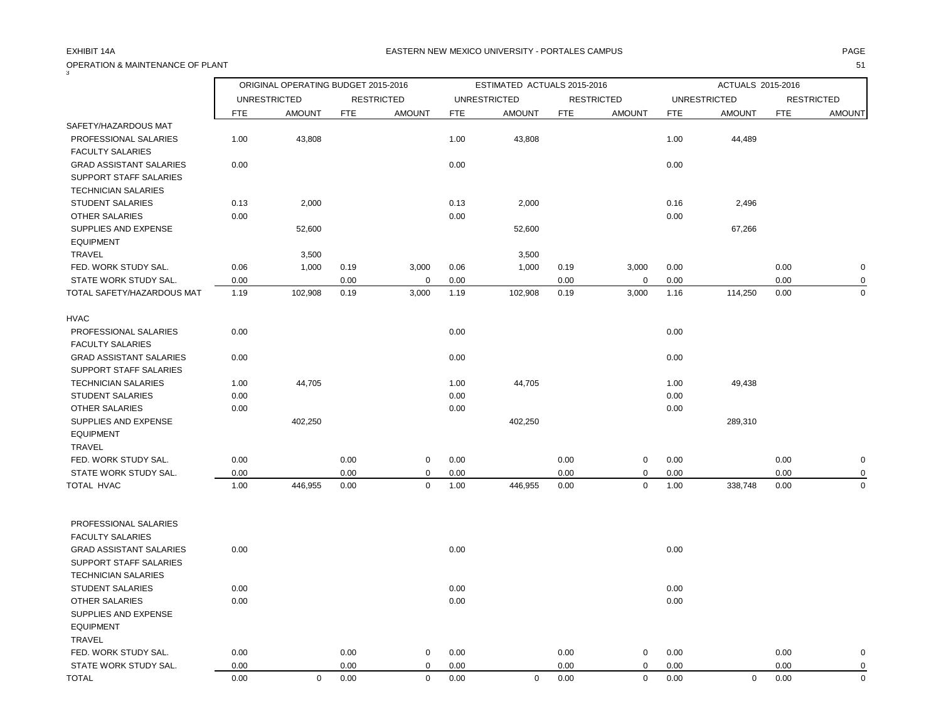OPERATION & MAINTENANCE OF PLANT 51

| 3                                                                               |            | ORIGINAL OPERATING BUDGET 2015-2016 |            |                   |            | ESTIMATED ACTUALS 2015-2016 |            |                   |      | ACTUALS 2015-2016   |            |                   |
|---------------------------------------------------------------------------------|------------|-------------------------------------|------------|-------------------|------------|-----------------------------|------------|-------------------|------|---------------------|------------|-------------------|
|                                                                                 |            | <b>UNRESTRICTED</b>                 |            | <b>RESTRICTED</b> |            | <b>UNRESTRICTED</b>         |            | <b>RESTRICTED</b> |      | <b>UNRESTRICTED</b> |            | <b>RESTRICTED</b> |
|                                                                                 | <b>FTE</b> | <b>AMOUNT</b>                       | <b>FTE</b> | <b>AMOUNT</b>     | <b>FTE</b> | <b>AMOUNT</b>               | <b>FTE</b> | <b>AMOUNT</b>     | FTE  | <b>AMOUNT</b>       | <b>FTE</b> | <b>AMOUNT</b>     |
| SAFETY/HAZARDOUS MAT                                                            |            |                                     |            |                   |            |                             |            |                   |      |                     |            |                   |
| PROFESSIONAL SALARIES<br><b>FACULTY SALARIES</b>                                | 1.00       | 43,808                              |            |                   | 1.00       | 43,808                      |            |                   | 1.00 | 44,489              |            |                   |
| <b>GRAD ASSISTANT SALARIES</b><br>SUPPORT STAFF SALARIES<br>TECHNICIAN SALARIES | 0.00       |                                     |            |                   | 0.00       |                             |            |                   | 0.00 |                     |            |                   |
| <b>STUDENT SALARIES</b>                                                         | 0.13       | 2,000                               |            |                   | 0.13       | 2,000                       |            |                   | 0.16 | 2,496               |            |                   |
| <b>OTHER SALARIES</b>                                                           | 0.00       |                                     |            |                   | 0.00       |                             |            |                   | 0.00 |                     |            |                   |
| SUPPLIES AND EXPENSE<br><b>EQUIPMENT</b>                                        |            | 52,600                              |            |                   |            | 52,600                      |            |                   |      | 67,266              |            |                   |
| <b>TRAVEL</b>                                                                   |            | 3,500                               |            |                   |            | 3,500                       |            |                   |      |                     |            |                   |
| FED. WORK STUDY SAL.                                                            | 0.06       | 1,000                               | 0.19       | 3,000             | 0.06       | 1,000                       | 0.19       | 3,000             | 0.00 |                     | 0.00       | $\mathbf 0$       |
| STATE WORK STUDY SAL.                                                           | 0.00       |                                     | 0.00       | $\mathbf 0$       | 0.00       |                             | 0.00       | 0                 | 0.00 |                     | 0.00       | $\mathbf 0$       |
| TOTAL SAFETY/HAZARDOUS MAT                                                      | 1.19       | 102,908                             | 0.19       | 3,000             | 1.19       | 102,908                     | 0.19       | 3,000             | 1.16 | 114,250             | 0.00       | $\Omega$          |
| <b>HVAC</b>                                                                     |            |                                     |            |                   |            |                             |            |                   |      |                     |            |                   |
| PROFESSIONAL SALARIES<br><b>FACULTY SALARIES</b>                                | 0.00       |                                     |            |                   | 0.00       |                             |            |                   | 0.00 |                     |            |                   |
| <b>GRAD ASSISTANT SALARIES</b><br>SUPPORT STAFF SALARIES                        | 0.00       |                                     |            |                   | 0.00       |                             |            |                   | 0.00 |                     |            |                   |
| <b>TECHNICIAN SALARIES</b>                                                      | 1.00       | 44,705                              |            |                   | 1.00       | 44,705                      |            |                   | 1.00 | 49,438              |            |                   |
| <b>STUDENT SALARIES</b>                                                         | 0.00       |                                     |            |                   | 0.00       |                             |            |                   | 0.00 |                     |            |                   |
| OTHER SALARIES                                                                  | 0.00       |                                     |            |                   | 0.00       |                             |            |                   | 0.00 |                     |            |                   |
| SUPPLIES AND EXPENSE<br><b>EQUIPMENT</b>                                        |            | 402,250                             |            |                   |            | 402,250                     |            |                   |      | 289,310             |            |                   |
| TRAVEL                                                                          |            |                                     |            |                   |            |                             |            |                   |      |                     |            |                   |
| FED. WORK STUDY SAL.                                                            | 0.00       |                                     | 0.00       | $\mathsf 0$       | 0.00       |                             | 0.00       | 0                 | 0.00 |                     | 0.00       | $\mathbf 0$       |
| STATE WORK STUDY SAL.                                                           | 0.00       |                                     | 0.00       | $\mathbf 0$       | 0.00       |                             | 0.00       | 0                 | 0.00 |                     | 0.00       | $\mathbf 0$       |
| TOTAL HVAC                                                                      | 1.00       | 446,955                             | 0.00       | $\mathbf 0$       | 1.00       | 446,955                     | 0.00       | $\mathbf 0$       | 1.00 | 338,748             | 0.00       | $\mathbf 0$       |
| PROFESSIONAL SALARIES                                                           |            |                                     |            |                   |            |                             |            |                   |      |                     |            |                   |
| <b>FACULTY SALARIES</b>                                                         |            |                                     |            |                   |            |                             |            |                   |      |                     |            |                   |
| <b>GRAD ASSISTANT SALARIES</b>                                                  | 0.00       |                                     |            |                   | 0.00       |                             |            |                   | 0.00 |                     |            |                   |
| <b>SUPPORT STAFF SALARIES</b>                                                   |            |                                     |            |                   |            |                             |            |                   |      |                     |            |                   |
| <b>TECHNICIAN SALARIES</b>                                                      |            |                                     |            |                   |            |                             |            |                   |      |                     |            |                   |
| STUDENT SALARIES                                                                | 0.00       |                                     |            |                   | 0.00       |                             |            |                   | 0.00 |                     |            |                   |
| <b>OTHER SALARIES</b>                                                           | 0.00       |                                     |            |                   | 0.00       |                             |            |                   | 0.00 |                     |            |                   |
| SUPPLIES AND EXPENSE<br><b>EQUIPMENT</b>                                        |            |                                     |            |                   |            |                             |            |                   |      |                     |            |                   |
| TRAVEL                                                                          |            |                                     |            |                   |            |                             |            |                   |      |                     |            |                   |
| FED. WORK STUDY SAL.                                                            | 0.00       |                                     | 0.00       | 0                 | 0.00       |                             | 0.00       | 0                 | 0.00 |                     | 0.00       | 0                 |
| STATE WORK STUDY SAL.                                                           | 0.00       |                                     | 0.00       | $\mathbf 0$       | 0.00       |                             | 0.00       | $\mathbf 0$       | 0.00 |                     | 0.00       | $\mathbf 0$       |
| <b>TOTAL</b>                                                                    | 0.00       | $\mathbf 0$                         | 0.00       | $\mathbf 0$       | 0.00       | $\mathbf 0$                 | 0.00       | $\mathbf 0$       | 0.00 | $\mathbf 0$         | 0.00       | $\mathbf 0$       |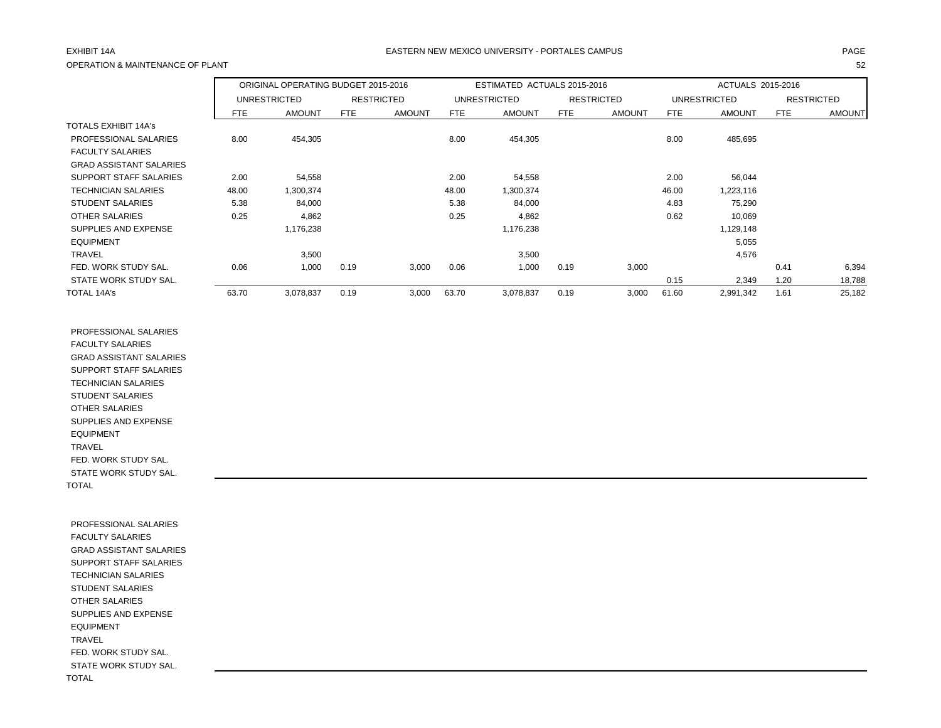## OPERATION & MAINTENANCE OF PLANT 52

## EXHIBIT 14A PAGE EASTERN NEW MEXICO UNIVERSITY - PORTALES CAMPUS

|                                |            | ORIGINAL OPERATING BUDGET 2015-2016 |      |                   |       | ESTIMATED ACTUALS 2015-2016 |            |                   |            | ACTUALS 2015-2016   |            |                   |
|--------------------------------|------------|-------------------------------------|------|-------------------|-------|-----------------------------|------------|-------------------|------------|---------------------|------------|-------------------|
|                                |            | <b>UNRESTRICTED</b>                 |      | <b>RESTRICTED</b> |       | <b>UNRESTRICTED</b>         |            | <b>RESTRICTED</b> |            | <b>UNRESTRICTED</b> |            | <b>RESTRICTED</b> |
|                                | <b>FTE</b> | <b>AMOUNT</b>                       | FTE  | <b>AMOUNT</b>     | FTE   | <b>AMOUNT</b>               | <b>FTE</b> | <b>AMOUNT</b>     | <b>FTE</b> | <b>AMOUNT</b>       | <b>FTE</b> | <b>AMOUNT</b>     |
| <b>TOTALS EXHIBIT 14A's</b>    |            |                                     |      |                   |       |                             |            |                   |            |                     |            |                   |
| PROFESSIONAL SALARIES          | 8.00       | 454,305                             |      |                   | 8.00  | 454,305                     |            |                   | 8.00       | 485,695             |            |                   |
| <b>FACULTY SALARIES</b>        |            |                                     |      |                   |       |                             |            |                   |            |                     |            |                   |
| <b>GRAD ASSISTANT SALARIES</b> |            |                                     |      |                   |       |                             |            |                   |            |                     |            |                   |
| SUPPORT STAFF SALARIES         | 2.00       | 54,558                              |      |                   | 2.00  | 54,558                      |            |                   | 2.00       | 56,044              |            |                   |
| <b>TECHNICIAN SALARIES</b>     | 48.00      | 1,300,374                           |      |                   | 48.00 | 1,300,374                   |            |                   | 46.00      | 1,223,116           |            |                   |
| <b>STUDENT SALARIES</b>        | 5.38       | 84,000                              |      |                   | 5.38  | 84,000                      |            |                   | 4.83       | 75,290              |            |                   |
| OTHER SALARIES                 | 0.25       | 4,862                               |      |                   | 0.25  | 4,862                       |            |                   | 0.62       | 10,069              |            |                   |
| SUPPLIES AND EXPENSE           |            | 1,176,238                           |      |                   |       | 1,176,238                   |            |                   |            | 1,129,148           |            |                   |
| <b>EQUIPMENT</b>               |            |                                     |      |                   |       |                             |            |                   |            | 5,055               |            |                   |
| <b>TRAVEL</b>                  |            | 3,500                               |      |                   |       | 3,500                       |            |                   |            | 4,576               |            |                   |
| FED. WORK STUDY SAL.           | 0.06       | 1,000                               | 0.19 | 3,000             | 0.06  | 1,000                       | 0.19       | 3,000             |            |                     | 0.41       | 6,394             |
| STATE WORK STUDY SAL.          |            |                                     |      |                   |       |                             |            |                   | 0.15       | 2,349               | 1.20       | 18,788            |
| TOTAL 14A's                    | 63.70      | 3,078,837                           | 0.19 | 3,000             | 63.70 | 3,078,837                   | 0.19       | 3,000             | 61.60      | 2,991,342           | 1.61       | 25,182            |

 PROFESSIONAL SALARIES FACULTY SALARIES GRAD ASSISTANT SALARIES SUPPORT STAFF SALARIES TECHNICIAN SALARIES STUDENT SALARIES OTHER SALARIES SUPPLIES AND EXPENSE EQUIPMENT TRAVEL FED. WORK STUDY SAL. STATE WORK STUDY SAL. TOTAL

 PROFESSIONAL SALARIES FACULTY SALARIES GRAD ASSISTANT SALARIES SUPPORT STAFF SALARIES TECHNICIAN SALARIES STUDENT SALARIES OTHER SALARIES SUPPLIES AND EXPENSE EQUIPMENT TRAVEL FED. WORK STUDY SAL. STATE WORK STUDY SAL. TOTAL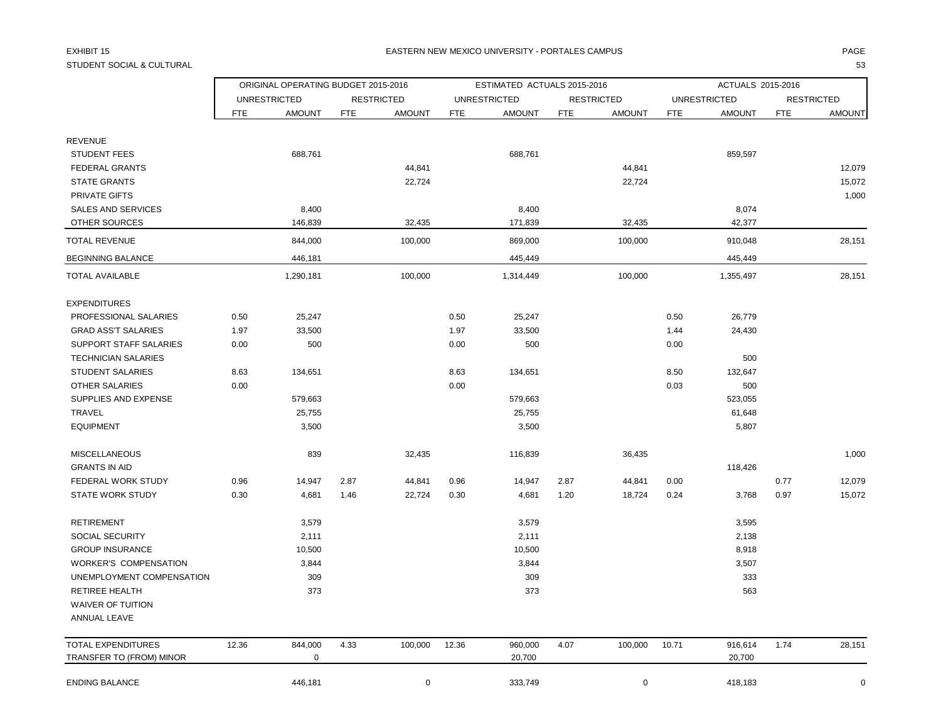## STUDENT SOCIAL & CULTURAL 53

## EXHIBIT 15 PAGE NATIONAL SERVICE OF THE SERVICE OF THE SERVICE OF THE SERVICE OF THE SERVICE OF THE SERVICE OF THE SERVICE OF THE SERVICE OF THE SERVICE OF THE SERVICE OF THE SERVICE OF THE SERVICE OF THE SERVICE OF THE SE

|                            |            | ORIGINAL OPERATING BUDGET 2015-2016 |            |                   |            | ESTIMATED ACTUALS 2015-2016 |            |                   |            | ACTUALS 2015-2016   |            |                   |
|----------------------------|------------|-------------------------------------|------------|-------------------|------------|-----------------------------|------------|-------------------|------------|---------------------|------------|-------------------|
|                            |            | <b>UNRESTRICTED</b>                 |            | <b>RESTRICTED</b> |            | <b>UNRESTRICTED</b>         |            | <b>RESTRICTED</b> |            | <b>UNRESTRICTED</b> |            | <b>RESTRICTED</b> |
|                            | <b>FTE</b> | <b>AMOUNT</b>                       | <b>FTE</b> | <b>AMOUNT</b>     | <b>FTE</b> | <b>AMOUNT</b>               | <b>FTE</b> | <b>AMOUNT</b>     | <b>FTE</b> | <b>AMOUNT</b>       | <b>FTE</b> | <b>AMOUNT</b>     |
| <b>REVENUE</b>             |            |                                     |            |                   |            |                             |            |                   |            |                     |            |                   |
| <b>STUDENT FEES</b>        |            | 688,761                             |            |                   |            | 688,761                     |            |                   |            | 859,597             |            |                   |
| <b>FEDERAL GRANTS</b>      |            |                                     |            | 44,841            |            |                             |            | 44,841            |            |                     |            | 12,079            |
| <b>STATE GRANTS</b>        |            |                                     |            | 22,724            |            |                             |            | 22,724            |            |                     |            | 15,072            |
| PRIVATE GIFTS              |            |                                     |            |                   |            |                             |            |                   |            |                     |            | 1,000             |
| <b>SALES AND SERVICES</b>  |            | 8,400                               |            |                   |            | 8,400                       |            |                   |            | 8,074               |            |                   |
| OTHER SOURCES              |            | 146,839                             |            | 32,435            |            | 171,839                     |            | 32,435            |            | 42,377              |            |                   |
| <b>TOTAL REVENUE</b>       |            | 844,000                             |            | 100,000           |            | 869,000                     |            | 100,000           |            | 910,048             |            | 28,151            |
| <b>BEGINNING BALANCE</b>   |            | 446,181                             |            |                   |            | 445,449                     |            |                   |            | 445,449             |            |                   |
| <b>TOTAL AVAILABLE</b>     |            | 1,290,181                           |            | 100,000           |            | 1,314,449                   |            | 100,000           |            | 1,355,497           |            | 28,151            |
| <b>EXPENDITURES</b>        |            |                                     |            |                   |            |                             |            |                   |            |                     |            |                   |
| PROFESSIONAL SALARIES      | 0.50       | 25,247                              |            |                   | 0.50       | 25,247                      |            |                   | 0.50       | 26,779              |            |                   |
| <b>GRAD ASS'T SALARIES</b> | 1.97       | 33,500                              |            |                   | 1.97       | 33,500                      |            |                   | 1.44       | 24,430              |            |                   |
| SUPPORT STAFF SALARIES     | 0.00       | 500                                 |            |                   | 0.00       | 500                         |            |                   | 0.00       |                     |            |                   |
| <b>TECHNICIAN SALARIES</b> |            |                                     |            |                   |            |                             |            |                   |            | 500                 |            |                   |
| <b>STUDENT SALARIES</b>    | 8.63       | 134,651                             |            |                   | 8.63       | 134,651                     |            |                   | 8.50       | 132,647             |            |                   |
| <b>OTHER SALARIES</b>      | 0.00       |                                     |            |                   | 0.00       |                             |            |                   | 0.03       | 500                 |            |                   |
| SUPPLIES AND EXPENSE       |            | 579,663                             |            |                   |            | 579,663                     |            |                   |            | 523,055             |            |                   |
| <b>TRAVEL</b>              |            | 25,755                              |            |                   |            | 25,755                      |            |                   |            | 61,648              |            |                   |
| <b>EQUIPMENT</b>           |            | 3,500                               |            |                   |            | 3,500                       |            |                   |            | 5,807               |            |                   |
| <b>MISCELLANEOUS</b>       |            | 839                                 |            | 32,435            |            | 116,839                     |            | 36,435            |            |                     |            | 1,000             |
| <b>GRANTS IN AID</b>       |            |                                     |            |                   |            |                             |            |                   |            | 118,426             |            |                   |
| FEDERAL WORK STUDY         | 0.96       | 14,947                              | 2.87       | 44,841            | 0.96       | 14,947                      | 2.87       | 44,841            | 0.00       |                     | 0.77       | 12,079            |
| <b>STATE WORK STUDY</b>    | 0.30       | 4,681                               | 1.46       | 22,724            | 0.30       | 4,681                       | 1.20       | 18,724            | 0.24       | 3,768               | 0.97       | 15,072            |
| <b>RETIREMENT</b>          |            | 3,579                               |            |                   |            | 3,579                       |            |                   |            | 3,595               |            |                   |
| SOCIAL SECURITY            |            | 2,111                               |            |                   |            | 2,111                       |            |                   |            | 2,138               |            |                   |
| <b>GROUP INSURANCE</b>     |            | 10,500                              |            |                   |            | 10,500                      |            |                   |            | 8,918               |            |                   |
| WORKER'S COMPENSATION      |            | 3,844                               |            |                   |            | 3,844                       |            |                   |            | 3,507               |            |                   |
| UNEMPLOYMENT COMPENSATION  |            | 309                                 |            |                   |            | 309                         |            |                   |            | 333                 |            |                   |
| <b>RETIREE HEALTH</b>      |            | 373                                 |            |                   |            | 373                         |            |                   |            | 563                 |            |                   |
| WAIVER OF TUITION          |            |                                     |            |                   |            |                             |            |                   |            |                     |            |                   |
| ANNUAL LEAVE               |            |                                     |            |                   |            |                             |            |                   |            |                     |            |                   |
| <b>TOTAL EXPENDITURES</b>  | 12.36      | 844,000                             | 4.33       | 100,000           | 12.36      | 960,000                     | 4.07       | 100,000           | 10.71      | 916,614             | 1.74       | 28,151            |
| TRANSFER TO (FROM) MINOR   |            | $\mathbf 0$                         |            |                   |            | 20,700                      |            |                   |            | 20,700              |            |                   |
| <b>ENDING BALANCE</b>      |            | 446,181                             |            | $\pmb{0}$         |            | 333,749                     |            | $\mathbf 0$       |            | 418,183             |            | $\mathbf 0$       |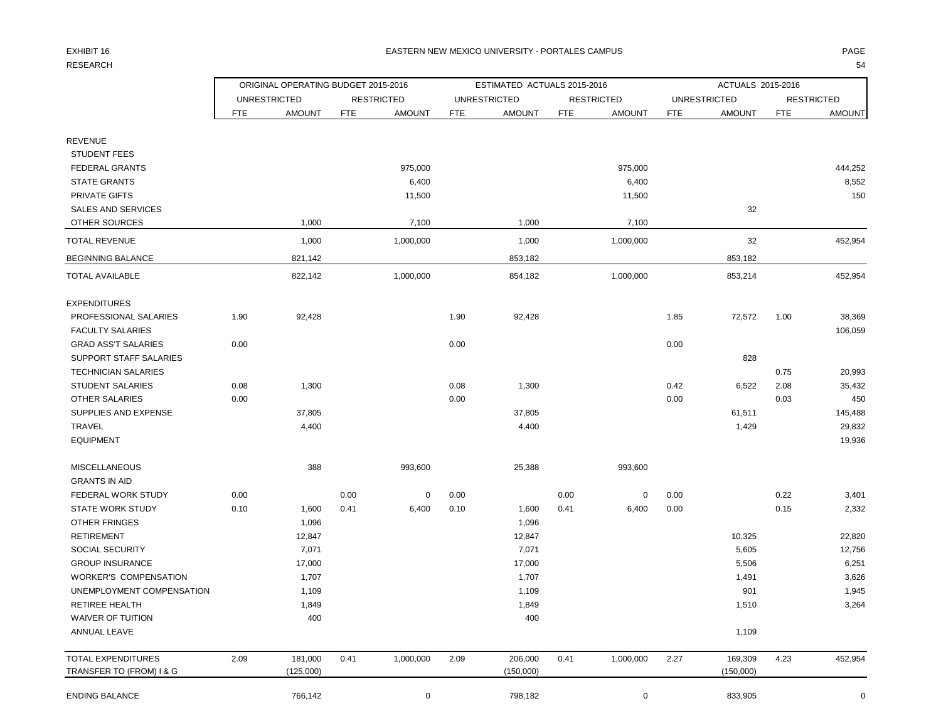# RESEARCH 1999 - SAN 1999 - SAN 1999 - SAN 1999 - SAN 1999 - SAN 1999 - SAN 1999 - SAN 1999 - SAN 1999 - SAN 1999 - SA

### EXHIBIT 16 EASTERN NEW MEXICO UNIVERSITY - PORTALES CAMPUS PAGE

|                              | ORIGINAL OPERATING BUDGET 2015-2016 |                     |            |                   |      | ESTIMATED ACTUALS 2015-2016 |            |                   |      | ACTUALS 2015-2016   |            |                   |
|------------------------------|-------------------------------------|---------------------|------------|-------------------|------|-----------------------------|------------|-------------------|------|---------------------|------------|-------------------|
|                              |                                     | <b>UNRESTRICTED</b> |            | <b>RESTRICTED</b> |      | <b>UNRESTRICTED</b>         |            | <b>RESTRICTED</b> |      | <b>UNRESTRICTED</b> |            | <b>RESTRICTED</b> |
|                              | <b>FTE</b>                          | <b>AMOUNT</b>       | <b>FTE</b> | <b>AMOUNT</b>     | FTE  | <b>AMOUNT</b>               | <b>FTE</b> | <b>AMOUNT</b>     | FTE  | <b>AMOUNT</b>       | <b>FTE</b> | <b>AMOUNT</b>     |
| <b>REVENUE</b>               |                                     |                     |            |                   |      |                             |            |                   |      |                     |            |                   |
| <b>STUDENT FEES</b>          |                                     |                     |            |                   |      |                             |            |                   |      |                     |            |                   |
| <b>FEDERAL GRANTS</b>        |                                     |                     |            | 975,000           |      |                             |            | 975,000           |      |                     |            | 444,252           |
| <b>STATE GRANTS</b>          |                                     |                     |            | 6,400             |      |                             |            | 6,400             |      |                     |            | 8,552             |
| PRIVATE GIFTS                |                                     |                     |            | 11,500            |      |                             |            | 11,500            |      |                     |            | 150               |
| <b>SALES AND SERVICES</b>    |                                     |                     |            |                   |      |                             |            |                   |      | 32                  |            |                   |
| OTHER SOURCES                |                                     | 1,000               |            | 7,100             |      | 1,000                       |            | 7,100             |      |                     |            |                   |
| <b>TOTAL REVENUE</b>         |                                     | 1,000               |            | 1,000,000         |      | 1,000                       |            | 1,000,000         |      | 32                  |            | 452,954           |
| <b>BEGINNING BALANCE</b>     |                                     | 821,142             |            |                   |      | 853,182                     |            |                   |      | 853,182             |            |                   |
| <b>TOTAL AVAILABLE</b>       |                                     | 822,142             |            | 1,000,000         |      | 854,182                     |            | 1,000,000         |      | 853,214             |            | 452,954           |
| <b>EXPENDITURES</b>          |                                     |                     |            |                   |      |                             |            |                   |      |                     |            |                   |
| PROFESSIONAL SALARIES        | 1.90                                | 92,428              |            |                   | 1.90 | 92,428                      |            |                   | 1.85 | 72,572              | 1.00       | 38,369            |
| <b>FACULTY SALARIES</b>      |                                     |                     |            |                   |      |                             |            |                   |      |                     |            | 106,059           |
| <b>GRAD ASS'T SALARIES</b>   | 0.00                                |                     |            |                   | 0.00 |                             |            |                   | 0.00 |                     |            |                   |
| SUPPORT STAFF SALARIES       |                                     |                     |            |                   |      |                             |            |                   |      | 828                 |            |                   |
| <b>TECHNICIAN SALARIES</b>   |                                     |                     |            |                   |      |                             |            |                   |      |                     | 0.75       | 20,993            |
| <b>STUDENT SALARIES</b>      | 0.08                                | 1,300               |            |                   | 0.08 | 1,300                       |            |                   | 0.42 | 6,522               | 2.08       | 35,432            |
| <b>OTHER SALARIES</b>        | 0.00                                |                     |            |                   | 0.00 |                             |            |                   | 0.00 |                     | 0.03       | 450               |
| SUPPLIES AND EXPENSE         |                                     | 37,805              |            |                   |      | 37,805                      |            |                   |      | 61,511              |            | 145,488           |
| TRAVEL                       |                                     | 4,400               |            |                   |      | 4,400                       |            |                   |      | 1,429               |            | 29,832            |
| <b>EQUIPMENT</b>             |                                     |                     |            |                   |      |                             |            |                   |      |                     |            | 19,936            |
| <b>MISCELLANEOUS</b>         |                                     | 388                 |            | 993,600           |      | 25,388                      |            | 993,600           |      |                     |            |                   |
| <b>GRANTS IN AID</b>         |                                     |                     |            |                   |      |                             |            |                   |      |                     |            |                   |
| FEDERAL WORK STUDY           | 0.00                                |                     | 0.00       | 0                 | 0.00 |                             | 0.00       | 0                 | 0.00 |                     | 0.22       | 3,401             |
| <b>STATE WORK STUDY</b>      | 0.10                                | 1,600               | 0.41       | 6,400             | 0.10 | 1,600                       | 0.41       | 6,400             | 0.00 |                     | 0.15       | 2,332             |
| OTHER FRINGES                |                                     | 1,096               |            |                   |      | 1,096                       |            |                   |      |                     |            |                   |
| <b>RETIREMENT</b>            |                                     | 12,847              |            |                   |      | 12,847                      |            |                   |      | 10,325              |            | 22,820            |
| SOCIAL SECURITY              |                                     | 7,071               |            |                   |      | 7,071                       |            |                   |      | 5,605               |            | 12,756            |
| <b>GROUP INSURANCE</b>       |                                     | 17,000              |            |                   |      | 17,000                      |            |                   |      | 5,506               |            | 6,251             |
| <b>WORKER'S COMPENSATION</b> |                                     | 1,707               |            |                   |      | 1,707                       |            |                   |      | 1,491               |            | 3,626             |
| UNEMPLOYMENT COMPENSATION    |                                     | 1,109               |            |                   |      | 1,109                       |            |                   |      | 901                 |            | 1,945             |
| RETIREE HEALTH               |                                     | 1,849               |            |                   |      | 1,849                       |            |                   |      | 1,510               |            | 3,264             |
| WAIVER OF TUITION            |                                     | 400                 |            |                   |      | 400                         |            |                   |      |                     |            |                   |
| ANNUAL LEAVE                 |                                     |                     |            |                   |      |                             |            |                   |      | 1,109               |            |                   |
| TOTAL EXPENDITURES           | 2.09                                | 181,000             | 0.41       | 1,000,000         | 2.09 | 206,000                     | 0.41       | 1,000,000         | 2.27 | 169,309             | 4.23       | 452,954           |
| TRANSFER TO (FROM) I & G     |                                     | (125,000)           |            |                   |      | (150,000)                   |            |                   |      | (150,000)           |            |                   |
| <b>ENDING BALANCE</b>        |                                     | 766,142             |            | $\mathbf 0$       |      | 798,182                     |            | 0                 |      | 833,905             |            | 0                 |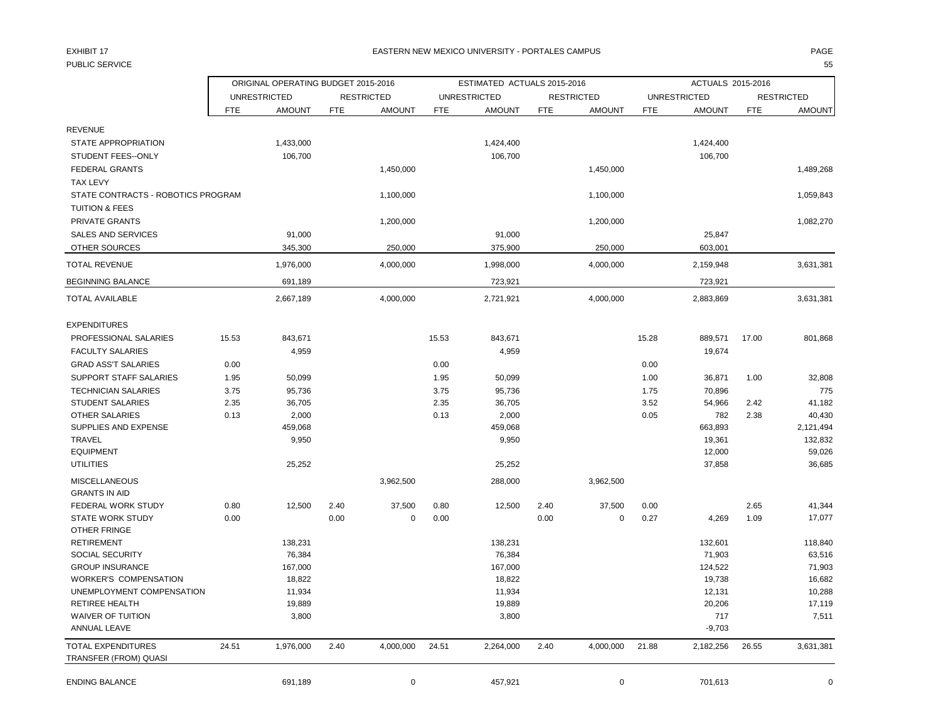## PUBLIC SERVICE 55

|                                                |            | ORIGINAL OPERATING BUDGET 2015-2016 |            |                   |            | ESTIMATED ACTUALS 2015-2016 |            |                   |            | ACTUALS 2015-2016   |            |                   |
|------------------------------------------------|------------|-------------------------------------|------------|-------------------|------------|-----------------------------|------------|-------------------|------------|---------------------|------------|-------------------|
|                                                |            | <b>UNRESTRICTED</b>                 |            | <b>RESTRICTED</b> |            | <b>UNRESTRICTED</b>         |            | <b>RESTRICTED</b> |            | <b>UNRESTRICTED</b> |            | <b>RESTRICTED</b> |
|                                                | <b>FTE</b> | <b>AMOUNT</b>                       | <b>FTE</b> | <b>AMOUNT</b>     | <b>FTE</b> | <b>AMOUNT</b>               | <b>FTE</b> | <b>AMOUNT</b>     | <b>FTE</b> | <b>AMOUNT</b>       | <b>FTE</b> | <b>AMOUNT</b>     |
| <b>REVENUE</b>                                 |            |                                     |            |                   |            |                             |            |                   |            |                     |            |                   |
| STATE APPROPRIATION                            |            | 1,433,000                           |            |                   |            | 1,424,400                   |            |                   |            | 1,424,400           |            |                   |
| <b>STUDENT FEES--ONLY</b>                      |            | 106,700                             |            |                   |            | 106,700                     |            |                   |            | 106,700             |            |                   |
| <b>FEDERAL GRANTS</b>                          |            |                                     |            | 1,450,000         |            |                             |            | 1,450,000         |            |                     |            | 1,489,268         |
| <b>TAX LEVY</b>                                |            |                                     |            |                   |            |                             |            |                   |            |                     |            |                   |
| STATE CONTRACTS - ROBOTICS PROGRAM             |            |                                     |            | 1,100,000         |            |                             |            | 1,100,000         |            |                     |            | 1,059,843         |
| <b>TUITION &amp; FEES</b>                      |            |                                     |            |                   |            |                             |            |                   |            |                     |            |                   |
| PRIVATE GRANTS                                 |            |                                     |            | 1,200,000         |            |                             |            | 1,200,000         |            |                     |            | 1,082,270         |
| <b>SALES AND SERVICES</b>                      |            | 91,000                              |            |                   |            | 91,000                      |            |                   |            | 25,847              |            |                   |
| OTHER SOURCES                                  |            | 345,300                             |            | 250,000           |            | 375,900                     |            | 250,000           |            | 603,001             |            |                   |
| <b>TOTAL REVENUE</b>                           |            |                                     |            |                   |            |                             |            |                   |            |                     |            |                   |
|                                                |            | 1,976,000                           |            | 4,000,000         |            | 1,998,000                   |            | 4,000,000         |            | 2,159,948           |            | 3,631,381         |
| <b>BEGINNING BALANCE</b>                       |            | 691,189                             |            |                   |            | 723,921                     |            |                   |            | 723,921             |            |                   |
| <b>TOTAL AVAILABLE</b>                         |            | 2,667,189                           |            | 4,000,000         |            | 2,721,921                   |            | 4,000,000         |            | 2,883,869           |            | 3,631,381         |
| <b>EXPENDITURES</b>                            |            |                                     |            |                   |            |                             |            |                   |            |                     |            |                   |
| PROFESSIONAL SALARIES                          | 15.53      | 843,671                             |            |                   | 15.53      | 843,671                     |            |                   | 15.28      | 889,571             | 17.00      | 801,868           |
| <b>FACULTY SALARIES</b>                        |            | 4,959                               |            |                   |            | 4,959                       |            |                   |            | 19,674              |            |                   |
| <b>GRAD ASS'T SALARIES</b>                     | 0.00       |                                     |            |                   | 0.00       |                             |            |                   | 0.00       |                     |            |                   |
| SUPPORT STAFF SALARIES                         | 1.95       | 50,099                              |            |                   | 1.95       | 50,099                      |            |                   | 1.00       | 36,871              | 1.00       | 32,808            |
| <b>TECHNICIAN SALARIES</b>                     | 3.75       | 95,736                              |            |                   | 3.75       | 95,736                      |            |                   | 1.75       | 70,896              |            | 775               |
| <b>STUDENT SALARIES</b>                        | 2.35       | 36,705                              |            |                   | 2.35       | 36,705                      |            |                   | 3.52       | 54,966              | 2.42       | 41,182            |
| <b>OTHER SALARIES</b>                          | 0.13       | 2,000                               |            |                   | 0.13       | 2,000                       |            |                   | 0.05       | 782                 | 2.38       | 40,430            |
| SUPPLIES AND EXPENSE                           |            | 459,068                             |            |                   |            | 459,068                     |            |                   |            | 663,893             |            | 2,121,494         |
| <b>TRAVEL</b>                                  |            | 9,950                               |            |                   |            | 9,950                       |            |                   |            | 19,361              |            | 132,832           |
| <b>EQUIPMENT</b>                               |            |                                     |            |                   |            |                             |            |                   |            | 12,000              |            | 59,026            |
| <b>UTILITIES</b>                               |            | 25,252                              |            |                   |            | 25,252                      |            |                   |            | 37,858              |            | 36,685            |
| <b>MISCELLANEOUS</b>                           |            |                                     |            | 3,962,500         |            | 288,000                     |            | 3,962,500         |            |                     |            |                   |
| <b>GRANTS IN AID</b>                           |            |                                     |            |                   |            |                             |            |                   |            |                     |            |                   |
| FEDERAL WORK STUDY                             | 0.80       | 12,500                              | 2.40       | 37,500            | 0.80       | 12,500                      | 2.40       | 37,500            | 0.00       |                     | 2.65       | 41,344            |
| <b>STATE WORK STUDY</b><br><b>OTHER FRINGE</b> | 0.00       |                                     | 0.00       | $\mathbf 0$       | 0.00       |                             | 0.00       | 0                 | 0.27       | 4,269               | 1.09       | 17,077            |
| <b>RETIREMENT</b>                              |            | 138,231                             |            |                   |            | 138,231                     |            |                   |            | 132,601             |            | 118,840           |
| SOCIAL SECURITY                                |            | 76,384                              |            |                   |            | 76,384                      |            |                   |            | 71,903              |            | 63,516            |
| <b>GROUP INSURANCE</b>                         |            | 167,000                             |            |                   |            | 167,000                     |            |                   |            | 124,522             |            | 71,903            |
| <b>WORKER'S COMPENSATION</b>                   |            | 18,822                              |            |                   |            | 18,822                      |            |                   |            | 19,738              |            | 16,682            |
| UNEMPLOYMENT COMPENSATION                      |            | 11,934                              |            |                   |            | 11,934                      |            |                   |            | 12,131              |            | 10,288            |
| <b>RETIREE HEALTH</b>                          |            | 19,889                              |            |                   |            | 19,889                      |            |                   |            | 20,206              |            | 17,119            |
| <b>WAIVER OF TUITION</b>                       |            | 3,800                               |            |                   |            | 3,800                       |            |                   |            | 717                 |            | 7,511             |
| <b>ANNUAL LEAVE</b>                            |            |                                     |            |                   |            |                             |            |                   |            | $-9,703$            |            |                   |
| <b>TOTAL EXPENDITURES</b>                      | 24.51      | 1,976,000                           | 2.40       | 4,000,000         | 24.51      | 2,264,000                   | 2.40       | 4,000,000         | 21.88      | 2,182,256           | 26.55      | 3,631,381         |
| TRANSFER (FROM) QUASI                          |            |                                     |            |                   |            |                             |            |                   |            |                     |            |                   |
| <b>ENDING BALANCE</b>                          |            | 691,189                             |            | $\mathbf 0$       |            | 457,921                     |            | $\mathbf 0$       |            | 701,613             |            | $\Omega$          |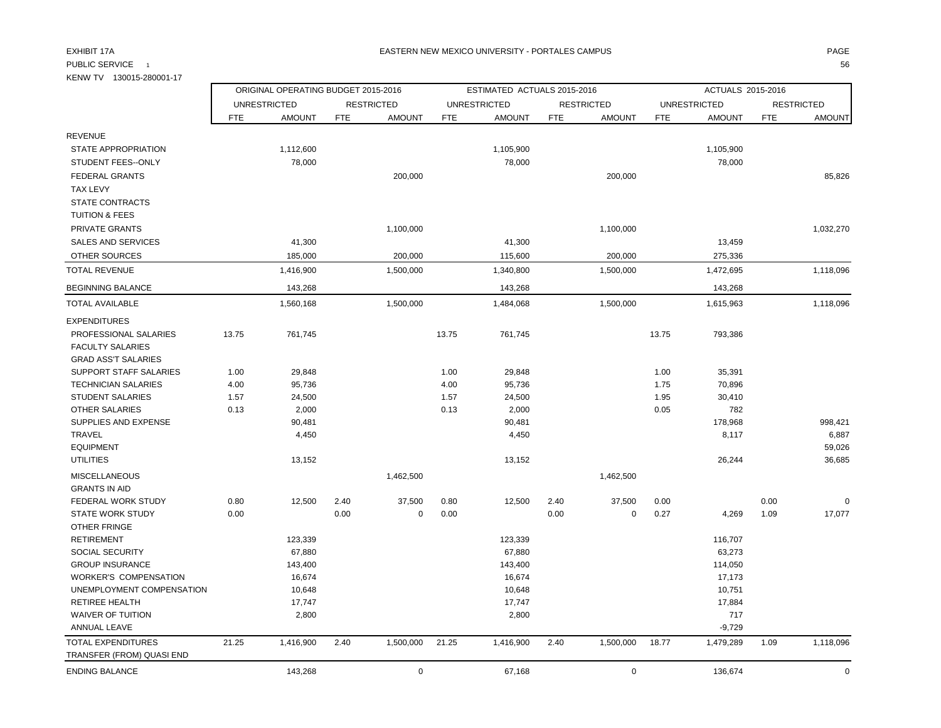### EXHIBIT 17A PAGE EASTERN NEW MEXICO UNIVERSITY - PORTALES CAMPUS

PUBLIC SERVICE 1 and the contract of the contract of the contract of the contract of the contract of the contract of the contract of the contract of the contract of the contract of the contract of the contract of the contr

| KENW TV 130015-280001-17                         |            |                                     |            |                   |            |                             |            |                   |            |                     |            |                   |
|--------------------------------------------------|------------|-------------------------------------|------------|-------------------|------------|-----------------------------|------------|-------------------|------------|---------------------|------------|-------------------|
|                                                  |            | ORIGINAL OPERATING BUDGET 2015-2016 |            |                   |            | ESTIMATED ACTUALS 2015-2016 |            |                   |            | ACTUALS 2015-2016   |            |                   |
|                                                  |            | <b>UNRESTRICTED</b>                 |            | <b>RESTRICTED</b> |            | <b>UNRESTRICTED</b>         |            | <b>RESTRICTED</b> |            | <b>UNRESTRICTED</b> |            | <b>RESTRICTED</b> |
|                                                  | <b>FTE</b> | <b>AMOUNT</b>                       | <b>FTE</b> | <b>AMOUNT</b>     | <b>FTE</b> | <b>AMOUNT</b>               | <b>FTE</b> | <b>AMOUNT</b>     | <b>FTE</b> | <b>AMOUNT</b>       | <b>FTE</b> | <b>AMOUNT</b>     |
| <b>REVENUE</b>                                   |            |                                     |            |                   |            |                             |            |                   |            |                     |            |                   |
| STATE APPROPRIATION                              |            | 1,112,600                           |            |                   |            | 1,105,900                   |            |                   |            | 1,105,900           |            |                   |
| STUDENT FEES--ONLY                               |            | 78,000                              |            |                   |            | 78,000                      |            |                   |            | 78,000              |            |                   |
| <b>FEDERAL GRANTS</b>                            |            |                                     |            | 200,000           |            |                             |            | 200,000           |            |                     |            | 85,826            |
| <b>TAX LEVY</b>                                  |            |                                     |            |                   |            |                             |            |                   |            |                     |            |                   |
| STATE CONTRACTS                                  |            |                                     |            |                   |            |                             |            |                   |            |                     |            |                   |
| <b>TUITION &amp; FEES</b>                        |            |                                     |            |                   |            |                             |            |                   |            |                     |            |                   |
| PRIVATE GRANTS                                   |            |                                     |            | 1,100,000         |            |                             |            | 1,100,000         |            |                     |            | 1,032,270         |
| <b>SALES AND SERVICES</b>                        |            | 41,300                              |            |                   |            | 41,300                      |            |                   |            | 13,459              |            |                   |
| <b>OTHER SOURCES</b>                             |            | 185,000                             |            | 200,000           |            | 115,600                     |            | 200,000           |            | 275,336             |            |                   |
| <b>TOTAL REVENUE</b>                             |            | 1,416,900                           |            | 1,500,000         |            | 1,340,800                   |            | 1,500,000         |            | 1,472,695           |            | 1,118,096         |
| <b>BEGINNING BALANCE</b>                         |            | 143,268                             |            |                   |            | 143,268                     |            |                   |            | 143,268             |            |                   |
| <b>TOTAL AVAILABLE</b>                           |            | 1,560,168                           |            | 1,500,000         |            | 1,484,068                   |            | 1,500,000         |            | 1,615,963           |            | 1,118,096         |
| <b>EXPENDITURES</b>                              |            |                                     |            |                   |            |                             |            |                   |            |                     |            |                   |
| PROFESSIONAL SALARIES                            | 13.75      | 761,745                             |            |                   | 13.75      | 761,745                     |            |                   | 13.75      | 793,386             |            |                   |
| <b>FACULTY SALARIES</b>                          |            |                                     |            |                   |            |                             |            |                   |            |                     |            |                   |
| <b>GRAD ASS'T SALARIES</b>                       |            |                                     |            |                   |            |                             |            |                   |            |                     |            |                   |
| <b>SUPPORT STAFF SALARIES</b>                    | 1.00       | 29,848                              |            |                   | 1.00       | 29,848                      |            |                   | 1.00       | 35,391              |            |                   |
| <b>TECHNICIAN SALARIES</b>                       | 4.00       | 95,736                              |            |                   | 4.00       | 95,736                      |            |                   | 1.75       | 70,896              |            |                   |
| <b>STUDENT SALARIES</b>                          | 1.57       | 24,500                              |            |                   | 1.57       | 24,500                      |            |                   | 1.95       | 30,410              |            |                   |
| <b>OTHER SALARIES</b>                            | 0.13       | 2,000                               |            |                   | 0.13       | 2,000                       |            |                   | 0.05       | 782                 |            |                   |
| SUPPLIES AND EXPENSE                             |            | 90,481                              |            |                   |            | 90,481                      |            |                   |            | 178,968             |            | 998.421           |
| <b>TRAVEL</b>                                    |            | 4,450                               |            |                   |            | 4,450                       |            |                   |            | 8,117               |            | 6,887             |
| <b>EQUIPMENT</b>                                 |            |                                     |            |                   |            |                             |            |                   |            |                     |            | 59,026            |
| <b>UTILITIES</b>                                 |            | 13,152                              |            |                   |            | 13,152                      |            |                   |            | 26,244              |            | 36,685            |
| <b>MISCELLANEOUS</b>                             |            |                                     |            | 1,462,500         |            |                             |            | 1,462,500         |            |                     |            |                   |
| <b>GRANTS IN AID</b>                             |            |                                     |            |                   |            |                             |            |                   |            |                     |            |                   |
| FEDERAL WORK STUDY                               | 0.80       | 12,500                              | 2.40       | 37,500            | 0.80       | 12,500                      | 2.40       | 37,500            | 0.00       |                     | 0.00       | 0                 |
| <b>STATE WORK STUDY</b>                          | 0.00       |                                     | 0.00       | $\mathbf 0$       | 0.00       |                             | 0.00       | 0                 | 0.27       | 4,269               | 1.09       | 17,077            |
| <b>OTHER FRINGE</b>                              |            |                                     |            |                   |            |                             |            |                   |            |                     |            |                   |
| <b>RETIREMENT</b>                                |            | 123,339<br>67,880                   |            |                   |            | 123,339<br>67,880           |            |                   |            | 116,707             |            |                   |
| <b>SOCIAL SECURITY</b><br><b>GROUP INSURANCE</b> |            |                                     |            |                   |            |                             |            |                   |            | 63,273              |            |                   |
| <b>WORKER'S COMPENSATION</b>                     |            | 143,400<br>16,674                   |            |                   |            | 143,400<br>16,674           |            |                   |            | 114,050<br>17,173   |            |                   |
| UNEMPLOYMENT COMPENSATION                        |            | 10,648                              |            |                   |            | 10,648                      |            |                   |            | 10,751              |            |                   |
| <b>RETIREE HEALTH</b>                            |            | 17,747                              |            |                   |            | 17,747                      |            |                   |            | 17,884              |            |                   |
| <b>WAIVER OF TUITION</b>                         |            | 2,800                               |            |                   |            | 2,800                       |            |                   |            | 717                 |            |                   |
| <b>ANNUAL LEAVE</b>                              |            |                                     |            |                   |            |                             |            |                   |            | $-9,729$            |            |                   |
| <b>TOTAL EXPENDITURES</b>                        | 21.25      | 1,416,900                           | 2.40       | 1,500,000         | 21.25      | 1,416,900                   | 2.40       | 1,500,000         | 18.77      | 1,479,289           | 1.09       | 1,118,096         |
| TRANSFER (FROM) QUASI END                        |            |                                     |            |                   |            |                             |            |                   |            |                     |            |                   |
| <b>ENDING BALANCE</b>                            |            | 143,268                             |            | $\mathbf 0$       |            | 67,168                      |            | $\mathbf 0$       |            | 136,674             |            | $\mathbf 0$       |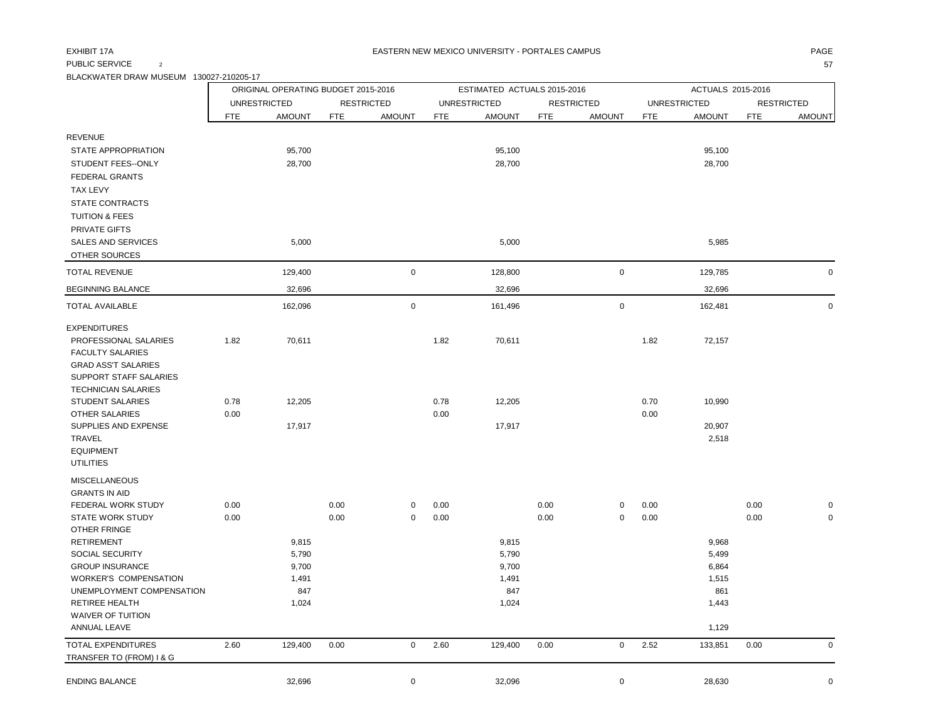## PUBLIC SERVICE  $\qquad \qquad 2$  57

BLACKWATER DRAW MUSEUM 130027-210205-17

|                                                      |            | ORIGINAL OPERATING BUDGET 2015-2016 |            |                   |            | ESTIMATED ACTUALS 2015-2016 |            |                     |            | ACTUALS 2015-2016   |            |                   |
|------------------------------------------------------|------------|-------------------------------------|------------|-------------------|------------|-----------------------------|------------|---------------------|------------|---------------------|------------|-------------------|
|                                                      |            | <b>UNRESTRICTED</b>                 |            | <b>RESTRICTED</b> |            | <b>UNRESTRICTED</b>         |            | <b>RESTRICTED</b>   |            | <b>UNRESTRICTED</b> |            | <b>RESTRICTED</b> |
|                                                      | <b>FTE</b> | <b>AMOUNT</b>                       | <b>FTE</b> | <b>AMOUNT</b>     | <b>FTE</b> | <b>AMOUNT</b>               | <b>FTE</b> | <b>AMOUNT</b>       | <b>FTE</b> | <b>AMOUNT</b>       | <b>FTE</b> | <b>AMOUNT</b>     |
| <b>REVENUE</b>                                       |            |                                     |            |                   |            |                             |            |                     |            |                     |            |                   |
| STATE APPROPRIATION                                  |            | 95,700                              |            |                   |            | 95,100                      |            |                     |            | 95,100              |            |                   |
| STUDENT FEES--ONLY                                   |            | 28,700                              |            |                   |            | 28,700                      |            |                     |            | 28,700              |            |                   |
| <b>FEDERAL GRANTS</b>                                |            |                                     |            |                   |            |                             |            |                     |            |                     |            |                   |
| <b>TAX LEVY</b>                                      |            |                                     |            |                   |            |                             |            |                     |            |                     |            |                   |
| STATE CONTRACTS                                      |            |                                     |            |                   |            |                             |            |                     |            |                     |            |                   |
| <b>TUITION &amp; FEES</b>                            |            |                                     |            |                   |            |                             |            |                     |            |                     |            |                   |
| PRIVATE GIFTS                                        |            |                                     |            |                   |            |                             |            |                     |            |                     |            |                   |
| <b>SALES AND SERVICES</b>                            |            | 5,000                               |            |                   |            | 5,000                       |            |                     |            | 5,985               |            |                   |
| OTHER SOURCES                                        |            |                                     |            |                   |            |                             |            |                     |            |                     |            |                   |
| <b>TOTAL REVENUE</b>                                 |            | 129,400                             |            | $\mathsf 0$       |            | 128,800                     |            | $\mathsf 0$         |            | 129,785             |            | $\mathbf 0$       |
| <b>BEGINNING BALANCE</b>                             |            | 32,696                              |            |                   |            | 32,696                      |            |                     |            | 32,696              |            |                   |
| <b>TOTAL AVAILABLE</b>                               |            | 162,096                             |            | $\mathbf 0$       |            | 161,496                     |            | $\mathsf{O}\xspace$ |            | 162,481             |            | $\mathbf 0$       |
| <b>EXPENDITURES</b>                                  |            |                                     |            |                   |            |                             |            |                     |            |                     |            |                   |
| PROFESSIONAL SALARIES                                | 1.82       | 70,611                              |            |                   | 1.82       | 70,611                      |            |                     | 1.82       | 72,157              |            |                   |
| <b>FACULTY SALARIES</b>                              |            |                                     |            |                   |            |                             |            |                     |            |                     |            |                   |
| <b>GRAD ASS'T SALARIES</b><br>SUPPORT STAFF SALARIES |            |                                     |            |                   |            |                             |            |                     |            |                     |            |                   |
| <b>TECHNICIAN SALARIES</b>                           |            |                                     |            |                   |            |                             |            |                     |            |                     |            |                   |
| STUDENT SALARIES                                     | 0.78       | 12,205                              |            |                   | 0.78       | 12,205                      |            |                     | 0.70       | 10,990              |            |                   |
| OTHER SALARIES                                       | 0.00       |                                     |            |                   | 0.00       |                             |            |                     | 0.00       |                     |            |                   |
| SUPPLIES AND EXPENSE                                 |            | 17,917                              |            |                   |            | 17,917                      |            |                     |            | 20,907              |            |                   |
| <b>TRAVEL</b>                                        |            |                                     |            |                   |            |                             |            |                     |            | 2,518               |            |                   |
| <b>EQUIPMENT</b>                                     |            |                                     |            |                   |            |                             |            |                     |            |                     |            |                   |
| <b>UTILITIES</b>                                     |            |                                     |            |                   |            |                             |            |                     |            |                     |            |                   |
| <b>MISCELLANEOUS</b>                                 |            |                                     |            |                   |            |                             |            |                     |            |                     |            |                   |
| <b>GRANTS IN AID</b><br>FEDERAL WORK STUDY           | 0.00       |                                     | 0.00       | 0                 | 0.00       |                             | 0.00       | $\mathbf 0$         | 0.00       |                     | 0.00       | $\mathbf 0$       |
| <b>STATE WORK STUDY</b>                              | 0.00       |                                     | 0.00       | $\pmb{0}$         | 0.00       |                             | 0.00       | $\mathbf 0$         | 0.00       |                     | 0.00       | $\mathbf 0$       |
| OTHER FRINGE                                         |            |                                     |            |                   |            |                             |            |                     |            |                     |            |                   |
| <b>RETIREMENT</b>                                    |            | 9,815                               |            |                   |            | 9,815                       |            |                     |            | 9,968               |            |                   |
| <b>SOCIAL SECURITY</b>                               |            | 5,790                               |            |                   |            | 5,790                       |            |                     |            | 5,499               |            |                   |
| <b>GROUP INSURANCE</b>                               |            | 9,700                               |            |                   |            | 9,700                       |            |                     |            | 6,864               |            |                   |
| <b>WORKER'S COMPENSATION</b>                         |            | 1,491                               |            |                   |            | 1,491                       |            |                     |            | 1,515               |            |                   |
| UNEMPLOYMENT COMPENSATION                            |            | 847                                 |            |                   |            | 847                         |            |                     |            | 861                 |            |                   |
| <b>RETIREE HEALTH</b><br><b>WAIVER OF TUITION</b>    |            | 1,024                               |            |                   |            | 1,024                       |            |                     |            | 1,443               |            |                   |
| <b>ANNUAL LEAVE</b>                                  |            |                                     |            |                   |            |                             |            |                     |            | 1,129               |            |                   |
| <b>TOTAL EXPENDITURES</b>                            | 2.60       | 129,400                             | 0.00       | $\mathsf 0$       | 2.60       | 129,400                     | 0.00       | $\mathsf{O}$        | 2.52       | 133,851             | 0.00       | $\mathbf 0$       |
| TRANSFER TO (FROM) I & G                             |            |                                     |            |                   |            |                             |            |                     |            |                     |            |                   |
| <b>ENDING BALANCE</b>                                |            | 32,696                              |            | $\pmb{0}$         |            | 32,096                      |            | $\pmb{0}$           |            | 28,630              |            | $\pmb{0}$         |
|                                                      |            |                                     |            |                   |            |                             |            |                     |            |                     |            |                   |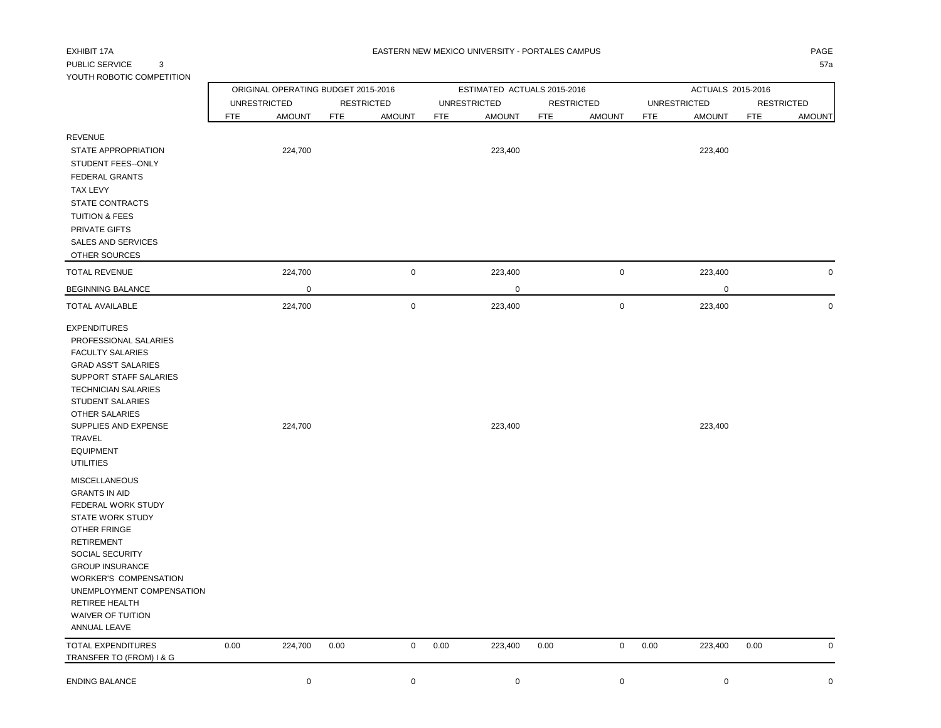# PUBLIC SERVICE 3 57a

| YOUTH ROBOTIC COMPETITION                                                                                                                                                                                                                                                                                         |                     |               |                                     |               |      |                             |                   |               |            |                     |                   |               |
|-------------------------------------------------------------------------------------------------------------------------------------------------------------------------------------------------------------------------------------------------------------------------------------------------------------------|---------------------|---------------|-------------------------------------|---------------|------|-----------------------------|-------------------|---------------|------------|---------------------|-------------------|---------------|
|                                                                                                                                                                                                                                                                                                                   |                     |               | ORIGINAL OPERATING BUDGET 2015-2016 |               |      | ESTIMATED ACTUALS 2015-2016 |                   |               |            | ACTUALS 2015-2016   |                   |               |
|                                                                                                                                                                                                                                                                                                                   | <b>UNRESTRICTED</b> |               | <b>RESTRICTED</b>                   |               |      | <b>UNRESTRICTED</b>         | <b>RESTRICTED</b> |               |            | <b>UNRESTRICTED</b> | <b>RESTRICTED</b> |               |
|                                                                                                                                                                                                                                                                                                                   | <b>FTE</b>          | <b>AMOUNT</b> | <b>FTE</b>                          | <b>AMOUNT</b> | FTE  | <b>AMOUNT</b>               | <b>FTE</b>        | <b>AMOUNT</b> | <b>FTE</b> | <b>AMOUNT</b>       | <b>FTE</b>        | <b>AMOUNT</b> |
| <b>REVENUE</b><br>STATE APPROPRIATION<br>STUDENT FEES--ONLY<br><b>FEDERAL GRANTS</b><br><b>TAX LEVY</b><br>STATE CONTRACTS<br><b>TUITION &amp; FEES</b>                                                                                                                                                           |                     | 224,700       |                                     |               |      | 223,400                     |                   |               |            | 223,400             |                   |               |
| PRIVATE GIFTS<br><b>SALES AND SERVICES</b><br>OTHER SOURCES                                                                                                                                                                                                                                                       |                     |               |                                     |               |      |                             |                   |               |            |                     |                   |               |
| <b>TOTAL REVENUE</b>                                                                                                                                                                                                                                                                                              |                     | 224,700       |                                     | $\mathbf 0$   |      | 223,400                     |                   | 0             |            | 223,400             |                   | 0             |
| <b>BEGINNING BALANCE</b>                                                                                                                                                                                                                                                                                          |                     | 0             |                                     |               |      | $\mathbf 0$                 |                   |               |            | 0                   |                   |               |
| <b>TOTAL AVAILABLE</b>                                                                                                                                                                                                                                                                                            |                     | 224,700       |                                     | $\mathbf 0$   |      | 223,400                     |                   | $\mathbf 0$   |            | 223,400             |                   | $\mathbf 0$   |
| <b>EXPENDITURES</b><br>PROFESSIONAL SALARIES<br><b>FACULTY SALARIES</b><br><b>GRAD ASS'T SALARIES</b><br>SUPPORT STAFF SALARIES<br><b>TECHNICIAN SALARIES</b><br><b>STUDENT SALARIES</b><br><b>OTHER SALARIES</b><br>SUPPLIES AND EXPENSE<br>TRAVEL<br><b>EQUIPMENT</b><br><b>UTILITIES</b>                       |                     | 224,700       |                                     |               |      | 223,400                     |                   |               |            | 223,400             |                   |               |
| <b>MISCELLANEOUS</b><br><b>GRANTS IN AID</b><br>FEDERAL WORK STUDY<br><b>STATE WORK STUDY</b><br><b>OTHER FRINGE</b><br><b>RETIREMENT</b><br>SOCIAL SECURITY<br><b>GROUP INSURANCE</b><br><b>WORKER'S COMPENSATION</b><br>UNEMPLOYMENT COMPENSATION<br>RETIREE HEALTH<br><b>WAIVER OF TUITION</b><br>ANNUAL LEAVE |                     |               |                                     |               |      |                             |                   |               |            |                     |                   |               |
| <b>TOTAL EXPENDITURES</b><br>TRANSFER TO (FROM) I & G                                                                                                                                                                                                                                                             | 0.00                | 224,700       | 0.00                                | $\mathbf 0$   | 0.00 | 223,400                     | 0.00              | 0             | 0.00       | 223,400             | 0.00              | $\mathsf 0$   |
| <b>ENDING BALANCE</b>                                                                                                                                                                                                                                                                                             |                     | $\mathbf 0$   |                                     | $\mathbf 0$   |      | $\mathbf 0$                 |                   | $\mathbf 0$   |            | $\mathbf 0$         |                   | $\mathbf 0$   |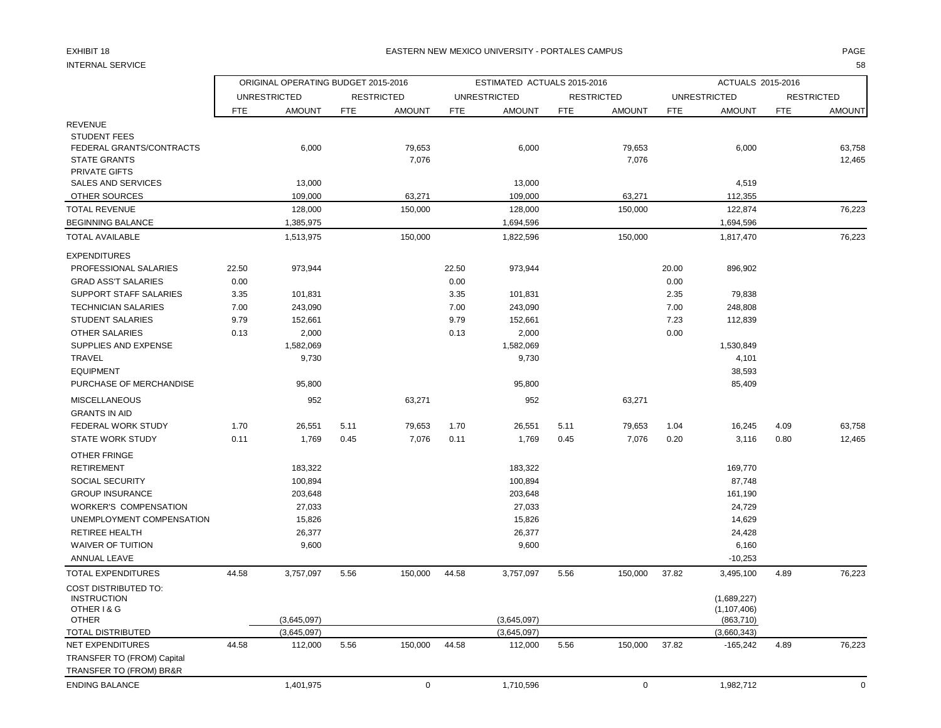### EXHIBIT 18 PAGE PAGE IN THE RESTRIAL MEXICO UNIVERSITY - PORTALES CAMPUS PAGE IN THE RESTRIAL OF PAGE IN THE RESTRIAL OF A SERVICE OF PAGE IN THE RESTRIAL OF A SERVICE OF A SERVICE OF A SERVICE OF A SERVICE OF A SERVICE OF

INTERNAL SERVICE 58

|                                                                                          |               | ORIGINAL OPERATING BUDGET 2015-2016 |            |                   |               | ESTIMATED ACTUALS 2015-2016 |            |                   |               | ACTUALS 2015-2016            |            |                   |
|------------------------------------------------------------------------------------------|---------------|-------------------------------------|------------|-------------------|---------------|-----------------------------|------------|-------------------|---------------|------------------------------|------------|-------------------|
|                                                                                          |               | <b>UNRESTRICTED</b>                 |            | <b>RESTRICTED</b> |               | <b>UNRESTRICTED</b>         |            | <b>RESTRICTED</b> |               | <b>UNRESTRICTED</b>          |            | <b>RESTRICTED</b> |
|                                                                                          | <b>FTE</b>    | <b>AMOUNT</b>                       | <b>FTE</b> | <b>AMOUNT</b>     | <b>FTE</b>    | <b>AMOUNT</b>               | <b>FTE</b> | <b>AMOUNT</b>     | <b>FTE</b>    | <b>AMOUNT</b>                | <b>FTE</b> | <b>AMOUNT</b>     |
| <b>REVENUE</b><br><b>STUDENT FEES</b><br>FEDERAL GRANTS/CONTRACTS<br><b>STATE GRANTS</b> |               | 6,000                               |            | 79,653<br>7,076   |               | 6,000                       |            | 79,653<br>7,076   |               | 6,000                        |            | 63,758<br>12,465  |
| <b>PRIVATE GIFTS</b><br><b>SALES AND SERVICES</b><br>OTHER SOURCES                       |               | 13,000<br>109,000                   |            | 63,271            |               | 13,000<br>109,000           |            | 63,271            |               | 4,519<br>112,355             |            |                   |
| <b>TOTAL REVENUE</b>                                                                     |               | 128,000                             |            | 150,000           |               | 128,000                     |            | 150,000           |               | 122,874                      |            | 76,223            |
| <b>BEGINNING BALANCE</b>                                                                 |               | 1,385,975                           |            |                   |               | 1,694,596                   |            |                   |               | 1,694,596                    |            |                   |
| <b>TOTAL AVAILABLE</b>                                                                   |               | 1,513,975                           |            | 150,000           |               | 1,822,596                   |            | 150,000           |               | 1,817,470                    |            | 76,223            |
| <b>EXPENDITURES</b>                                                                      |               |                                     |            |                   |               |                             |            |                   |               |                              |            |                   |
| PROFESSIONAL SALARIES<br><b>GRAD ASS'T SALARIES</b>                                      | 22.50<br>0.00 | 973,944                             |            |                   | 22.50<br>0.00 | 973,944                     |            |                   | 20.00<br>0.00 | 896,902                      |            |                   |
| <b>SUPPORT STAFF SALARIES</b>                                                            | 3.35          | 101,831                             |            |                   | 3.35          | 101,831                     |            |                   | 2.35          | 79,838                       |            |                   |
| <b>TECHNICIAN SALARIES</b>                                                               | 7.00          | 243,090                             |            |                   | 7.00          | 243,090                     |            |                   | 7.00          | 248,808                      |            |                   |
| <b>STUDENT SALARIES</b>                                                                  | 9.79          | 152,661                             |            |                   | 9.79          | 152,661                     |            |                   | 7.23          | 112,839                      |            |                   |
| <b>OTHER SALARIES</b>                                                                    | 0.13          | 2,000                               |            |                   | 0.13          | 2,000                       |            |                   | 0.00          |                              |            |                   |
| SUPPLIES AND EXPENSE                                                                     |               | 1,582,069                           |            |                   |               | 1,582,069                   |            |                   |               | 1,530,849                    |            |                   |
| TRAVEL                                                                                   |               | 9,730                               |            |                   |               | 9,730                       |            |                   |               | 4,101                        |            |                   |
| <b>EQUIPMENT</b>                                                                         |               |                                     |            |                   |               |                             |            |                   |               | 38,593                       |            |                   |
| PURCHASE OF MERCHANDISE                                                                  |               | 95,800                              |            |                   |               | 95,800                      |            |                   |               | 85,409                       |            |                   |
| <b>MISCELLANEOUS</b><br><b>GRANTS IN AID</b>                                             |               | 952                                 |            | 63,271            |               | 952                         |            | 63,271            |               |                              |            |                   |
| FEDERAL WORK STUDY                                                                       | 1.70          | 26,551                              | 5.11       | 79,653            | 1.70          | 26,551                      | 5.11       | 79,653            | 1.04          | 16,245                       | 4.09       | 63,758            |
| <b>STATE WORK STUDY</b>                                                                  | 0.11          | 1,769                               | 0.45       | 7,076             | 0.11          | 1,769                       | 0.45       | 7,076             | 0.20          | 3,116                        | 0.80       | 12,465            |
| OTHER FRINGE                                                                             |               |                                     |            |                   |               |                             |            |                   |               |                              |            |                   |
| <b>RETIREMENT</b>                                                                        |               | 183,322                             |            |                   |               | 183,322                     |            |                   |               | 169,770                      |            |                   |
| <b>SOCIAL SECURITY</b>                                                                   |               | 100,894                             |            |                   |               | 100,894                     |            |                   |               | 87,748                       |            |                   |
| <b>GROUP INSURANCE</b>                                                                   |               | 203,648                             |            |                   |               | 203,648                     |            |                   |               | 161,190                      |            |                   |
| <b>WORKER'S COMPENSATION</b>                                                             |               | 27,033                              |            |                   |               | 27,033                      |            |                   |               | 24,729                       |            |                   |
| UNEMPLOYMENT COMPENSATION                                                                |               | 15,826                              |            |                   |               | 15,826                      |            |                   |               | 14,629                       |            |                   |
| RETIREE HEALTH                                                                           |               | 26,377                              |            |                   |               | 26,377                      |            |                   |               | 24,428                       |            |                   |
| <b>WAIVER OF TUITION</b>                                                                 |               | 9,600                               |            |                   |               | 9,600                       |            |                   |               | 6,160                        |            |                   |
| ANNUAL LEAVE                                                                             |               |                                     |            |                   |               |                             |            |                   |               | $-10,253$                    |            |                   |
| <b>TOTAL EXPENDITURES</b>                                                                | 44.58         | 3,757,097                           | 5.56       | 150,000           | 44.58         | 3,757,097                   | 5.56       | 150,000           | 37.82         | 3,495,100                    | 4.89       | 76,223            |
| <b>COST DISTRIBUTED TO:</b><br><b>INSTRUCTION</b><br>OTHER I & G                         |               |                                     |            |                   |               |                             |            |                   |               | (1,689,227)<br>(1, 107, 406) |            |                   |
| <b>OTHER</b>                                                                             |               | (3,645,097)                         |            |                   |               | (3,645,097)                 |            |                   |               | (863, 710)                   |            |                   |
| <b>TOTAL DISTRIBUTED</b>                                                                 |               | (3,645,097)                         |            |                   |               | (3,645,097)                 |            |                   |               | (3,660,343)                  |            |                   |
| <b>NET EXPENDITURES</b>                                                                  | 44.58         | 112,000                             | 5.56       | 150,000           | 44.58         | 112,000                     | 5.56       | 150,000           | 37.82         | $-165,242$                   | 4.89       | 76,223            |
| TRANSFER TO (FROM) Capital                                                               |               |                                     |            |                   |               |                             |            |                   |               |                              |            |                   |
| TRANSFER TO (FROM) BR&R                                                                  |               |                                     |            |                   |               |                             |            |                   |               |                              |            |                   |
| <b>ENDING BALANCE</b>                                                                    |               | 1,401,975                           |            | $\mathbf 0$       |               | 1,710,596                   |            | $\mathbf 0$       |               | 1,982,712                    |            | $\mathbf 0$       |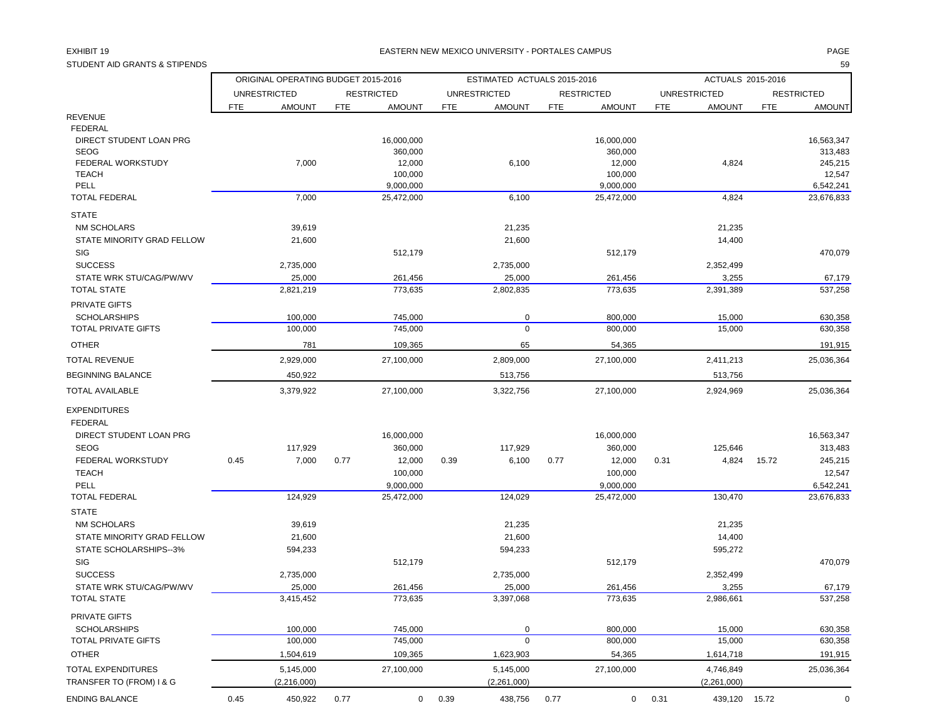STUDENT AID GRANTS & STIPENDS 59

### EXHIBIT 19 PAGE PAGE IN THE SERVICE OF THE SERVICE OF THE SERVICE OF THE SERVICE OF THE SERVICE OF THE SERVICE OF THE SERVICE OF THE SERVICE OF THE SERVICE OF THE SERVICE OF THE SERVICE OF THE SERVICE OF THE SERVICE OF THE

|                                           |                     | ORIGINAL OPERATING BUDGET 2015-2016 |            |                    |                     | ESTIMATED ACTUALS 2015-2016 |            |                    |            | ACTUALS 2015-2016   |            |                    |
|-------------------------------------------|---------------------|-------------------------------------|------------|--------------------|---------------------|-----------------------------|------------|--------------------|------------|---------------------|------------|--------------------|
|                                           | <b>UNRESTRICTED</b> |                                     |            | <b>RESTRICTED</b>  | <b>UNRESTRICTED</b> |                             |            | <b>RESTRICTED</b>  |            | <b>UNRESTRICTED</b> |            | <b>RESTRICTED</b>  |
|                                           | <b>FTE</b>          | <b>AMOUNT</b>                       | <b>FTE</b> | <b>AMOUNT</b>      | <b>FTE</b>          | <b>AMOUNT</b>               | <b>FTE</b> | <b>AMOUNT</b>      | <b>FTE</b> | <b>AMOUNT</b>       | <b>FTE</b> | <b>AMOUNT</b>      |
| <b>REVENUE</b>                            |                     |                                     |            |                    |                     |                             |            |                    |            |                     |            |                    |
| <b>FEDERAL</b>                            |                     |                                     |            |                    |                     |                             |            |                    |            |                     |            |                    |
| DIRECT STUDENT LOAN PRG<br><b>SEOG</b>    |                     |                                     |            | 16,000,000         |                     |                             |            | 16,000,000         |            |                     |            | 16,563,347         |
| FEDERAL WORKSTUDY                         |                     | 7,000                               |            | 360,000<br>12,000  |                     | 6,100                       |            | 360,000<br>12,000  |            | 4,824               |            | 313,483<br>245,215 |
| <b>TEACH</b>                              |                     |                                     |            | 100,000            |                     |                             |            | 100,000            |            |                     |            | 12,547             |
| PELL                                      |                     |                                     |            | 9,000,000          |                     |                             |            | 9,000,000          |            |                     |            | 6,542,241          |
| <b>TOTAL FEDERAL</b>                      |                     | 7,000                               |            | 25,472,000         |                     | 6,100                       |            | 25,472,000         |            | 4,824               |            | 23,676,833         |
| <b>STATE</b>                              |                     |                                     |            |                    |                     |                             |            |                    |            |                     |            |                    |
| <b>NM SCHOLARS</b>                        |                     | 39,619                              |            |                    |                     | 21,235                      |            |                    |            | 21,235              |            |                    |
| STATE MINORITY GRAD FELLOW                |                     | 21,600                              |            |                    |                     | 21,600                      |            |                    |            | 14,400              |            |                    |
| SIG                                       |                     |                                     |            | 512,179            |                     |                             |            | 512,179            |            |                     |            | 470,079            |
| <b>SUCCESS</b>                            |                     | 2,735,000                           |            |                    |                     | 2,735,000                   |            |                    |            | 2,352,499           |            |                    |
| STATE WRK STU/CAG/PW/WV                   |                     | 25,000                              |            | 261,456            |                     | 25,000                      |            | 261,456            |            | 3,255               |            | 67,179             |
| <b>TOTAL STATE</b>                        |                     | 2,821,219                           |            | 773,635            |                     | 2,802,835                   |            | 773,635            |            | 2,391,389           |            | 537,258            |
| PRIVATE GIFTS                             |                     |                                     |            |                    |                     |                             |            |                    |            |                     |            |                    |
| <b>SCHOLARSHIPS</b>                       |                     | 100,000                             |            | 745,000            |                     | $\mathbf 0$                 |            | 800,000            |            | 15,000              |            | 630,358            |
| <b>TOTAL PRIVATE GIFTS</b>                |                     | 100,000                             |            | 745,000            |                     | $\mathbf 0$                 |            | 800,000            |            | 15,000              |            | 630,358            |
| <b>OTHER</b>                              |                     | 781                                 |            | 109,365            |                     | 65                          |            | 54,365             |            |                     |            | 191,915            |
| <b>TOTAL REVENUE</b>                      |                     | 2,929,000                           |            | 27,100,000         |                     | 2,809,000                   |            | 27,100,000         |            | 2,411,213           |            | 25,036,364         |
| <b>BEGINNING BALANCE</b>                  |                     | 450,922                             |            |                    |                     | 513,756                     |            |                    |            | 513,756             |            |                    |
| <b>TOTAL AVAILABLE</b>                    |                     | 3,379,922                           |            | 27.100.000         |                     | 3,322,756                   |            | 27,100,000         |            | 2,924,969           |            | 25,036,364         |
| <b>EXPENDITURES</b>                       |                     |                                     |            |                    |                     |                             |            |                    |            |                     |            |                    |
| <b>FEDERAL</b>                            |                     |                                     |            |                    |                     |                             |            |                    |            |                     |            |                    |
| DIRECT STUDENT LOAN PRG                   |                     |                                     |            | 16,000,000         |                     |                             |            | 16,000,000         |            |                     |            | 16,563,347         |
| <b>SEOG</b>                               |                     | 117,929                             |            | 360,000            |                     | 117,929                     |            | 360,000            |            | 125,646             |            | 313,483            |
| FEDERAL WORKSTUDY                         | 0.45                | 7,000                               | 0.77       | 12,000             | 0.39                | 6,100                       | 0.77       | 12,000             | 0.31       | 4,824               | 15.72      | 245,215            |
| <b>TEACH</b>                              |                     |                                     |            | 100,000            |                     |                             |            | 100,000            |            |                     |            | 12,547             |
| PELL                                      |                     |                                     |            | 9,000,000          |                     |                             |            | 9,000,000          |            |                     |            | 6,542,241          |
| <b>TOTAL FEDERAL</b>                      |                     | 124,929                             |            | 25,472,000         |                     | 124,029                     |            | 25,472,000         |            | 130,470             |            | 23,676,833         |
| <b>STATE</b>                              |                     |                                     |            |                    |                     |                             |            |                    |            |                     |            |                    |
| <b>NM SCHOLARS</b>                        |                     | 39,619                              |            |                    |                     | 21,235                      |            |                    |            | 21,235              |            |                    |
| STATE MINORITY GRAD FELLOW                |                     | 21,600                              |            |                    |                     | 21,600                      |            |                    |            | 14,400              |            |                    |
| STATE SCHOLARSHIPS--3%                    |                     | 594,233                             |            |                    |                     | 594,233                     |            |                    |            | 595,272             |            |                    |
| SIG                                       |                     |                                     |            | 512,179            |                     |                             |            | 512,179            |            |                     |            | 470,079            |
| <b>SUCCESS</b><br>STATE WRK STU/CAG/PW/WV |                     | 2,735,000                           |            |                    |                     | 2,735,000                   |            |                    |            | 2,352,499           |            |                    |
| <b>TOTAL STATE</b>                        |                     | 25,000<br>3,415,452                 |            | 261,456<br>773,635 |                     | 25,000<br>3,397,068         |            | 261,456<br>773,635 |            | 3,255<br>2,986,661  |            | 67,179<br>537,258  |
| PRIVATE GIFTS                             |                     |                                     |            |                    |                     |                             |            |                    |            |                     |            |                    |
| <b>SCHOLARSHIPS</b>                       |                     | 100,000                             |            | 745,000            |                     | 0                           |            | 800,000            |            | 15,000              |            | 630,358            |
| <b>TOTAL PRIVATE GIFTS</b>                |                     | 100,000                             |            | 745,000            |                     | $\mathbf 0$                 |            | 800,000            |            | 15,000              |            | 630,358            |
| <b>OTHER</b>                              |                     | 1,504,619                           |            | 109,365            |                     | 1,623,903                   |            | 54,365             |            | 1,614,718           |            | 191,915            |
| TOTAL EXPENDITURES                        |                     | 5,145,000                           |            | 27,100,000         |                     | 5,145,000                   |            | 27,100,000         |            | 4,746,849           |            | 25,036,364         |
| TRANSFER TO (FROM) I & G                  |                     | (2,216,000)                         |            |                    |                     | (2,261,000)                 |            |                    |            | (2,261,000)         |            |                    |
|                                           |                     |                                     |            |                    |                     |                             |            |                    |            |                     |            |                    |

ENDING BALANCE 0.45 0.45 450,922 0.77 0 0.39 438,756 0.77 0 0.31 439,120 15.72 0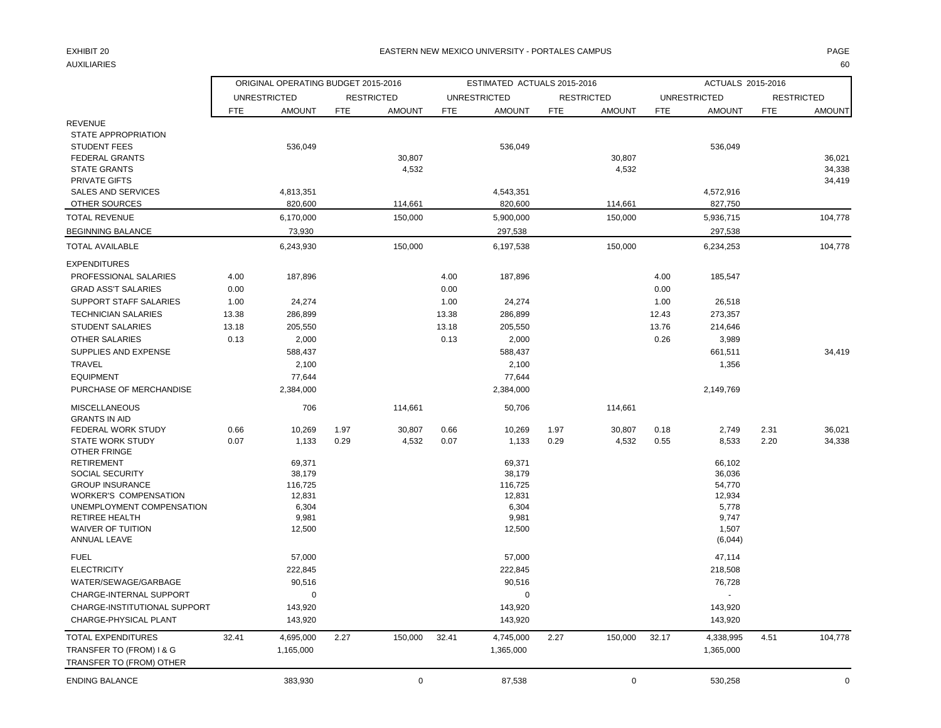### EXHIBIT 20 PAGE PAGE IN THE SERVICE OF THE SERVICE OF THE SERVICE OF THE SERVICE OF THE SERVICE OF THE SERVICE OF THE SERVICE OF THE SERVICE OF THE SERVICE OF THE SERVICE OF THE SERVICE OF THE SERVICE OF THE SERVICE OF THE

AUXILIARIES 60

|                                           |            | ORIGINAL OPERATING BUDGET 2015-2016 |            |                   |            | ESTIMATED ACTUALS 2015-2016 |            |                   |            | ACTUALS 2015-2016   |            |                   |
|-------------------------------------------|------------|-------------------------------------|------------|-------------------|------------|-----------------------------|------------|-------------------|------------|---------------------|------------|-------------------|
|                                           |            | <b>UNRESTRICTED</b>                 |            | <b>RESTRICTED</b> |            | <b>UNRESTRICTED</b>         |            | <b>RESTRICTED</b> |            | <b>UNRESTRICTED</b> |            | <b>RESTRICTED</b> |
|                                           | <b>FTE</b> | <b>AMOUNT</b>                       | <b>FTE</b> | <b>AMOUNT</b>     | <b>FTE</b> | <b>AMOUNT</b>               | <b>FTE</b> | <b>AMOUNT</b>     | <b>FTE</b> | <b>AMOUNT</b>       | <b>FTE</b> | <b>AMOUNT</b>     |
| <b>REVENUE</b>                            |            |                                     |            |                   |            |                             |            |                   |            |                     |            |                   |
| STATE APPROPRIATION                       |            |                                     |            |                   |            |                             |            |                   |            |                     |            |                   |
| <b>STUDENT FEES</b>                       |            | 536,049                             |            |                   |            | 536,049                     |            |                   |            | 536,049             |            |                   |
| <b>FEDERAL GRANTS</b>                     |            |                                     |            | 30,807            |            |                             |            | 30,807            |            |                     |            | 36,021            |
| <b>STATE GRANTS</b>                       |            |                                     |            | 4,532             |            |                             |            | 4,532             |            |                     |            | 34,338            |
| PRIVATE GIFTS                             |            |                                     |            |                   |            |                             |            |                   |            |                     |            | 34,419            |
| <b>SALES AND SERVICES</b>                 |            | 4,813,351                           |            |                   |            | 4,543,351                   |            |                   |            | 4,572,916           |            |                   |
| OTHER SOURCES                             |            | 820,600                             |            | 114,661           |            | 820,600                     |            | 114,661           |            | 827,750             |            |                   |
| <b>TOTAL REVENUE</b>                      |            | 6,170,000                           |            | 150,000           |            | 5,900,000                   |            | 150,000           |            | 5,936,715           |            | 104,778           |
| <b>BEGINNING BALANCE</b>                  |            | 73,930                              |            |                   |            | 297,538                     |            |                   |            | 297,538             |            |                   |
| <b>TOTAL AVAILABLE</b>                    |            | 6,243,930                           |            | 150,000           |            | 6,197,538                   |            | 150,000           |            | 6,234,253           |            | 104,778           |
| <b>EXPENDITURES</b>                       |            |                                     |            |                   |            |                             |            |                   |            |                     |            |                   |
| PROFESSIONAL SALARIES                     | 4.00       | 187,896                             |            |                   | 4.00       | 187,896                     |            |                   | 4.00       | 185,547             |            |                   |
| <b>GRAD ASS'T SALARIES</b>                | 0.00       |                                     |            |                   | 0.00       |                             |            |                   | 0.00       |                     |            |                   |
| SUPPORT STAFF SALARIES                    | 1.00       | 24,274                              |            |                   | 1.00       | 24,274                      |            |                   | 1.00       | 26,518              |            |                   |
| <b>TECHNICIAN SALARIES</b>                | 13.38      | 286,899                             |            |                   | 13.38      | 286,899                     |            |                   | 12.43      | 273,357             |            |                   |
| <b>STUDENT SALARIES</b>                   | 13.18      | 205,550                             |            |                   | 13.18      | 205,550                     |            |                   | 13.76      | 214,646             |            |                   |
| <b>OTHER SALARIES</b>                     | 0.13       | 2,000                               |            |                   | 0.13       | 2,000                       |            |                   | 0.26       | 3,989               |            |                   |
| SUPPLIES AND EXPENSE                      |            | 588,437                             |            |                   |            | 588,437                     |            |                   |            | 661,511             |            | 34,419            |
| <b>TRAVEL</b>                             |            | 2,100                               |            |                   |            | 2,100                       |            |                   |            | 1,356               |            |                   |
| <b>EQUIPMENT</b>                          |            | 77,644                              |            |                   |            | 77,644                      |            |                   |            |                     |            |                   |
| PURCHASE OF MERCHANDISE                   |            | 2,384,000                           |            |                   |            | 2,384,000                   |            |                   |            | 2,149,769           |            |                   |
| <b>MISCELLANEOUS</b>                      |            | 706                                 |            | 114,661           |            | 50,706                      |            | 114,661           |            |                     |            |                   |
| <b>GRANTS IN AID</b>                      |            |                                     |            |                   |            |                             |            |                   |            |                     |            |                   |
| FEDERAL WORK STUDY                        | 0.66       | 10,269                              | 1.97       | 30,807            | 0.66       | 10,269                      | 1.97       | 30,807            | 0.18       | 2,749               | 2.31       | 36,021            |
| <b>STATE WORK STUDY</b>                   | 0.07       | 1,133                               | 0.29       | 4,532             | 0.07       | 1,133                       | 0.29       | 4,532             | 0.55       | 8,533               | 2.20       | 34,338            |
| OTHER FRINGE                              |            |                                     |            |                   |            |                             |            |                   |            |                     |            |                   |
| <b>RETIREMENT</b>                         |            | 69,371                              |            |                   |            | 69,371                      |            |                   |            | 66,102              |            |                   |
| SOCIAL SECURITY<br><b>GROUP INSURANCE</b> |            | 38,179<br>116,725                   |            |                   |            | 38,179<br>116,725           |            |                   |            | 36,036<br>54,770    |            |                   |
| <b>WORKER'S COMPENSATION</b>              |            | 12,831                              |            |                   |            | 12,831                      |            |                   |            | 12,934              |            |                   |
| UNEMPLOYMENT COMPENSATION                 |            | 6,304                               |            |                   |            | 6,304                       |            |                   |            | 5,778               |            |                   |
| RETIREE HEALTH                            |            | 9,981                               |            |                   |            | 9,981                       |            |                   |            | 9,747               |            |                   |
| <b>WAIVER OF TUITION</b>                  |            | 12,500                              |            |                   |            | 12,500                      |            |                   |            | 1,507               |            |                   |
| ANNUAL LEAVE                              |            |                                     |            |                   |            |                             |            |                   |            | (6,044)             |            |                   |
| <b>FUEL</b>                               |            | 57,000                              |            |                   |            | 57,000                      |            |                   |            | 47,114              |            |                   |
| <b>ELECTRICITY</b>                        |            | 222,845                             |            |                   |            | 222,845                     |            |                   |            | 218,508             |            |                   |
| WATER/SEWAGE/GARBAGE                      |            | 90,516                              |            |                   |            | 90,516                      |            |                   |            | 76,728              |            |                   |
| CHARGE-INTERNAL SUPPORT                   |            | 0                                   |            |                   |            | $\Omega$                    |            |                   |            | $\overline{a}$      |            |                   |
| CHARGE-INSTITUTIONAL SUPPORT              |            | 143,920                             |            |                   |            | 143,920                     |            |                   |            | 143,920             |            |                   |
| CHARGE-PHYSICAL PLANT                     |            | 143,920                             |            |                   |            | 143,920                     |            |                   |            | 143,920             |            |                   |
| <b>TOTAL EXPENDITURES</b>                 | 32.41      | 4,695,000                           | 2.27       | 150,000           | 32.41      | 4,745,000                   | 2.27       | 150,000           | 32.17      | 4,338,995           | 4.51       | 104,778           |
| TRANSFER TO (FROM) I & G                  |            | 1,165,000                           |            |                   |            | 1,365,000                   |            |                   |            | 1,365,000           |            |                   |
| TRANSFER TO (FROM) OTHER                  |            |                                     |            |                   |            |                             |            |                   |            |                     |            |                   |
| <b>ENDING BALANCE</b>                     |            | 383,930                             |            | $\mathbf 0$       |            | 87,538                      |            | $\mathbf 0$       |            | 530,258             |            | $\mathbf 0$       |
|                                           |            |                                     |            |                   |            |                             |            |                   |            |                     |            |                   |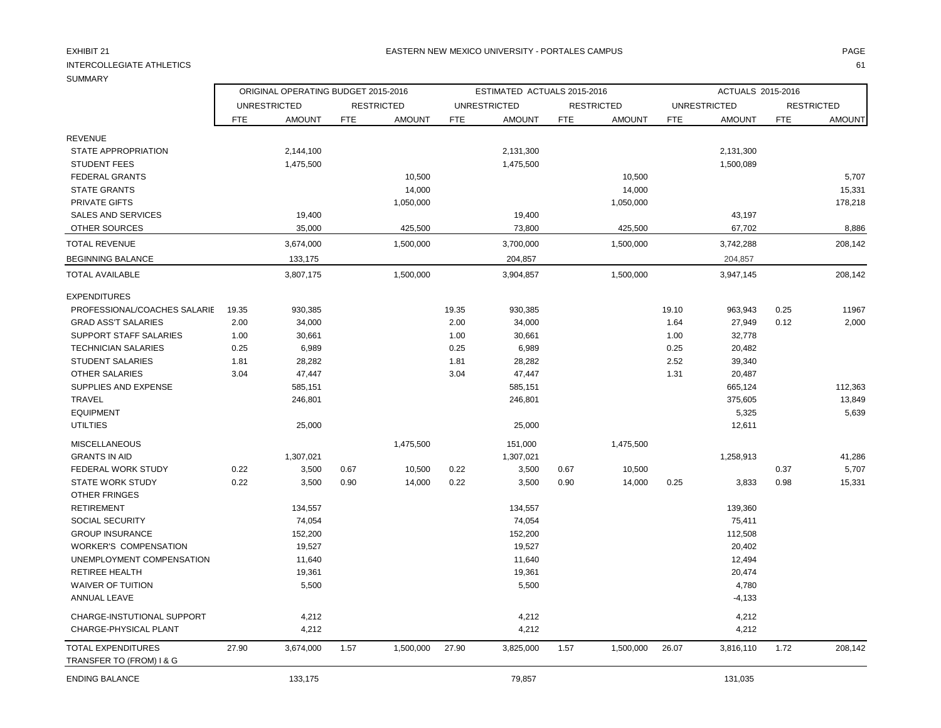## INTERCOLLEGIATE ATHLETICS 61

REVENUE

TRANSFER TO (FROM) I & G

ORIGINAL OPERATING BUDGET 2015-2016 **ESTIMATED ACTUALS 2015-2016** ACTUALS 2015-2016

UNRESTRICTED RESTRICTED UNRESTRICTED RESTRICTED UNRESTRICTED RESTRICTED

|                               | <b>FTE</b> | AMOUNT    | <b>FTE</b> | <b>AMOUNT</b> | <b>FTE</b> | AMOUNT    | <b>FTE</b> | <b>AMOUNT</b> | FTE   | <b>AMOUNT</b> | <b>FTE</b> | AMOUNT  |
|-------------------------------|------------|-----------|------------|---------------|------------|-----------|------------|---------------|-------|---------------|------------|---------|
| <b>REVENUE</b>                |            |           |            |               |            |           |            |               |       |               |            |         |
| <b>STATE APPROPRIATION</b>    |            | 2,144,100 |            |               |            | 2,131,300 |            |               |       | 2,131,300     |            |         |
| <b>STUDENT FEES</b>           |            | 1,475,500 |            |               |            | 1,475,500 |            |               |       | 1,500,089     |            |         |
| <b>FEDERAL GRANTS</b>         |            |           |            | 10,500        |            |           |            | 10,500        |       |               |            | 5,707   |
| <b>STATE GRANTS</b>           |            |           |            | 14,000        |            |           |            | 14,000        |       |               |            | 15,331  |
| <b>PRIVATE GIFTS</b>          |            |           |            | 1,050,000     |            |           |            | 1,050,000     |       |               |            | 178,218 |
| <b>SALES AND SERVICES</b>     |            | 19,400    |            |               |            | 19,400    |            |               |       | 43,197        |            |         |
| OTHER SOURCES                 |            | 35,000    |            | 425,500       |            | 73,800    |            | 425,500       |       | 67,702        |            | 8,886   |
| <b>TOTAL REVENUE</b>          |            | 3,674,000 |            | 1,500,000     |            | 3,700,000 |            | 1,500,000     |       | 3,742,288     |            | 208,142 |
| <b>BEGINNING BALANCE</b>      |            | 133,175   |            |               |            | 204,857   |            |               |       | 204,857       |            |         |
| <b>TOTAL AVAILABLE</b>        |            | 3,807,175 |            | 1,500,000     |            | 3,904,857 |            | 1,500,000     |       | 3,947,145     |            | 208,142 |
| <b>EXPENDITURES</b>           |            |           |            |               |            |           |            |               |       |               |            |         |
| PROFESSIONAL/COACHES SALARIE  | 19.35      | 930,385   |            |               | 19.35      | 930,385   |            |               | 19.10 | 963,943       | 0.25       | 11967   |
| <b>GRAD ASS'T SALARIES</b>    | 2.00       | 34,000    |            |               | 2.00       | 34,000    |            |               | 1.64  | 27,949        | 0.12       | 2,000   |
| <b>SUPPORT STAFF SALARIES</b> | 1.00       | 30,661    |            |               | 1.00       | 30,661    |            |               | 1.00  | 32,778        |            |         |
| <b>TECHNICIAN SALARIES</b>    | 0.25       | 6,989     |            |               | 0.25       | 6,989     |            |               | 0.25  | 20,482        |            |         |
| <b>STUDENT SALARIES</b>       | 1.81       | 28,282    |            |               | 1.81       | 28,282    |            |               | 2.52  | 39,340        |            |         |
| <b>OTHER SALARIES</b>         | 3.04       | 47,447    |            |               | 3.04       | 47,447    |            |               | 1.31  | 20,487        |            |         |
| SUPPLIES AND EXPENSE          |            | 585,151   |            |               |            | 585,151   |            |               |       | 665,124       |            | 112,363 |
| <b>TRAVEL</b>                 |            | 246,801   |            |               |            | 246,801   |            |               |       | 375,605       |            | 13,849  |
| <b>EQUIPMENT</b>              |            |           |            |               |            |           |            |               |       | 5,325         |            | 5,639   |
| <b>UTILTIES</b>               |            | 25,000    |            |               |            | 25,000    |            |               |       | 12,611        |            |         |
| <b>MISCELLANEOUS</b>          |            |           |            | 1,475,500     |            | 151,000   |            | 1,475,500     |       |               |            |         |
| <b>GRANTS IN AID</b>          |            | 1,307,021 |            |               |            | 1,307,021 |            |               |       | 1,258,913     |            | 41,286  |
| FEDERAL WORK STUDY            | 0.22       | 3,500     | 0.67       | 10,500        | 0.22       | 3,500     | 0.67       | 10,500        |       |               | 0.37       | 5,707   |
| <b>STATE WORK STUDY</b>       | 0.22       | 3,500     | 0.90       | 14,000        | 0.22       | 3,500     | 0.90       | 14,000        | 0.25  | 3,833         | 0.98       | 15,331  |
| OTHER FRINGES                 |            |           |            |               |            |           |            |               |       |               |            |         |
| <b>RETIREMENT</b>             |            | 134,557   |            |               |            | 134,557   |            |               |       | 139,360       |            |         |
| SOCIAL SECURITY               |            | 74,054    |            |               |            | 74,054    |            |               |       | 75,411        |            |         |
| <b>GROUP INSURANCE</b>        |            | 152,200   |            |               |            | 152,200   |            |               |       | 112,508       |            |         |
| <b>WORKER'S COMPENSATION</b>  |            | 19,527    |            |               |            | 19,527    |            |               |       | 20,402        |            |         |
| UNEMPLOYMENT COMPENSATION     |            | 11,640    |            |               |            | 11,640    |            |               |       | 12,494        |            |         |

 RETIREE HEALTH 19,361 19,361 20,474 WAIVER OF TUITION 6,500 6,500 6,500 5,500 6,500 5,500 5,500 5,500 5,500 5,500 5,500 5,500 5,500 5,500 5,500 5,500 5,500 5,500 5,500 5,500 5,500 5,500 5,500 5,500 5,500 5,500 5,500 5,500 5,500 5,500 5,500 5,500 5,500 5,500 ANNUAL LEAVE -4,133 CHARGE-INSTUTIONAL SUPPORT 4,212 4,212 4,212 CHARGE-PHYSICAL PLANT 4,212 4,212 4,212

TOTAL EXPENDITURES 27.90 3,674,000 1.57 1,500,000 27.90 3,825,000 1.57 1,500,000 26.07 3,816,110 1.72 208,142

ENDING BALANCE 133,175 79,857 131,035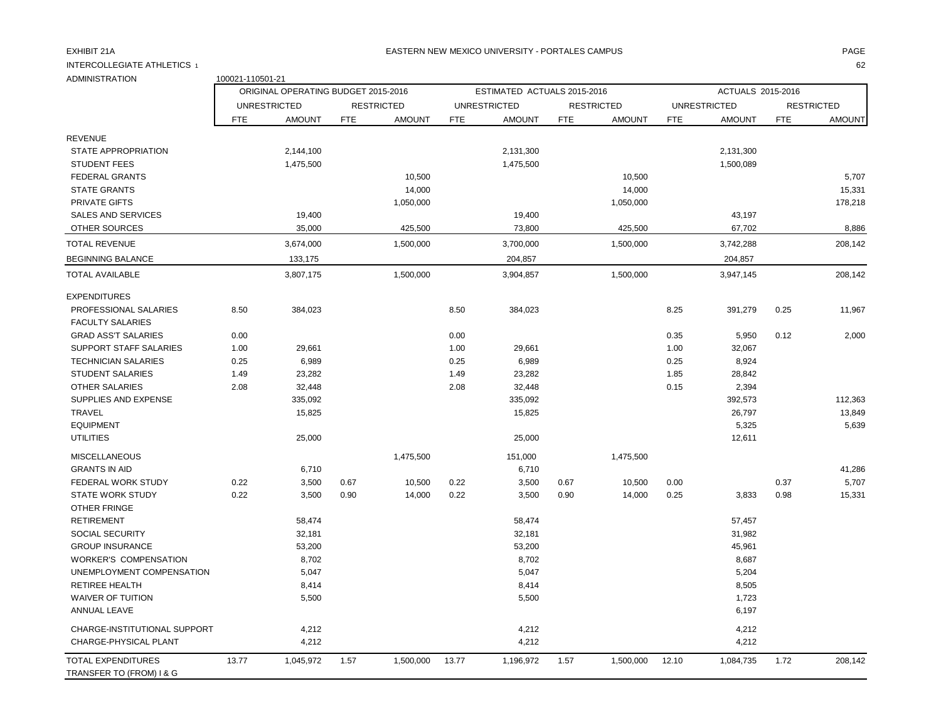### EXHIBIT 21A PAGE NA BATERN NEW MEXICO UNIVERSITY - PORTALES CAMPUS AND THE RESERVENT OF PAGE AND THE RESERVENT.

INTERCOLLEGIATE ATHLETICS 1<br>ADMINISTRATION

| <b>ADMINISTRATION</b>                                 | 100021-110501-21 |                                     |            |                   |            |                             |            |                   |            |                     |            |                   |
|-------------------------------------------------------|------------------|-------------------------------------|------------|-------------------|------------|-----------------------------|------------|-------------------|------------|---------------------|------------|-------------------|
|                                                       |                  | ORIGINAL OPERATING BUDGET 2015-2016 |            |                   |            | ESTIMATED ACTUALS 2015-2016 |            |                   |            | ACTUALS 2015-2016   |            |                   |
|                                                       |                  | <b>UNRESTRICTED</b>                 |            | <b>RESTRICTED</b> |            | <b>UNRESTRICTED</b>         |            | <b>RESTRICTED</b> |            | <b>UNRESTRICTED</b> |            | <b>RESTRICTED</b> |
|                                                       | <b>FTE</b>       | <b>AMOUNT</b>                       | <b>FTE</b> | <b>AMOUNT</b>     | <b>FTE</b> | <b>AMOUNT</b>               | <b>FTE</b> | <b>AMOUNT</b>     | <b>FTE</b> | <b>AMOUNT</b>       | <b>FTE</b> | <b>AMOUNT</b>     |
| <b>REVENUE</b>                                        |                  |                                     |            |                   |            |                             |            |                   |            |                     |            |                   |
| STATE APPROPRIATION                                   |                  | 2,144,100                           |            |                   |            | 2,131,300                   |            |                   |            | 2,131,300           |            |                   |
| <b>STUDENT FEES</b>                                   |                  | 1,475,500                           |            |                   |            | 1,475,500                   |            |                   |            | 1,500,089           |            |                   |
| <b>FEDERAL GRANTS</b>                                 |                  |                                     |            | 10,500            |            |                             |            | 10,500            |            |                     |            | 5,707             |
| <b>STATE GRANTS</b>                                   |                  |                                     |            | 14,000            |            |                             |            | 14,000            |            |                     |            | 15,331            |
| <b>PRIVATE GIFTS</b>                                  |                  |                                     |            | 1,050,000         |            |                             |            | 1,050,000         |            |                     |            | 178,218           |
| <b>SALES AND SERVICES</b>                             |                  | 19,400                              |            |                   |            | 19,400                      |            |                   |            | 43,197              |            |                   |
| OTHER SOURCES                                         |                  | 35,000                              |            | 425,500           |            | 73,800                      |            | 425,500           |            | 67,702              |            | 8,886             |
| <b>TOTAL REVENUE</b>                                  |                  | 3,674,000                           |            | 1,500,000         |            | 3,700,000                   |            | 1,500,000         |            | 3,742,288           |            | 208,142           |
| <b>BEGINNING BALANCE</b>                              |                  | 133,175                             |            |                   |            | 204,857                     |            |                   |            | 204,857             |            |                   |
| <b>TOTAL AVAILABLE</b>                                |                  | 3,807,175                           |            | 1,500,000         |            | 3,904,857                   |            | 1,500,000         |            | 3,947,145           |            | 208,142           |
| <b>EXPENDITURES</b>                                   |                  |                                     |            |                   |            |                             |            |                   |            |                     |            |                   |
| PROFESSIONAL SALARIES                                 | 8.50             | 384,023                             |            |                   | 8.50       | 384,023                     |            |                   | 8.25       | 391,279             | 0.25       | 11,967            |
| <b>FACULTY SALARIES</b>                               |                  |                                     |            |                   |            |                             |            |                   |            |                     |            |                   |
| <b>GRAD ASS'T SALARIES</b>                            | 0.00             |                                     |            |                   | 0.00       |                             |            |                   | 0.35       | 5,950               | 0.12       | 2,000             |
| <b>SUPPORT STAFF SALARIES</b>                         | 1.00             | 29,661                              |            |                   | 1.00       | 29,661                      |            |                   | 1.00       | 32,067              |            |                   |
| <b>TECHNICIAN SALARIES</b>                            | 0.25             | 6,989                               |            |                   | 0.25       | 6,989                       |            |                   | 0.25       | 8,924               |            |                   |
| <b>STUDENT SALARIES</b>                               | 1.49             | 23,282                              |            |                   | 1.49       | 23,282                      |            |                   | 1.85       | 28,842              |            |                   |
| <b>OTHER SALARIES</b>                                 | 2.08             | 32,448                              |            |                   | 2.08       | 32,448                      |            |                   | 0.15       | 2,394               |            |                   |
| <b>SUPPLIES AND EXPENSE</b>                           |                  | 335,092                             |            |                   |            | 335,092                     |            |                   |            | 392,573             |            | 112,363           |
| <b>TRAVEL</b>                                         |                  | 15,825                              |            |                   |            | 15,825                      |            |                   |            | 26,797              |            | 13,849            |
| <b>EQUIPMENT</b>                                      |                  |                                     |            |                   |            |                             |            |                   |            | 5,325               |            | 5,639             |
| <b>UTILITIES</b>                                      |                  | 25,000                              |            |                   |            | 25,000                      |            |                   |            | 12,611              |            |                   |
| <b>MISCELLANEOUS</b>                                  |                  |                                     |            | 1,475,500         |            | 151,000                     |            | 1,475,500         |            |                     |            |                   |
| <b>GRANTS IN AID</b>                                  |                  | 6,710                               |            |                   |            | 6,710                       |            |                   |            |                     |            | 41,286            |
| FEDERAL WORK STUDY                                    | 0.22             | 3,500                               | 0.67       | 10,500            | 0.22       | 3,500                       | 0.67       | 10,500            | 0.00       |                     | 0.37       | 5,707             |
| <b>STATE WORK STUDY</b>                               | 0.22             | 3,500                               | 0.90       | 14,000            | 0.22       | 3,500                       | 0.90       | 14,000            | 0.25       | 3,833               | 0.98       | 15,331            |
| OTHER FRINGE                                          |                  |                                     |            |                   |            |                             |            |                   |            |                     |            |                   |
| <b>RETIREMENT</b>                                     |                  | 58,474                              |            |                   |            | 58,474                      |            |                   |            | 57,457              |            |                   |
| <b>SOCIAL SECURITY</b>                                |                  | 32,181                              |            |                   |            | 32,181                      |            |                   |            | 31,982              |            |                   |
| <b>GROUP INSURANCE</b>                                |                  | 53,200                              |            |                   |            | 53,200                      |            |                   |            | 45,961              |            |                   |
| <b>WORKER'S COMPENSATION</b>                          |                  | 8,702                               |            |                   |            | 8,702                       |            |                   |            | 8,687               |            |                   |
| UNEMPLOYMENT COMPENSATION                             |                  | 5,047                               |            |                   |            | 5,047                       |            |                   |            | 5,204               |            |                   |
| RETIREE HEALTH                                        |                  | 8,414                               |            |                   |            | 8,414                       |            |                   |            | 8,505               |            |                   |
| <b>WAIVER OF TUITION</b>                              |                  | 5,500                               |            |                   |            | 5,500                       |            |                   |            | 1,723               |            |                   |
| ANNUAL LEAVE                                          |                  |                                     |            |                   |            |                             |            |                   |            | 6,197               |            |                   |
| CHARGE-INSTITUTIONAL SUPPORT                          |                  | 4,212                               |            |                   |            | 4,212                       |            |                   |            | 4,212               |            |                   |
| CHARGE-PHYSICAL PLANT                                 |                  | 4,212                               |            |                   |            | 4,212                       |            |                   |            | 4,212               |            |                   |
| <b>TOTAL EXPENDITURES</b><br>TRANSFER TO (FROM) I & G | 13.77            | 1,045,972                           | 1.57       | 1,500,000         | 13.77      | 1,196,972                   | 1.57       | 1,500,000         | 12.10      | 1,084,735           | 1.72       | 208.142           |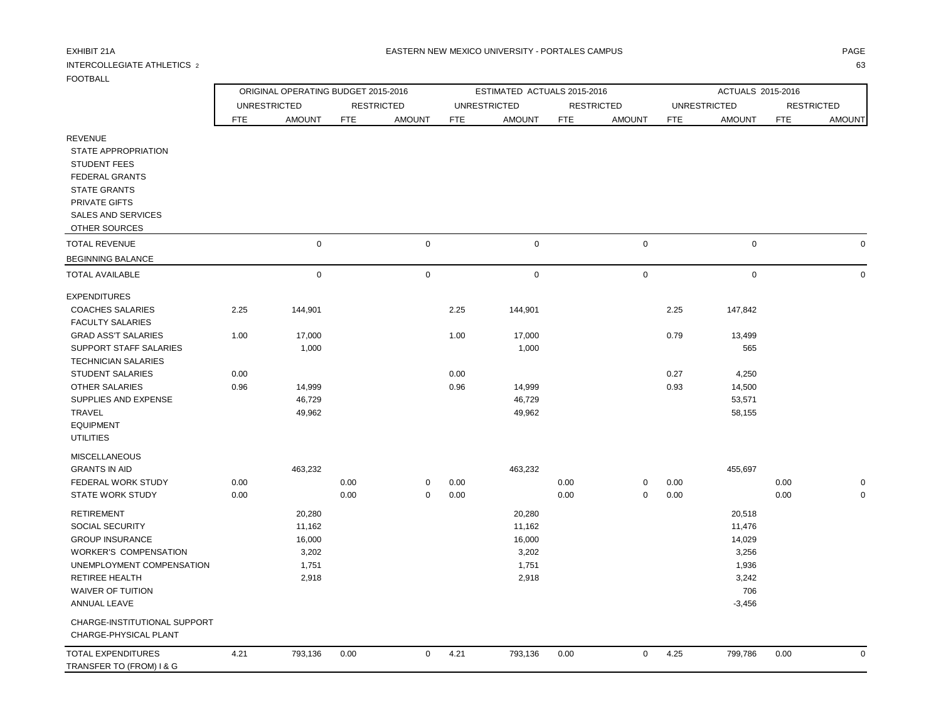## INTERCOLLEGIATE ATHLETICS 2 63

|                                                                                    |            | ORIGINAL OPERATING BUDGET 2015-2016 |            |                   |            | ESTIMATED ACTUALS 2015-2016 |            |                   |            | ACTUALS 2015-2016   |            |                   |
|------------------------------------------------------------------------------------|------------|-------------------------------------|------------|-------------------|------------|-----------------------------|------------|-------------------|------------|---------------------|------------|-------------------|
|                                                                                    |            | <b>UNRESTRICTED</b>                 |            | <b>RESTRICTED</b> |            | <b>UNRESTRICTED</b>         |            | <b>RESTRICTED</b> |            | <b>UNRESTRICTED</b> |            | <b>RESTRICTED</b> |
|                                                                                    | <b>FTE</b> | <b>AMOUNT</b>                       | <b>FTE</b> | <b>AMOUNT</b>     | <b>FTE</b> | <b>AMOUNT</b>               | <b>FTE</b> | <b>AMOUNT</b>     | <b>FTE</b> | <b>AMOUNT</b>       | <b>FTE</b> | <b>AMOUNT</b>     |
| <b>REVENUE</b><br>STATE APPROPRIATION<br><b>STUDENT FEES</b><br>FEDERAL GRANTS     |            |                                     |            |                   |            |                             |            |                   |            |                     |            |                   |
| <b>STATE GRANTS</b><br>PRIVATE GIFTS<br><b>SALES AND SERVICES</b><br>OTHER SOURCES |            |                                     |            |                   |            |                             |            |                   |            |                     |            |                   |
| <b>TOTAL REVENUE</b>                                                               |            | $\mathbf 0$                         |            | $\mathbf 0$       |            | $\pmb{0}$                   |            | $\mathbf 0$       |            | $\mathbf 0$         |            | $\mathbf 0$       |
| <b>BEGINNING BALANCE</b>                                                           |            |                                     |            |                   |            |                             |            |                   |            |                     |            |                   |
| <b>TOTAL AVAILABLE</b>                                                             |            | $\mathbf 0$                         |            | 0                 |            | $\pmb{0}$                   |            | $\mathbf 0$       |            | $\mathbf 0$         |            | 0                 |
| <b>EXPENDITURES</b>                                                                |            |                                     |            |                   |            |                             |            |                   |            |                     |            |                   |
| <b>COACHES SALARIES</b>                                                            | 2.25       | 144,901                             |            |                   | 2.25       | 144,901                     |            |                   | 2.25       | 147,842             |            |                   |
| <b>FACULTY SALARIES</b>                                                            |            |                                     |            |                   |            |                             |            |                   |            |                     |            |                   |
| <b>GRAD ASS'T SALARIES</b>                                                         | 1.00       | 17,000                              |            |                   | 1.00       | 17,000                      |            |                   | 0.79       | 13,499              |            |                   |
| <b>SUPPORT STAFF SALARIES</b>                                                      |            | 1,000                               |            |                   |            | 1,000                       |            |                   |            | 565                 |            |                   |
| <b>TECHNICIAN SALARIES</b>                                                         |            |                                     |            |                   |            |                             |            |                   |            |                     |            |                   |
| <b>STUDENT SALARIES</b>                                                            | 0.00       |                                     |            |                   | 0.00       |                             |            |                   | 0.27       | 4,250               |            |                   |
| OTHER SALARIES                                                                     | 0.96       | 14,999                              |            |                   | 0.96       | 14,999                      |            |                   | 0.93       | 14,500              |            |                   |
| SUPPLIES AND EXPENSE                                                               |            | 46,729                              |            |                   |            | 46,729                      |            |                   |            | 53,571              |            |                   |
| <b>TRAVEL</b><br><b>EQUIPMENT</b><br><b>UTILITIES</b>                              |            | 49,962                              |            |                   |            | 49,962                      |            |                   |            | 58,155              |            |                   |
| <b>MISCELLANEOUS</b>                                                               |            |                                     |            |                   |            |                             |            |                   |            |                     |            |                   |
| <b>GRANTS IN AID</b>                                                               |            | 463,232                             |            |                   |            | 463,232                     |            |                   |            | 455,697             |            |                   |
| FEDERAL WORK STUDY                                                                 | 0.00       |                                     | 0.00       | 0                 | 0.00       |                             | 0.00       | 0                 | 0.00       |                     | 0.00       |                   |
| <b>STATE WORK STUDY</b>                                                            | 0.00       |                                     | 0.00       | $\mathbf 0$       | 0.00       |                             | 0.00       | $\mathbf 0$       | 0.00       |                     | 0.00       | $\Omega$          |
| <b>RETIREMENT</b>                                                                  |            | 20,280                              |            |                   |            | 20,280                      |            |                   |            | 20,518              |            |                   |
| SOCIAL SECURITY                                                                    |            | 11,162                              |            |                   |            | 11,162                      |            |                   |            | 11,476              |            |                   |
| <b>GROUP INSURANCE</b>                                                             |            | 16,000                              |            |                   |            | 16,000                      |            |                   |            | 14,029              |            |                   |
| <b>WORKER'S COMPENSATION</b>                                                       |            | 3,202                               |            |                   |            | 3,202                       |            |                   |            | 3,256               |            |                   |
| UNEMPLOYMENT COMPENSATION                                                          |            | 1,751                               |            |                   |            | 1,751                       |            |                   |            | 1,936               |            |                   |
| <b>RETIREE HEALTH</b>                                                              |            | 2,918                               |            |                   |            | 2,918                       |            |                   |            | 3,242               |            |                   |
| <b>WAIVER OF TUITION</b>                                                           |            |                                     |            |                   |            |                             |            |                   |            | 706                 |            |                   |
| <b>ANNUAL LEAVE</b>                                                                |            |                                     |            |                   |            |                             |            |                   |            | $-3,456$            |            |                   |
| CHADCE INCTITUTIONAL CURROOT                                                       |            |                                     |            |                   |            |                             |            |                   |            |                     |            |                   |

CHARGE-INSTITUTIONAL SUPPORT

| CHARGE-PHYSICAL PLANT    |      |         |      |      |         |      |      |         |      |  |
|--------------------------|------|---------|------|------|---------|------|------|---------|------|--|
| TOTAL EXPENDITURES       | 4.21 | 793,136 | 0.00 | 4.21 | 793,136 | 0.00 | 4.25 | 799,786 | 0.00 |  |
| TRANSFER TO (FROM) I & G |      |         |      |      |         |      |      |         |      |  |
|                          |      |         |      |      |         |      |      |         |      |  |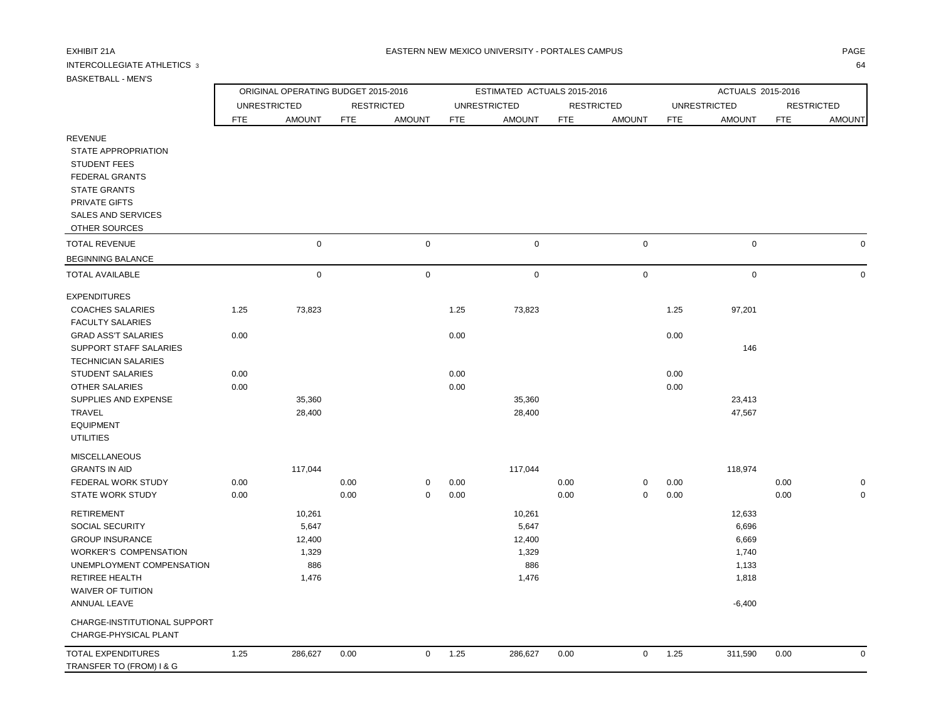## INTERCOLLEGIATE ATHLETICS 3 64

ORIGINAL OPERATING BUDGET 2015-2016 ESTIMATED ACTUALS 2015-2016 ACTUALS 2015-2016

|                                                                                                                                                                             |              | UNRESTRICTED     |              | <b>RESTRICTED</b>   |              | <b>UNRESTRICTED</b> |              | <b>RESTRICTED</b>   |              | <b>UNRESTRICTED</b> |              | <b>RESTRICTED</b> |
|-----------------------------------------------------------------------------------------------------------------------------------------------------------------------------|--------------|------------------|--------------|---------------------|--------------|---------------------|--------------|---------------------|--------------|---------------------|--------------|-------------------|
|                                                                                                                                                                             | <b>FTE</b>   | <b>AMOUNT</b>    | <b>FTE</b>   | <b>AMOUNT</b>       | FTE          | <b>AMOUNT</b>       | FTE          | <b>AMOUNT</b>       | <b>FTE</b>   | <b>AMOUNT</b>       | <b>FTE</b>   | <b>AMOUNT</b>     |
| <b>REVENUE</b><br>STATE APPROPRIATION<br><b>STUDENT FEES</b><br><b>FEDERAL GRANTS</b><br><b>STATE GRANTS</b><br>PRIVATE GIFTS<br><b>SALES AND SERVICES</b><br>OTHER SOURCES |              |                  |              |                     |              |                     |              |                     |              |                     |              |                   |
| <b>TOTAL REVENUE</b>                                                                                                                                                        |              | $\mathbf 0$      |              | $\mathbf 0$         |              | $\mathbf 0$         |              | $\pmb{0}$           |              | $\mathbf 0$         |              | $\mathbf 0$       |
| <b>BEGINNING BALANCE</b>                                                                                                                                                    |              |                  |              |                     |              |                     |              |                     |              |                     |              |                   |
| <b>TOTAL AVAILABLE</b>                                                                                                                                                      |              | $\mathsf 0$      |              | $\mathsf{O}\xspace$ |              | $\pmb{0}$           |              | $\mathsf{O}\xspace$ |              | $\mathsf{O}\xspace$ |              | $\mathbf 0$       |
| <b>EXPENDITURES</b>                                                                                                                                                         |              |                  |              |                     |              |                     |              |                     |              |                     |              |                   |
| <b>COACHES SALARIES</b><br><b>FACULTY SALARIES</b>                                                                                                                          | 1.25         | 73,823           |              |                     | 1.25         | 73,823              |              |                     | 1.25         | 97,201              |              |                   |
| <b>GRAD ASS'T SALARIES</b><br>SUPPORT STAFF SALARIES<br><b>TECHNICIAN SALARIES</b>                                                                                          | 0.00         |                  |              |                     | 0.00         |                     |              |                     | 0.00         | 146                 |              |                   |
| <b>STUDENT SALARIES</b>                                                                                                                                                     | 0.00         |                  |              |                     | 0.00         |                     |              |                     | 0.00         |                     |              |                   |
| <b>OTHER SALARIES</b>                                                                                                                                                       | 0.00         |                  |              |                     | 0.00         |                     |              |                     | 0.00         |                     |              |                   |
| SUPPLIES AND EXPENSE<br>TRAVEL<br><b>EQUIPMENT</b><br><b>UTILITIES</b>                                                                                                      |              | 35,360<br>28,400 |              |                     |              | 35,360<br>28,400    |              |                     |              | 23,413<br>47,567    |              |                   |
| <b>MISCELLANEOUS</b>                                                                                                                                                        |              |                  |              |                     |              |                     |              |                     |              |                     |              |                   |
| <b>GRANTS IN AID</b>                                                                                                                                                        |              | 117,044          |              |                     |              | 117,044             |              |                     |              | 118,974             |              |                   |
| FEDERAL WORK STUDY<br><b>STATE WORK STUDY</b>                                                                                                                               | 0.00<br>0.00 |                  | 0.00<br>0.00 | 0<br>0              | 0.00<br>0.00 |                     | 0.00<br>0.00 | 0<br>0              | 0.00<br>0.00 |                     | 0.00<br>0.00 | 0<br>0            |
| <b>RETIREMENT</b>                                                                                                                                                           |              | 10,261           |              |                     |              | 10,261              |              |                     |              | 12,633              |              |                   |
| <b>SOCIAL SECURITY</b>                                                                                                                                                      |              | 5,647            |              |                     |              | 5,647               |              |                     |              | 6,696               |              |                   |

| RETIREE HEALTH                                        |     | 1,476   |      |   |      | 1,476   |      |          |      | 1,818    |      |   |
|-------------------------------------------------------|-----|---------|------|---|------|---------|------|----------|------|----------|------|---|
| WAIVER OF TUITION                                     |     |         |      |   |      |         |      |          |      |          |      |   |
| ANNUAL LEAVE                                          |     |         |      |   |      |         |      |          |      | $-6,400$ |      |   |
| CHARGE-INSTITUTIONAL SUPPORT<br>CHARGE-PHYSICAL PLANT |     |         |      |   |      |         |      |          |      |          |      |   |
| TOTAL EXPENDITURES<br>TRANSFER TO (FROM) I & G        | .25 | 286,627 | 0.00 | 0 | 1.25 | 286,627 | 0.00 | $\Omega$ | 1.25 | 311,590  | 0.00 | 0 |
|                                                       |     |         |      |   |      |         |      |          |      |          |      |   |

GROUP INSURANCE 6,669 12,400 12,400 12,400 12,400 12,400 12,400 12,400 12,400 6,669 WORKER'S COMPENSATION 1,329 1,329 1,740 UNEMPLOYMENT COMPENSATION 886 886 1,133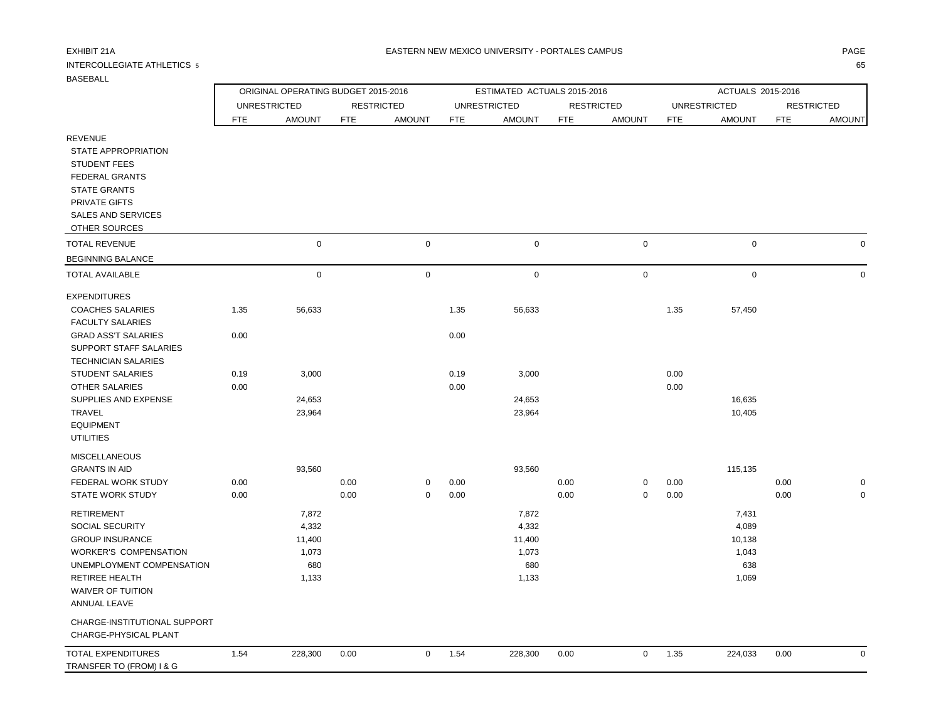WAIVER OF TUITION ANNUAL LEAVE

 CHARGE-INSTITUTIONAL SUPPORT CHARGE-PHYSICAL PLANT

## INTERCOLLEGIATE ATHLETICS 5 65

ORIGINAL OPERATING BUDGET 2015-2016 **ESTIMATED ACTUALS 2015-2016** ACTUALS 2015-2016

|                                                                                                                                                                             |      | <b>UNRESTRICTED</b> |            | <b>RESTRICTED</b> |            | UNRESTRICTED  |            | <b>RESTRICTED</b> |            | UNRESTRICTED  |            | <b>RESTRICTED</b> |
|-----------------------------------------------------------------------------------------------------------------------------------------------------------------------------|------|---------------------|------------|-------------------|------------|---------------|------------|-------------------|------------|---------------|------------|-------------------|
|                                                                                                                                                                             | FTE  | <b>AMOUNT</b>       | <b>FTE</b> | <b>AMOUNT</b>     | <b>FTE</b> | <b>AMOUNT</b> | <b>FTE</b> | <b>AMOUNT</b>     | <b>FTE</b> | <b>AMOUNT</b> | <b>FTE</b> | <b>AMOUNT</b>     |
| <b>REVENUE</b><br>STATE APPROPRIATION<br><b>STUDENT FEES</b><br><b>FEDERAL GRANTS</b><br><b>STATE GRANTS</b><br>PRIVATE GIFTS<br><b>SALES AND SERVICES</b><br>OTHER SOURCES |      |                     |            |                   |            |               |            |                   |            |               |            |                   |
| <b>TOTAL REVENUE</b>                                                                                                                                                        |      | $\mathbf 0$         |            | $\mathbf 0$       |            | $\mathbf 0$   |            | $\mathbf 0$       |            | $\pmb{0}$     |            | $\mathbf 0$       |
| <b>BEGINNING BALANCE</b>                                                                                                                                                    |      |                     |            |                   |            |               |            |                   |            |               |            |                   |
| <b>TOTAL AVAILABLE</b>                                                                                                                                                      |      | $\mathbf 0$         |            | $\mathbf 0$       |            | $\mathbf 0$   |            | $\mathbf 0$       |            | $\pmb{0}$     |            | $\mathbf 0$       |
| <b>EXPENDITURES</b>                                                                                                                                                         |      |                     |            |                   |            |               |            |                   |            |               |            |                   |
| <b>COACHES SALARIES</b>                                                                                                                                                     | 1.35 | 56,633              |            |                   | 1.35       | 56,633        |            |                   | 1.35       | 57,450        |            |                   |
| <b>FACULTY SALARIES</b>                                                                                                                                                     |      |                     |            |                   |            |               |            |                   |            |               |            |                   |
| <b>GRAD ASS'T SALARIES</b>                                                                                                                                                  | 0.00 |                     |            |                   | 0.00       |               |            |                   |            |               |            |                   |
| SUPPORT STAFF SALARIES<br><b>TECHNICIAN SALARIES</b>                                                                                                                        |      |                     |            |                   |            |               |            |                   |            |               |            |                   |
| <b>STUDENT SALARIES</b>                                                                                                                                                     | 0.19 | 3,000               |            |                   | 0.19       | 3,000         |            |                   | 0.00       |               |            |                   |
| <b>OTHER SALARIES</b>                                                                                                                                                       | 0.00 |                     |            |                   | 0.00       |               |            |                   | 0.00       |               |            |                   |
| SUPPLIES AND EXPENSE                                                                                                                                                        |      | 24,653              |            |                   |            | 24,653        |            |                   |            | 16,635        |            |                   |
| TRAVEL                                                                                                                                                                      |      | 23,964              |            |                   |            | 23,964        |            |                   |            | 10,405        |            |                   |
| <b>EQUIPMENT</b><br><b>UTILITIES</b>                                                                                                                                        |      |                     |            |                   |            |               |            |                   |            |               |            |                   |
| <b>MISCELLANEOUS</b>                                                                                                                                                        |      |                     |            |                   |            |               |            |                   |            |               |            |                   |
| <b>GRANTS IN AID</b>                                                                                                                                                        |      | 93,560              |            |                   |            | 93,560        |            |                   |            | 115,135       |            |                   |
| FEDERAL WORK STUDY                                                                                                                                                          | 0.00 |                     | 0.00       | 0                 | 0.00       |               | 0.00       | 0                 | 0.00       |               | 0.00       | 0                 |
| <b>STATE WORK STUDY</b>                                                                                                                                                     | 0.00 |                     | 0.00       | $\mathbf 0$       | 0.00       |               | 0.00       | $\mathbf 0$       | 0.00       |               | 0.00       | $\mathbf 0$       |
| <b>RETIREMENT</b>                                                                                                                                                           |      | 7,872               |            |                   |            | 7,872         |            |                   |            | 7,431         |            |                   |
| <b>SOCIAL SECURITY</b>                                                                                                                                                      |      | 4,332               |            |                   |            | 4,332         |            |                   |            | 4,089         |            |                   |
| <b>GROUP INSURANCE</b>                                                                                                                                                      |      | 11,400              |            |                   |            | 11,400        |            |                   |            | 10,138        |            |                   |
| <b>WORKER'S COMPENSATION</b>                                                                                                                                                |      | 1,073               |            |                   |            | 1,073         |            |                   |            | 1,043         |            |                   |

 UNEMPLOYMENT COMPENSATION 680 680 638 RETIREE HEALTH 1,133 1,133 1,069

| TOTAL EXPENDITURES       | 1.54 | 228.300 | 0.00 | 1.54 | 228,300 | 0.00 | $\sim$ $\sim$<br>1.35 | 224.033 | 0.00 |  |
|--------------------------|------|---------|------|------|---------|------|-----------------------|---------|------|--|
| TRANSFER TO (FROM) I & G |      |         |      |      |         |      |                       |         |      |  |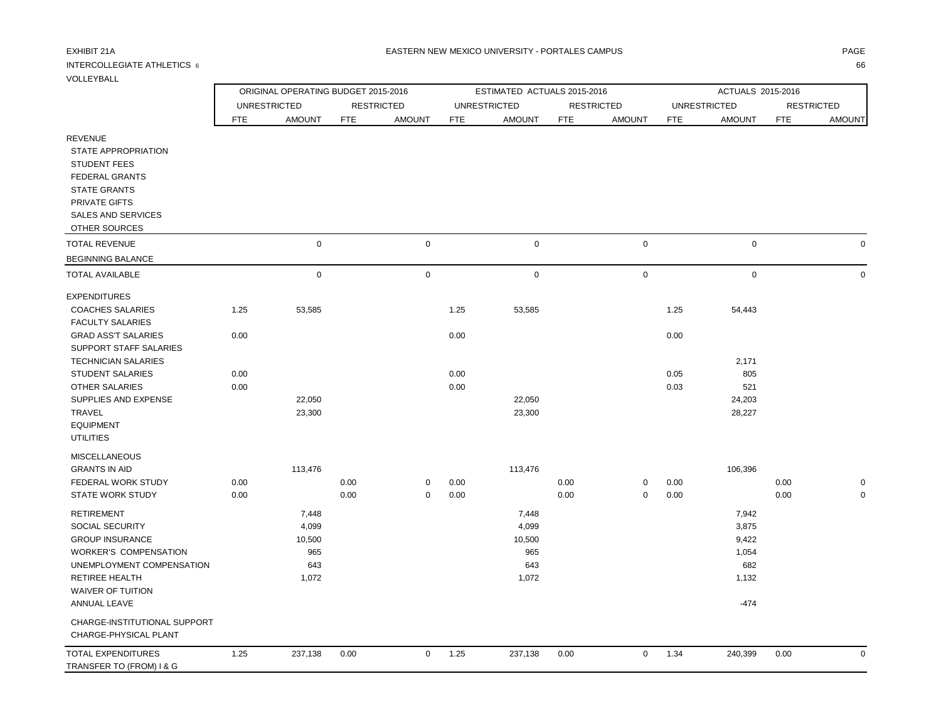# INTERCOLLEGIATE ATHLETICS  $\,$  6  $\,$  666  $\,$  666  $\,$  666  $\,$  666  $\,$  666  $\,$  666  $\,$  666  $\,$  666  $\,$  666  $\,$  667  $\,$  667  $\,$  67  $\,$  67  $\,$  67  $\,$  67  $\,$  67  $\,$  67  $\,$  67  $\,$  67  $\,$  67  $\,$  67  $\,$  67

CHARGE-INSTITUTIONAL SUPPORT

VOLLEYBALL

|                              |      | ORIGINAL OPERATING BUDGET 2015-2016 |            |                   |            | ESTIMATED ACTUALS 2015-2016 |            |                   |            | ACTUALS 2015-2016   |            |                   |
|------------------------------|------|-------------------------------------|------------|-------------------|------------|-----------------------------|------------|-------------------|------------|---------------------|------------|-------------------|
|                              |      | <b>UNRESTRICTED</b>                 |            | <b>RESTRICTED</b> |            | <b>UNRESTRICTED</b>         |            | <b>RESTRICTED</b> |            | <b>UNRESTRICTED</b> |            | <b>RESTRICTED</b> |
|                              | FTE  | <b>AMOUNT</b>                       | <b>FTE</b> | <b>AMOUNT</b>     | <b>FTE</b> | <b>AMOUNT</b>               | <b>FTE</b> | <b>AMOUNT</b>     | <b>FTE</b> | <b>AMOUNT</b>       | <b>FTE</b> | <b>AMOUNT</b>     |
| <b>REVENUE</b>               |      |                                     |            |                   |            |                             |            |                   |            |                     |            |                   |
| STATE APPROPRIATION          |      |                                     |            |                   |            |                             |            |                   |            |                     |            |                   |
| <b>STUDENT FEES</b>          |      |                                     |            |                   |            |                             |            |                   |            |                     |            |                   |
| <b>FEDERAL GRANTS</b>        |      |                                     |            |                   |            |                             |            |                   |            |                     |            |                   |
| <b>STATE GRANTS</b>          |      |                                     |            |                   |            |                             |            |                   |            |                     |            |                   |
| PRIVATE GIFTS                |      |                                     |            |                   |            |                             |            |                   |            |                     |            |                   |
| <b>SALES AND SERVICES</b>    |      |                                     |            |                   |            |                             |            |                   |            |                     |            |                   |
| OTHER SOURCES                |      |                                     |            |                   |            |                             |            |                   |            |                     |            |                   |
| <b>TOTAL REVENUE</b>         |      | $\mathsf{O}\xspace$                 |            | $\pmb{0}$         |            | $\mathsf{O}\xspace$         |            | $\mathbf 0$       |            | $\mathsf 0$         |            |                   |
| <b>BEGINNING BALANCE</b>     |      |                                     |            |                   |            |                             |            |                   |            |                     |            |                   |
| <b>TOTAL AVAILABLE</b>       |      | $\mathbf 0$                         |            | $\mathbf 0$       |            | $\mathbf 0$                 |            | $\mathbf 0$       |            | $\mathbf 0$         |            |                   |
| <b>EXPENDITURES</b>          |      |                                     |            |                   |            |                             |            |                   |            |                     |            |                   |
| <b>COACHES SALARIES</b>      | 1.25 | 53,585                              |            |                   | 1.25       | 53,585                      |            |                   | 1.25       | 54,443              |            |                   |
| <b>FACULTY SALARIES</b>      |      |                                     |            |                   |            |                             |            |                   |            |                     |            |                   |
| <b>GRAD ASS'T SALARIES</b>   | 0.00 |                                     |            |                   | 0.00       |                             |            |                   | 0.00       |                     |            |                   |
| SUPPORT STAFF SALARIES       |      |                                     |            |                   |            |                             |            |                   |            |                     |            |                   |
| <b>TECHNICIAN SALARIES</b>   |      |                                     |            |                   |            |                             |            |                   |            | 2,171               |            |                   |
| <b>STUDENT SALARIES</b>      | 0.00 |                                     |            |                   | 0.00       |                             |            |                   | 0.05       | 805                 |            |                   |
| <b>OTHER SALARIES</b>        | 0.00 |                                     |            |                   | 0.00       |                             |            |                   | 0.03       | 521                 |            |                   |
| SUPPLIES AND EXPENSE         |      | 22,050                              |            |                   |            | 22,050                      |            |                   |            | 24,203              |            |                   |
| TRAVEL                       |      | 23,300                              |            |                   |            | 23,300                      |            |                   |            | 28,227              |            |                   |
| <b>EQUIPMENT</b>             |      |                                     |            |                   |            |                             |            |                   |            |                     |            |                   |
| <b>UTILITIES</b>             |      |                                     |            |                   |            |                             |            |                   |            |                     |            |                   |
| <b>MISCELLANEOUS</b>         |      |                                     |            |                   |            |                             |            |                   |            |                     |            |                   |
| <b>GRANTS IN AID</b>         |      | 113,476                             |            |                   |            | 113,476                     |            |                   |            | 106,396             |            |                   |
| FEDERAL WORK STUDY           | 0.00 |                                     | 0.00       | 0                 | 0.00       |                             | 0.00       | $\mathbf 0$       | 0.00       |                     | 0.00       |                   |
| <b>STATE WORK STUDY</b>      | 0.00 |                                     | 0.00       | $\mathbf 0$       | 0.00       |                             | 0.00       | $\mathbf 0$       | 0.00       |                     | 0.00       |                   |
| <b>RETIREMENT</b>            |      | 7,448                               |            |                   |            | 7,448                       |            |                   |            | 7,942               |            |                   |
| <b>SOCIAL SECURITY</b>       |      | 4,099                               |            |                   |            | 4,099                       |            |                   |            | 3,875               |            |                   |
| <b>GROUP INSURANCE</b>       |      | 10,500                              |            |                   |            | 10,500                      |            |                   |            | 9,422               |            |                   |
| <b>WORKER'S COMPENSATION</b> |      | 965                                 |            |                   |            | 965                         |            |                   |            | 1,054               |            |                   |
| UNEMPLOYMENT COMPENSATION    |      | 643                                 |            |                   |            | 643                         |            |                   |            | 682                 |            |                   |
| <b>RETIREE HEALTH</b>        |      | 1,072                               |            |                   |            | 1,072                       |            |                   |            | 1,132               |            |                   |
| <b>WAIVER OF TUITION</b>     |      |                                     |            |                   |            |                             |            |                   |            |                     |            |                   |
| ANNUAL LEAVE                 |      |                                     |            |                   |            |                             |            |                   |            | $-474$              |            |                   |

 CHARGE-PHYSICAL PLANT TOTAL EXPENDITURES 1.25 237,138 0.00 0 1.25 237,138 0.00 0 1.34 240,399 0.00 0 TRANSFER TO (FROM) I & G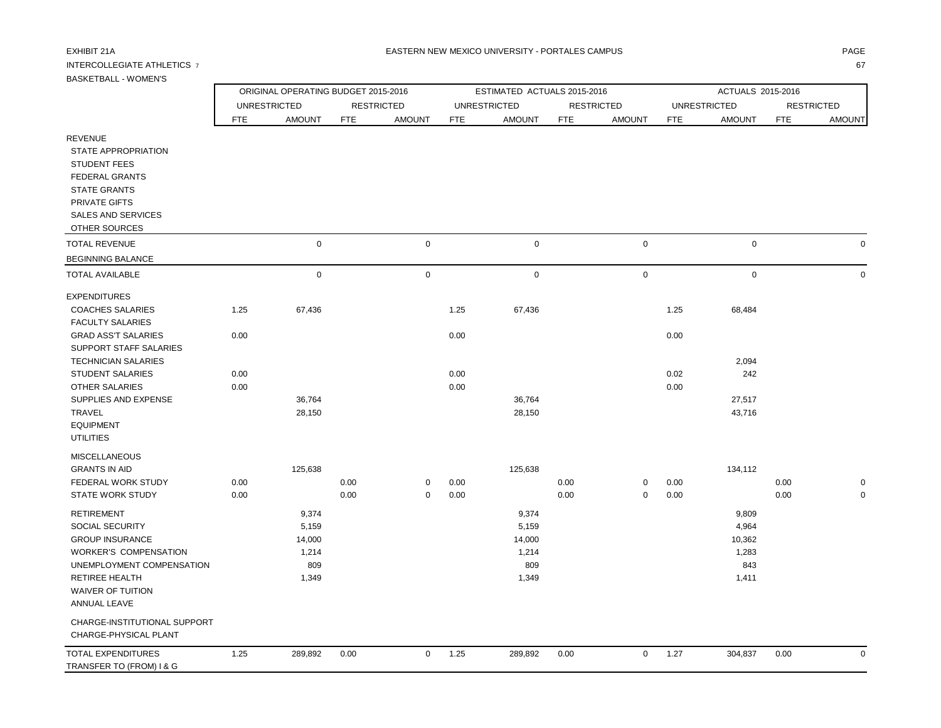## INTERCOLLEGIATE ATHLETICS 7 67

 WAIVER OF TUITION ANNUAL LEAVE

TRANSFER TO (FROM) I & G

 CHARGE-INSTITUTIONAL SUPPORT CHARGE-PHYSICAL PLANT

| BASKE I BALL - WUMEN'S                                                                                                                                                                                                                                                                                      |                              | ORIGINAL OPERATING BUDGET 2015-2016               |              |                            |                              | ESTIMATED ACTUALS 2015-2016                       |              |                   |                              | ACTUALS 2015-2016                                 |              |                            |
|-------------------------------------------------------------------------------------------------------------------------------------------------------------------------------------------------------------------------------------------------------------------------------------------------------------|------------------------------|---------------------------------------------------|--------------|----------------------------|------------------------------|---------------------------------------------------|--------------|-------------------|------------------------------|---------------------------------------------------|--------------|----------------------------|
|                                                                                                                                                                                                                                                                                                             |                              | <b>UNRESTRICTED</b>                               |              | <b>RESTRICTED</b>          |                              | <b>UNRESTRICTED</b>                               |              | <b>RESTRICTED</b> |                              | <b>UNRESTRICTED</b>                               |              | <b>RESTRICTED</b>          |
|                                                                                                                                                                                                                                                                                                             | <b>FTE</b>                   | <b>AMOUNT</b>                                     | <b>FTE</b>   | <b>AMOUNT</b>              | <b>FTE</b>                   | <b>AMOUNT</b>                                     | <b>FTE</b>   | <b>AMOUNT</b>     | <b>FTE</b>                   | <b>AMOUNT</b>                                     | <b>FTE</b>   | <b>AMOUNT</b>              |
| <b>REVENUE</b><br><b>STATE APPROPRIATION</b><br><b>STUDENT FEES</b><br><b>FEDERAL GRANTS</b><br><b>STATE GRANTS</b><br>PRIVATE GIFTS<br><b>SALES AND SERVICES</b><br>OTHER SOURCES                                                                                                                          |                              |                                                   |              |                            |                              |                                                   |              |                   |                              |                                                   |              |                            |
| <b>TOTAL REVENUE</b>                                                                                                                                                                                                                                                                                        |                              | $\mathbf 0$                                       |              | $\mathsf 0$                |                              | $\mathbf 0$                                       |              | 0                 |                              | $\pmb{0}$                                         |              | $\mathbf 0$                |
| <b>BEGINNING BALANCE</b>                                                                                                                                                                                                                                                                                    |                              |                                                   |              |                            |                              |                                                   |              |                   |                              |                                                   |              |                            |
| <b>TOTAL AVAILABLE</b>                                                                                                                                                                                                                                                                                      |                              | $\mathbf 0$                                       |              | $\mathbf 0$                |                              | $\mathsf{O}$                                      |              | $\mathbf 0$       |                              | $\mathbf 0$                                       |              | $\Omega$                   |
| <b>EXPENDITURES</b><br><b>COACHES SALARIES</b><br><b>FACULTY SALARIES</b><br><b>GRAD ASS'T SALARIES</b><br><b>SUPPORT STAFF SALARIES</b><br><b>TECHNICIAN SALARIES</b><br><b>STUDENT SALARIES</b><br><b>OTHER SALARIES</b><br>SUPPLIES AND EXPENSE<br><b>TRAVEL</b><br><b>EQUIPMENT</b><br><b>UTILITIES</b> | 1.25<br>0.00<br>0.00<br>0.00 | 67,436<br>36,764<br>28,150                        |              |                            | 1.25<br>0.00<br>0.00<br>0.00 | 67,436<br>36,764<br>28,150                        |              |                   | 1.25<br>0.00<br>0.02<br>0.00 | 68,484<br>2,094<br>242<br>27,517<br>43,716        |              |                            |
| <b>MISCELLANEOUS</b><br><b>GRANTS IN AID</b><br>FEDERAL WORK STUDY<br><b>STATE WORK STUDY</b>                                                                                                                                                                                                               | 0.00<br>0.00                 | 125,638                                           | 0.00<br>0.00 | $\mathbf 0$<br>$\mathbf 0$ | 0.00<br>0.00                 | 125,638                                           | 0.00<br>0.00 | 0<br>0            | 0.00<br>0.00                 | 134,112                                           | 0.00<br>0.00 | $\mathbf 0$<br>$\mathbf 0$ |
| <b>RETIREMENT</b><br><b>SOCIAL SECURITY</b><br><b>GROUP INSURANCE</b><br><b>WORKER'S COMPENSATION</b><br>UNEMPLOYMENT COMPENSATION<br>RETIREE HEALTH                                                                                                                                                        |                              | 9,374<br>5,159<br>14,000<br>1,214<br>809<br>1,349 |              |                            |                              | 9,374<br>5,159<br>14,000<br>1,214<br>809<br>1,349 |              |                   |                              | 9,809<br>4,964<br>10,362<br>1,283<br>843<br>1,411 |              |                            |

| <b>TOTAL EXPENDITURES</b> | 1.25 | 200.002<br>,,,,,,,,<br>໐9.09Z | 0.00 | $\sim$ $\sim$<br>$\cdot$<br>ل کے ر | 289.892 | 0.00 | ے. ا | 304.837 | 0.00 |  |
|---------------------------|------|-------------------------------|------|------------------------------------|---------|------|------|---------|------|--|
|                           |      |                               |      |                                    |         |      |      |         |      |  |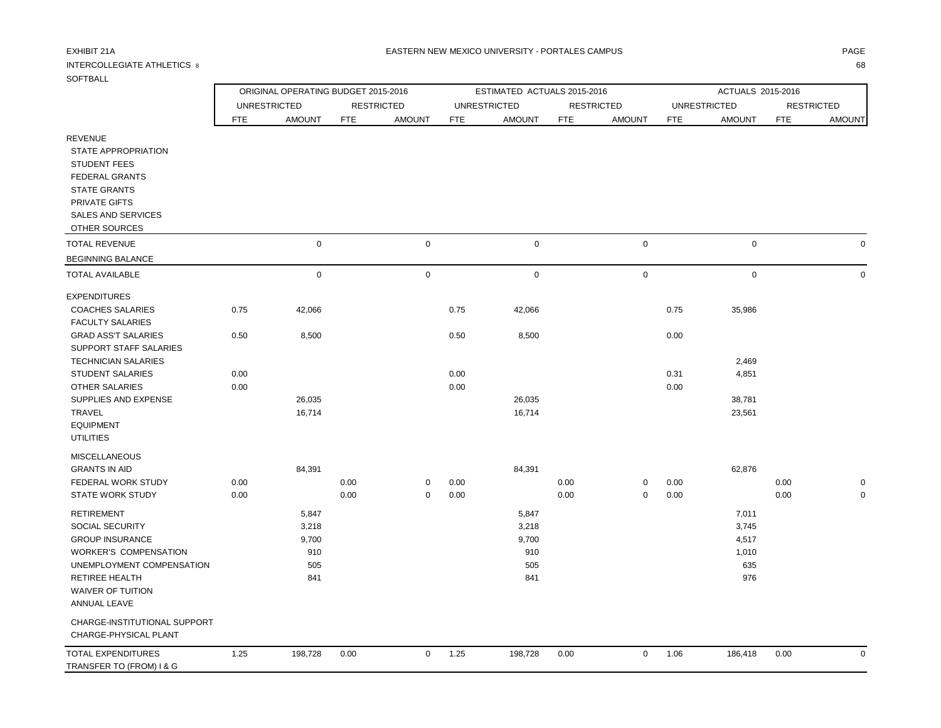# INTERCOLLEGIATE ATHLETICS 8 68

### EXHIBIT 21A PAGE NA BATERN NEW MEXICO UNIVERSITY - PORTALES CAMPUS AND THE RESERVENT OF PAGE AND THE RESERVENT.

| SOFTBALL                                                                                                                                                   |                     |                                     |                   |               |                             |                  |                   |                     |                     |                   |                   |               |
|------------------------------------------------------------------------------------------------------------------------------------------------------------|---------------------|-------------------------------------|-------------------|---------------|-----------------------------|------------------|-------------------|---------------------|---------------------|-------------------|-------------------|---------------|
|                                                                                                                                                            |                     | ORIGINAL OPERATING BUDGET 2015-2016 |                   |               | ESTIMATED ACTUALS 2015-2016 |                  |                   |                     |                     | ACTUALS 2015-2016 |                   |               |
|                                                                                                                                                            | <b>UNRESTRICTED</b> |                                     | <b>RESTRICTED</b> |               | <b>UNRESTRICTED</b>         |                  | <b>RESTRICTED</b> |                     | <b>UNRESTRICTED</b> |                   | <b>RESTRICTED</b> |               |
|                                                                                                                                                            | <b>FTE</b>          | <b>AMOUNT</b>                       | <b>FTE</b>        | <b>AMOUNT</b> | <b>FTE</b>                  | <b>AMOUNT</b>    | <b>FTE</b>        | <b>AMOUNT</b>       | <b>FTE</b>          | <b>AMOUNT</b>     | <b>FTE</b>        | <b>AMOUNT</b> |
| <b>REVENUE</b><br>STATE APPROPRIATION<br><b>STUDENT FEES</b><br><b>FEDERAL GRANTS</b><br><b>STATE GRANTS</b><br>PRIVATE GIFTS<br><b>SALES AND SERVICES</b> |                     |                                     |                   |               |                             |                  |                   |                     |                     |                   |                   |               |
| OTHER SOURCES                                                                                                                                              |                     |                                     |                   |               |                             |                  |                   |                     |                     |                   |                   |               |
| <b>TOTAL REVENUE</b>                                                                                                                                       |                     | $\mathbf 0$                         |                   | $\mathsf 0$   |                             | $\pmb{0}$        |                   | $\pmb{0}$           |                     | 0                 |                   | $\Omega$      |
| <b>BEGINNING BALANCE</b>                                                                                                                                   |                     |                                     |                   |               |                             |                  |                   |                     |                     |                   |                   |               |
| <b>TOTAL AVAILABLE</b>                                                                                                                                     |                     | $\mathbf 0$                         |                   | $\mathbf 0$   |                             | 0                |                   | $\mathsf{O}\xspace$ |                     | $\pmb{0}$         |                   | $\Omega$      |
| <b>EXPENDITURES</b><br><b>COACHES SALARIES</b>                                                                                                             | 0.75                | 42,066                              |                   |               | 0.75                        | 42,066           |                   |                     | 0.75                | 35,986            |                   |               |
| <b>FACULTY SALARIES</b><br><b>GRAD ASS'T SALARIES</b>                                                                                                      | 0.50                | 8,500                               |                   |               | 0.50                        | 8,500            |                   |                     | 0.00                |                   |                   |               |
| SUPPORT STAFF SALARIES<br><b>TECHNICIAN SALARIES</b>                                                                                                       |                     |                                     |                   |               |                             |                  |                   |                     |                     | 2,469             |                   |               |
| <b>STUDENT SALARIES</b><br><b>OTHER SALARIES</b>                                                                                                           | 0.00<br>0.00        |                                     |                   |               | 0.00<br>0.00                |                  |                   |                     | 0.31<br>0.00        | 4,851             |                   |               |
| SUPPLIES AND EXPENSE<br>TRAVEL<br><b>EQUIPMENT</b><br><b>UTILITIES</b>                                                                                     |                     | 26,035<br>16,714                    |                   |               |                             | 26,035<br>16,714 |                   |                     |                     | 38,781<br>23,561  |                   |               |
| <b>MISCELLANEOUS</b><br><b>GRANTS IN AID</b>                                                                                                               |                     | 84,391                              |                   |               |                             | 84,391           |                   |                     |                     | 62,876            |                   |               |
| FEDERAL WORK STUDY                                                                                                                                         | 0.00                |                                     | 0.00              | 0             | 0.00                        |                  | 0.00              | 0                   | 0.00                |                   | 0.00              |               |
| <b>STATE WORK STUDY</b>                                                                                                                                    | 0.00                |                                     | 0.00              | $\mathbf 0$   | 0.00                        |                  | 0.00              | $\overline{0}$      | 0.00                |                   | 0.00              |               |
| <b>RETIREMENT</b>                                                                                                                                          |                     | 5,847                               |                   |               |                             | 5,847            |                   |                     |                     | 7,011             |                   |               |
| <b>SOCIAL SECURITY</b>                                                                                                                                     |                     | 3,218                               |                   |               |                             | 3,218            |                   |                     |                     | 3,745             |                   |               |
| <b>GROUP INSURANCE</b>                                                                                                                                     |                     | 9,700                               |                   |               |                             | 9,700            |                   |                     |                     | 4,517             |                   |               |
| <b>WORKER'S COMPENSATION</b>                                                                                                                               |                     | 910                                 |                   |               |                             | 910              |                   |                     |                     | 1,010             |                   |               |
| UNEMPLOYMENT COMPENSATION<br>RETIREE HEALTH<br><b>WAIVER OF TUITION</b><br>ANNUAL LEAVE                                                                    |                     | 505<br>841                          |                   |               |                             | 505<br>841       |                   |                     |                     | 635<br>976        |                   |               |
| CHARGE-INSTITUTIONAL SUPPORT<br>CHARGE-PHYSICAL PLANT                                                                                                      |                     |                                     |                   |               |                             |                  |                   |                     |                     |                   |                   |               |
| <b>TOTAL EXPENDITURES</b><br>TRANSFER TO (FROM) I & G                                                                                                      | 1.25                | 198,728                             | 0.00              | $\mathsf{O}$  | 1.25                        | 198,728          | 0.00              | $\mathbf 0$         | 1.06                | 186,418           | 0.00              | $\mathbf 0$   |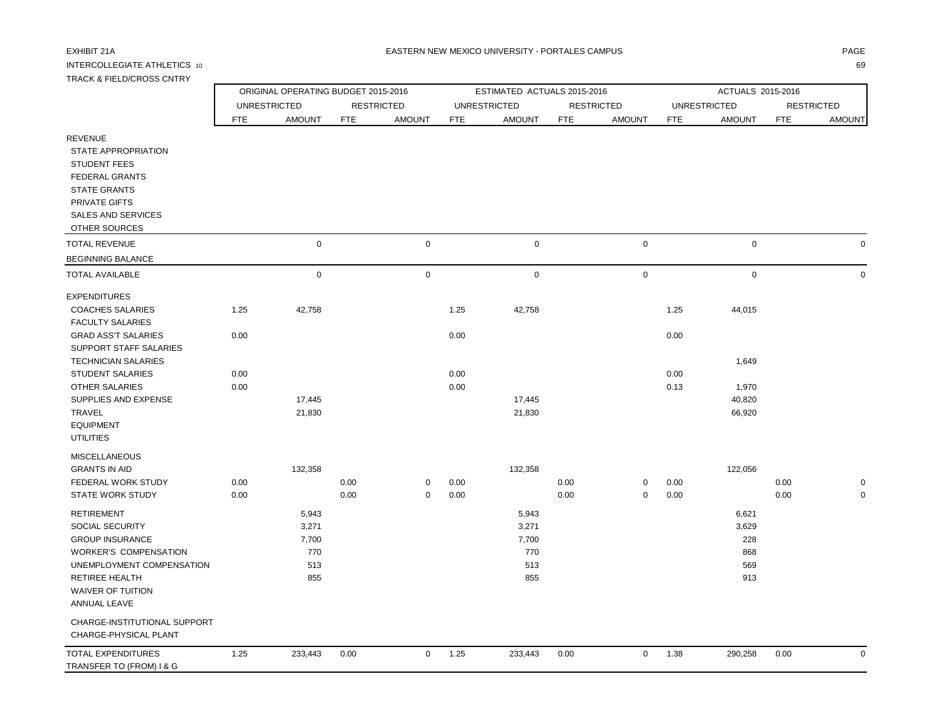## INTERCOLLEGIATE ATHLETICS 10 69 TRACK & FIELD/CROSS CNTRY

|                                                                                                                                                                             | ORIGINAL OPERATING BUDGET 2015-2016 |               |                   |               |                     | ESTIMATED ACTUALS 2015-2016 |                   |                  | ACTUALS 2015-2016   |               |                   |               |  |
|-----------------------------------------------------------------------------------------------------------------------------------------------------------------------------|-------------------------------------|---------------|-------------------|---------------|---------------------|-----------------------------|-------------------|------------------|---------------------|---------------|-------------------|---------------|--|
|                                                                                                                                                                             | <b>UNRESTRICTED</b>                 |               | <b>RESTRICTED</b> |               | <b>UNRESTRICTED</b> |                             | <b>RESTRICTED</b> |                  | <b>UNRESTRICTED</b> |               | <b>RESTRICTED</b> |               |  |
|                                                                                                                                                                             | FTE                                 | <b>AMOUNT</b> | <b>FTE</b>        | <b>AMOUNT</b> | <b>FTE</b>          | <b>AMOUNT</b>               | <b>FTE</b>        | <b>AMOUNT</b>    | <b>FTE</b>          | <b>AMOUNT</b> | <b>FTE</b>        | <b>AMOUNT</b> |  |
| <b>REVENUE</b><br>STATE APPROPRIATION<br><b>STUDENT FEES</b><br><b>FEDERAL GRANTS</b><br><b>STATE GRANTS</b><br>PRIVATE GIFTS<br><b>SALES AND SERVICES</b><br>OTHER SOURCES |                                     |               |                   |               |                     |                             |                   |                  |                     |               |                   |               |  |
| <b>TOTAL REVENUE</b>                                                                                                                                                        |                                     | $\mathbf 0$   |                   | $\mathbf 0$   |                     | $\mathsf 0$                 |                   | $\boldsymbol{0}$ |                     | $\mathsf 0$   |                   | $\mathbf 0$   |  |
| <b>BEGINNING BALANCE</b>                                                                                                                                                    |                                     |               |                   |               |                     |                             |                   |                  |                     |               |                   |               |  |
| <b>TOTAL AVAILABLE</b>                                                                                                                                                      |                                     | 0             |                   | $\mathsf 0$   |                     | $\mathbf 0$                 |                   | $\pmb{0}$        |                     | $\mathsf 0$   |                   | $\mathbf 0$   |  |
| <b>EXPENDITURES</b>                                                                                                                                                         |                                     |               |                   |               |                     |                             |                   |                  |                     |               |                   |               |  |
| <b>COACHES SALARIES</b>                                                                                                                                                     | 1.25                                | 42,758        |                   |               | 1.25                | 42,758                      |                   |                  | 1.25                | 44,015        |                   |               |  |
| <b>FACULTY SALARIES</b>                                                                                                                                                     |                                     |               |                   |               |                     |                             |                   |                  |                     |               |                   |               |  |
| <b>GRAD ASS'T SALARIES</b>                                                                                                                                                  | 0.00                                |               |                   |               | 0.00                |                             |                   |                  | 0.00                |               |                   |               |  |
| SUPPORT STAFF SALARIES                                                                                                                                                      |                                     |               |                   |               |                     |                             |                   |                  |                     |               |                   |               |  |
| <b>TECHNICIAN SALARIES</b><br><b>STUDENT SALARIES</b>                                                                                                                       | 0.00                                |               |                   |               | 0.00                |                             |                   |                  | 0.00                | 1,649         |                   |               |  |
| <b>OTHER SALARIES</b>                                                                                                                                                       | 0.00                                |               |                   |               | 0.00                |                             |                   |                  | 0.13                | 1,970         |                   |               |  |
| SUPPLIES AND EXPENSE                                                                                                                                                        |                                     | 17,445        |                   |               |                     | 17,445                      |                   |                  |                     | 40,820        |                   |               |  |
| <b>TRAVEL</b>                                                                                                                                                               |                                     | 21,830        |                   |               |                     | 21,830                      |                   |                  |                     | 66,920        |                   |               |  |
| <b>EQUIPMENT</b>                                                                                                                                                            |                                     |               |                   |               |                     |                             |                   |                  |                     |               |                   |               |  |
| <b>UTILITIES</b>                                                                                                                                                            |                                     |               |                   |               |                     |                             |                   |                  |                     |               |                   |               |  |
| <b>MISCELLANEOUS</b>                                                                                                                                                        |                                     |               |                   |               |                     |                             |                   |                  |                     |               |                   |               |  |
| <b>GRANTS IN AID</b>                                                                                                                                                        |                                     | 132,358       |                   |               |                     | 132,358                     |                   |                  |                     | 122,056       |                   |               |  |
| FEDERAL WORK STUDY                                                                                                                                                          | 0.00                                |               | 0.00              | 0             | 0.00                |                             | 0.00              | $\mathbf 0$      | 0.00                |               | 0.00              | $\mathbf 0$   |  |
| <b>STATE WORK STUDY</b>                                                                                                                                                     | 0.00                                |               | 0.00              | $\mathbf 0$   | 0.00                |                             | 0.00              | $\pmb{0}$        | 0.00                |               | 0.00              | $\mathbf 0$   |  |
| <b>RETIREMENT</b>                                                                                                                                                           |                                     | 5,943         |                   |               |                     | 5,943                       |                   |                  |                     | 6,621         |                   |               |  |
| SOCIAL SECURITY                                                                                                                                                             |                                     | 3,271         |                   |               |                     | 3,271                       |                   |                  |                     | 3,629         |                   |               |  |
| <b>GROUP INSURANCE</b>                                                                                                                                                      |                                     | 7,700         |                   |               |                     | 7,700                       |                   |                  |                     | 228           |                   |               |  |
| <b>WORKER'S COMPENSATION</b>                                                                                                                                                |                                     | 770           |                   |               |                     | 770                         |                   |                  |                     | 868           |                   |               |  |
| UNEMPLOYMENT COMPENSATION                                                                                                                                                   |                                     | 513           |                   |               |                     | 513                         |                   |                  |                     | 569           |                   |               |  |
| RETIREE HEALTH                                                                                                                                                              |                                     | 855           |                   |               |                     | 855                         |                   |                  |                     | 913           |                   |               |  |
| <b>WAIVER OF TUITION</b>                                                                                                                                                    |                                     |               |                   |               |                     |                             |                   |                  |                     |               |                   |               |  |
| ANNUAL LEAVE                                                                                                                                                                |                                     |               |                   |               |                     |                             |                   |                  |                     |               |                   |               |  |
| CHARGE-INSTITUTIONAL SUPPORT                                                                                                                                                |                                     |               |                   |               |                     |                             |                   |                  |                     |               |                   |               |  |
| CHARGE-PHYSICAL PLANT                                                                                                                                                       |                                     |               |                   |               |                     |                             |                   |                  |                     |               |                   |               |  |
| <b>TOTAL EXPENDITURES</b><br>TRANSFER TO (FROM) I & G                                                                                                                       | 1.25                                | 233,443       | 0.00              | $\mathbf 0$   | 1.25                | 233,443                     | 0.00              | $\mathbf 0$      | 1.38                | 290,258       | 0.00              | $\Omega$      |  |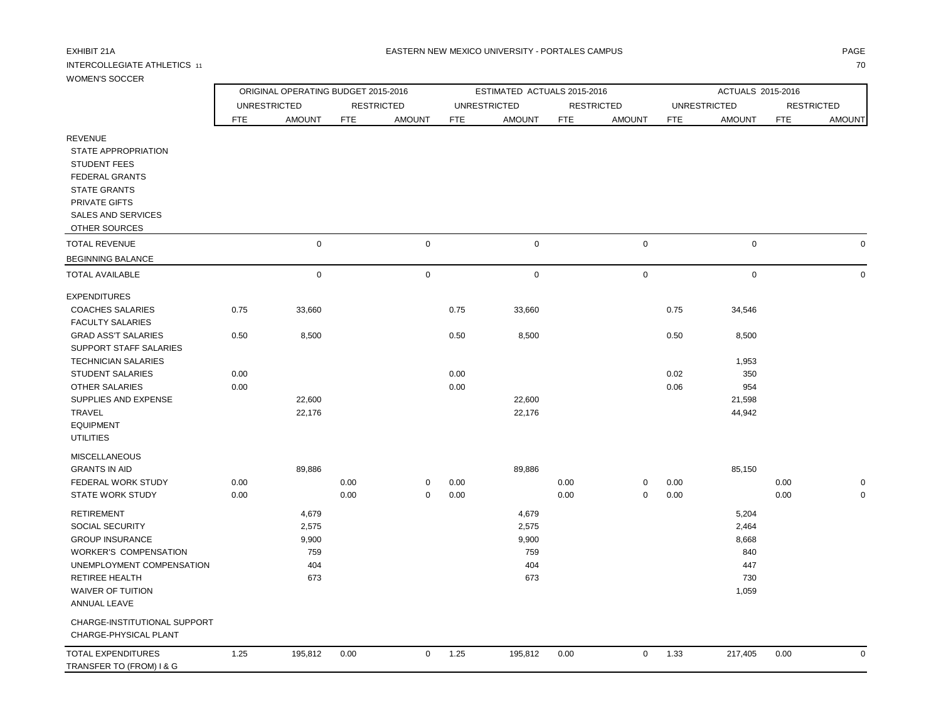## INTERCOLLEGIATE ATHLETICS 11 70

TRANSFER TO (FROM) I & G

### EXHIBIT 21A PAGE NA BATERN NEW MEXICO UNIVERSITY - PORTALES CAMPUS AND THE RESERVENT OF PAGE AND THE RESERVENT.

| <b>WOMEN'S SOCCER</b>                                                                                        |                                     |               |            |                   |                     |                             |                   |               |                     |               |                   |               |
|--------------------------------------------------------------------------------------------------------------|-------------------------------------|---------------|------------|-------------------|---------------------|-----------------------------|-------------------|---------------|---------------------|---------------|-------------------|---------------|
|                                                                                                              | ORIGINAL OPERATING BUDGET 2015-2016 |               |            |                   |                     | ESTIMATED ACTUALS 2015-2016 |                   |               | ACTUALS 2015-2016   |               |                   |               |
|                                                                                                              | <b>UNRESTRICTED</b>                 |               |            | <b>RESTRICTED</b> | <b>UNRESTRICTED</b> |                             | <b>RESTRICTED</b> |               | <b>UNRESTRICTED</b> |               | <b>RESTRICTED</b> |               |
|                                                                                                              | <b>FTE</b>                          | <b>AMOUNT</b> | <b>FTE</b> | <b>AMOUNT</b>     | <b>FTE</b>          | <b>AMOUNT</b>               | <b>FTE</b>        | <b>AMOUNT</b> | <b>FTE</b>          | <b>AMOUNT</b> | <b>FTE</b>        | <b>AMOUNT</b> |
| <b>REVENUE</b><br>STATE APPROPRIATION<br><b>STUDENT FEES</b><br><b>FEDERAL GRANTS</b><br><b>STATE GRANTS</b> |                                     |               |            |                   |                     |                             |                   |               |                     |               |                   |               |
| PRIVATE GIFTS<br><b>SALES AND SERVICES</b>                                                                   |                                     |               |            |                   |                     |                             |                   |               |                     |               |                   |               |
| OTHER SOURCES                                                                                                |                                     |               |            |                   |                     |                             |                   |               |                     |               |                   |               |
| <b>TOTAL REVENUE</b>                                                                                         |                                     | $\mathbf 0$   |            | $\mathsf 0$       |                     | $\mathsf{O}\xspace$         |                   | $\mathbf 0$   |                     | $\mathbf 0$   |                   |               |
| <b>BEGINNING BALANCE</b>                                                                                     |                                     |               |            |                   |                     |                             |                   |               |                     |               |                   |               |
| <b>TOTAL AVAILABLE</b>                                                                                       |                                     | $\mathbf 0$   |            | $\pmb{0}$         |                     | $\mathsf{O}\xspace$         |                   | $\mathbf 0$   |                     | $\mathbf 0$   |                   |               |
| <b>EXPENDITURES</b>                                                                                          |                                     |               |            |                   |                     |                             |                   |               |                     |               |                   |               |
| <b>COACHES SALARIES</b>                                                                                      | 0.75                                | 33,660        |            |                   | 0.75                | 33,660                      |                   |               | 0.75                | 34,546        |                   |               |
| <b>FACULTY SALARIES</b>                                                                                      |                                     |               |            |                   |                     |                             |                   |               |                     |               |                   |               |
| <b>GRAD ASS'T SALARIES</b><br>SUPPORT STAFF SALARIES                                                         | 0.50                                | 8,500         |            |                   | 0.50                | 8,500                       |                   |               | 0.50                | 8,500         |                   |               |
| <b>TECHNICIAN SALARIES</b>                                                                                   |                                     |               |            |                   |                     |                             |                   |               |                     | 1,953         |                   |               |
| <b>STUDENT SALARIES</b>                                                                                      | 0.00                                |               |            |                   | 0.00                |                             |                   |               | 0.02                | 350           |                   |               |
| <b>OTHER SALARIES</b>                                                                                        | 0.00                                |               |            |                   | 0.00                |                             |                   |               | 0.06                | 954           |                   |               |
| SUPPLIES AND EXPENSE                                                                                         |                                     | 22,600        |            |                   |                     | 22,600                      |                   |               |                     | 21,598        |                   |               |
| <b>TRAVEL</b>                                                                                                |                                     | 22,176        |            |                   |                     | 22,176                      |                   |               |                     | 44,942        |                   |               |
| <b>EQUIPMENT</b>                                                                                             |                                     |               |            |                   |                     |                             |                   |               |                     |               |                   |               |
| <b>UTILITIES</b>                                                                                             |                                     |               |            |                   |                     |                             |                   |               |                     |               |                   |               |
| <b>MISCELLANEOUS</b>                                                                                         |                                     |               |            |                   |                     |                             |                   |               |                     |               |                   |               |
| <b>GRANTS IN AID</b><br><b>FEDERAL WORK STUDY</b>                                                            | 0.00                                | 89,886        | 0.00       | $\Omega$          | 0.00                | 89,886                      | 0.00              | 0             | 0.00                | 85,150        | 0.00              |               |
| <b>STATE WORK STUDY</b>                                                                                      | 0.00                                |               | 0.00       | $\mathsf 0$       | 0.00                |                             | 0.00              | 0             | 0.00                |               | 0.00              |               |
| <b>RETIREMENT</b>                                                                                            |                                     | 4,679         |            |                   |                     | 4,679                       |                   |               |                     | 5,204         |                   |               |
| SOCIAL SECURITY                                                                                              |                                     | 2,575         |            |                   |                     | 2,575                       |                   |               |                     | 2,464         |                   |               |
| <b>GROUP INSURANCE</b>                                                                                       |                                     | 9,900         |            |                   |                     | 9,900                       |                   |               |                     | 8,668         |                   |               |
| <b>WORKER'S COMPENSATION</b>                                                                                 |                                     | 759           |            |                   |                     | 759                         |                   |               |                     | 840           |                   |               |
| UNEMPLOYMENT COMPENSATION                                                                                    |                                     | 404           |            |                   |                     | 404                         |                   |               |                     | 447           |                   |               |
| <b>RETIREE HEALTH</b>                                                                                        |                                     | 673           |            |                   |                     | 673                         |                   |               |                     | 730           |                   |               |
| <b>WAIVER OF TUITION</b><br><b>ANNUAL LEAVE</b>                                                              |                                     |               |            |                   |                     |                             |                   |               |                     | 1,059         |                   |               |
| CHARGE-INSTITUTIONAL SUPPORT<br>CHARGE-PHYSICAL PLANT                                                        |                                     |               |            |                   |                     |                             |                   |               |                     |               |                   |               |
| <b>TOTAL EXPENDITURES</b>                                                                                    | 1.25                                | 195,812       | 0.00       | $\mathbf 0$       | 1.25                | 195,812                     | 0.00              | $\mathbf 0$   | 1.33                | 217,405       | 0.00              |               |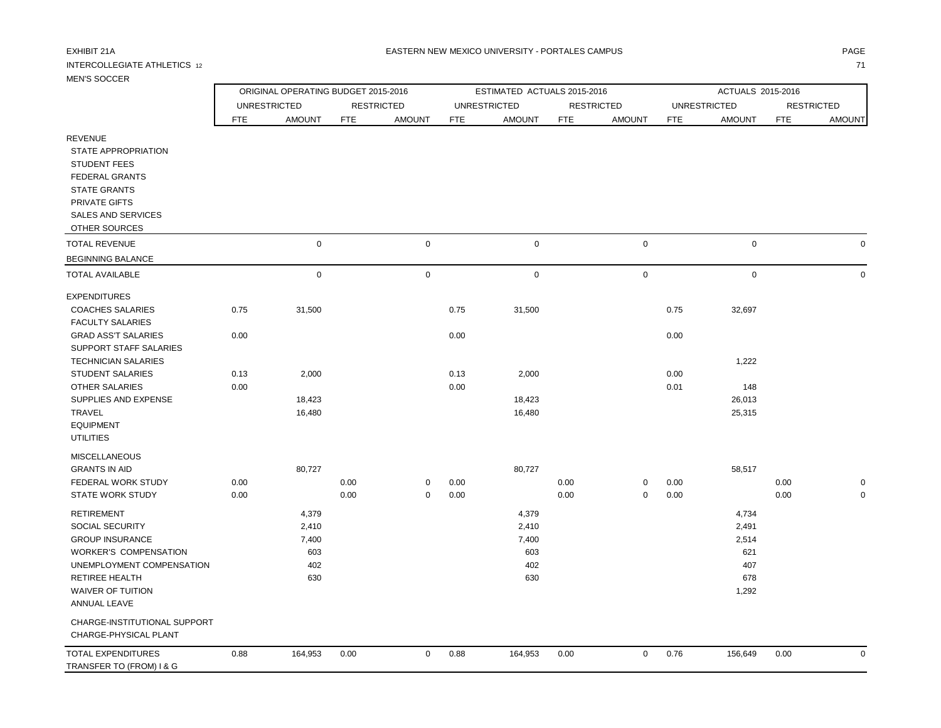| <b>IVIEIN O OUUUER</b>                                                                                                                                                                    |                                     |               |            |                   |                     |                             |                   |               |                     |               |                   |               |  |  |
|-------------------------------------------------------------------------------------------------------------------------------------------------------------------------------------------|-------------------------------------|---------------|------------|-------------------|---------------------|-----------------------------|-------------------|---------------|---------------------|---------------|-------------------|---------------|--|--|
|                                                                                                                                                                                           | ORIGINAL OPERATING BUDGET 2015-2016 |               |            |                   |                     | ESTIMATED ACTUALS 2015-2016 |                   |               | ACTUALS 2015-2016   |               |                   |               |  |  |
|                                                                                                                                                                                           | <b>UNRESTRICTED</b>                 |               |            | <b>RESTRICTED</b> | <b>UNRESTRICTED</b> |                             | <b>RESTRICTED</b> |               | <b>UNRESTRICTED</b> |               | <b>RESTRICTED</b> |               |  |  |
|                                                                                                                                                                                           | FTE                                 | <b>AMOUNT</b> | <b>FTE</b> | <b>AMOUNT</b>     | <b>FTE</b>          | <b>AMOUNT</b>               | <b>FTE</b>        | <b>AMOUNT</b> | <b>FTE</b>          | <b>AMOUNT</b> | <b>FTE</b>        | <b>AMOUNT</b> |  |  |
| <b>REVENUE</b><br><b>STATE APPROPRIATION</b><br><b>STUDENT FEES</b><br><b>FEDERAL GRANTS</b><br><b>STATE GRANTS</b><br><b>PRIVATE GIFTS</b><br><b>SALES AND SERVICES</b><br>OTHER SOURCES |                                     |               |            |                   |                     |                             |                   |               |                     |               |                   |               |  |  |
| <b>TOTAL REVENUE</b>                                                                                                                                                                      |                                     | $\mathbf 0$   |            | $\mathbf 0$       |                     | $\mathbf 0$                 |                   | $\mathbf 0$   |                     | $\mathbf 0$   |                   | $\Omega$      |  |  |
| <b>BEGINNING BALANCE</b>                                                                                                                                                                  |                                     |               |            |                   |                     |                             |                   |               |                     |               |                   |               |  |  |
| <b>TOTAL AVAILABLE</b>                                                                                                                                                                    |                                     | $\mathsf{O}$  |            | $\mathsf{O}$      |                     | $\mathbf 0$                 |                   | $\mathbf 0$   |                     | $\mathbf 0$   |                   | $\Omega$      |  |  |
| <b>EXPENDITURES</b><br><b>COACHES SALARIES</b>                                                                                                                                            | 0.75                                | 31,500        |            |                   | 0.75                | 31,500                      |                   |               | 0.75                | 32,697        |                   |               |  |  |
| <b>FACULTY SALARIES</b>                                                                                                                                                                   |                                     |               |            |                   |                     |                             |                   |               |                     |               |                   |               |  |  |
| <b>GRAD ASS'T SALARIES</b><br>SUPPORT STAFF SALARIES                                                                                                                                      | 0.00                                |               |            |                   | 0.00                |                             |                   |               | 0.00                |               |                   |               |  |  |
| <b>TECHNICIAN SALARIES</b><br><b>STUDENT SALARIES</b>                                                                                                                                     | 0.13                                | 2,000         |            |                   | 0.13                | 2,000                       |                   |               | 0.00                | 1,222         |                   |               |  |  |
| <b>OTHER SALARIES</b>                                                                                                                                                                     | 0.00                                |               |            |                   | 0.00                |                             |                   |               | 0.01                | 148           |                   |               |  |  |
| SUPPLIES AND EXPENSE                                                                                                                                                                      |                                     | 18,423        |            |                   |                     | 18,423                      |                   |               |                     | 26,013        |                   |               |  |  |
| <b>TRAVEL</b>                                                                                                                                                                             |                                     | 16,480        |            |                   |                     | 16,480                      |                   |               |                     | 25,315        |                   |               |  |  |
| <b>EQUIPMENT</b><br><b>UTILITIES</b>                                                                                                                                                      |                                     |               |            |                   |                     |                             |                   |               |                     |               |                   |               |  |  |
| <b>MISCELLANEOUS</b>                                                                                                                                                                      |                                     |               |            |                   |                     |                             |                   |               |                     |               |                   |               |  |  |
| <b>GRANTS IN AID</b>                                                                                                                                                                      |                                     | 80,727        |            |                   |                     | 80,727                      |                   |               |                     | 58,517        |                   |               |  |  |
| FEDERAL WORK STUDY                                                                                                                                                                        | 0.00                                |               | 0.00       | 0                 | 0.00                |                             | 0.00              | 0             | 0.00                |               | 0.00              | $\mathbf 0$   |  |  |
| <b>STATE WORK STUDY</b>                                                                                                                                                                   | 0.00                                |               | 0.00       | 0                 | 0.00                |                             | 0.00              | $\mathbf 0$   | 0.00                |               | 0.00              | $\mathbf 0$   |  |  |
| <b>RETIREMENT</b>                                                                                                                                                                         |                                     | 4,379         |            |                   |                     | 4,379                       |                   |               |                     | 4,734         |                   |               |  |  |
| SOCIAL SECURITY                                                                                                                                                                           |                                     | 2,410         |            |                   |                     | 2,410                       |                   |               |                     | 2,491         |                   |               |  |  |
| <b>GROUP INSURANCE</b>                                                                                                                                                                    |                                     | 7,400         |            |                   |                     | 7,400                       |                   |               |                     | 2,514         |                   |               |  |  |
| <b>WORKER'S COMPENSATION</b>                                                                                                                                                              |                                     | 603           |            |                   |                     | 603                         |                   |               |                     | 621           |                   |               |  |  |
| UNEMPLOYMENT COMPENSATION<br><b>RETIREE HEALTH</b>                                                                                                                                        |                                     | 402<br>630    |            |                   |                     | 402<br>630                  |                   |               |                     | 407<br>678    |                   |               |  |  |
| <b>WAIVER OF TUITION</b><br>ANNUAL LEAVE                                                                                                                                                  |                                     |               |            |                   |                     |                             |                   |               |                     | 1,292         |                   |               |  |  |
| CHARGE-INSTITUTIONAL SUPPORT<br>CHARGE-PHYSICAL PLANT                                                                                                                                     |                                     |               |            |                   |                     |                             |                   |               |                     |               |                   |               |  |  |
| <b>TOTAL EXPENDITURES</b><br>TRANSFER TO (FROM) I & G                                                                                                                                     | 0.88                                | 164,953       | 0.00       | $\mathbf 0$       | 0.88                | 164,953                     | 0.00              | $\mathbf 0$   | 0.76                | 156,649       | 0.00              | $\Omega$      |  |  |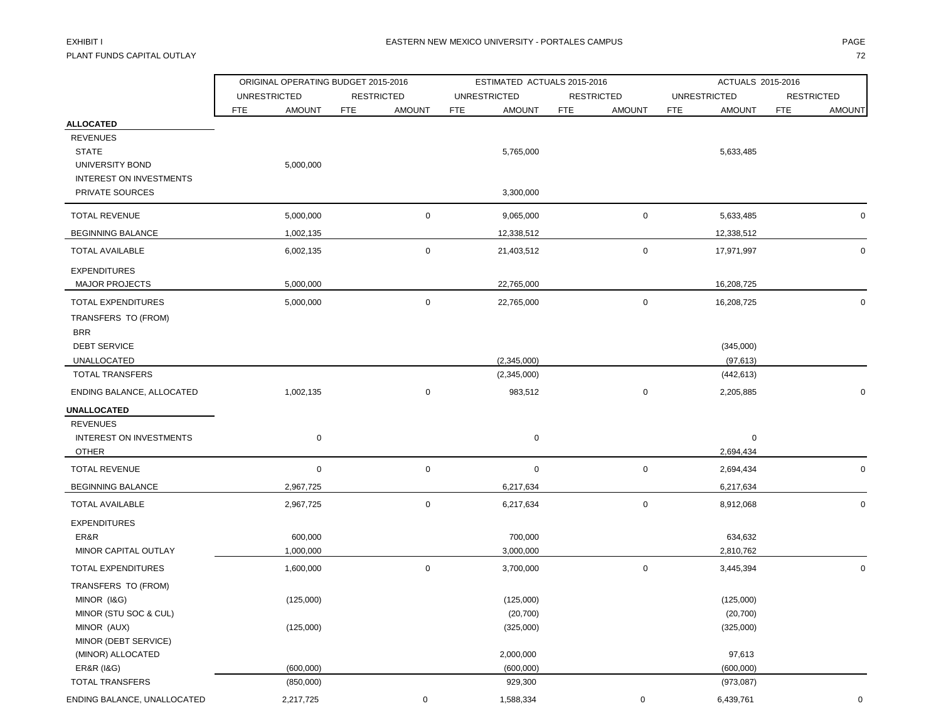PLANT FUNDS CAPITAL OUTLAY THE STATE OF THE STATE OF THE STATE OF THE STATE OF THE STATE OF THE STATE OF THE STA

|                                                                                                                      | ORIGINAL OPERATING BUDGET 2015-2016 |                             | ESTIMATED ACTUALS 2015-2016         |                             | ACTUALS 2015-2016                   |                             |  |  |  |
|----------------------------------------------------------------------------------------------------------------------|-------------------------------------|-----------------------------|-------------------------------------|-----------------------------|-------------------------------------|-----------------------------|--|--|--|
|                                                                                                                      | <b>UNRESTRICTED</b>                 | <b>RESTRICTED</b>           | <b>UNRESTRICTED</b>                 | <b>RESTRICTED</b>           | <b>UNRESTRICTED</b>                 | <b>RESTRICTED</b>           |  |  |  |
|                                                                                                                      | FTE<br><b>AMOUNT</b>                | <b>FTE</b><br><b>AMOUNT</b> | <b>AMOUNT</b><br><b>FTE</b>         | <b>FTE</b><br><b>AMOUNT</b> | <b>FTE</b><br><b>AMOUNT</b>         | <b>FTE</b><br><b>AMOUNT</b> |  |  |  |
| <b>ALLOCATED</b><br><b>REVENUES</b><br><b>STATE</b><br>UNIVERSITY BOND<br>INTEREST ON INVESTMENTS<br>PRIVATE SOURCES | 5,000,000                           |                             | 5,765,000<br>3,300,000              |                             | 5,633,485                           |                             |  |  |  |
| <b>TOTAL REVENUE</b>                                                                                                 | 5,000,000                           | $\mathbf 0$                 | 9,065,000                           | 0                           | 5,633,485                           | $\Omega$                    |  |  |  |
| <b>BEGINNING BALANCE</b>                                                                                             | 1,002,135                           |                             | 12,338,512                          |                             | 12,338,512                          |                             |  |  |  |
| TOTAL AVAILABLE                                                                                                      | 6,002,135                           | 0                           | 21,403,512                          | 0                           | 17,971,997                          | $\Omega$                    |  |  |  |
| <b>EXPENDITURES</b><br><b>MAJOR PROJECTS</b>                                                                         | 5,000,000                           |                             | 22,765,000                          |                             | 16,208,725                          |                             |  |  |  |
| <b>TOTAL EXPENDITURES</b><br>TRANSFERS TO (FROM)<br><b>BRR</b><br><b>DEBT SERVICE</b>                                | 5,000,000                           | $\mathbf 0$                 | 22,765,000                          | 0                           | 16,208,725<br>(345,000)             | 0                           |  |  |  |
| <b>UNALLOCATED</b>                                                                                                   |                                     |                             | (2,345,000)                         |                             | (97, 613)                           |                             |  |  |  |
| <b>TOTAL TRANSFERS</b>                                                                                               |                                     |                             | (2,345,000)                         |                             | (442, 613)                          |                             |  |  |  |
| ENDING BALANCE, ALLOCATED                                                                                            | 1,002,135                           | $\mathbf 0$                 | 983,512                             | 0                           | 2,205,885                           | $\Omega$                    |  |  |  |
| UNALLOCATED                                                                                                          |                                     |                             |                                     |                             |                                     |                             |  |  |  |
| <b>REVENUES</b><br>INTEREST ON INVESTMENTS<br><b>OTHER</b>                                                           | $\mathbf 0$                         |                             | $\mathbf 0$                         |                             | $\mathbf 0$<br>2,694,434            |                             |  |  |  |
| <b>TOTAL REVENUE</b>                                                                                                 | $\mathsf 0$                         | $\mathbf 0$                 | $\mathbf 0$                         | 0                           | 2,694,434                           | 0                           |  |  |  |
| <b>BEGINNING BALANCE</b>                                                                                             | 2,967,725                           |                             | 6,217,634                           |                             | 6,217,634                           |                             |  |  |  |
| <b>TOTAL AVAILABLE</b>                                                                                               | 2,967,725                           | $\mathbf 0$                 | 6,217,634                           | 0                           | 8,912,068                           | $\mathbf 0$                 |  |  |  |
| <b>EXPENDITURES</b><br>ER&R<br>MINOR CAPITAL OUTLAY                                                                  | 600,000<br>1,000,000                |                             | 700,000<br>3,000,000                |                             | 634,632<br>2,810,762                |                             |  |  |  |
| TOTAL EXPENDITURES                                                                                                   | 1,600,000                           | $\mathbf 0$                 | 3,700,000                           | 0                           | 3,445,394                           | $\mathbf 0$                 |  |  |  |
| TRANSFERS TO (FROM)<br>MINOR (I&G)<br>MINOR (STU SOC & CUL)<br>MINOR (AUX)<br>MINOR (DEBT SERVICE)                   | (125,000)<br>(125,000)              |                             | (125,000)<br>(20, 700)<br>(325,000) |                             | (125,000)<br>(20, 700)<br>(325,000) |                             |  |  |  |
| (MINOR) ALLOCATED                                                                                                    |                                     |                             | 2,000,000                           |                             | 97,613                              |                             |  |  |  |
| <b>ER&amp;R (I&amp;G)</b>                                                                                            | (600,000)                           |                             | (600,000)                           |                             | (600,000)                           |                             |  |  |  |
| TOTAL TRANSFERS<br>ENDING BALANCE, UNALLOCATED                                                                       | (850,000)<br>2,217,725              | 0                           | 929,300<br>1,588,334                | 0                           | (973, 087)<br>6,439,761             | 0                           |  |  |  |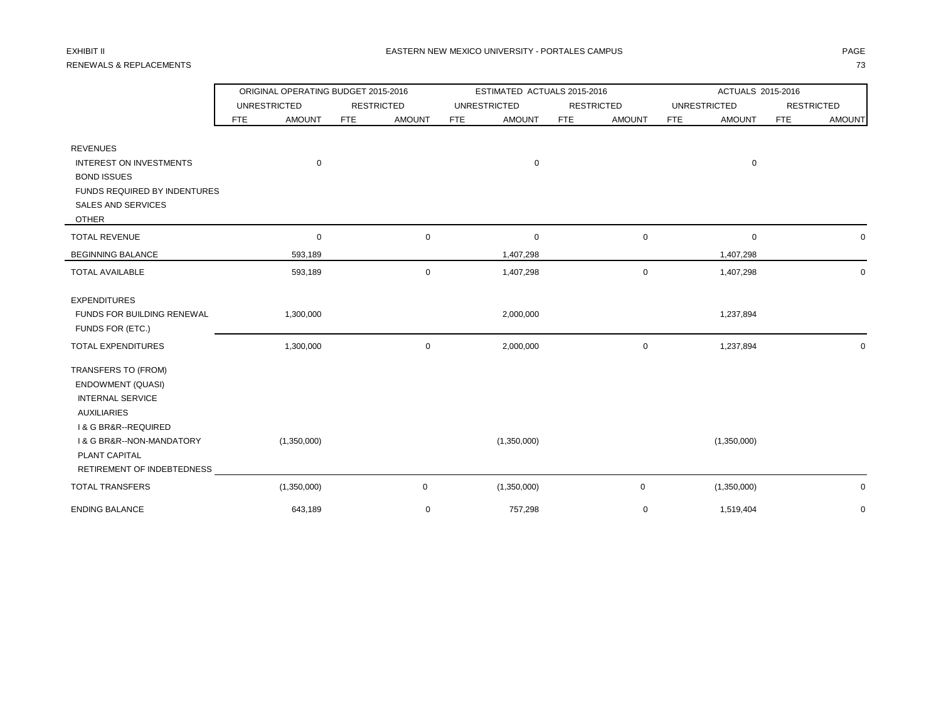# RENEWALS & REPLACEMENTS 73

|                                          | ORIGINAL OPERATING BUDGET 2015-2016 |                      | ESTIMATED ACTUALS 2015-2016 |                             | ACTUALS 2015-2016           |                             |  |  |
|------------------------------------------|-------------------------------------|----------------------|-----------------------------|-----------------------------|-----------------------------|-----------------------------|--|--|
|                                          | <b>UNRESTRICTED</b>                 | <b>RESTRICTED</b>    | <b>UNRESTRICTED</b>         | <b>RESTRICTED</b>           | <b>UNRESTRICTED</b>         | <b>RESTRICTED</b>           |  |  |
|                                          | <b>FTE</b><br><b>AMOUNT</b>         | FTE<br><b>AMOUNT</b> | <b>AMOUNT</b><br><b>FTE</b> | <b>FTE</b><br><b>AMOUNT</b> | <b>FTE</b><br><b>AMOUNT</b> | <b>FTE</b><br><b>AMOUNT</b> |  |  |
| <b>REVENUES</b>                          |                                     |                      |                             |                             |                             |                             |  |  |
| <b>INTEREST ON INVESTMENTS</b>           | 0                                   |                      | 0                           |                             | $\mathbf 0$                 |                             |  |  |
| <b>BOND ISSUES</b>                       |                                     |                      |                             |                             |                             |                             |  |  |
| FUNDS REQUIRED BY INDENTURES             |                                     |                      |                             |                             |                             |                             |  |  |
| <b>SALES AND SERVICES</b>                |                                     |                      |                             |                             |                             |                             |  |  |
| <b>OTHER</b>                             |                                     |                      |                             |                             |                             |                             |  |  |
| <b>TOTAL REVENUE</b>                     | 0                                   | $\mathbf 0$          | 0                           | $\mathbf 0$                 | $\mathbf 0$                 | 0                           |  |  |
| <b>BEGINNING BALANCE</b>                 | 593,189                             |                      | 1,407,298                   |                             | 1,407,298                   |                             |  |  |
| <b>TOTAL AVAILABLE</b>                   | 593,189                             | $\mathbf 0$          | 1,407,298                   | $\pmb{0}$                   | 1,407,298                   | 0                           |  |  |
| <b>EXPENDITURES</b>                      |                                     |                      |                             |                             |                             |                             |  |  |
| FUNDS FOR BUILDING RENEWAL               | 1,300,000                           |                      | 2,000,000                   |                             | 1,237,894                   |                             |  |  |
| FUNDS FOR (ETC.)                         |                                     |                      |                             |                             |                             |                             |  |  |
| TOTAL EXPENDITURES                       | 1,300,000                           | $\mathsf 0$          | 2,000,000                   | $\pmb{0}$                   | 1,237,894                   | 0                           |  |  |
| TRANSFERS TO (FROM)                      |                                     |                      |                             |                             |                             |                             |  |  |
| <b>ENDOWMENT (QUASI)</b>                 |                                     |                      |                             |                             |                             |                             |  |  |
| <b>INTERNAL SERVICE</b>                  |                                     |                      |                             |                             |                             |                             |  |  |
| <b>AUXILIARIES</b>                       |                                     |                      |                             |                             |                             |                             |  |  |
| <b>1&amp; G BR&amp;R--REQUIRED</b>       |                                     |                      |                             |                             |                             |                             |  |  |
| <b>I &amp; G BR&amp;R--NON-MANDATORY</b> | (1,350,000)                         |                      | (1,350,000)                 |                             | (1,350,000)                 |                             |  |  |
| PLANT CAPITAL                            |                                     |                      |                             |                             |                             |                             |  |  |
| RETIREMENT OF INDEBTEDNESS               |                                     |                      |                             |                             |                             |                             |  |  |
| <b>TOTAL TRANSFERS</b>                   | (1,350,000)                         | $\mathbf 0$          | (1,350,000)                 | 0                           | (1,350,000)                 | 0                           |  |  |
| <b>ENDING BALANCE</b>                    | 643,189                             | $\mathbf 0$          | 757,298                     | 0                           | 1,519,404                   | 0                           |  |  |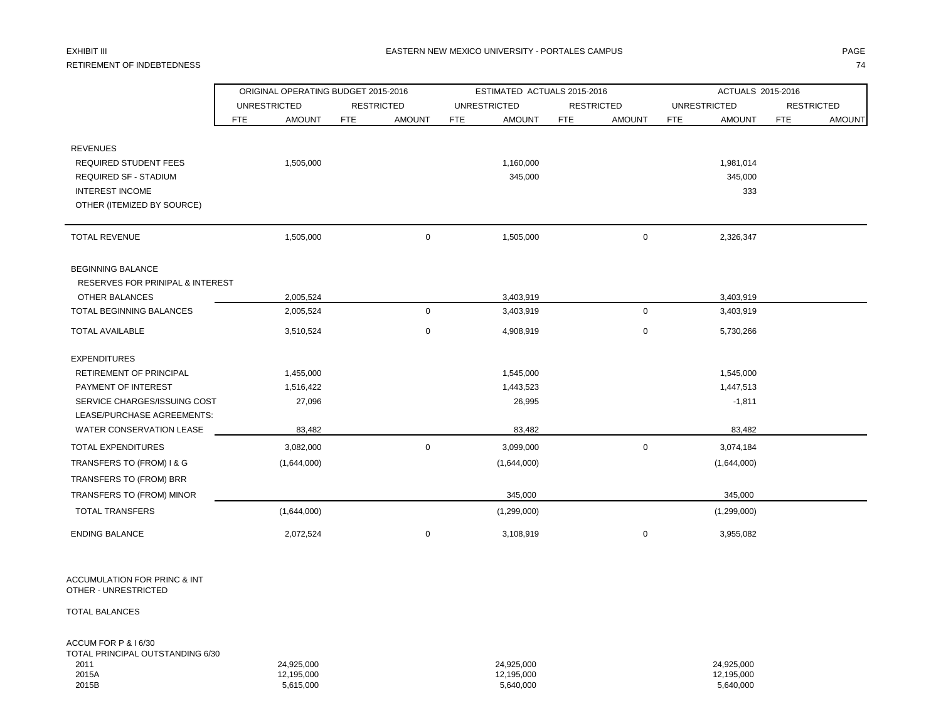## RETIREMENT OF INDEBTEDNESS THE RESERVED OF THE STATE OF THE RETIREMENT OF INDEBTEDNESS THE STATE OF STATE OF STATE OF STATE OF STATE OF STATE OF STATE OF STATE OF STATE OF STATE OF STATE OF STATE OF STATE OF STATE OF STATE

### EXHIBIT III DHANIM DHANIM DHANIM DHANIM DHANIM DHANIM DHANIM DHANIM DHANIM DHANIM DHANIM DHAGE ANN DHANIM DHAGE

|                                  |                     | ORIGINAL OPERATING BUDGET 2015-2016 |            |                   |            | ESTIMATED ACTUALS 2015-2016 |            |                   | ACTUALS 2015-2016 |                     |            |                   |  |
|----------------------------------|---------------------|-------------------------------------|------------|-------------------|------------|-----------------------------|------------|-------------------|-------------------|---------------------|------------|-------------------|--|
|                                  | <b>UNRESTRICTED</b> |                                     |            | <b>RESTRICTED</b> |            | <b>UNRESTRICTED</b>         |            | <b>RESTRICTED</b> |                   | <b>UNRESTRICTED</b> |            | <b>RESTRICTED</b> |  |
|                                  | <b>FTE</b>          | <b>AMOUNT</b>                       | <b>FTE</b> | <b>AMOUNT</b>     | <b>FTE</b> | <b>AMOUNT</b>               | <b>FTE</b> | <b>AMOUNT</b>     | <b>FTE</b>        | <b>AMOUNT</b>       | <b>FTE</b> | <b>AMOUNT</b>     |  |
| <b>REVENUES</b>                  |                     |                                     |            |                   |            |                             |            |                   |                   |                     |            |                   |  |
| <b>REQUIRED STUDENT FEES</b>     |                     | 1,505,000                           |            |                   |            | 1,160,000                   |            |                   |                   | 1,981,014           |            |                   |  |
| <b>REQUIRED SF - STADIUM</b>     |                     |                                     |            |                   |            | 345,000                     |            |                   |                   | 345,000             |            |                   |  |
| <b>INTEREST INCOME</b>           |                     |                                     |            |                   |            |                             |            |                   |                   | 333                 |            |                   |  |
| OTHER (ITEMIZED BY SOURCE)       |                     |                                     |            |                   |            |                             |            |                   |                   |                     |            |                   |  |
| <b>TOTAL REVENUE</b>             |                     | 1,505,000                           |            | $\mathbf 0$       |            | 1,505,000                   |            | 0                 |                   | 2,326,347           |            |                   |  |
|                                  |                     |                                     |            |                   |            |                             |            |                   |                   |                     |            |                   |  |
| <b>BEGINNING BALANCE</b>         |                     |                                     |            |                   |            |                             |            |                   |                   |                     |            |                   |  |
| RESERVES FOR PRINIPAL & INTEREST |                     |                                     |            |                   |            |                             |            |                   |                   |                     |            |                   |  |
| OTHER BALANCES                   |                     | 2,005,524                           |            |                   |            | 3,403,919                   |            |                   |                   | 3,403,919           |            |                   |  |
| <b>TOTAL BEGINNING BALANCES</b>  |                     | 2,005,524                           |            | $\mathbf 0$       |            | 3,403,919                   |            | 0                 |                   | 3,403,919           |            |                   |  |
| <b>TOTAL AVAILABLE</b>           |                     | 3,510,524                           |            | 0                 |            | 4,908,919                   |            | 0                 |                   | 5,730,266           |            |                   |  |
| <b>EXPENDITURES</b>              |                     |                                     |            |                   |            |                             |            |                   |                   |                     |            |                   |  |
| <b>RETIREMENT OF PRINCIPAL</b>   |                     | 1,455,000                           |            |                   |            | 1,545,000                   |            |                   |                   | 1,545,000           |            |                   |  |
| PAYMENT OF INTEREST              |                     | 1,516,422                           |            |                   |            | 1,443,523                   |            |                   |                   | 1,447,513           |            |                   |  |
| SERVICE CHARGES/ISSUING COST     |                     | 27,096                              |            |                   |            | 26,995                      |            |                   |                   | $-1,811$            |            |                   |  |
| LEASE/PURCHASE AGREEMENTS:       |                     |                                     |            |                   |            |                             |            |                   |                   |                     |            |                   |  |
| WATER CONSERVATION LEASE         |                     | 83,482                              |            |                   |            | 83,482                      |            |                   |                   | 83,482              |            |                   |  |
| <b>TOTAL EXPENDITURES</b>        |                     | 3,082,000                           |            | 0                 |            | 3,099,000                   |            | 0                 |                   | 3,074,184           |            |                   |  |
| TRANSFERS TO (FROM) I & G        |                     | (1,644,000)                         |            |                   |            | (1,644,000)                 |            |                   |                   | (1,644,000)         |            |                   |  |
| TRANSFERS TO (FROM) BRR          |                     |                                     |            |                   |            |                             |            |                   |                   |                     |            |                   |  |
| TRANSFERS TO (FROM) MINOR        |                     |                                     |            |                   |            | 345,000                     |            |                   |                   | 345,000             |            |                   |  |
| <b>TOTAL TRANSFERS</b>           |                     | (1,644,000)                         |            |                   |            | (1,299,000)                 |            |                   |                   | (1,299,000)         |            |                   |  |
| <b>ENDING BALANCE</b>            |                     | 2,072,524                           |            | 0                 |            | 3,108,919                   |            | 0                 |                   | 3,955,082           |            |                   |  |

ACCUMULATION FOR PRINC & INT OTHER - UNRESTRICTED

TOTAL BALANCES

ACCUM FOR P & I 6/30

| TOTAL PRINCIPAL OUTSTANDING 6/30 |            |            |            |
|----------------------------------|------------|------------|------------|
| 2011                             | 24.925.000 | 24.925.000 | 24.925.000 |
| 2015A                            | 12.195.000 | 12.195.000 | 12.195.000 |
| 2015B                            | 5,615,000  | 5,640,000  | 5,640,000  |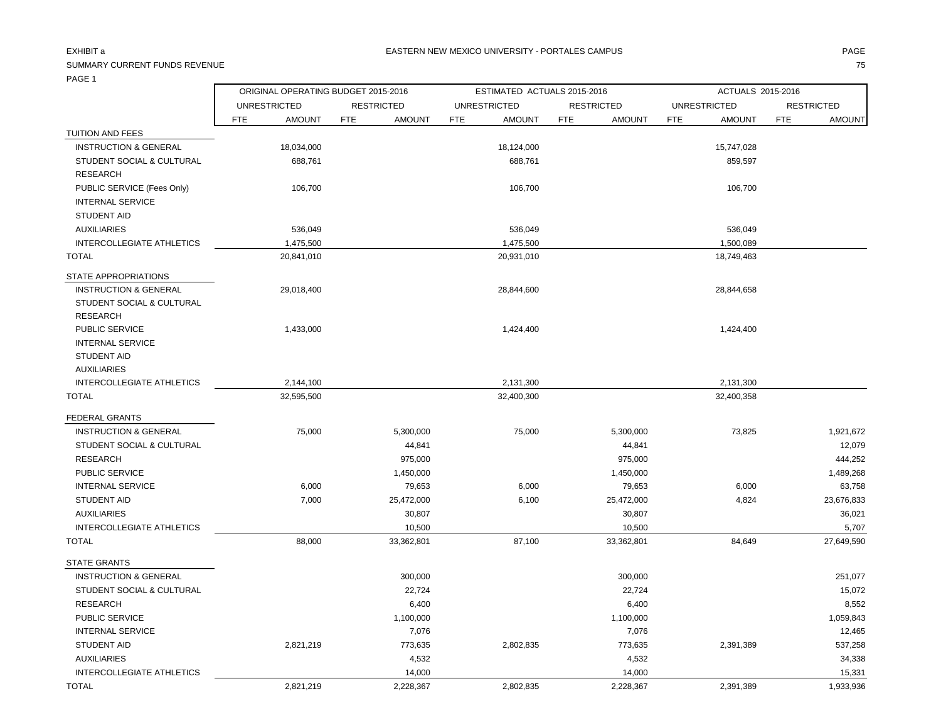### SUMMARY CURRENT FUNDS REVENUE THE SERVENUE TO SERVER THE SERVER OF SERVER THE SERVER OF SERVER THE SERVER OF S

ORIGINAL OPERATING BUDGET 2015-2016 ESTIMATED ACTUALS 2015-2016 ACTUALS 2015-2016

|                                  | <b>UNRESTRICTED</b> |               | <b>RESTRICTED</b> |               |            | <b>UNRESTRICTED</b> |            | <b>RESTRICTED</b> |            | <b>UNRESTRICTED</b> | <b>RESTRICTED</b> |               |
|----------------------------------|---------------------|---------------|-------------------|---------------|------------|---------------------|------------|-------------------|------------|---------------------|-------------------|---------------|
|                                  | <b>FTE</b>          | <b>AMOUNT</b> | <b>FTE</b>        | <b>AMOUNT</b> | <b>FTE</b> | <b>AMOUNT</b>       | <b>FTE</b> | <b>AMOUNT</b>     | <b>FTE</b> | <b>AMOUNT</b>       | <b>FTE</b>        | <b>AMOUNT</b> |
| TUITION AND FEES                 |                     |               |                   |               |            |                     |            |                   |            |                     |                   |               |
| <b>INSTRUCTION &amp; GENERAL</b> |                     | 18,034,000    |                   |               |            | 18,124,000          |            |                   |            | 15,747,028          |                   |               |
| STUDENT SOCIAL & CULTURAL        |                     | 688,761       |                   |               |            | 688,761             |            |                   |            | 859,597             |                   |               |
| <b>RESEARCH</b>                  |                     |               |                   |               |            |                     |            |                   |            |                     |                   |               |
| PUBLIC SERVICE (Fees Only)       |                     | 106,700       |                   |               |            | 106,700             |            |                   |            | 106,700             |                   |               |
| <b>INTERNAL SERVICE</b>          |                     |               |                   |               |            |                     |            |                   |            |                     |                   |               |
| <b>STUDENT AID</b>               |                     |               |                   |               |            |                     |            |                   |            |                     |                   |               |
| <b>AUXILIARIES</b>               |                     | 536,049       |                   |               |            | 536,049             |            |                   |            | 536,049             |                   |               |
| INTERCOLLEGIATE ATHLETICS        |                     | 1,475,500     |                   |               |            | 1,475,500           |            |                   |            | 1,500,089           |                   |               |
| TOTAL                            |                     | 20,841,010    |                   |               |            | 20,931,010          |            |                   |            | 18,749,463          |                   |               |
| STATE APPROPRIATIONS             |                     |               |                   |               |            |                     |            |                   |            |                     |                   |               |
| <b>INSTRUCTION &amp; GENERAL</b> |                     | 29,018,400    |                   |               |            | 28,844,600          |            |                   |            | 28,844,658          |                   |               |
| STUDENT SOCIAL & CULTURAL        |                     |               |                   |               |            |                     |            |                   |            |                     |                   |               |
| <b>RESEARCH</b>                  |                     |               |                   |               |            |                     |            |                   |            |                     |                   |               |
| PUBLIC SERVICE                   |                     | 1,433,000     |                   |               |            | 1,424,400           |            |                   |            | 1,424,400           |                   |               |
| <b>INTERNAL SERVICE</b>          |                     |               |                   |               |            |                     |            |                   |            |                     |                   |               |
| STUDENT AID                      |                     |               |                   |               |            |                     |            |                   |            |                     |                   |               |
| <b>AUXILIARIES</b>               |                     |               |                   |               |            |                     |            |                   |            |                     |                   |               |
| <b>INTERCOLLEGIATE ATHLETICS</b> |                     | 2,144,100     |                   |               |            | 2,131,300           |            |                   |            | 2,131,300           |                   |               |
| <b>TOTAL</b>                     |                     | 22.505,500    |                   |               |            | 22.400.200          |            |                   |            | 33.400.350          |                   |               |

| TOTAL                                | 32,595,500 |            | 32,400,300 |            | 32,400,358 |            |
|--------------------------------------|------------|------------|------------|------------|------------|------------|
| <b>FEDERAL GRANTS</b>                |            |            |            |            |            |            |
| <b>INSTRUCTION &amp; GENERAL</b>     | 75,000     | 5,300,000  | 75,000     | 5,300,000  | 73,825     | 1,921,672  |
| <b>STUDENT SOCIAL &amp; CULTURAL</b> |            | 44,841     |            | 44,841     |            | 12,079     |
| <b>RESEARCH</b>                      |            | 975,000    |            | 975,000    |            | 444,252    |
| PUBLIC SERVICE                       |            | 1,450,000  |            | 1,450,000  |            | 1,489,268  |
| <b>INTERNAL SERVICE</b>              | 6,000      | 79,653     | 6,000      | 79,653     | 6,000      | 63,758     |
| <b>STUDENT AID</b>                   | 7,000      | 25,472,000 | 6,100      | 25,472,000 | 4,824      | 23,676,833 |
| <b>AUXILIARIES</b>                   |            | 30,807     |            | 30,807     |            | 36,021     |
| <b>INTERCOLLEGIATE ATHLETICS</b>     |            | 10,500     |            | 10,500     |            | 5,707      |
| <b>TOTAL</b>                         | 88,000     | 33,362,801 | 87,100     | 33,362,801 | 84,649     | 27,649,590 |
| <b>STATE GRANTS</b>                  |            |            |            |            |            |            |
| <b>INSTRUCTION &amp; GENERAL</b>     |            | 300,000    |            | 300,000    |            | 251,077    |
| STUDENT SOCIAL & CULTURAL            |            | 22,724     |            | 22,724     |            | 15,072     |
| <b>RESEARCH</b>                      |            | 6,400      |            | 6,400      |            | 8,552      |
| <b>PUBLIC SERVICE</b>                |            | 1,100,000  |            | 1,100,000  |            | 1,059,843  |
| <b>INTERNAL SERVICE</b>              |            | 7,076      |            | 7,076      |            | 12,465     |
| <b>STUDENT AID</b>                   | 2,821,219  | 773,635    | 2,802,835  | 773,635    | 2,391,389  | 537,258    |
| <b>AUXILIARIES</b>                   |            | 4,532      |            | 4,532      |            | 34,338     |
| <b>INTERCOLLEGIATE ATHLETICS</b>     |            | 14,000     |            | 14,000     |            | 15,331     |
| <b>TOTAL</b>                         | 2,821,219  | 2,228,367  | 2,802,835  | 2,228,367  | 2,391,389  | 1,933,936  |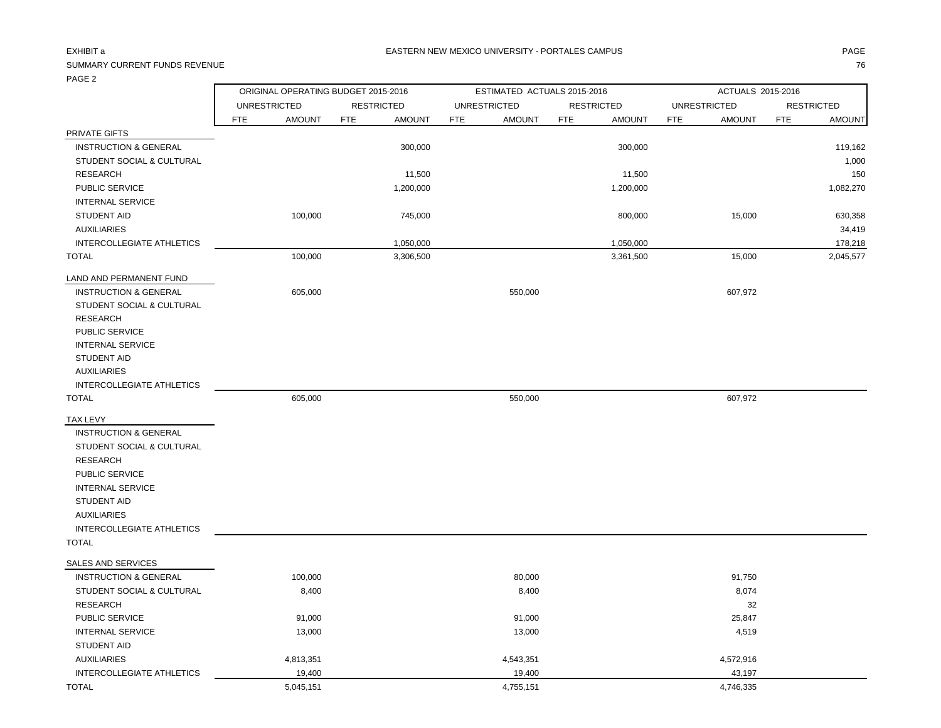### SUMMARY CURRENT FUNDS REVENUE

| ۰.<br>× |
|---------|
|         |

|                                  | ORIGINAL OPERATING BUDGET 2015-2016 |                             | ESTIMATED ACTUALS 2015-2016 |                             | ACTUALS 2015-2016           |                             |  |  |  |
|----------------------------------|-------------------------------------|-----------------------------|-----------------------------|-----------------------------|-----------------------------|-----------------------------|--|--|--|
|                                  | <b>UNRESTRICTED</b>                 | <b>RESTRICTED</b>           | <b>UNRESTRICTED</b>         | <b>RESTRICTED</b>           | <b>UNRESTRICTED</b>         | <b>RESTRICTED</b>           |  |  |  |
|                                  | <b>FTE</b><br><b>AMOUNT</b>         | <b>FTE</b><br><b>AMOUNT</b> | <b>FTE</b><br><b>AMOUNT</b> | <b>FTE</b><br><b>AMOUNT</b> | <b>FTE</b><br><b>AMOUNT</b> | <b>FTE</b><br><b>AMOUNT</b> |  |  |  |
| PRIVATE GIFTS                    |                                     |                             |                             |                             |                             |                             |  |  |  |
| <b>INSTRUCTION &amp; GENERAL</b> |                                     | 300,000                     |                             | 300,000                     |                             | 119,162                     |  |  |  |
| STUDENT SOCIAL & CULTURAL        |                                     |                             |                             |                             |                             | 1,000                       |  |  |  |
| <b>RESEARCH</b>                  |                                     | 11,500                      |                             | 11,500                      |                             | 150                         |  |  |  |
| PUBLIC SERVICE                   |                                     | 1,200,000                   |                             | 1,200,000                   |                             | 1,082,270                   |  |  |  |
| <b>INTERNAL SERVICE</b>          |                                     |                             |                             |                             |                             |                             |  |  |  |
| STUDENT AID                      | 100,000                             | 745,000                     |                             | 800,000                     | 15,000                      | 630,358                     |  |  |  |
| <b>AUXILIARIES</b>               |                                     |                             |                             |                             |                             | 34,419                      |  |  |  |
| INTERCOLLEGIATE ATHLETICS        |                                     | 1,050,000                   |                             | 1,050,000                   |                             | 178,218                     |  |  |  |
| <b>TOTAL</b>                     | 100,000                             | 3,306,500                   |                             | 3,361,500                   | 15,000                      | 2,045,577                   |  |  |  |
| LAND AND PERMANENT FUND          |                                     |                             |                             |                             |                             |                             |  |  |  |
| <b>INSTRUCTION &amp; GENERAL</b> | 605,000                             |                             | 550,000                     |                             | 607,972                     |                             |  |  |  |
| STUDENT SOCIAL & CULTURAL        |                                     |                             |                             |                             |                             |                             |  |  |  |
| <b>RESEARCH</b>                  |                                     |                             |                             |                             |                             |                             |  |  |  |
| PUBLIC SERVICE                   |                                     |                             |                             |                             |                             |                             |  |  |  |
| <b>INTERNAL SERVICE</b>          |                                     |                             |                             |                             |                             |                             |  |  |  |
| <b>STUDENT AID</b>               |                                     |                             |                             |                             |                             |                             |  |  |  |
| <b>AUXILIARIES</b>               |                                     |                             |                             |                             |                             |                             |  |  |  |
| INTERCOLLEGIATE ATHLETICS        |                                     |                             |                             |                             |                             |                             |  |  |  |
| <b>TOTAL</b>                     | 605,000                             |                             | 550,000                     |                             | 607,972                     |                             |  |  |  |
| <b>TAX LEVY</b>                  |                                     |                             |                             |                             |                             |                             |  |  |  |
| <b>INSTRUCTION &amp; GENERAL</b> |                                     |                             |                             |                             |                             |                             |  |  |  |
| STUDENT SOCIAL & CULTURAL        |                                     |                             |                             |                             |                             |                             |  |  |  |
| <b>RESEARCH</b>                  |                                     |                             |                             |                             |                             |                             |  |  |  |
| PUBLIC SERVICE                   |                                     |                             |                             |                             |                             |                             |  |  |  |
| <b>INTERNAL SERVICE</b>          |                                     |                             |                             |                             |                             |                             |  |  |  |
| <b>STUDENT AID</b>               |                                     |                             |                             |                             |                             |                             |  |  |  |
| <b>AUXILIARIES</b>               |                                     |                             |                             |                             |                             |                             |  |  |  |
| INTERCOLLEGIATE ATHLETICS        |                                     |                             |                             |                             |                             |                             |  |  |  |
| <b>TOTAL</b>                     |                                     |                             |                             |                             |                             |                             |  |  |  |
| SALES AND SERVICES               |                                     |                             |                             |                             |                             |                             |  |  |  |
| <b>INSTRUCTION &amp; GENERAL</b> | 100,000                             |                             | 80,000                      |                             | 91,750                      |                             |  |  |  |
| STUDENT SOCIAL & CULTURAL        | 8,400                               |                             | 8,400                       |                             | 8,074                       |                             |  |  |  |
| <b>RESEARCH</b>                  |                                     |                             |                             |                             | 32                          |                             |  |  |  |
| PUBLIC SERVICE                   | 91,000                              |                             | 91,000                      |                             | 25,847                      |                             |  |  |  |
| <b>INTERNAL SERVICE</b>          | 13,000                              |                             | 13,000                      |                             | 4,519                       |                             |  |  |  |
| STUDENT AID                      |                                     |                             |                             |                             |                             |                             |  |  |  |
| <b>AUXILIARIES</b>               | 4,813,351                           |                             | 4,543,351                   |                             | 4,572,916                   |                             |  |  |  |
| INTERCOLLEGIATE ATHLETICS        | 19,400                              |                             | 19,400                      |                             | 43,197                      |                             |  |  |  |
| <b>TOTAL</b>                     | 5,045,151                           |                             | 4,755,151                   |                             | 4,746,335                   |                             |  |  |  |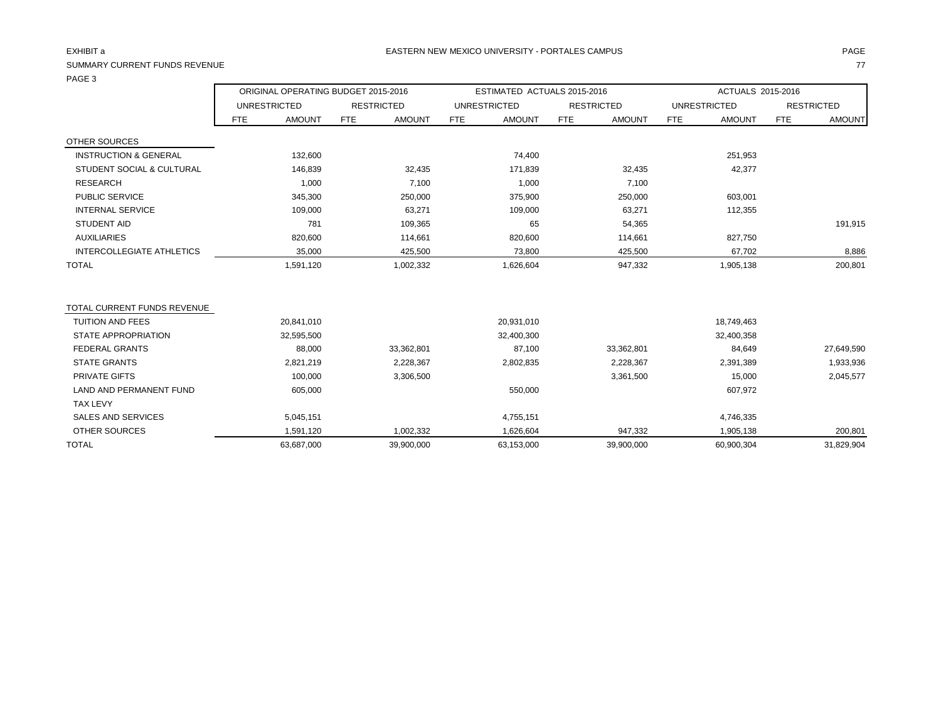### SUMMARY CURRENT FUNDS REVENUE THE SERVENUE TO A SUMMARY CURRENT FUNDS REVENUE TO A SUMMARY CURRENT FUNDS REVENUE

PAGE 3

|               | ACTUALS 2015-2016 |                   |
|---------------|-------------------|-------------------|
| ESTRICTED     |                   | <b>RESTRICTED</b> |
| <b>AMOUNT</b> | <b>FTE</b>        | <b>AMOUNT</b>     |
|               |                   |                   |
| OE1 OE2       |                   |                   |

|                                              |     | UNRESTRICTED  |     | <b>RESTRICTED</b> |            | UNRESTRICTED  |            | <b>RESTRICTED</b> |     | <b>UNRESTRICTED</b> | <b>RESTRICTED</b> |            |
|----------------------------------------------|-----|---------------|-----|-------------------|------------|---------------|------------|-------------------|-----|---------------------|-------------------|------------|
|                                              | FTE | <b>AMOUNT</b> | FTE | <b>AMOUNT</b>     | <b>FTE</b> | <b>AMOUNT</b> | <b>FTE</b> | <b>AMOUNT</b>     | FTE | <b>AMOUNT</b>       | FTE               | AMOUNT     |
| <b>OTHER SOURCES</b>                         |     |               |     |                   |            |               |            |                   |     |                     |                   |            |
| <b>INSTRUCTION &amp; GENERAL</b>             |     | 132,600       |     |                   |            | 74,400        |            |                   |     | 251,953             |                   |            |
| <b>STUDENT SOCIAL &amp; CULTURAL</b>         |     | 146,839       |     | 32,435            |            | 171,839       |            | 32,435            |     | 42,377              |                   |            |
| <b>RESEARCH</b>                              |     | 1,000         |     | 7,100             |            | 1,000         |            | 7,100             |     |                     |                   |            |
| PUBLIC SERVICE                               |     | 345,300       |     | 250,000           |            | 375,900       |            | 250,000           |     | 603,001             |                   |            |
| <b>INTERNAL SERVICE</b>                      |     | 109,000       |     | 63,271            |            | 109,000       |            | 63,271            |     | 112,355             |                   |            |
| <b>STUDENT AID</b>                           |     | 781           |     | 109,365           |            | 65            |            | 54,365            |     |                     |                   | 191,915    |
| <b>AUXILIARIES</b>                           |     | 820,600       |     | 114,661           |            | 820,600       |            | 114,661           |     | 827,750             |                   |            |
| INTERCOLLEGIATE ATHLETICS                    |     | 35,000        |     | 425,500           |            | 73,800        |            | 425,500           |     | 67,702              |                   | 8,886      |
| <b>TOTAL</b>                                 |     | 1,591,120     |     | 1,002,332         |            | 1,626,604     |            | 947,332           |     | 1,905,138           |                   | 200,801    |
|                                              |     |               |     |                   |            |               |            |                   |     |                     |                   |            |
| TOTAL CURRENT FUNDS REVENUE                  |     |               |     |                   |            |               |            |                   |     |                     |                   |            |
| <b>TUITION AND FEES</b>                      |     | 20,841,010    |     |                   |            | 20,931,010    |            |                   |     | 18,749,463          |                   |            |
| <b>STATE APPROPRIATION</b>                   |     | 32,595,500    |     |                   |            | 32,400,300    |            |                   |     | 32,400,358          |                   |            |
| <b>FEDERAL GRANTS</b><br><b>STATE GRANTS</b> |     | 88,000        |     | 33,362,801        |            | 87,100        |            | 33,362,801        |     | 84,649              |                   | 27,649,590 |
|                                              |     | 2,821,219     |     | 2,228,367         |            | 2,802,835     |            | 2,228,367         |     | 2,391,389           |                   | 1,933,936  |
| PRIVATE GIFTS                                |     | 100,000       |     | 3,306,500         |            |               |            | 3,361,500         |     | 15,000              |                   | 2,045,577  |
| <b>LAND AND PERMANENT FUND</b>               |     | 605,000       |     |                   |            | 550,000       |            |                   |     | 607,972             |                   |            |
| <b>TAX LEVY</b>                              |     |               |     |                   |            |               |            |                   |     |                     |                   |            |
| SALES AND SERVICES                           |     | 5,045,151     |     |                   |            | 4,755,151     |            |                   |     | 4,746,335           |                   |            |
| <b>OTHER SOURCES</b>                         |     | 1,591,120     |     | 1,002,332         |            | 1,626,604     |            | 947,332           |     | 1,905,138           |                   | 200,801    |
| <b>TOTAL</b>                                 |     | 63,687,000    |     | 39,900,000        |            | 63,153,000    |            | 39,900,000        |     | 60,900,304          |                   | 31,829,904 |

ORIGINAL OPERATING BUDGET 2015-2016 ESTIMATED ACTUALS 2015-2016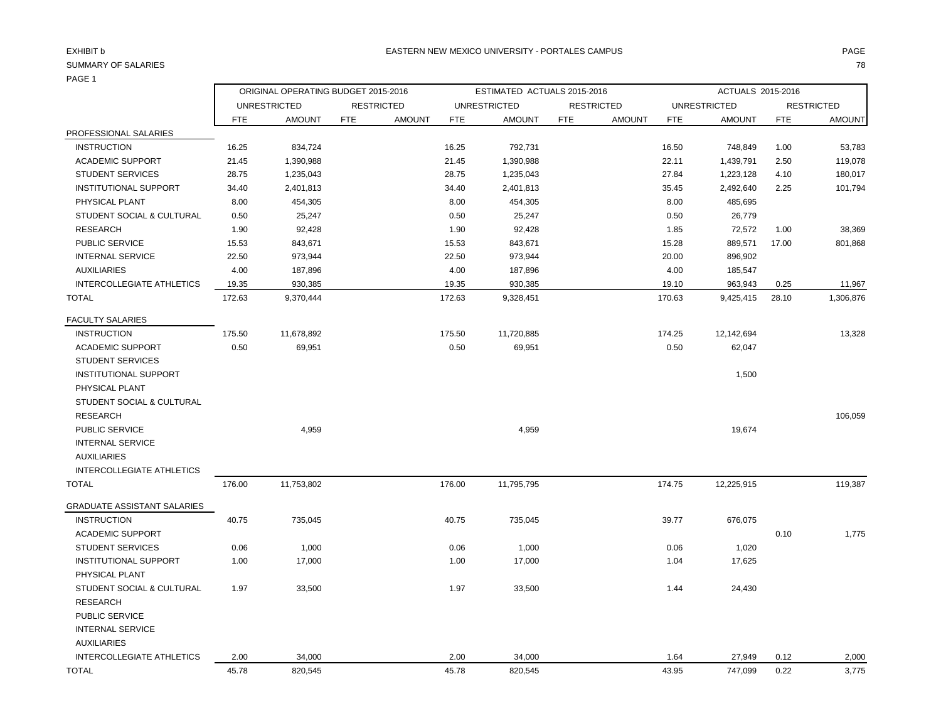### PAGE 1

| .                                |                                     |                     |                             |            |                             |                   |               |            |                     |            |                   |
|----------------------------------|-------------------------------------|---------------------|-----------------------------|------------|-----------------------------|-------------------|---------------|------------|---------------------|------------|-------------------|
|                                  | ORIGINAL OPERATING BUDGET 2015-2016 |                     |                             |            | ESTIMATED ACTUALS 2015-2016 |                   |               |            | ACTUALS 2015-2016   |            |                   |
|                                  |                                     | <b>UNRESTRICTED</b> | <b>RESTRICTED</b>           |            | <b>UNRESTRICTED</b>         | <b>RESTRICTED</b> |               |            | <b>UNRESTRICTED</b> |            | <b>RESTRICTED</b> |
|                                  | FTE                                 | <b>AMOUNT</b>       | <b>FTE</b><br><b>AMOUNT</b> | <b>FTE</b> | <b>AMOUNT</b>               | <b>FTE</b>        | <b>AMOUNT</b> | <b>FTE</b> | <b>AMOUNT</b>       | <b>FTE</b> | <b>AMOUNT</b>     |
| PROFESSIONAL SALARIES            |                                     |                     |                             |            |                             |                   |               |            |                     |            |                   |
| <b>INSTRUCTION</b>               | 16.25                               | 834,724             |                             | 16.25      | 792,731                     |                   |               | 16.50      | 748,849             | 1.00       | 53,783            |
| <b>ACADEMIC SUPPORT</b>          | 21.45                               | 1,390,988           |                             | 21.45      | 1,390,988                   |                   |               | 22.11      | 1,439,791           | 2.50       | 119,078           |
| <b>STUDENT SERVICES</b>          | 28.75                               | 1,235,043           |                             | 28.75      | 1,235,043                   |                   |               | 27.84      | 1,223,128           | 4.10       | 180,017           |
| <b>INSTITUTIONAL SUPPORT</b>     | 34.40                               | 2,401,813           |                             | 34.40      | 2,401,813                   |                   |               | 35.45      | 2,492,640           | 2.25       | 101,794           |
| PHYSICAL PLANT                   | 8.00                                | 454,305             |                             | 8.00       | 454,305                     |                   |               | 8.00       | 485,695             |            |                   |
| STUDENT SOCIAL & CULTURAL        | 0.50                                | 25,247              |                             | 0.50       | 25,247                      |                   |               | 0.50       | 26,779              |            |                   |
| <b>RESEARCH</b>                  | 1.90                                | 92,428              |                             | 1.90       | 92,428                      |                   |               | 1.85       | 72,572              | 1.00       | 38,369            |
| PUBLIC SERVICE                   | 15.53                               | 843,671             |                             | 15.53      | 843,671                     |                   |               | 15.28      | 889,571             | 17.00      | 801,868           |
| <b>INTERNAL SERVICE</b>          | 22.50                               | 973,944             |                             | 22.50      | 973,944                     |                   |               | 20.00      | 896,902             |            |                   |
| <b>AUXILIARIES</b>               | 4.00                                | 187,896             |                             | 4.00       | 187,896                     |                   |               | 4.00       | 185,547             |            |                   |
| <b>INTERCOLLEGIATE ATHLETICS</b> | 19.35                               | 930,385             |                             | 19.35      | 930,385                     |                   |               | 19.10      | 963,943             | 0.25       | 11,967            |
| <b>TOTAL</b>                     | 172.63                              | 9,370,444           |                             | 172.63     | 9,328,451                   |                   |               | 170.63     | 9,425,415           | 28.10      | 1,306,876         |
| <b>FACULTY SALARIES</b>          |                                     |                     |                             |            |                             |                   |               |            |                     |            |                   |
| <b>INSTRUCTION</b>               | 175.50                              | 11,678,892          |                             | 175.50     | 11,720,885                  |                   |               | 174.25     | 12,142,694          |            | 13,328            |
| <b>ACADEMIC SUPPORT</b>          | 0.50                                | 69,951              |                             | 0.50       | 69,951                      |                   |               | 0.50       | 62,047              |            |                   |
| <b>STUDENT SERVICES</b>          |                                     |                     |                             |            |                             |                   |               |            |                     |            |                   |
| INSTITUTIONAL SUPPORT            |                                     |                     |                             |            |                             |                   |               |            | 1,500               |            |                   |
| PHYSICAL PLANT                   |                                     |                     |                             |            |                             |                   |               |            |                     |            |                   |
| STUDENT SOCIAL & CULTURAL        |                                     |                     |                             |            |                             |                   |               |            |                     |            |                   |
| <b>RESEARCH</b>                  |                                     |                     |                             |            |                             |                   |               |            |                     |            | 106,059           |
| <b>PUBLIC SERVICE</b>            |                                     | 4,959               |                             |            | 4,959                       |                   |               |            | 19,674              |            |                   |
| <b>INTERNAL SERVICE</b>          |                                     |                     |                             |            |                             |                   |               |            |                     |            |                   |
| <b>AUXILIARIES</b>               |                                     |                     |                             |            |                             |                   |               |            |                     |            |                   |
| INTERCOLLEGIATE ATHLETICS        |                                     |                     |                             |            |                             |                   |               |            |                     |            |                   |
| <b>TOTAL</b>                     | 176.00                              | 11,753,802          |                             | 176.00     | 11,795,795                  |                   |               | 174.75     | 12,225,915          |            | 119,387           |
| GRADUATE ASSISTANT SALARIES      |                                     |                     |                             |            |                             |                   |               |            |                     |            |                   |
| <b>INSTRUCTION</b>               | 40.75                               | 735,045             |                             | 40.75      | 735,045                     |                   |               | 39.77      | 676,075             |            |                   |
| <b>ACADEMIC SUPPORT</b>          |                                     |                     |                             |            |                             |                   |               |            |                     | 0.10       | 1,775             |
| <b>STUDENT SERVICES</b>          | 0.06                                | 1,000               |                             | 0.06       | 1,000                       |                   |               | 0.06       | 1,020               |            |                   |
| <b>INSTITUTIONAL SUPPORT</b>     | 1.00                                | 17,000              |                             | 1.00       | 17,000                      |                   |               | 1.04       | 17,625              |            |                   |
| PHYSICAL PLANT                   |                                     |                     |                             |            |                             |                   |               |            |                     |            |                   |
| STUDENT SOCIAL & CULTURAL        | 1.97                                | 33,500              |                             | 1.97       | 33,500                      |                   |               | 1.44       | 24,430              |            |                   |
| <b>RESEARCH</b>                  |                                     |                     |                             |            |                             |                   |               |            |                     |            |                   |
| <b>PUBLIC SERVICE</b>            |                                     |                     |                             |            |                             |                   |               |            |                     |            |                   |
| <b>INTERNAL SERVICE</b>          |                                     |                     |                             |            |                             |                   |               |            |                     |            |                   |
| <b>AUXILIARIES</b>               |                                     |                     |                             |            |                             |                   |               |            |                     |            |                   |
| INTERCOLLEGIATE ATHLETICS        | 2.00                                | 34,000              |                             | 2.00       | 34,000                      |                   |               | 1.64       | 27,949              | 0.12       | 2,000             |
|                                  |                                     |                     |                             |            |                             |                   |               |            |                     |            |                   |

TOTAL 45.78 820,545 45.78 820,545 43.95 747,099 0.22 3,775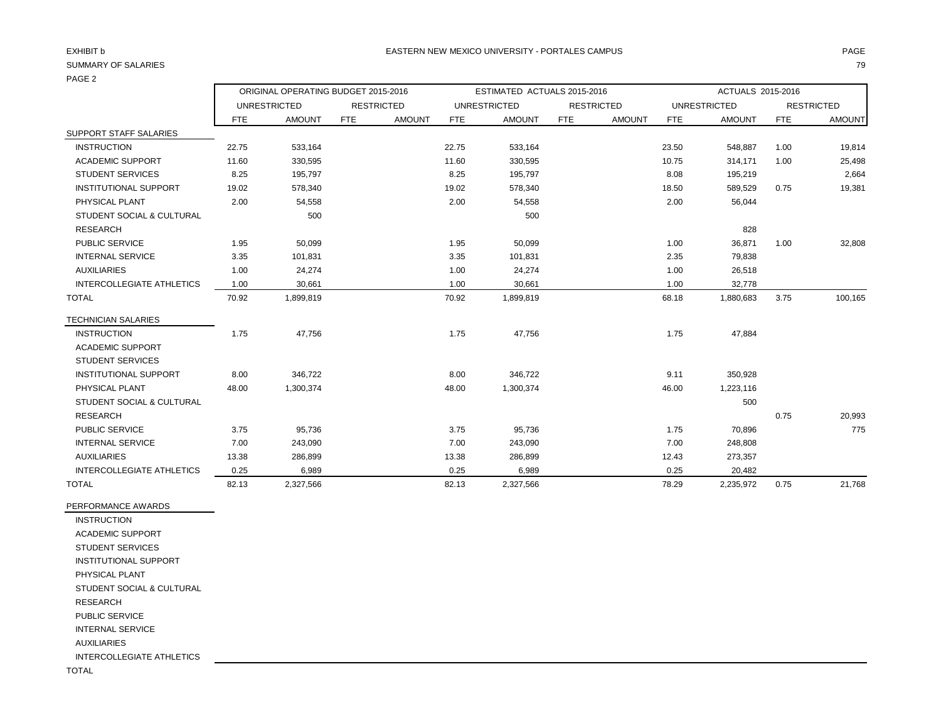### PAGE 2

|                                  | ORIGINAL OPERATING BUDGET 2015-2016 |                     |            |                   |            | ESTIMATED ACTUALS 2015-2016 |            |                   | ACTUALS 2015-2016 |                     |            |                   |
|----------------------------------|-------------------------------------|---------------------|------------|-------------------|------------|-----------------------------|------------|-------------------|-------------------|---------------------|------------|-------------------|
|                                  |                                     | <b>UNRESTRICTED</b> |            | <b>RESTRICTED</b> |            | <b>UNRESTRICTED</b>         |            | <b>RESTRICTED</b> |                   | <b>UNRESTRICTED</b> |            | <b>RESTRICTED</b> |
|                                  | <b>FTE</b>                          | <b>AMOUNT</b>       | <b>FTE</b> | <b>AMOUNT</b>     | <b>FTE</b> | <b>AMOUNT</b>               | <b>FTE</b> | <b>AMOUNT</b>     | FTE               | <b>AMOUNT</b>       | <b>FTE</b> | <b>AMOUNT</b>     |
| SUPPORT STAFF SALARIES           |                                     |                     |            |                   |            |                             |            |                   |                   |                     |            |                   |
| <b>INSTRUCTION</b>               | 22.75                               | 533,164             |            |                   | 22.75      | 533,164                     |            |                   | 23.50             | 548,887             | 1.00       | 19,814            |
| <b>ACADEMIC SUPPORT</b>          | 11.60                               | 330,595             |            |                   | 11.60      | 330,595                     |            |                   | 10.75             | 314,171             | 1.00       | 25,498            |
| <b>STUDENT SERVICES</b>          | 8.25                                | 195,797             |            |                   | 8.25       | 195,797                     |            |                   | 8.08              | 195,219             |            | 2,664             |
| <b>INSTITUTIONAL SUPPORT</b>     | 19.02                               | 578,340             |            |                   | 19.02      | 578,340                     |            |                   | 18.50             | 589,529             | 0.75       | 19,381            |
| PHYSICAL PLANT                   | 2.00                                | 54,558              |            |                   | 2.00       | 54,558                      |            |                   | 2.00              | 56,044              |            |                   |
| STUDENT SOCIAL & CULTURAL        |                                     | 500                 |            |                   |            | 500                         |            |                   |                   |                     |            |                   |
| <b>RESEARCH</b>                  |                                     |                     |            |                   |            |                             |            |                   |                   | 828                 |            |                   |
| PUBLIC SERVICE                   | 1.95                                | 50,099              |            |                   | 1.95       | 50,099                      |            |                   | 1.00              | 36,871              | 1.00       | 32,808            |
| <b>INTERNAL SERVICE</b>          | 3.35                                | 101,831             |            |                   | 3.35       | 101,831                     |            |                   | 2.35              | 79,838              |            |                   |
| <b>AUXILIARIES</b>               | 1.00                                | 24,274              |            |                   | 1.00       | 24,274                      |            |                   | 1.00              | 26,518              |            |                   |
| <b>INTERCOLLEGIATE ATHLETICS</b> | 1.00                                | 30,661              |            |                   | 1.00       | 30,661                      |            |                   | 1.00              | 32,778              |            |                   |
| <b>TOTAL</b>                     | 70.92                               | 1,899,819           |            |                   | 70.92      | 1,899,819                   |            |                   | 68.18             | 1,880,683           | 3.75       | 100,165           |
| <b>TECHNICIAN SALARIES</b>       |                                     |                     |            |                   |            |                             |            |                   |                   |                     |            |                   |
| <b>INSTRUCTION</b>               | 1.75                                | 47,756              |            |                   | 1.75       | 47,756                      |            |                   | 1.75              | 47,884              |            |                   |
| ACADEMIC SUPPORT                 |                                     |                     |            |                   |            |                             |            |                   |                   |                     |            |                   |
| <b>STUDENT SERVICES</b>          |                                     |                     |            |                   |            |                             |            |                   |                   |                     |            |                   |
| <b>INSTITUTIONAL SUPPORT</b>     | 8.00                                | 346,722             |            |                   | 8.00       | 346,722                     |            |                   | 9.11              | 350,928             |            |                   |
| PHYSICAL PLANT                   | 48.00                               | 1,300,374           |            |                   | 48.00      | 1,300,374                   |            |                   | 46.00             | 1,223,116           |            |                   |
| STUDENT SOCIAL & CULTURAL        |                                     |                     |            |                   |            |                             |            |                   |                   | 500                 |            |                   |
| <b>RESEARCH</b>                  |                                     |                     |            |                   |            |                             |            |                   |                   |                     | 0.75       | 20,993            |
| PUBLIC SERVICE                   | 3.75                                | 95,736              |            |                   | 3.75       | 95,736                      |            |                   | 1.75              | 70,896              |            | 775               |
| <b>INTERNAL SERVICE</b>          | 7.00                                | 243,090             |            |                   | 7.00       | 243,090                     |            |                   | 7.00              | 248,808             |            |                   |
| <b>AUXILIARIES</b>               | 13.38                               | 286,899             |            |                   | 13.38      | 286,899                     |            |                   | 12.43             | 273,357             |            |                   |

INTERCOLLEGIATE ATHLETICS 0.25 6,989 0.25 6,989 0.25 20,482

TOTAL 82.13 2,327,566 82.13 2,327,566 78.29 2,235,972 0.75 21,768

PERFORMANCE AWARDS INSTRUCTION

 ACADEMIC SUPPORT STUDENT SERVICES INSTITUTIONAL SUPPORT PHYSICAL PLANT STUDENT SOCIAL & CULTURAL RESEARCH PUBLIC SERVICE INTERNAL SERVICE AUXILIARIES INTERCOLLEGIATE ATHLETICS

TOTAL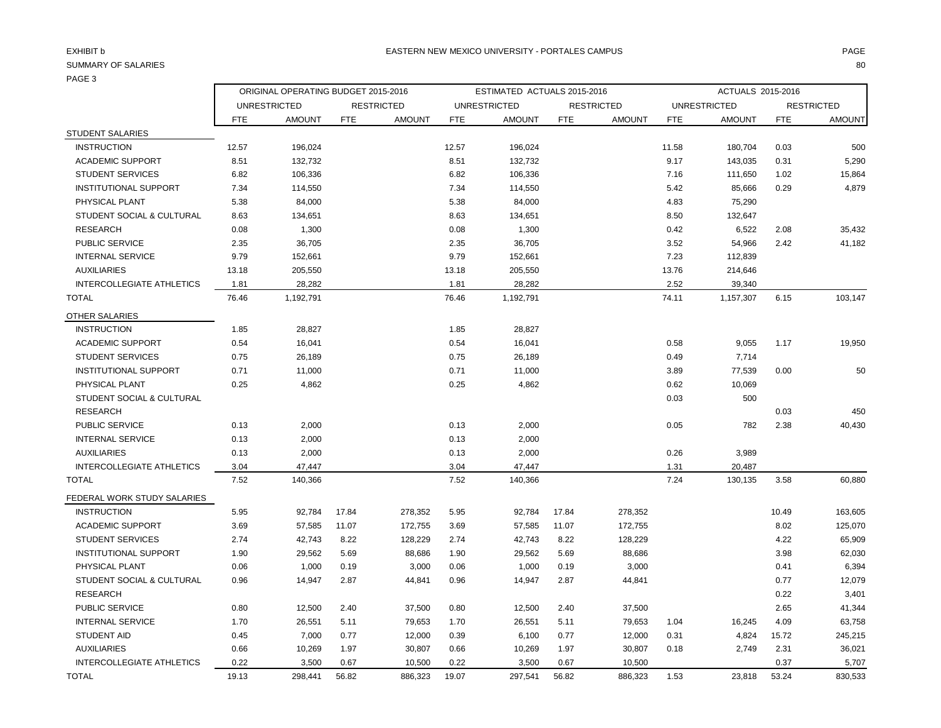### PAGE 3

|                              | ORIGINAL OPERATING BUDGET 2015-2016 |                     |            |                   | ESTIMATED ACTUALS 2015-2016 |                     |            |                   | ACTUALS 2015-2016                        |               |            |               |
|------------------------------|-------------------------------------|---------------------|------------|-------------------|-----------------------------|---------------------|------------|-------------------|------------------------------------------|---------------|------------|---------------|
|                              |                                     | <b>UNRESTRICTED</b> |            | <b>RESTRICTED</b> |                             | <b>UNRESTRICTED</b> |            | <b>RESTRICTED</b> | <b>UNRESTRICTED</b><br><b>RESTRICTED</b> |               |            |               |
|                              | <b>FTE</b>                          | <b>AMOUNT</b>       | <b>FTE</b> | <b>AMOUNT</b>     | <b>FTE</b>                  | <b>AMOUNT</b>       | <b>FTE</b> | <b>AMOUNT</b>     | <b>FTE</b>                               | <b>AMOUNT</b> | <b>FTE</b> | <b>AMOUNT</b> |
| <b>STUDENT SALARIES</b>      |                                     |                     |            |                   |                             |                     |            |                   |                                          |               |            |               |
| <b>INSTRUCTION</b>           | 12.57                               | 196,024             |            |                   | 12.57                       | 196,024             |            |                   | 11.58                                    | 180,704       | 0.03       | 500           |
| <b>ACADEMIC SUPPORT</b>      | 8.51                                | 132,732             |            |                   | 8.51                        | 132,732             |            |                   | 9.17                                     | 143,035       | 0.31       | 5,290         |
| <b>STUDENT SERVICES</b>      | 6.82                                | 106,336             |            |                   | 6.82                        | 106,336             |            |                   | 7.16                                     | 111,650       | 1.02       | 15,864        |
| <b>INSTITUTIONAL SUPPORT</b> | 7.34                                | 114,550             |            |                   | 7.34                        | 114,550             |            |                   | 5.42                                     | 85,666        | 0.29       | 4,879         |
| PHYSICAL PLANT               | 5.38                                | 84,000              |            |                   | 5.38                        | 84,000              |            |                   | 4.83                                     | 75,290        |            |               |
| STUDENT SOCIAL & CULTURAL    | 8.63                                | 134,651             |            |                   | 8.63                        | 134,651             |            |                   | 8.50                                     | 132,647       |            |               |
| <b>RESEARCH</b>              | 0.08                                | 1,300               |            |                   | 0.08                        | 1,300               |            |                   | 0.42                                     | 6,522         | 2.08       | 35,432        |
| <b>PUBLIC SERVICE</b>        | 2.35                                | 36,705              |            |                   | 2.35                        | 36,705              |            |                   | 3.52                                     | 54,966        | 2.42       | 41,182        |
| <b>INTERNAL SERVICE</b>      | 9.79                                | 152,661             |            |                   | 9.79                        | 152,661             |            |                   | 7.23                                     | 112,839       |            |               |
| <b>AUXILIARIES</b>           | 13.18                               | 205,550             |            |                   | 13.18                       | 205,550             |            |                   | 13.76                                    | 214,646       |            |               |
| INTERCOLLEGIATE ATHLETICS    | 1.81                                | 28,282              |            |                   | 1.81                        | 28,282              |            |                   | 2.52                                     | 39,340        |            |               |
| <b>TOTAL</b>                 | 76.46                               | 1,192,791           |            |                   | 76.46                       | 1,192,791           |            |                   | 74.11                                    | 1,157,307     | 6.15       | 103,147       |
| OTHER SALARIES               |                                     |                     |            |                   |                             |                     |            |                   |                                          |               |            |               |
| <b>INSTRUCTION</b>           | 1.85                                | 28,827              |            |                   | 1.85                        | 28,827              |            |                   |                                          |               |            |               |
| <b>ACADEMIC SUPPORT</b>      | 0.54                                | 16,041              |            |                   | 0.54                        | 16,041              |            |                   | 0.58                                     | 9,055         | 1.17       | 19,950        |
| <b>STUDENT SERVICES</b>      | 0.75                                | 26,189              |            |                   | 0.75                        | 26,189              |            |                   | 0.49                                     | 7,714         |            |               |
| <b>INSTITUTIONAL SUPPORT</b> | 0.71                                | 11,000              |            |                   | 0.71                        | 11,000              |            |                   | 3.89                                     | 77,539        | 0.00       | 50            |
| PHYSICAL PLANT               | 0.25                                | 4,862               |            |                   | 0.25                        | 4,862               |            |                   | 0.62                                     | 10,069        |            |               |
| STUDENT SOCIAL & CULTURAL    |                                     |                     |            |                   |                             |                     |            |                   | 0.03                                     | 500           |            |               |
| <b>RESEARCH</b>              |                                     |                     |            |                   |                             |                     |            |                   |                                          |               | 0.03       | 450           |
| PUBLIC SERVICE               | 0.13                                | 2,000               |            |                   | 0.13                        | 2,000               |            |                   | 0.05                                     | 782           | 2.38       | 40,430        |
| <b>INTERNAL SERVICE</b>      | 0.13                                | 2,000               |            |                   | 0.13                        | 2,000               |            |                   |                                          |               |            |               |
| <b>AUXILIARIES</b>           | 0.13                                | 2,000               |            |                   | 0.13                        | 2,000               |            |                   | 0.26                                     | 3,989         |            |               |
| INTERCOLLEGIATE ATHLETICS    | 3.04                                | 47,447              |            |                   | 3.04                        | 47,447              |            |                   | 1.31                                     | 20,487        |            |               |
| <b>TOTAL</b>                 | 7.52                                | 140,366             |            |                   | 7.52                        | 140,366             |            |                   | 7.24                                     | 130,135       | 3.58       | 60,880        |
| FEDERAL WORK STUDY SALARIES  |                                     |                     |            |                   |                             |                     |            |                   |                                          |               |            |               |
| <b>INSTRUCTION</b>           | 5.95                                | 92,784              | 17.84      | 278,352           | 5.95                        | 92,784              | 17.84      | 278,352           |                                          |               | 10.49      | 163,605       |
| <b>ACADEMIC SUPPORT</b>      | 3.69                                | 57,585              | 11.07      | 172,755           | 3.69                        | 57,585              | 11.07      | 172,755           |                                          |               | 8.02       | 125,070       |
| <b>STUDENT SERVICES</b>      | 2.74                                | 42,743              | 8.22       | 128,229           | 2.74                        | 42,743              | 8.22       | 128,229           |                                          |               | 4.22       | 65,909        |
| <b>INSTITUTIONAL SUPPORT</b> | 1.90                                | 29,562              | 5.69       | 88,686            | 1.90                        | 29,562              | 5.69       | 88,686            |                                          |               | 3.98       | 62,030        |
| PHYSICAL PLANT               | 0.06                                | 1,000               | 0.19       | 3,000             | 0.06                        | 1,000               | 0.19       | 3,000             |                                          |               | 0.41       | 6,394         |
| STUDENT SOCIAL & CULTURAL    | 0.96                                | 14,947              | 2.87       | 44,841            | 0.96                        | 14,947              | 2.87       | 44,841            |                                          |               | 0.77       | 12,079        |
| <b>RESEARCH</b>              |                                     |                     |            |                   |                             |                     |            |                   |                                          |               | 0.22       | 3,401         |
| <b>PUBLIC SERVICE</b>        | 0.80                                | 12,500              | 2.40       | 37,500            | 0.80                        | 12,500              | 2.40       | 37,500            |                                          |               | 2.65       | 41,344        |
| <b>INTERNAL SERVICE</b>      | 1.70                                | 26,551              | 5.11       | 79,653            | 1.70                        | 26,551              | 5.11       | 79,653            | 1.04                                     | 16,245        | 4.09       | 63,758        |
| <b>STUDENT AID</b>           | 0.45                                | 7,000               | 0.77       | 12,000            | 0.39                        | 6,100               | 0.77       | 12,000            | 0.31                                     | 4,824         | 15.72      | 245,215       |
| <b>AUXILIARIES</b>           | 0.66                                | 10,269              | 1.97       | 30,807            | 0.66                        | 10,269              | 1.97       | 30,807            | 0.18                                     | 2,749         | 2.31       | 36,021        |
| INTERCOLLEGIATE ATHLETICS    | 0.22                                | 3,500               | 0.67       | 10,500            | 0.22                        | 3,500               | 0.67       | 10,500            |                                          |               | 0.37       | 5,707         |
| <b>TOTAL</b>                 | 19.13                               | 298,441             | 56.82      | 886,323           | 19.07                       | 297,541             | 56.82      | 886,323           | 1.53                                     | 23,818        | 53.24      | 830,533       |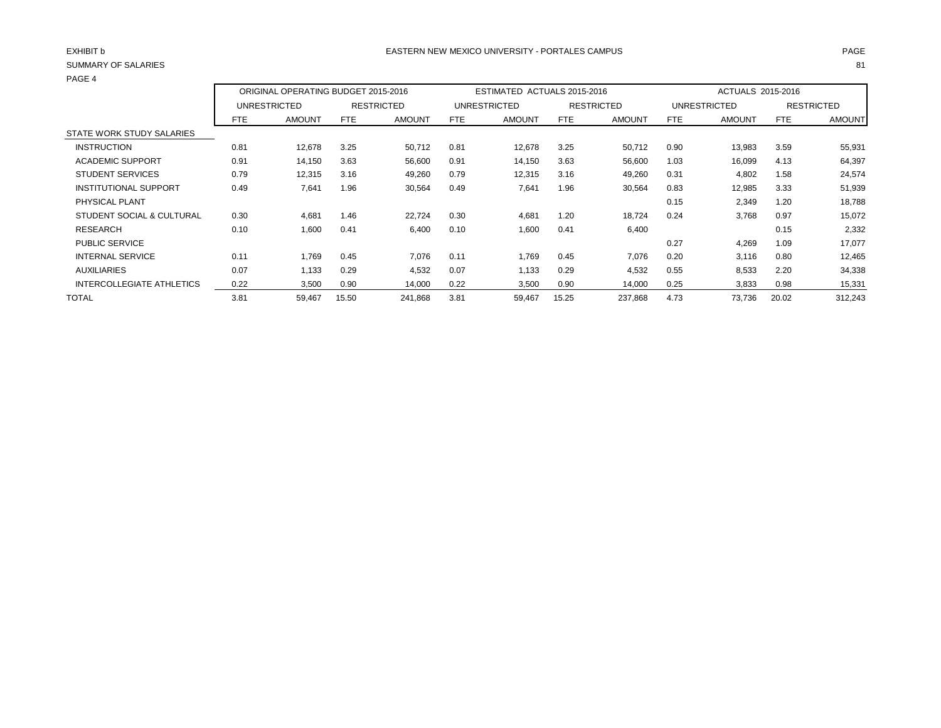| <b>SUMMARY OF SALARIES</b>   |            |                                     |       |                   |            |                             |            |                   |            |                     |       | 81                |
|------------------------------|------------|-------------------------------------|-------|-------------------|------------|-----------------------------|------------|-------------------|------------|---------------------|-------|-------------------|
| PAGE 4                       |            | ORIGINAL OPERATING BUDGET 2015-2016 |       |                   |            | ESTIMATED ACTUALS 2015-2016 |            |                   |            | ACTUALS 2015-2016   |       |                   |
|                              |            |                                     |       |                   |            |                             |            |                   |            |                     |       |                   |
|                              |            | <b>UNRESTRICTED</b>                 |       | <b>RESTRICTED</b> |            | <b>UNRESTRICTED</b>         |            | <b>RESTRICTED</b> |            | <b>UNRESTRICTED</b> |       | <b>RESTRICTED</b> |
|                              | <b>FTE</b> | <b>AMOUNT</b>                       | FTE   | <b>AMOUNT</b>     | <b>FTE</b> | <b>AMOUNT</b>               | <b>FTE</b> | <b>AMOUNT</b>     | <b>FTE</b> | <b>AMOUNT</b>       | FTE   | <b>AMOUNT</b>     |
| STATE WORK STUDY SALARIES    |            |                                     |       |                   |            |                             |            |                   |            |                     |       |                   |
| <b>INSTRUCTION</b>           | 0.81       | 12,678                              | 3.25  | 50,712            | 0.81       | 12,678                      | 3.25       | 50,712            | 0.90       | 13,983              | 3.59  | 55,931            |
| <b>ACADEMIC SUPPORT</b>      | 0.91       | 14,150                              | 3.63  | 56,600            | 0.91       | 14,150                      | 3.63       | 56,600            | 1.03       | 16,099              | 4.13  | 64,397            |
| <b>STUDENT SERVICES</b>      | 0.79       | 12,315                              | 3.16  | 49,260            | 0.79       | 12,315                      | 3.16       | 49,260            | 0.31       | 4,802               | 1.58  | 24,574            |
| <b>INSTITUTIONAL SUPPORT</b> | 0.49       | 7,641                               | 1.96  | 30,564            | 0.49       | 7,641                       | 1.96       | 30,564            | 0.83       | 12,985              | 3.33  | 51,939            |
| PHYSICAL PLANT               |            |                                     |       |                   |            |                             |            |                   | 0.15       | 2,349               | 1.20  | 18,788            |
| STUDENT SOCIAL & CULTURAL    | 0.30       | 4,681                               | 1.46  | 22,724            | 0.30       | 4,681                       | 1.20       | 18,724            | 0.24       | 3,768               | 0.97  | 15,072            |
| <b>RESEARCH</b>              | 0.10       | 1,600                               | 0.41  | 6,400             | 0.10       | 1,600                       | 0.41       | 6,400             |            |                     | 0.15  | 2,332             |
| <b>PUBLIC SERVICE</b>        |            |                                     |       |                   |            |                             |            |                   | 0.27       | 4,269               | 1.09  | 17,077            |
| <b>INTERNAL SERVICE</b>      | 0.11       | 1,769                               | 0.45  | 7,076             | 0.11       | 1,769                       | 0.45       | 7,076             | 0.20       | 3,116               | 0.80  | 12,465            |
| <b>AUXILIARIES</b>           | 0.07       | 1,133                               | 0.29  | 4,532             | 0.07       | 1,133                       | 0.29       | 4,532             | 0.55       | 8,533               | 2.20  | 34,338            |
| INTERCOLLEGIATE ATHLETICS    | 0.22       | 3,500                               | 0.90  | 14,000            | 0.22       | 3,500                       | 0.90       | 14,000            | 0.25       | 3,833               | 0.98  | 15,331            |
| <b>TOTAL</b>                 | 3.81       | 59,467                              | 15.50 | 241,868           | 3.81       | 59,467                      | 15.25      | 237,868           | 4.73       | 73,736              | 20.02 | 312,243           |
|                              |            |                                     |       |                   |            |                             |            |                   |            |                     |       |                   |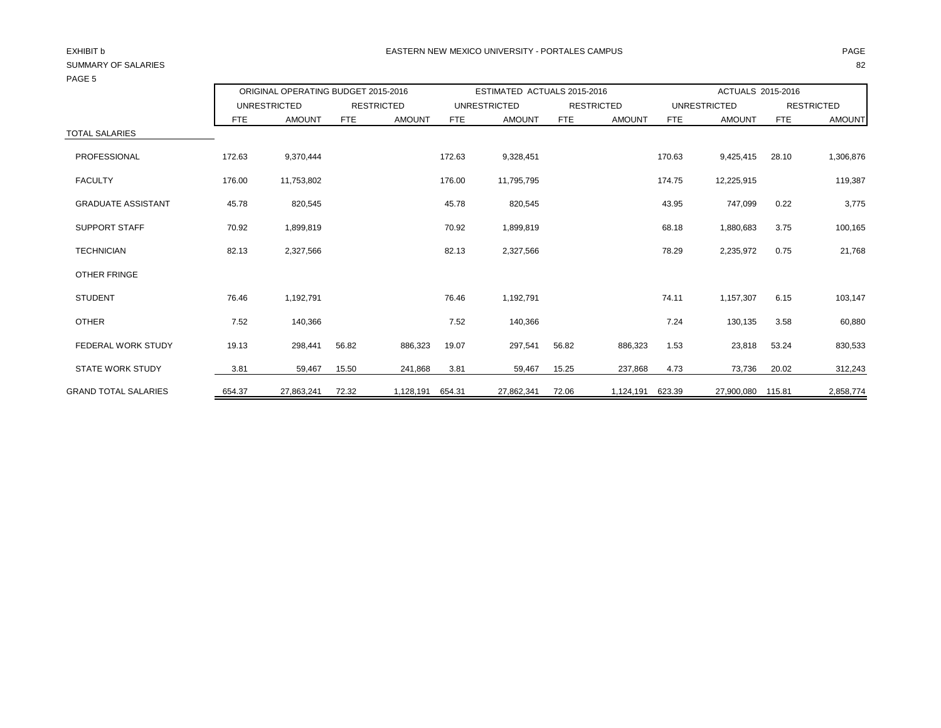| <b>PAGE 3</b>               |            |                                     |                   |               |                             |               |                   |               |                     |                   |                   |               |
|-----------------------------|------------|-------------------------------------|-------------------|---------------|-----------------------------|---------------|-------------------|---------------|---------------------|-------------------|-------------------|---------------|
|                             |            | ORIGINAL OPERATING BUDGET 2015-2016 |                   |               | ESTIMATED ACTUALS 2015-2016 |               |                   |               | ACTUALS 2015-2016   |                   |                   |               |
|                             |            | <b>UNRESTRICTED</b>                 | <b>RESTRICTED</b> |               | <b>UNRESTRICTED</b>         |               | <b>RESTRICTED</b> |               | <b>UNRESTRICTED</b> |                   | <b>RESTRICTED</b> |               |
|                             | <b>FTE</b> | <b>AMOUNT</b>                       | FTE               | <b>AMOUNT</b> | <b>FTE</b>                  | <b>AMOUNT</b> | <b>FTE</b>        | <b>AMOUNT</b> | <b>FTE</b>          | <b>AMOUNT</b>     | <b>FTE</b>        | <b>AMOUNT</b> |
| <b>TOTAL SALARIES</b>       |            |                                     |                   |               |                             |               |                   |               |                     |                   |                   |               |
| PROFESSIONAL                | 172.63     | 9,370,444                           |                   |               | 172.63                      | 9,328,451     |                   |               | 170.63              | 9,425,415         | 28.10             | 1,306,876     |
| <b>FACULTY</b>              | 176.00     | 11,753,802                          |                   |               | 176.00                      | 11,795,795    |                   |               | 174.75              | 12,225,915        |                   | 119,387       |
| <b>GRADUATE ASSISTANT</b>   | 45.78      | 820,545                             |                   |               | 45.78                       | 820,545       |                   |               | 43.95               | 747,099           | 0.22              | 3,775         |
| <b>SUPPORT STAFF</b>        | 70.92      | 1,899,819                           |                   |               | 70.92                       | 1,899,819     |                   |               | 68.18               | 1,880,683         | 3.75              | 100,165       |
| <b>TECHNICIAN</b>           | 82.13      | 2,327,566                           |                   |               | 82.13                       | 2,327,566     |                   |               | 78.29               | 2,235,972         | 0.75              | 21,768        |
| OTHER FRINGE                |            |                                     |                   |               |                             |               |                   |               |                     |                   |                   |               |
| <b>STUDENT</b>              | 76.46      | 1,192,791                           |                   |               | 76.46                       | 1,192,791     |                   |               | 74.11               | 1,157,307         | 6.15              | 103,147       |
| <b>OTHER</b>                | 7.52       | 140,366                             |                   |               | 7.52                        | 140,366       |                   |               | 7.24                | 130,135           | 3.58              | 60,880        |
| <b>FEDERAL WORK STUDY</b>   | 19.13      | 298,441                             | 56.82             | 886,323       | 19.07                       | 297,541       | 56.82             | 886,323       | 1.53                | 23,818            | 53.24             | 830,533       |
| <b>STATE WORK STUDY</b>     | 3.81       | 59,467                              | 15.50             | 241,868       | 3.81                        | 59,467        | 15.25             | 237,868       | 4.73                | 73,736            | 20.02             | 312,243       |
| <b>GRAND TOTAL SALARIES</b> | 654.37     | 27,863,241                          | 72.32             | 1,128,191     | 654.31                      | 27,862,341    | 72.06             | 1,124,191     | 623.39              | 27,900,080 115.81 |                   | 2,858,774     |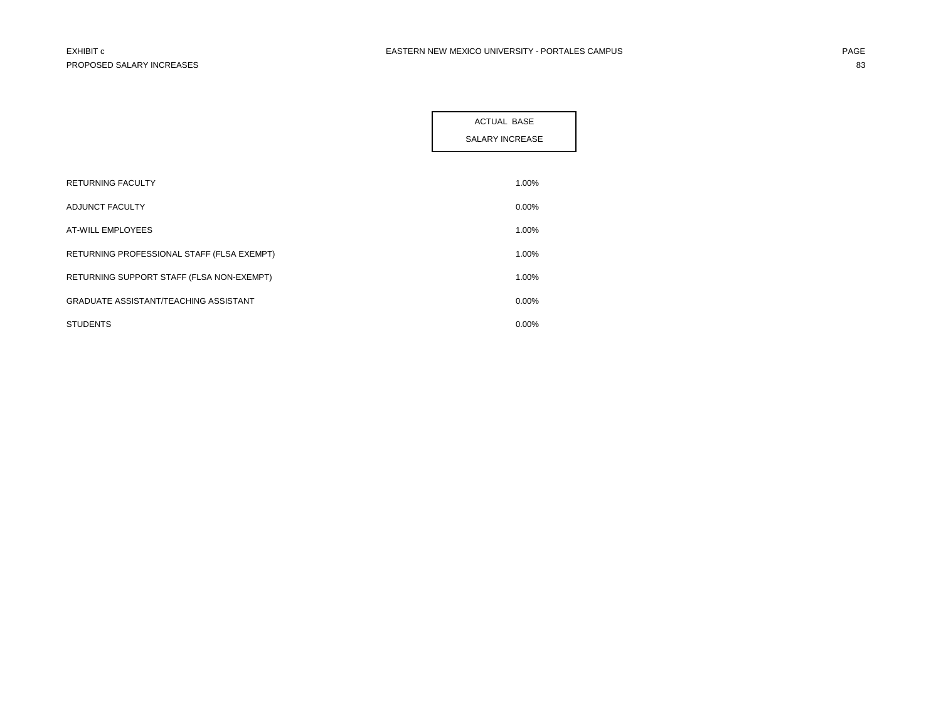|                                              | <b>ACTUAL BASE</b><br>SALARY INCREASE |
|----------------------------------------------|---------------------------------------|
|                                              |                                       |
| <b>RETURNING FACULTY</b>                     | 1.00%                                 |
| ADJUNCT FACULTY                              | $0.00\%$                              |
| AT-WILL EMPLOYEES                            | 1.00%                                 |
| RETURNING PROFESSIONAL STAFF (FLSA EXEMPT)   | 1.00%                                 |
| RETURNING SUPPORT STAFF (FLSA NON-EXEMPT)    | 1.00%                                 |
| <b>GRADUATE ASSISTANT/TEACHING ASSISTANT</b> | 0.00%                                 |
| <b>STUDENTS</b>                              | 0.00%                                 |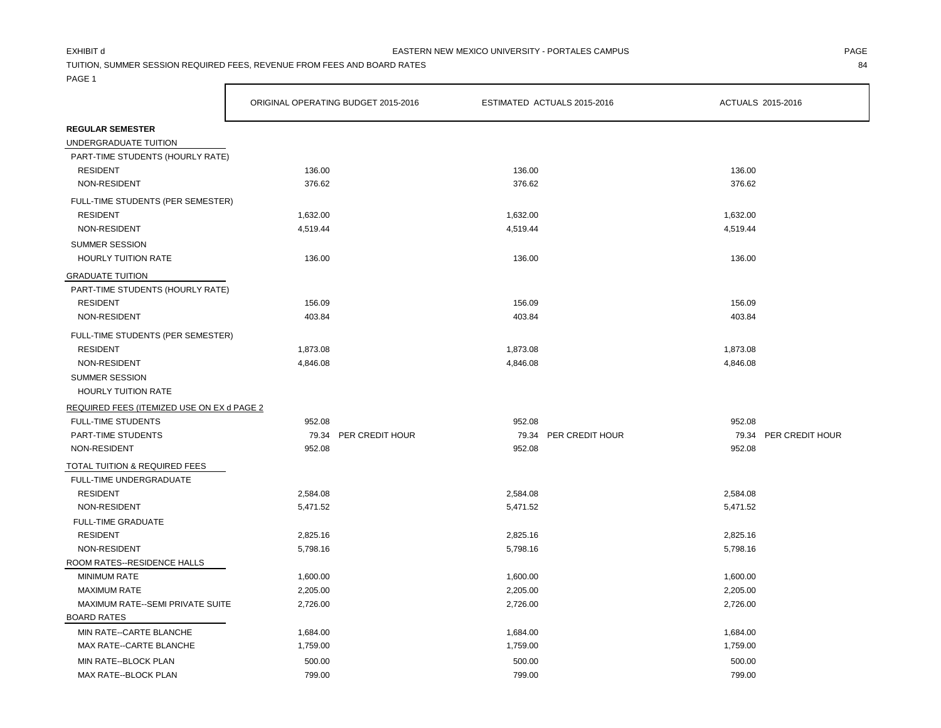TUITION, SUMMER SESSION REQUIRED FEES, REVENUE FROM FEES AND BOARD RATES 84

PAGE 1

|                                            | ORIGINAL OPERATING BUDGET 2015-2016 |                       |          | ESTIMATED ACTUALS 2015-2016 | ACTUALS 2015-2016 |                       |  |
|--------------------------------------------|-------------------------------------|-----------------------|----------|-----------------------------|-------------------|-----------------------|--|
| <b>REGULAR SEMESTER</b>                    |                                     |                       |          |                             |                   |                       |  |
| UNDERGRADUATE TUITION                      |                                     |                       |          |                             |                   |                       |  |
| PART-TIME STUDENTS (HOURLY RATE)           |                                     |                       |          |                             |                   |                       |  |
| <b>RESIDENT</b>                            | 136.00                              |                       | 136.00   |                             | 136.00            |                       |  |
| NON-RESIDENT                               | 376.62                              |                       | 376.62   |                             | 376.62            |                       |  |
| FULL-TIME STUDENTS (PER SEMESTER)          |                                     |                       |          |                             |                   |                       |  |
| <b>RESIDENT</b>                            | 1,632.00                            |                       | 1,632.00 |                             | 1,632.00          |                       |  |
| NON-RESIDENT                               | 4,519.44                            |                       | 4,519.44 |                             | 4,519.44          |                       |  |
| <b>SUMMER SESSION</b>                      |                                     |                       |          |                             |                   |                       |  |
| <b>HOURLY TUITION RATE</b>                 | 136.00                              |                       | 136.00   |                             | 136.00            |                       |  |
| <b>GRADUATE TUITION</b>                    |                                     |                       |          |                             |                   |                       |  |
| PART-TIME STUDENTS (HOURLY RATE)           |                                     |                       |          |                             |                   |                       |  |
| <b>RESIDENT</b>                            | 156.09                              |                       | 156.09   |                             | 156.09            |                       |  |
| NON-RESIDENT                               | 403.84                              |                       | 403.84   |                             | 403.84            |                       |  |
| FULL-TIME STUDENTS (PER SEMESTER)          |                                     |                       |          |                             |                   |                       |  |
| <b>RESIDENT</b>                            | 1,873.08                            |                       | 1,873.08 |                             | 1,873.08          |                       |  |
| NON-RESIDENT                               | 4,846.08                            |                       | 4,846.08 |                             | 4,846.08          |                       |  |
| <b>SUMMER SESSION</b>                      |                                     |                       |          |                             |                   |                       |  |
| <b>HOURLY TUITION RATE</b>                 |                                     |                       |          |                             |                   |                       |  |
| REQUIRED FEES (ITEMIZED USE ON EX d PAGE 2 |                                     |                       |          |                             |                   |                       |  |
| <b>FULL-TIME STUDENTS</b>                  | 952.08                              |                       | 952.08   |                             | 952.08            |                       |  |
| PART-TIME STUDENTS                         |                                     | 79.34 PER CREDIT HOUR |          | 79.34 PER CREDIT HOUR       |                   | 79.34 PER CREDIT HOUR |  |
| NON-RESIDENT                               | 952.08                              |                       | 952.08   |                             | 952.08            |                       |  |
| TOTAL TUITION & REQUIRED FEES              |                                     |                       |          |                             |                   |                       |  |
| FULL-TIME UNDERGRADUATE                    |                                     |                       |          |                             |                   |                       |  |
| <b>RESIDENT</b>                            | 2,584.08                            |                       | 2,584.08 |                             | 2,584.08          |                       |  |
| NON-RESIDENT                               | 5,471.52                            |                       | 5,471.52 |                             | 5,471.52          |                       |  |
| FULL-TIME GRADUATE                         |                                     |                       |          |                             |                   |                       |  |
| <b>RESIDENT</b>                            | 2,825.16                            |                       | 2,825.16 |                             | 2,825.16          |                       |  |
| NON-RESIDENT                               | 5,798.16                            |                       | 5,798.16 |                             | 5,798.16          |                       |  |
| ROOM RATES--RESIDENCE HALLS                |                                     |                       |          |                             |                   |                       |  |
| <b>MINIMUM RATE</b>                        | 1,600.00                            |                       | 1,600.00 |                             | 1,600.00          |                       |  |
| <b>MAXIMUM RATE</b>                        | 2,205.00                            |                       | 2,205.00 |                             | 2,205.00          |                       |  |
| MAXIMUM RATE--SEMI PRIVATE SUITE           | 2,726.00                            |                       | 2,726.00 |                             | 2,726.00          |                       |  |
| <b>BOARD RATES</b>                         |                                     |                       |          |                             |                   |                       |  |
| MIN RATE--CARTE BLANCHE                    | 1,684.00                            |                       | 1,684.00 |                             | 1,684.00          |                       |  |
| MAX RATE--CARTE BLANCHE                    | 1,759.00                            |                       | 1,759.00 |                             | 1,759.00          |                       |  |
| MIN RATE--BLOCK PLAN                       | 500.00                              |                       | 500.00   |                             | 500.00            |                       |  |
| MAX RATE--BLOCK PLAN                       | 799.00                              |                       | 799.00   |                             | 799.00            |                       |  |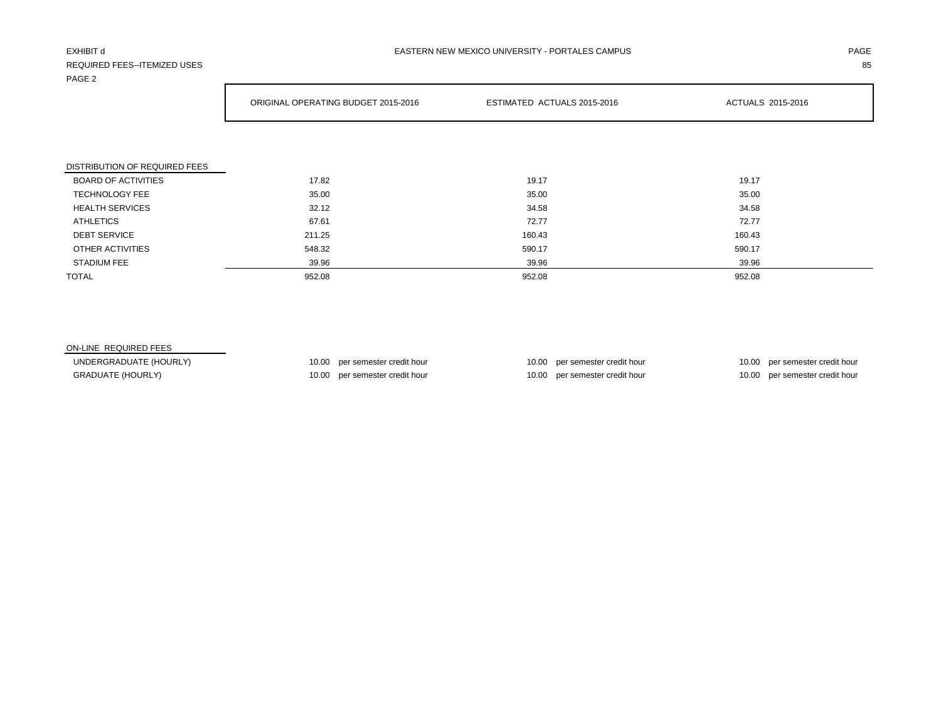# REQUIRED FEES--ITEMIZED USES 85

| PAGE 2                        |                                     |                             |                   |  |  |
|-------------------------------|-------------------------------------|-----------------------------|-------------------|--|--|
|                               | ORIGINAL OPERATING BUDGET 2015-2016 | ESTIMATED ACTUALS 2015-2016 | ACTUALS 2015-2016 |  |  |
|                               |                                     |                             |                   |  |  |
| DISTRIBUTION OF REQUIRED FEES |                                     |                             |                   |  |  |
| <b>BOARD OF ACTIVITIES</b>    | 17.82                               | 19.17                       | 19.17             |  |  |
| <b>TECHNOLOGY FEE</b>         | 35.00                               | 35.00                       | 35.00             |  |  |
| <b>HEALTH SERVICES</b>        | 32.12                               | 34.58                       | 34.58             |  |  |
| <b>ATHLETICS</b>              | 67.61                               | 72.77                       | 72.77             |  |  |
| <b>DEBT SERVICE</b>           | 211.25                              | 160.43                      | 160.43            |  |  |
| OTHER ACTIVITIES              | 548.32                              | 590.17                      | 590.17            |  |  |
| <b>STADIUM FEE</b>            | 39.96                               | 39.96                       | 39.96             |  |  |

TOTAL 952.08 952.08 952.08

### ON-LINE REQUIRED FEES

UNDERGRADUATE (HOURLY) 10.00 per semester credit hour 10.00 per semester credit hour 10.00 per semester credit hour 10.00 per semester credit hour GRADUATE (HOURLY) **10.00** per semester credit hour 10.00 per semester credit hour 10.00 per semester credit hour 10.00 per semester credit hour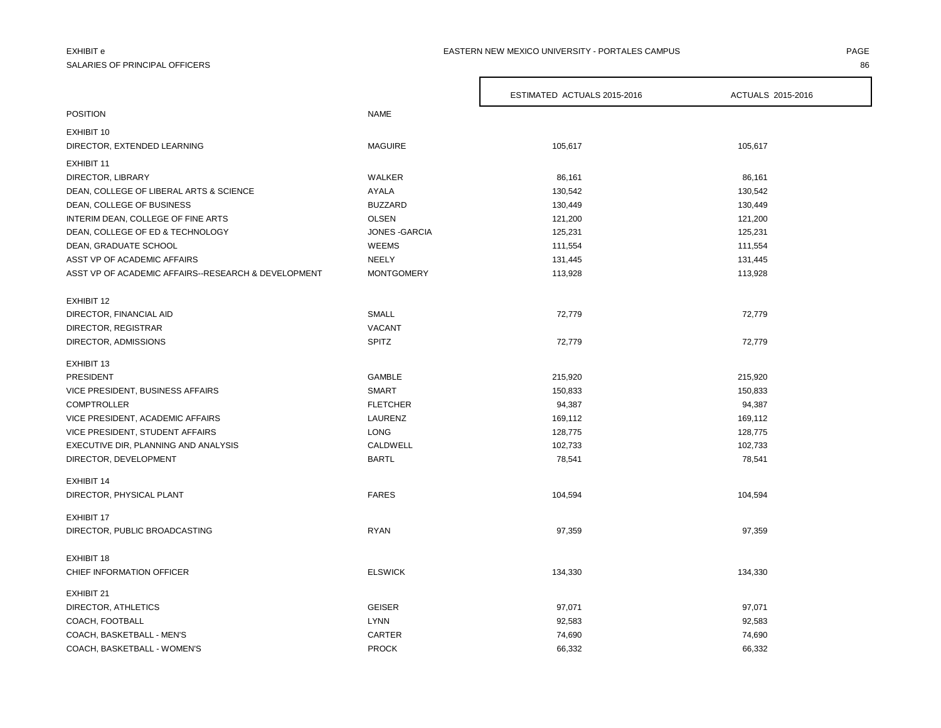# SALARIES OF PRINCIPAL OFFICERS 86

### EXHIBIT e PAGE PAGE IN THE PAGE OF PAGE IN THE PAGE OF PAGE IN THE PAGE OF PAGE IN THE PAGE OF PAGE IN THE PAGE

|                                                     |                   | ESTIMATED ACTUALS 2015-2016 | ACTUALS 2015-2016 |
|-----------------------------------------------------|-------------------|-----------------------------|-------------------|
| <b>POSITION</b>                                     | <b>NAME</b>       |                             |                   |
| EXHIBIT 10                                          |                   |                             |                   |
| DIRECTOR, EXTENDED LEARNING                         | <b>MAGUIRE</b>    | 105,617                     | 105,617           |
| EXHIBIT 11                                          |                   |                             |                   |
| DIRECTOR, LIBRARY                                   | WALKER            | 86,161                      | 86,161            |
| DEAN, COLLEGE OF LIBERAL ARTS & SCIENCE             | AYALA             | 130,542                     | 130,542           |
| DEAN, COLLEGE OF BUSINESS                           | <b>BUZZARD</b>    | 130,449                     | 130,449           |
| INTERIM DEAN, COLLEGE OF FINE ARTS                  | <b>OLSEN</b>      | 121,200                     | 121,200           |
| DEAN, COLLEGE OF ED & TECHNOLOGY                    | JONES - GARCIA    | 125,231                     | 125,231           |
| DEAN, GRADUATE SCHOOL                               | WEEMS             | 111,554                     | 111,554           |
| ASST VP OF ACADEMIC AFFAIRS                         | <b>NEELY</b>      | 131,445                     | 131,445           |
| ASST VP OF ACADEMIC AFFAIRS--RESEARCH & DEVELOPMENT | <b>MONTGOMERY</b> | 113,928                     | 113,928           |
| EXHIBIT 12                                          |                   |                             |                   |
| DIRECTOR, FINANCIAL AID                             | <b>SMALL</b>      | 72,779                      | 72,779            |
| DIRECTOR, REGISTRAR                                 | <b>VACANT</b>     |                             |                   |
| DIRECTOR, ADMISSIONS                                | <b>SPITZ</b>      | 72,779                      | 72,779            |
| EXHIBIT 13                                          |                   |                             |                   |
| PRESIDENT                                           | <b>GAMBLE</b>     | 215,920                     | 215,920           |
| VICE PRESIDENT, BUSINESS AFFAIRS                    | <b>SMART</b>      | 150,833                     | 150,833           |
| <b>COMPTROLLER</b>                                  | <b>FLETCHER</b>   | 94,387                      | 94,387            |
| VICE PRESIDENT, ACADEMIC AFFAIRS                    | LAURENZ           | 169,112                     | 169,112           |
| VICE PRESIDENT, STUDENT AFFAIRS                     | <b>LONG</b>       | 128,775                     | 128,775           |
| EXECUTIVE DIR, PLANNING AND ANALYSIS                | CALDWELL          | 102,733                     | 102,733           |
| DIRECTOR, DEVELOPMENT                               | <b>BARTL</b>      | 78,541                      | 78,541            |
| EXHIBIT 14                                          |                   |                             |                   |
| DIRECTOR, PHYSICAL PLANT                            | <b>FARES</b>      | 104,594                     | 104,594           |
| <b>EXHIBIT 17</b>                                   |                   |                             |                   |
| DIRECTOR, PUBLIC BROADCASTING                       | <b>RYAN</b>       | 97,359                      | 97,359            |
| EXHIBIT 18                                          |                   |                             |                   |
| CHIEF INFORMATION OFFICER                           | <b>ELSWICK</b>    | 134,330                     | 134,330           |
| EXHIBIT 21                                          |                   |                             |                   |
| DIRECTOR, ATHLETICS                                 | <b>GEISER</b>     | 97,071                      | 97,071            |
| COACH, FOOTBALL                                     | <b>LYNN</b>       | 92,583                      | 92,583            |
| COACH, BASKETBALL - MEN'S                           | CARTER            | 74,690                      | 74,690            |
| COACH, BASKETBALL - WOMEN'S                         | <b>PROCK</b>      | 66,332                      | 66,332            |

 $\Gamma$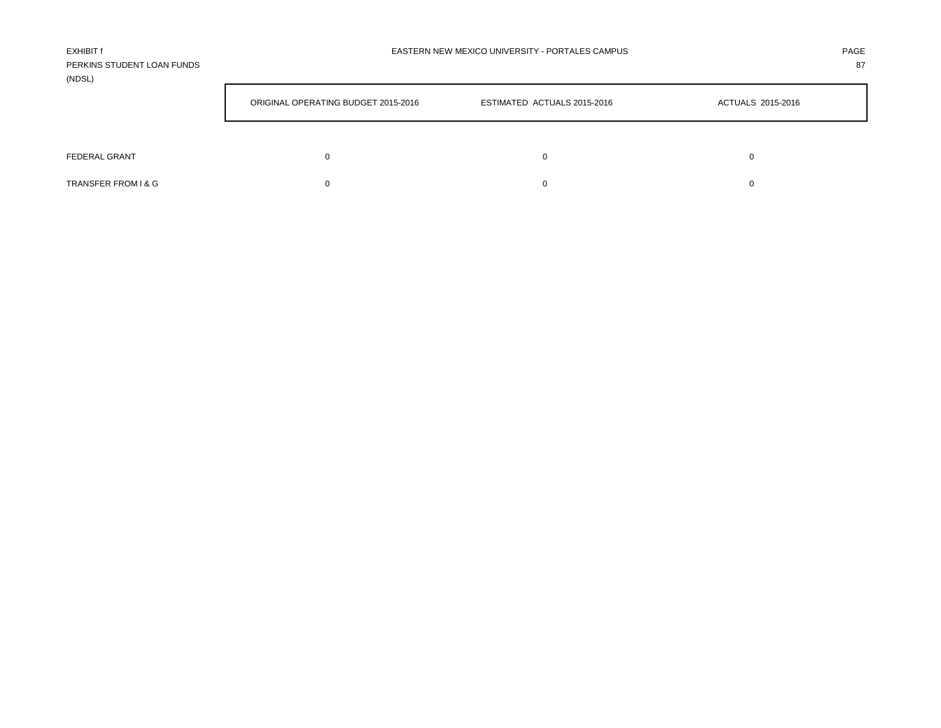| EXHIBIT f                  | EASTERN NEW MEXICO UNIVERSITY - PORTALES CAMPUS | PAGE |
|----------------------------|-------------------------------------------------|------|
| PERKINS STUDENT LOAN FUNDS |                                                 | 87   |
| (NDSL)                     |                                                 |      |

|                      | ORIGINAL OPERATING BUDGET 2015-2016 | ESTIMATED ACTUALS 2015-2016 | ACTUALS 2015-2016 |  |  |
|----------------------|-------------------------------------|-----------------------------|-------------------|--|--|
|                      |                                     |                             |                   |  |  |
| <b>FEDERAL GRANT</b> |                                     |                             | 0                 |  |  |
| TRANSFER FROM I & G  |                                     |                             | 0                 |  |  |